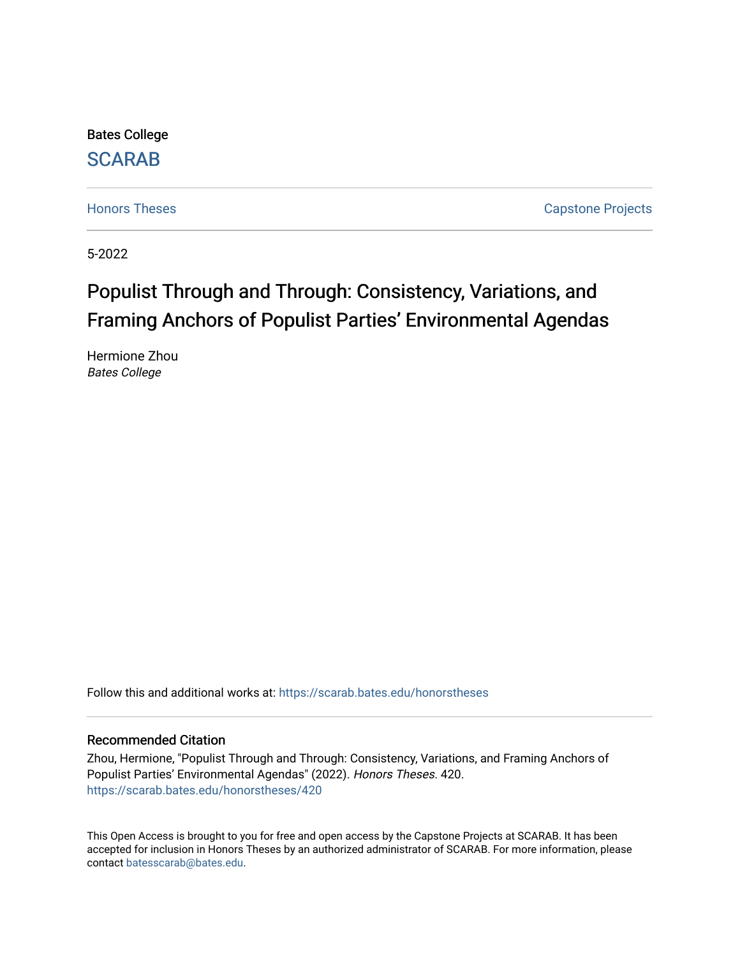Bates College

## **SCARAB**

[Honors Theses](https://scarab.bates.edu/honorstheses) **Capstone Projects** 

5-2022

# Populist Through and Through: Consistency, Variations, and Framing Anchors of Populist Parties' Environmental Agendas

Hermione Zhou Bates College

Follow this and additional works at: [https://scarab.bates.edu/honorstheses](https://scarab.bates.edu/honorstheses?utm_source=scarab.bates.edu%2Fhonorstheses%2F420&utm_medium=PDF&utm_campaign=PDFCoverPages) 

#### Recommended Citation

Zhou, Hermione, "Populist Through and Through: Consistency, Variations, and Framing Anchors of Populist Parties' Environmental Agendas" (2022). Honors Theses. 420. [https://scarab.bates.edu/honorstheses/420](https://scarab.bates.edu/honorstheses/420?utm_source=scarab.bates.edu%2Fhonorstheses%2F420&utm_medium=PDF&utm_campaign=PDFCoverPages) 

This Open Access is brought to you for free and open access by the Capstone Projects at SCARAB. It has been accepted for inclusion in Honors Theses by an authorized administrator of SCARAB. For more information, please contact [batesscarab@bates.edu](mailto:batesscarab@bates.edu).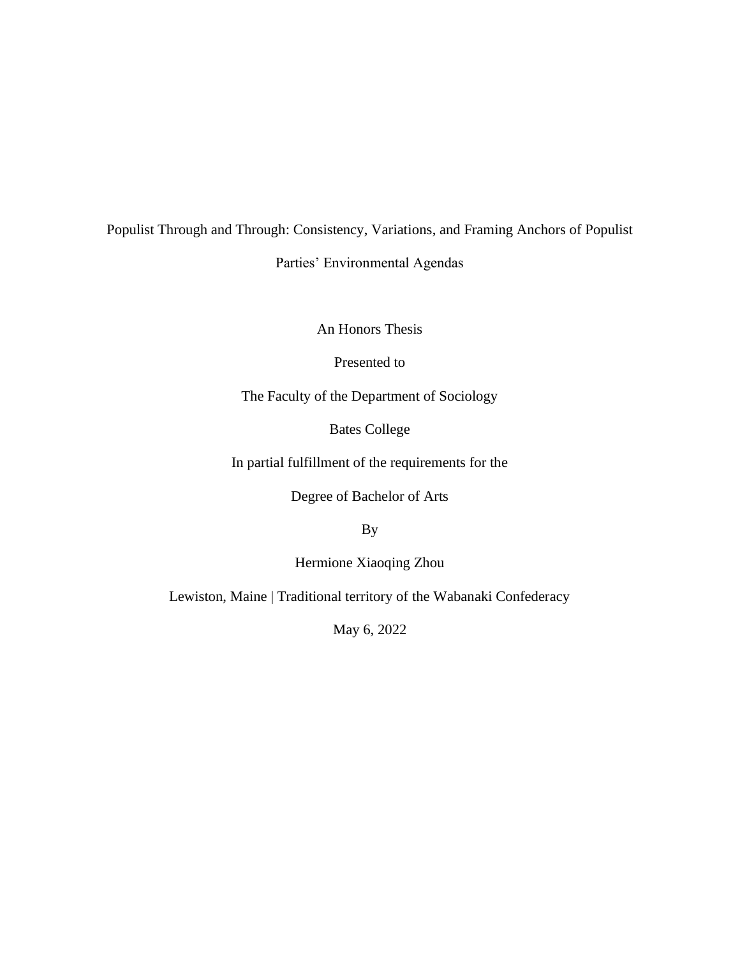Populist Through and Through: Consistency, Variations, and Framing Anchors of Populist

Parties' Environmental Agendas

An Honors Thesis

Presented to

The Faculty of the Department of Sociology

Bates College

In partial fulfillment of the requirements for the

Degree of Bachelor of Arts

By

Hermione Xiaoqing Zhou

Lewiston, Maine | Traditional territory of the Wabanaki Confederacy

May 6, 2022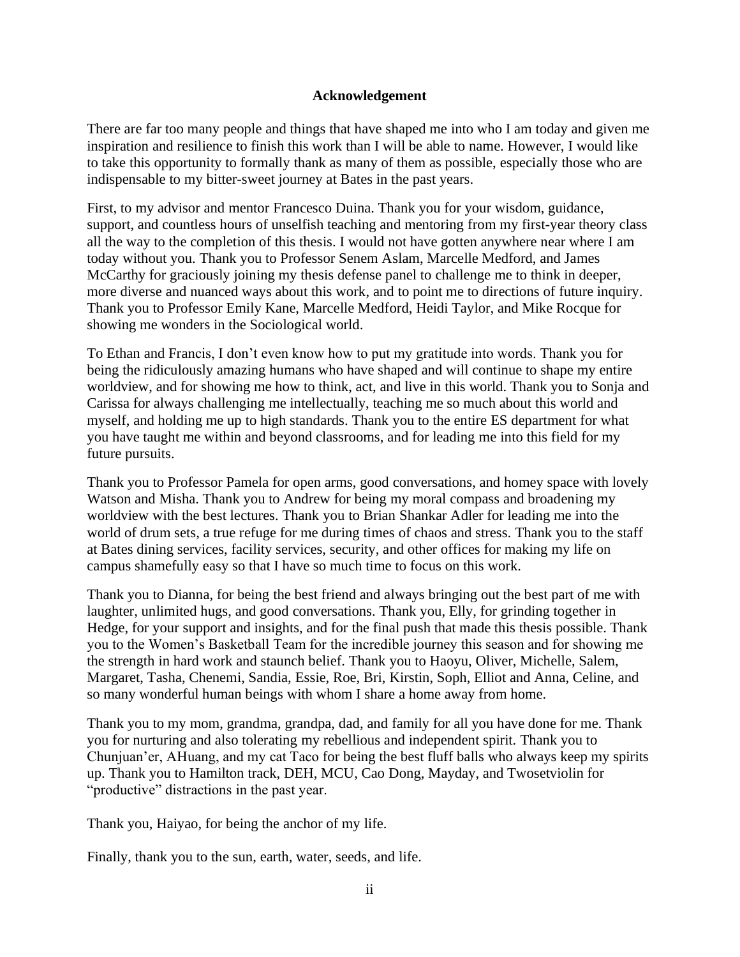#### **Acknowledgement**

<span id="page-2-0"></span>There are far too many people and things that have shaped me into who I am today and given me inspiration and resilience to finish this work than I will be able to name. However, I would like to take this opportunity to formally thank as many of them as possible, especially those who are indispensable to my bitter-sweet journey at Bates in the past years.

First, to my advisor and mentor Francesco Duina. Thank you for your wisdom, guidance, support, and countless hours of unselfish teaching and mentoring from my first-year theory class all the way to the completion of this thesis. I would not have gotten anywhere near where I am today without you. Thank you to Professor Senem Aslam, Marcelle Medford, and James McCarthy for graciously joining my thesis defense panel to challenge me to think in deeper, more diverse and nuanced ways about this work, and to point me to directions of future inquiry. Thank you to Professor Emily Kane, Marcelle Medford, Heidi Taylor, and Mike Rocque for showing me wonders in the Sociological world.

To Ethan and Francis, I don't even know how to put my gratitude into words. Thank you for being the ridiculously amazing humans who have shaped and will continue to shape my entire worldview, and for showing me how to think, act, and live in this world. Thank you to Sonja and Carissa for always challenging me intellectually, teaching me so much about this world and myself, and holding me up to high standards. Thank you to the entire ES department for what you have taught me within and beyond classrooms, and for leading me into this field for my future pursuits.

Thank you to Professor Pamela for open arms, good conversations, and homey space with lovely Watson and Misha. Thank you to Andrew for being my moral compass and broadening my worldview with the best lectures. Thank you to Brian Shankar Adler for leading me into the world of drum sets, a true refuge for me during times of chaos and stress. Thank you to the staff at Bates dining services, facility services, security, and other offices for making my life on campus shamefully easy so that I have so much time to focus on this work.

Thank you to Dianna, for being the best friend and always bringing out the best part of me with laughter, unlimited hugs, and good conversations. Thank you, Elly, for grinding together in Hedge, for your support and insights, and for the final push that made this thesis possible. Thank you to the Women's Basketball Team for the incredible journey this season and for showing me the strength in hard work and staunch belief. Thank you to Haoyu, Oliver, Michelle, Salem, Margaret, Tasha, Chenemi, Sandia, Essie, Roe, Bri, Kirstin, Soph, Elliot and Anna, Celine, and so many wonderful human beings with whom I share a home away from home.

Thank you to my mom, grandma, grandpa, dad, and family for all you have done for me. Thank you for nurturing and also tolerating my rebellious and independent spirit. Thank you to Chunjuan'er, AHuang, and my cat Taco for being the best fluff balls who always keep my spirits up. Thank you to Hamilton track, DEH, MCU, Cao Dong, Mayday, and Twosetviolin for "productive" distractions in the past year.

Thank you, Haiyao, for being the anchor of my life.

<span id="page-2-1"></span>Finally, thank you to the sun, earth, water, seeds, and life.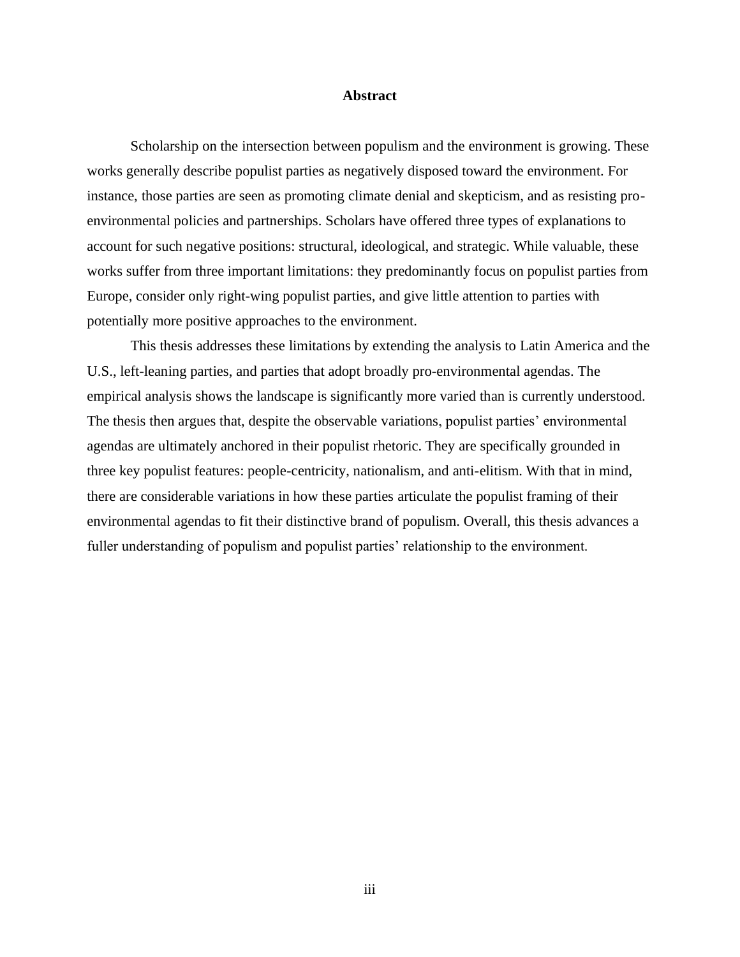#### **Abstract**

Scholarship on the intersection between populism and the environment is growing. These works generally describe populist parties as negatively disposed toward the environment. For instance, those parties are seen as promoting climate denial and skepticism, and as resisting proenvironmental policies and partnerships. Scholars have offered three types of explanations to account for such negative positions: structural, ideological, and strategic. While valuable, these works suffer from three important limitations: they predominantly focus on populist parties from Europe, consider only right-wing populist parties, and give little attention to parties with potentially more positive approaches to the environment.

This thesis addresses these limitations by extending the analysis to Latin America and the U.S., left-leaning parties, and parties that adopt broadly pro-environmental agendas. The empirical analysis shows the landscape is significantly more varied than is currently understood. The thesis then argues that, despite the observable variations, populist parties' environmental agendas are ultimately anchored in their populist rhetoric. They are specifically grounded in three key populist features: people-centricity, nationalism, and anti-elitism. With that in mind, there are considerable variations in how these parties articulate the populist framing of their environmental agendas to fit their distinctive brand of populism. Overall, this thesis advances a fuller understanding of populism and populist parties' relationship to the environment.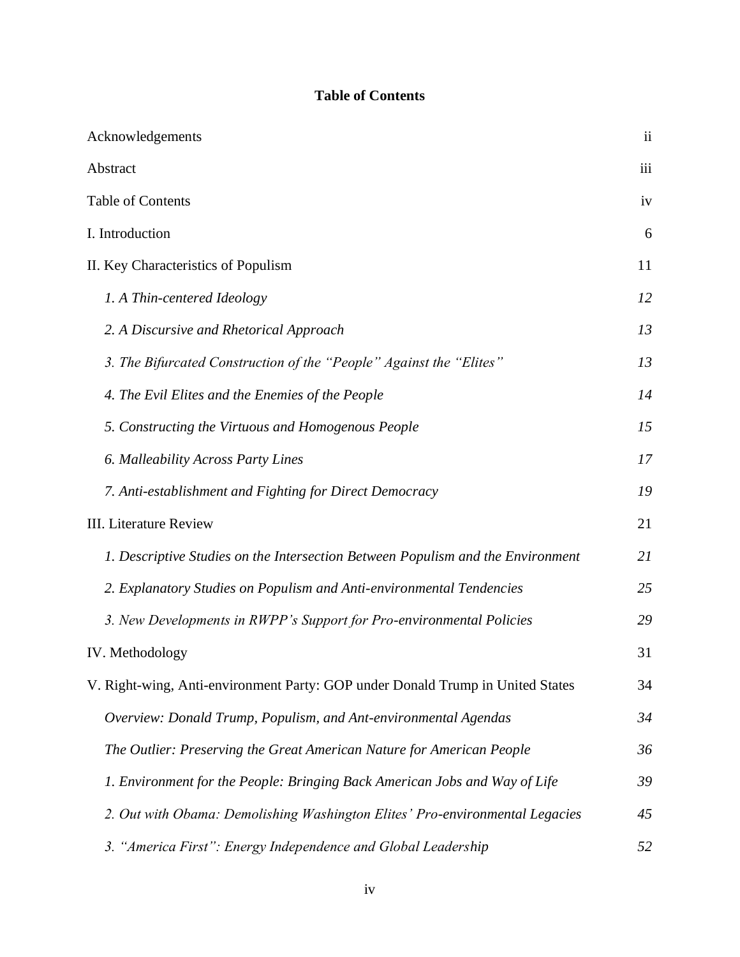### **Table of Contents**

<span id="page-4-0"></span>

| Acknowledgements                                                                | $\ddot{\mathbf{i}}$ |
|---------------------------------------------------------------------------------|---------------------|
| Abstract                                                                        | iii                 |
| Table of Contents                                                               | iv                  |
| I. Introduction                                                                 | 6                   |
| II. Key Characteristics of Populism                                             | 11                  |
| 1. A Thin-centered Ideology                                                     | 12                  |
| 2. A Discursive and Rhetorical Approach                                         | 13                  |
| 3. The Bifurcated Construction of the "People" Against the "Elites"             | 13                  |
| 4. The Evil Elites and the Enemies of the People                                | 14                  |
| 5. Constructing the Virtuous and Homogenous People                              | 15                  |
| 6. Malleability Across Party Lines                                              | 17                  |
| 7. Anti-establishment and Fighting for Direct Democracy                         | 19                  |
| <b>III.</b> Literature Review                                                   | 21                  |
| 1. Descriptive Studies on the Intersection Between Populism and the Environment | 21                  |
| 2. Explanatory Studies on Populism and Anti-environmental Tendencies            | 25                  |
| 3. New Developments in RWPP's Support for Pro-environmental Policies            | 29                  |
| IV. Methodology                                                                 | 31                  |
| V. Right-wing, Anti-environment Party: GOP under Donald Trump in United States  | 34                  |
| Overview: Donald Trump, Populism, and Ant-environmental Agendas                 | 34                  |
| The Outlier: Preserving the Great American Nature for American People           | 36                  |
| 1. Environment for the People: Bringing Back American Jobs and Way of Life      | 39                  |
| 2. Out with Obama: Demolishing Washington Elites' Pro-environmental Legacies    | 45                  |
| 3. "America First": Energy Independence and Global Leadership                   | 52                  |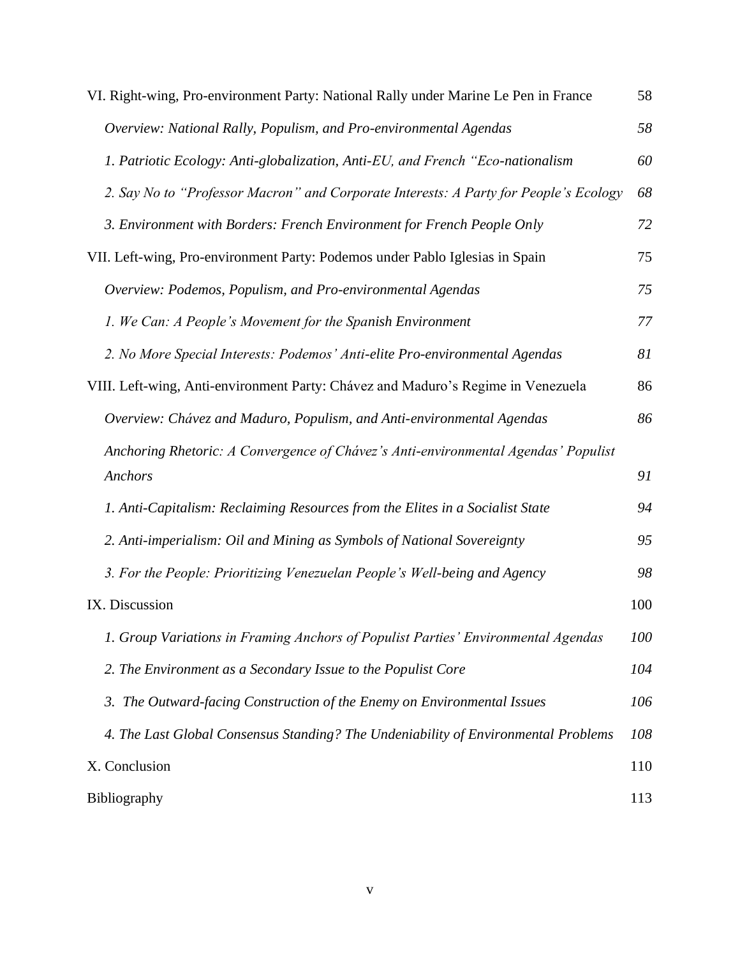| VI. Right-wing, Pro-environment Party: National Rally under Marine Le Pen in France           | 58  |
|-----------------------------------------------------------------------------------------------|-----|
| Overview: National Rally, Populism, and Pro-environmental Agendas                             | 58  |
| 1. Patriotic Ecology: Anti-globalization, Anti-EU, and French "Eco-nationalism                | 60  |
| 2. Say No to "Professor Macron" and Corporate Interests: A Party for People's Ecology         | 68  |
| 3. Environment with Borders: French Environment for French People Only                        | 72  |
| VII. Left-wing, Pro-environment Party: Podemos under Pablo Iglesias in Spain                  | 75  |
| Overview: Podemos, Populism, and Pro-environmental Agendas                                    | 75  |
| 1. We Can: A People's Movement for the Spanish Environment                                    | 77  |
| 2. No More Special Interests: Podemos' Anti-elite Pro-environmental Agendas                   | 81  |
| VIII. Left-wing, Anti-environment Party: Chávez and Maduro's Regime in Venezuela              | 86  |
| Overview: Chávez and Maduro, Populism, and Anti-environmental Agendas                         | 86  |
| Anchoring Rhetoric: A Convergence of Chávez's Anti-environmental Agendas' Populist<br>Anchors | 91  |
| 1. Anti-Capitalism: Reclaiming Resources from the Elites in a Socialist State                 | 94  |
| 2. Anti-imperialism: Oil and Mining as Symbols of National Sovereignty                        | 95  |
| 3. For the People: Prioritizing Venezuelan People's Well-being and Agency                     | 98  |
| IX. Discussion                                                                                | 100 |
| 1. Group Variations in Framing Anchors of Populist Parties' Environmental Agendas             | 100 |
| 2. The Environment as a Secondary Issue to the Populist Core                                  | 104 |
| 3. The Outward-facing Construction of the Enemy on Environmental Issues                       | 106 |
| 4. The Last Global Consensus Standing? The Undeniability of Environmental Problems            | 108 |
| X. Conclusion                                                                                 | 110 |
| Bibliography                                                                                  | 113 |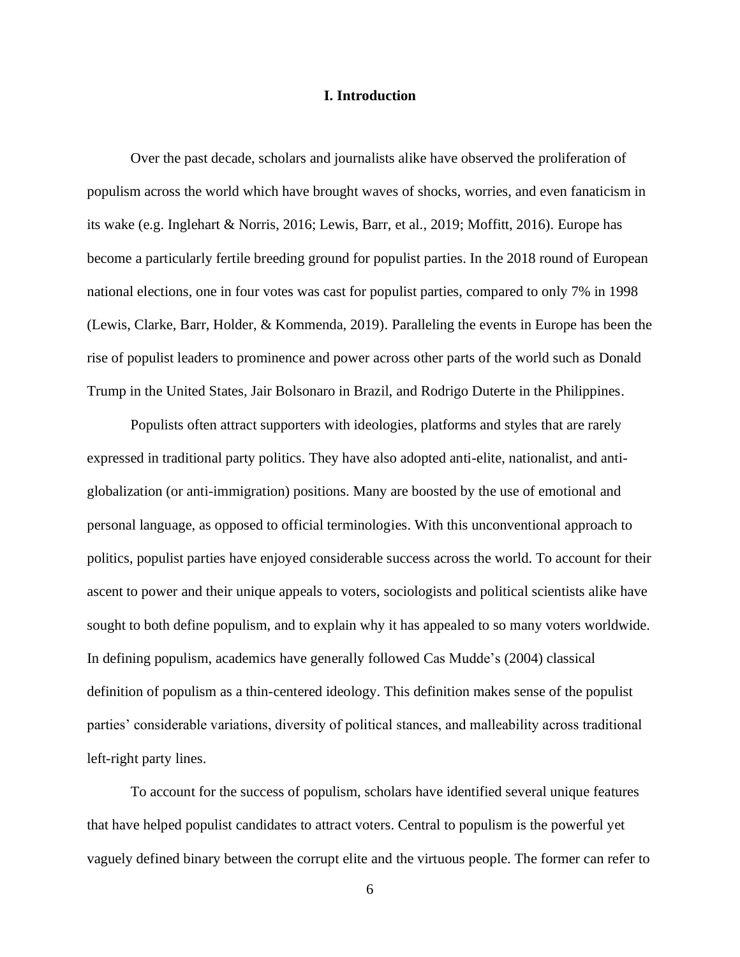#### **I. Introduction**

<span id="page-6-0"></span>Over the past decade, scholars and journalists alike have observed the proliferation of populism across the world which have brought waves of shocks, worries, and even fanaticism in its wake (e.g. Inglehart & Norris, 2016; Lewis, Barr, et al., 2019; Moffitt, 2016). Europe has become a particularly fertile breeding ground for populist parties. In the 2018 round of European national elections, one in four votes was cast for populist parties, compared to only 7% in 1998 (Lewis, Clarke, Barr, Holder, & Kommenda, 2019). Paralleling the events in Europe has been the rise of populist leaders to prominence and power across other parts of the world such as Donald Trump in the United States, Jair Bolsonaro in Brazil, and Rodrigo Duterte in the Philippines.

Populists often attract supporters with ideologies, platforms and styles that are rarely expressed in traditional party politics. They have also adopted anti-elite, nationalist, and antiglobalization (or anti-immigration) positions. Many are boosted by the use of emotional and personal language, as opposed to official terminologies. With this unconventional approach to politics, populist parties have enjoyed considerable success across the world. To account for their ascent to power and their unique appeals to voters, sociologists and political scientists alike have sought to both define populism, and to explain why it has appealed to so many voters worldwide. In defining populism, academics have generally followed Cas Mudde's (2004) classical definition of populism as a thin-centered ideology. This definition makes sense of the populist parties' considerable variations, diversity of political stances, and malleability across traditional left-right party lines.

To account for the success of populism, scholars have identified several unique features that have helped populist candidates to attract voters. Central to populism is the powerful yet vaguely defined binary between the corrupt elite and the virtuous people. The former can refer to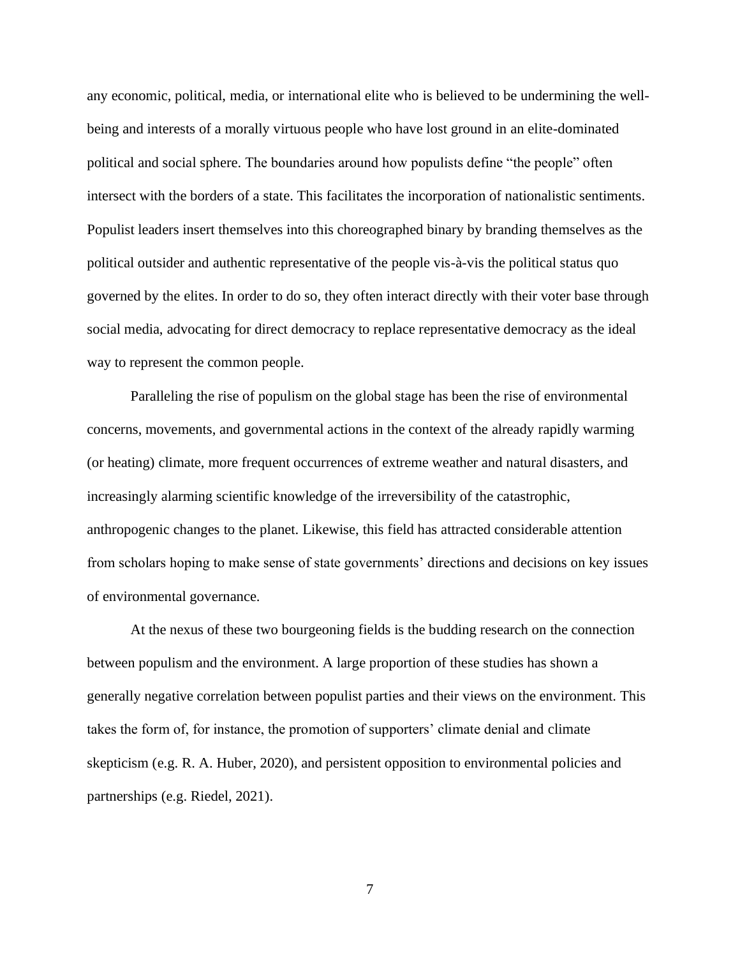any economic, political, media, or international elite who is believed to be undermining the wellbeing and interests of a morally virtuous people who have lost ground in an elite-dominated political and social sphere. The boundaries around how populists define "the people" often intersect with the borders of a state. This facilitates the incorporation of nationalistic sentiments. Populist leaders insert themselves into this choreographed binary by branding themselves as the political outsider and authentic representative of the people vis-à-vis the political status quo governed by the elites. In order to do so, they often interact directly with their voter base through social media, advocating for direct democracy to replace representative democracy as the ideal way to represent the common people.

Paralleling the rise of populism on the global stage has been the rise of environmental concerns, movements, and governmental actions in the context of the already rapidly warming (or heating) climate, more frequent occurrences of extreme weather and natural disasters, and increasingly alarming scientific knowledge of the irreversibility of the catastrophic, anthropogenic changes to the planet. Likewise, this field has attracted considerable attention from scholars hoping to make sense of state governments' directions and decisions on key issues of environmental governance.

At the nexus of these two bourgeoning fields is the budding research on the connection between populism and the environment. A large proportion of these studies has shown a generally negative correlation between populist parties and their views on the environment. This takes the form of, for instance, the promotion of supporters' climate denial and climate skepticism (e.g. R. A. Huber, 2020), and persistent opposition to environmental policies and partnerships (e.g. Riedel, 2021).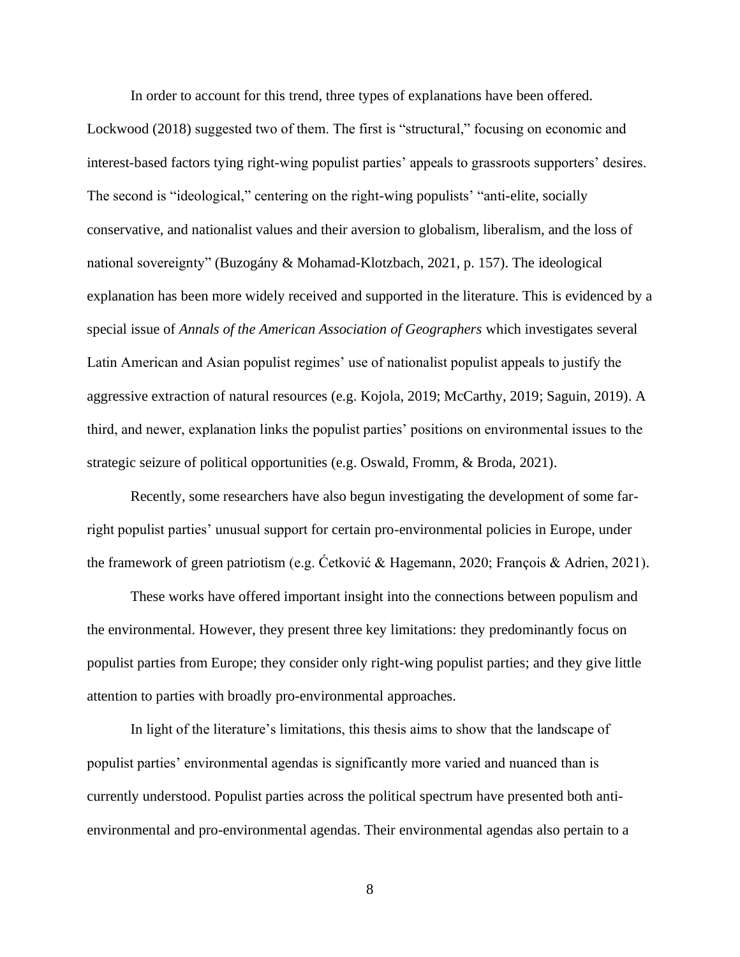In order to account for this trend, three types of explanations have been offered.

Lockwood (2018) suggested two of them. The first is "structural," focusing on economic and interest-based factors tying right-wing populist parties' appeals to grassroots supporters' desires. The second is "ideological," centering on the right-wing populists' "anti-elite, socially conservative, and nationalist values and their aversion to globalism, liberalism, and the loss of national sovereignty" (Buzogány & Mohamad-Klotzbach, 2021, p. 157). The ideological explanation has been more widely received and supported in the literature. This is evidenced by a special issue of *Annals of the American Association of Geographers* which investigates several Latin American and Asian populist regimes' use of nationalist populist appeals to justify the aggressive extraction of natural resources (e.g. Kojola, 2019; McCarthy, 2019; Saguin, 2019). A third, and newer, explanation links the populist parties' positions on environmental issues to the strategic seizure of political opportunities (e.g. Oswald, Fromm, & Broda, 2021).

Recently, some researchers have also begun investigating the development of some farright populist parties' unusual support for certain pro-environmental policies in Europe, under the framework of green patriotism (e.g. Ćetković & Hagemann, 2020; François & Adrien, 2021).

These works have offered important insight into the connections between populism and the environmental. However, they present three key limitations: they predominantly focus on populist parties from Europe; they consider only right-wing populist parties; and they give little attention to parties with broadly pro-environmental approaches.

In light of the literature's limitations, this thesis aims to show that the landscape of populist parties' environmental agendas is significantly more varied and nuanced than is currently understood. Populist parties across the political spectrum have presented both antienvironmental and pro-environmental agendas. Their environmental agendas also pertain to a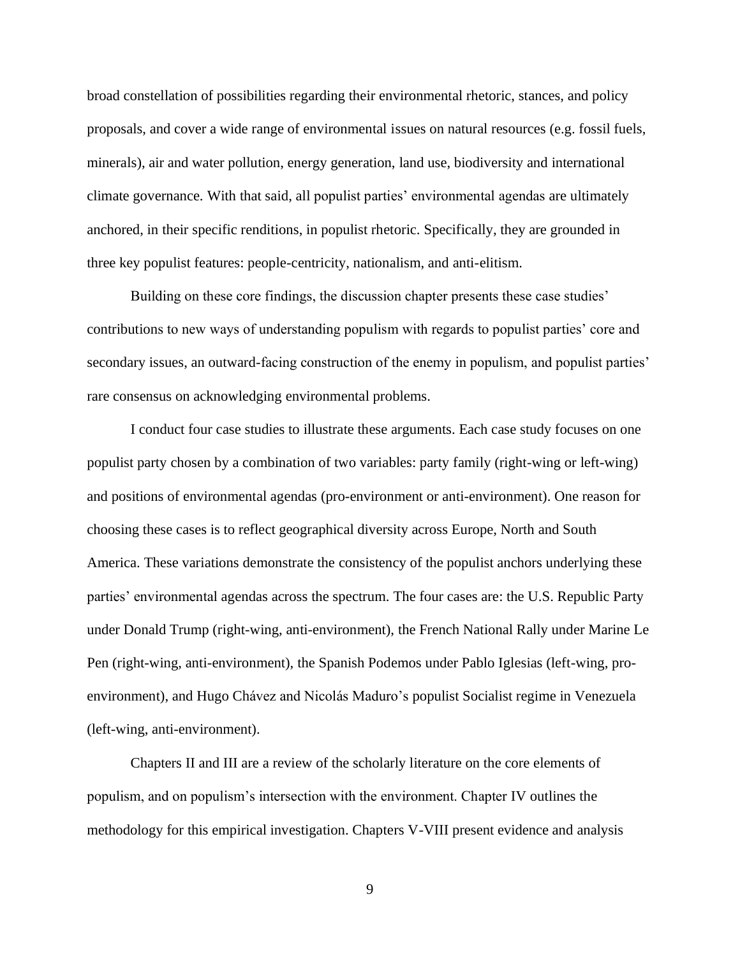broad constellation of possibilities regarding their environmental rhetoric, stances, and policy proposals, and cover a wide range of environmental issues on natural resources (e.g. fossil fuels, minerals), air and water pollution, energy generation, land use, biodiversity and international climate governance. With that said, all populist parties' environmental agendas are ultimately anchored, in their specific renditions, in populist rhetoric. Specifically, they are grounded in three key populist features: people-centricity, nationalism, and anti-elitism.

Building on these core findings, the discussion chapter presents these case studies' contributions to new ways of understanding populism with regards to populist parties' core and secondary issues, an outward-facing construction of the enemy in populism, and populist parties' rare consensus on acknowledging environmental problems.

I conduct four case studies to illustrate these arguments. Each case study focuses on one populist party chosen by a combination of two variables: party family (right-wing or left-wing) and positions of environmental agendas (pro-environment or anti-environment). One reason for choosing these cases is to reflect geographical diversity across Europe, North and South America. These variations demonstrate the consistency of the populist anchors underlying these parties' environmental agendas across the spectrum. The four cases are: the U.S. Republic Party under Donald Trump (right-wing, anti-environment), the French National Rally under Marine Le Pen (right-wing, anti-environment), the Spanish Podemos under Pablo Iglesias (left-wing, proenvironment), and Hugo Chávez and Nicolás Maduro's populist Socialist regime in Venezuela (left-wing, anti-environment).

Chapters II and III are a review of the scholarly literature on the core elements of populism, and on populism's intersection with the environment. Chapter IV outlines the methodology for this empirical investigation. Chapters V-VIII present evidence and analysis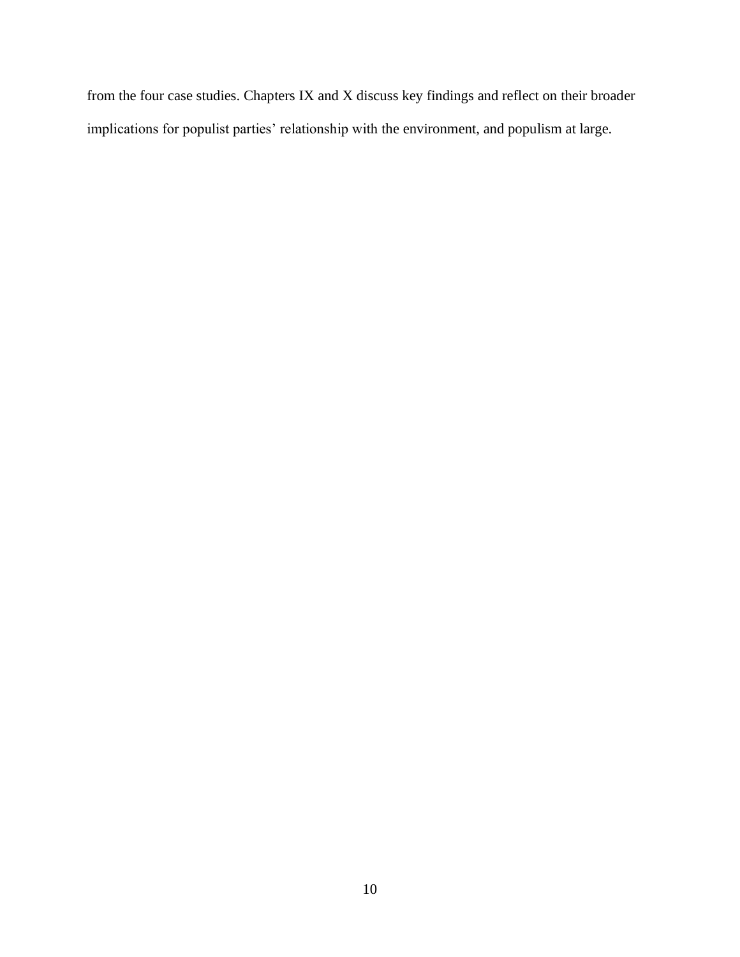from the four case studies. Chapters IX and X discuss key findings and reflect on their broader implications for populist parties' relationship with the environment, and populism at large.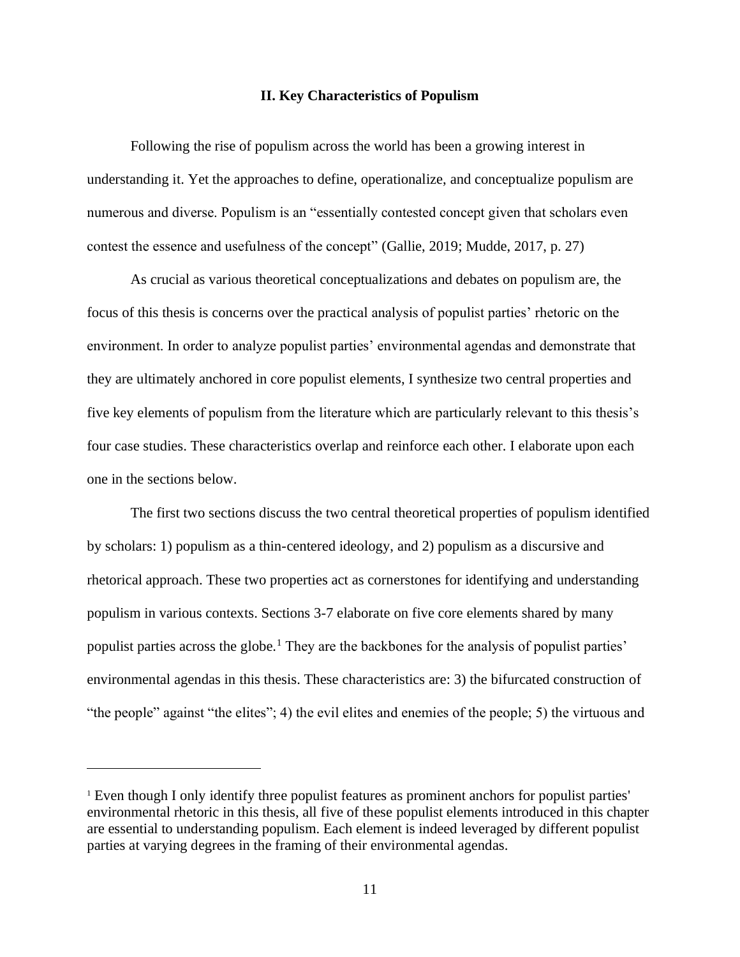#### **II. Key Characteristics of Populism**

<span id="page-11-0"></span>Following the rise of populism across the world has been a growing interest in understanding it. Yet the approaches to define, operationalize, and conceptualize populism are numerous and diverse. Populism is an "essentially contested concept given that scholars even contest the essence and usefulness of the concept" (Gallie, 2019; Mudde, 2017, p. 27)

As crucial as various theoretical conceptualizations and debates on populism are, the focus of this thesis is concerns over the practical analysis of populist parties' rhetoric on the environment. In order to analyze populist parties' environmental agendas and demonstrate that they are ultimately anchored in core populist elements, I synthesize two central properties and five key elements of populism from the literature which are particularly relevant to this thesis's four case studies. These characteristics overlap and reinforce each other. I elaborate upon each one in the sections below.

The first two sections discuss the two central theoretical properties of populism identified by scholars: 1) populism as a thin-centered ideology, and 2) populism as a discursive and rhetorical approach. These two properties act as cornerstones for identifying and understanding populism in various contexts. Sections 3-7 elaborate on five core elements shared by many populist parties across the globe.<sup>1</sup> They are the backbones for the analysis of populist parties' environmental agendas in this thesis. These characteristics are: 3) the bifurcated construction of "the people" against "the elites"; 4) the evil elites and enemies of the people; 5) the virtuous and

<sup>1</sup> Even though I only identify three populist features as prominent anchors for populist parties' environmental rhetoric in this thesis, all five of these populist elements introduced in this chapter are essential to understanding populism. Each element is indeed leveraged by different populist parties at varying degrees in the framing of their environmental agendas.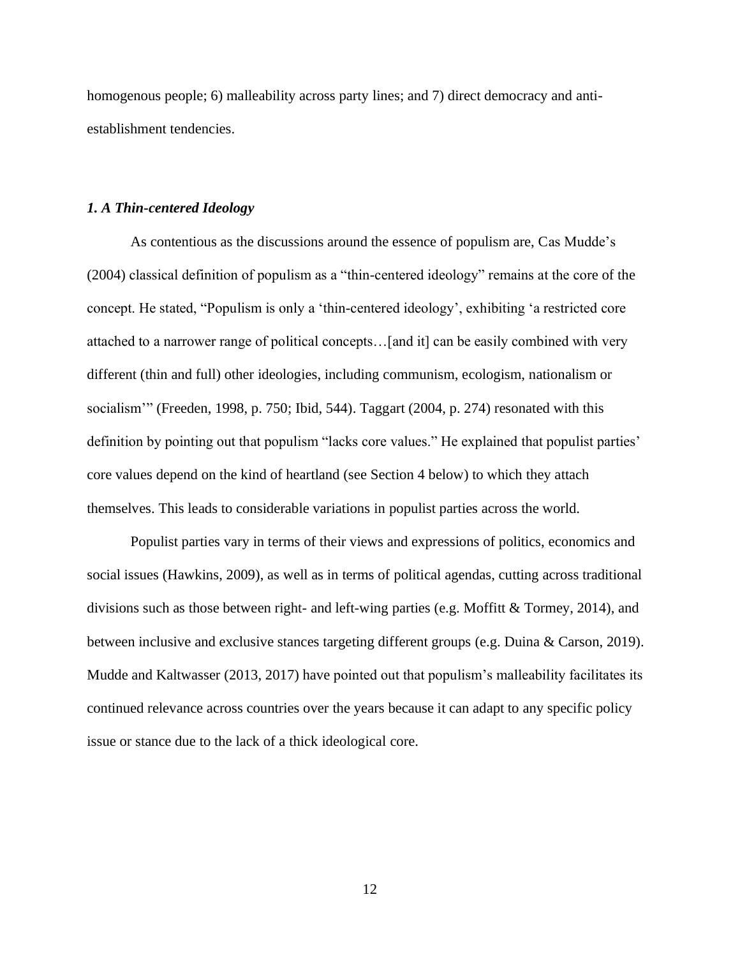homogenous people; 6) malleability across party lines; and 7) direct democracy and antiestablishment tendencies.

#### <span id="page-12-0"></span>*1. A Thin-centered Ideology*

As contentious as the discussions around the essence of populism are, Cas Mudde's (2004) classical definition of populism as a "thin-centered ideology" remains at the core of the concept. He stated, "Populism is only a 'thin-centered ideology', exhibiting 'a restricted core attached to a narrower range of political concepts…[and it] can be easily combined with very different (thin and full) other ideologies, including communism, ecologism, nationalism or socialism'" (Freeden, 1998, p. 750; Ibid, 544). Taggart (2004, p. 274) resonated with this definition by pointing out that populism "lacks core values." He explained that populist parties' core values depend on the kind of heartland (see Section 4 below) to which they attach themselves. This leads to considerable variations in populist parties across the world.

Populist parties vary in terms of their views and expressions of politics, economics and social issues (Hawkins, 2009), as well as in terms of political agendas, cutting across traditional divisions such as those between right- and left-wing parties (e.g. Moffitt & Tormey, 2014), and between inclusive and exclusive stances targeting different groups (e.g. Duina & Carson, 2019). Mudde and Kaltwasser (2013, 2017) have pointed out that populism's malleability facilitates its continued relevance across countries over the years because it can adapt to any specific policy issue or stance due to the lack of a thick ideological core.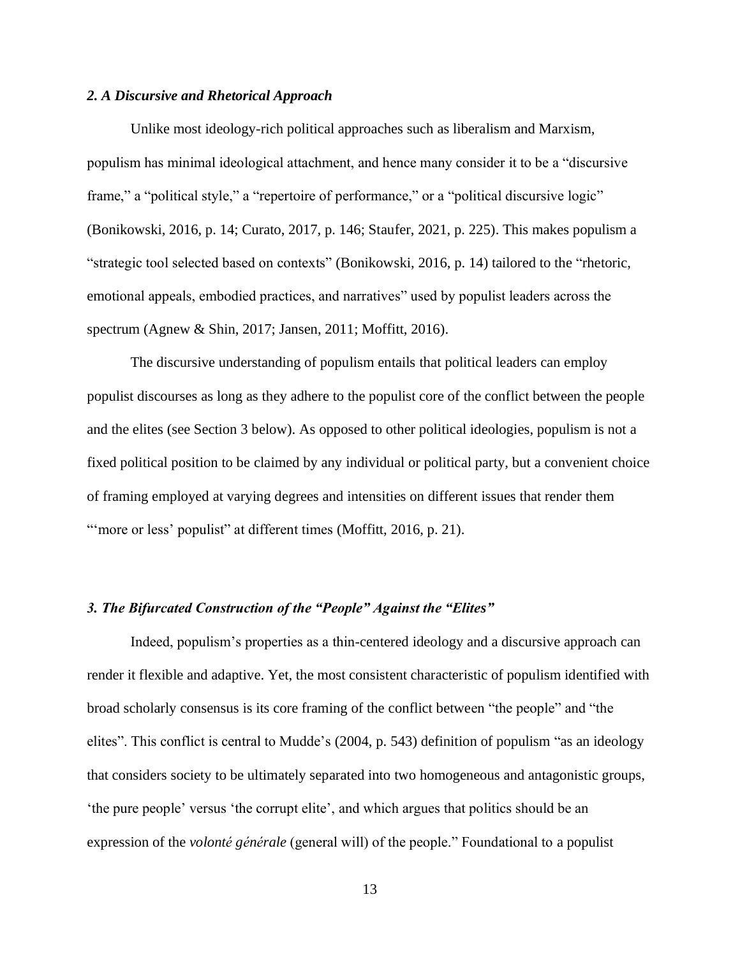#### <span id="page-13-0"></span>*2. A Discursive and Rhetorical Approach*

Unlike most ideology-rich political approaches such as liberalism and Marxism, populism has minimal ideological attachment, and hence many consider it to be a "discursive frame," a "political style," a "repertoire of performance," or a "political discursive logic" (Bonikowski, 2016, p. 14; Curato, 2017, p. 146; Staufer, 2021, p. 225). This makes populism a "strategic tool selected based on contexts" (Bonikowski, 2016, p. 14) tailored to the "rhetoric, emotional appeals, embodied practices, and narratives" used by populist leaders across the spectrum (Agnew & Shin, 2017; Jansen, 2011; Moffitt, 2016).

The discursive understanding of populism entails that political leaders can employ populist discourses as long as they adhere to the populist core of the conflict between the people and the elites (see Section 3 below). As opposed to other political ideologies, populism is not a fixed political position to be claimed by any individual or political party, but a convenient choice of framing employed at varying degrees and intensities on different issues that render them "'more or less' populist" at different times (Moffitt, 2016, p. 21).

#### <span id="page-13-1"></span>*3. The Bifurcated Construction of the "People" Against the "Elites"*

Indeed, populism's properties as a thin-centered ideology and a discursive approach can render it flexible and adaptive. Yet, the most consistent characteristic of populism identified with broad scholarly consensus is its core framing of the conflict between "the people" and "the elites". This conflict is central to Mudde's (2004, p. 543) definition of populism "as an ideology that considers society to be ultimately separated into two homogeneous and antagonistic groups, 'the pure people' versus 'the corrupt elite', and which argues that politics should be an expression of the *volonté générale* (general will) of the people." Foundational to a populist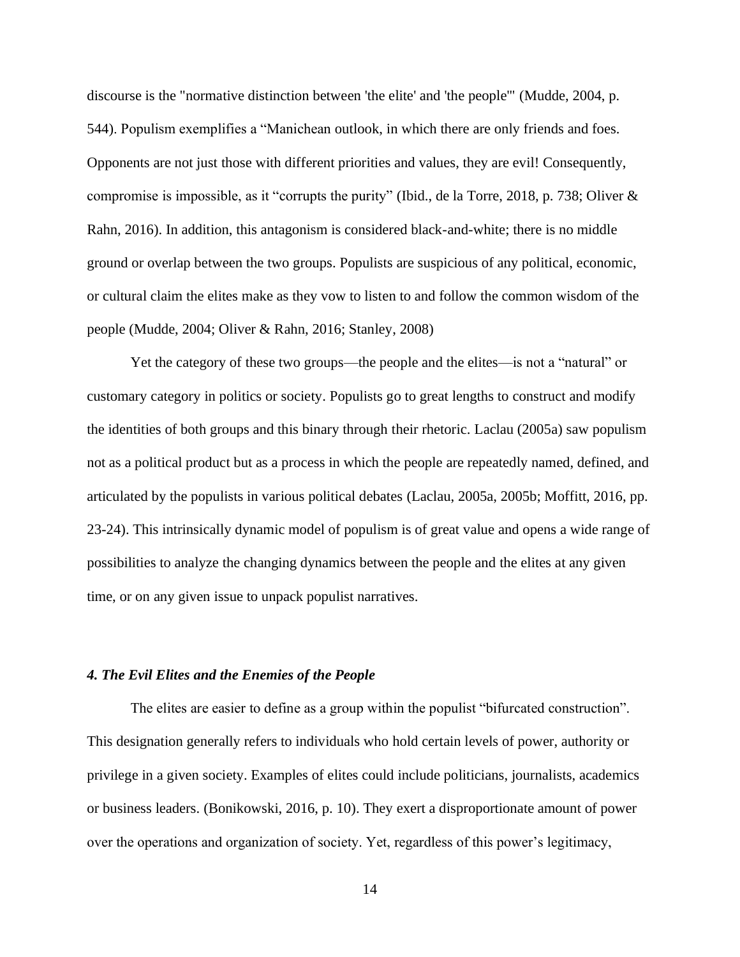discourse is the "normative distinction between 'the elite' and 'the people'" (Mudde, 2004, p. 544). Populism exemplifies a "Manichean outlook, in which there are only friends and foes. Opponents are not just those with different priorities and values, they are evil! Consequently, compromise is impossible, as it "corrupts the purity" (Ibid., de la Torre, 2018, p. 738; Oliver & Rahn, 2016). In addition, this antagonism is considered black-and-white; there is no middle ground or overlap between the two groups. Populists are suspicious of any political, economic, or cultural claim the elites make as they vow to listen to and follow the common wisdom of the people (Mudde, 2004; Oliver & Rahn, 2016; Stanley, 2008)

Yet the category of these two groups—the people and the elites—is not a "natural" or customary category in politics or society. Populists go to great lengths to construct and modify the identities of both groups and this binary through their rhetoric. Laclau (2005a) saw populism not as a political product but as a process in which the people are repeatedly named, defined, and articulated by the populists in various political debates (Laclau, 2005a, 2005b; Moffitt, 2016, pp. 23-24). This intrinsically dynamic model of populism is of great value and opens a wide range of possibilities to analyze the changing dynamics between the people and the elites at any given time, or on any given issue to unpack populist narratives.

#### <span id="page-14-0"></span>*4. The Evil Elites and the Enemies of the People*

The elites are easier to define as a group within the populist "bifurcated construction". This designation generally refers to individuals who hold certain levels of power, authority or privilege in a given society. Examples of elites could include politicians, journalists, academics or business leaders. (Bonikowski, 2016, p. 10). They exert a disproportionate amount of power over the operations and organization of society. Yet, regardless of this power's legitimacy,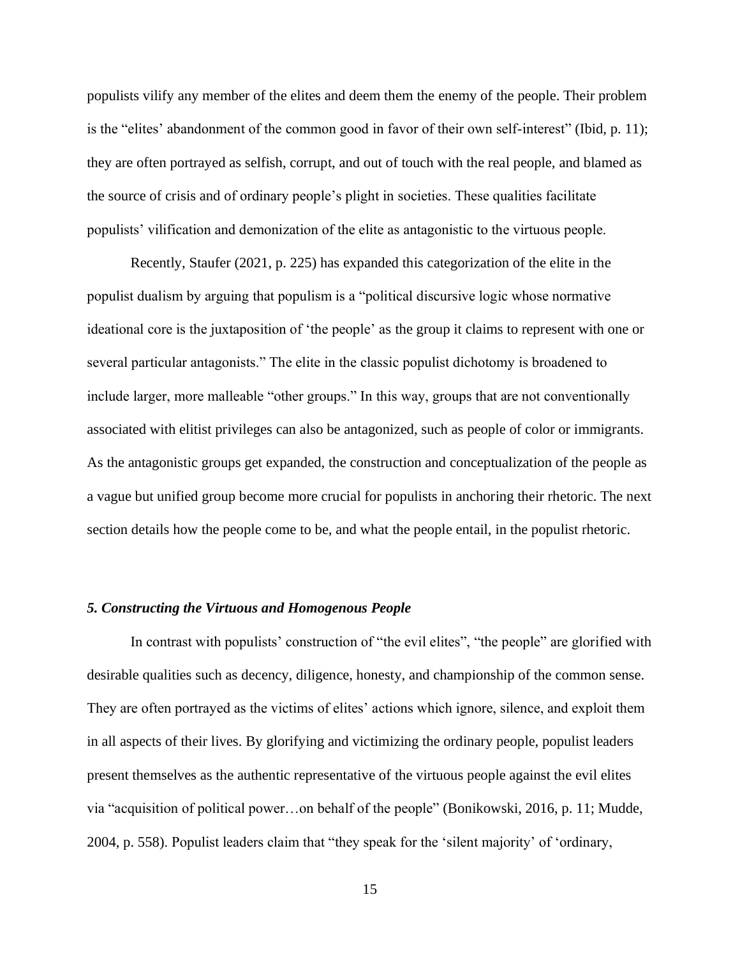populists vilify any member of the elites and deem them the enemy of the people. Their problem is the "elites' abandonment of the common good in favor of their own self-interest" (Ibid, p. 11); they are often portrayed as selfish, corrupt, and out of touch with the real people, and blamed as the source of crisis and of ordinary people's plight in societies. These qualities facilitate populists' vilification and demonization of the elite as antagonistic to the virtuous people.

Recently, Staufer (2021, p. 225) has expanded this categorization of the elite in the populist dualism by arguing that populism is a "political discursive logic whose normative ideational core is the juxtaposition of 'the people' as the group it claims to represent with one or several particular antagonists." The elite in the classic populist dichotomy is broadened to include larger, more malleable "other groups." In this way, groups that are not conventionally associated with elitist privileges can also be antagonized, such as people of color or immigrants. As the antagonistic groups get expanded, the construction and conceptualization of the people as a vague but unified group become more crucial for populists in anchoring their rhetoric. The next section details how the people come to be, and what the people entail, in the populist rhetoric.

#### <span id="page-15-0"></span>*5. Constructing the Virtuous and Homogenous People*

In contrast with populists' construction of "the evil elites", "the people" are glorified with desirable qualities such as decency, diligence, honesty, and championship of the common sense. They are often portrayed as the victims of elites' actions which ignore, silence, and exploit them in all aspects of their lives. By glorifying and victimizing the ordinary people, populist leaders present themselves as the authentic representative of the virtuous people against the evil elites via "acquisition of political power…on behalf of the people" (Bonikowski, 2016, p. 11; Mudde, 2004, p. 558). Populist leaders claim that "they speak for the 'silent majority' of 'ordinary,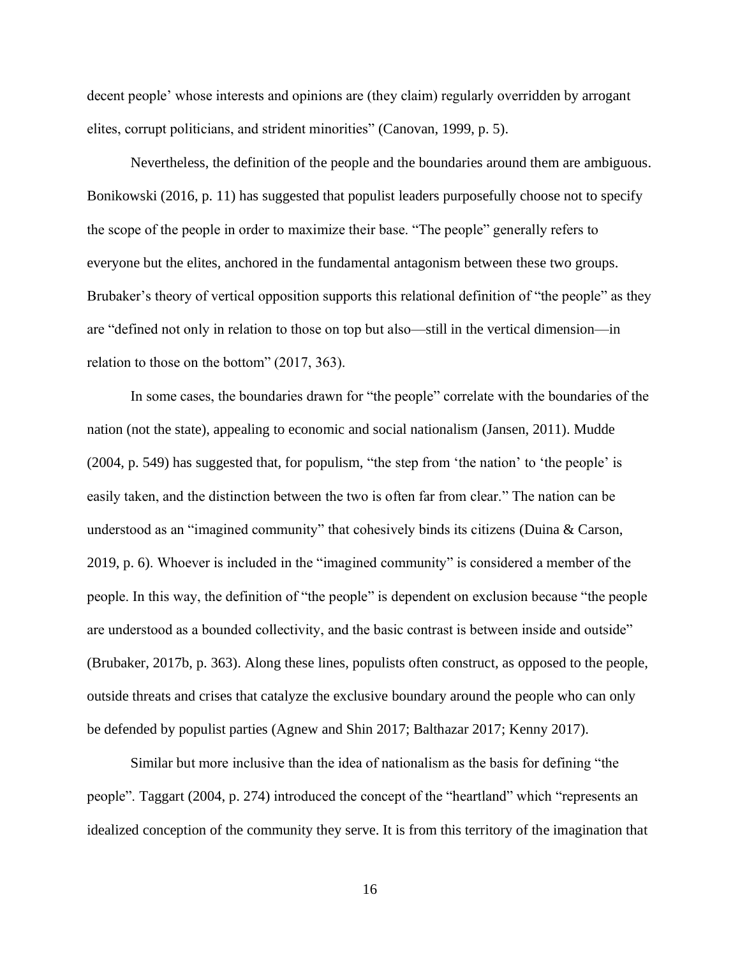decent people' whose interests and opinions are (they claim) regularly overridden by arrogant elites, corrupt politicians, and strident minorities" (Canovan, 1999, p. 5).

Nevertheless, the definition of the people and the boundaries around them are ambiguous. Bonikowski (2016, p. 11) has suggested that populist leaders purposefully choose not to specify the scope of the people in order to maximize their base. "The people" generally refers to everyone but the elites, anchored in the fundamental antagonism between these two groups. Brubaker's theory of vertical opposition supports this relational definition of "the people" as they are "defined not only in relation to those on top but also—still in the vertical dimension—in relation to those on the bottom" (2017, 363).

In some cases, the boundaries drawn for "the people" correlate with the boundaries of the nation (not the state), appealing to economic and social nationalism (Jansen, 2011). Mudde (2004, p. 549) has suggested that, for populism, "the step from 'the nation' to 'the people' is easily taken, and the distinction between the two is often far from clear." The nation can be understood as an "imagined community" that cohesively binds its citizens (Duina & Carson, 2019, p. 6). Whoever is included in the "imagined community" is considered a member of the people. In this way, the definition of "the people" is dependent on exclusion because "the people are understood as a bounded collectivity, and the basic contrast is between inside and outside" (Brubaker, 2017b, p. 363). Along these lines, populists often construct, as opposed to the people, outside threats and crises that catalyze the exclusive boundary around the people who can only be defended by populist parties (Agnew and Shin 2017; Balthazar 2017; Kenny 2017).

Similar but more inclusive than the idea of nationalism as the basis for defining "the people". Taggart (2004, p. 274) introduced the concept of the "heartland" which "represents an idealized conception of the community they serve. It is from this territory of the imagination that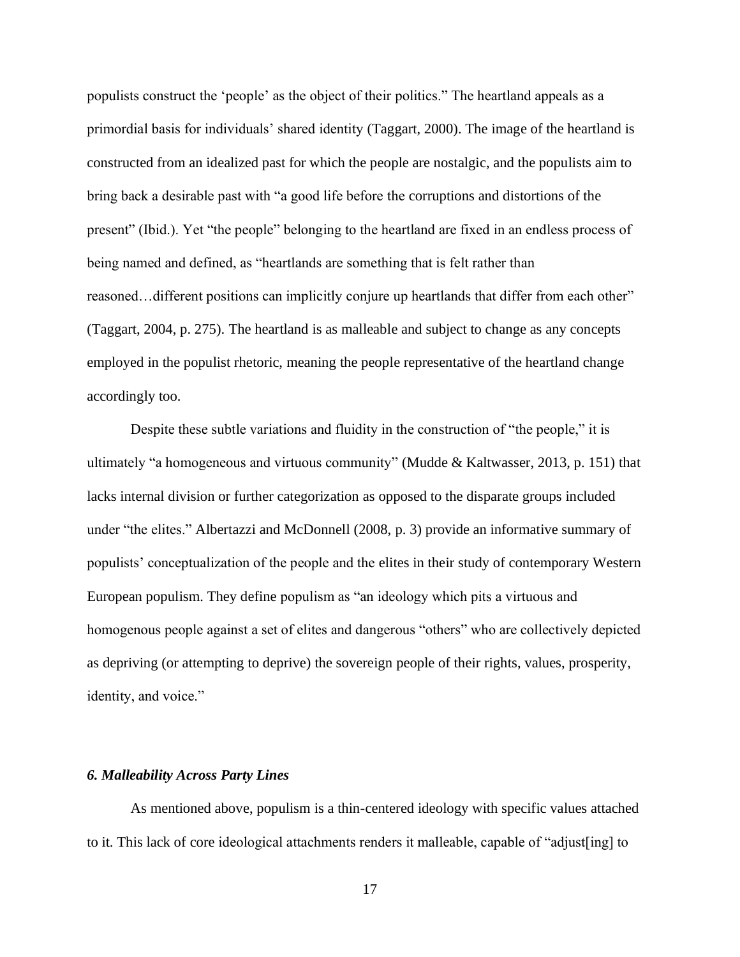populists construct the 'people' as the object of their politics." The heartland appeals as a primordial basis for individuals' shared identity (Taggart, 2000). The image of the heartland is constructed from an idealized past for which the people are nostalgic, and the populists aim to bring back a desirable past with "a good life before the corruptions and distortions of the present" (Ibid.). Yet "the people" belonging to the heartland are fixed in an endless process of being named and defined, as "heartlands are something that is felt rather than reasoned…different positions can implicitly conjure up heartlands that differ from each other" (Taggart, 2004, p. 275). The heartland is as malleable and subject to change as any concepts employed in the populist rhetoric, meaning the people representative of the heartland change accordingly too.

Despite these subtle variations and fluidity in the construction of "the people," it is ultimately "a homogeneous and virtuous community" (Mudde  $\&$  Kaltwasser, 2013, p. 151) that lacks internal division or further categorization as opposed to the disparate groups included under "the elites." Albertazzi and McDonnell (2008, p. 3) provide an informative summary of populists' conceptualization of the people and the elites in their study of contemporary Western European populism. They define populism as "an ideology which pits a virtuous and homogenous people against a set of elites and dangerous "others" who are collectively depicted as depriving (or attempting to deprive) the sovereign people of their rights, values, prosperity, identity, and voice."

#### <span id="page-17-0"></span>*6. Malleability Across Party Lines*

As mentioned above, populism is a thin-centered ideology with specific values attached to it. This lack of core ideological attachments renders it malleable, capable of "adjust[ing] to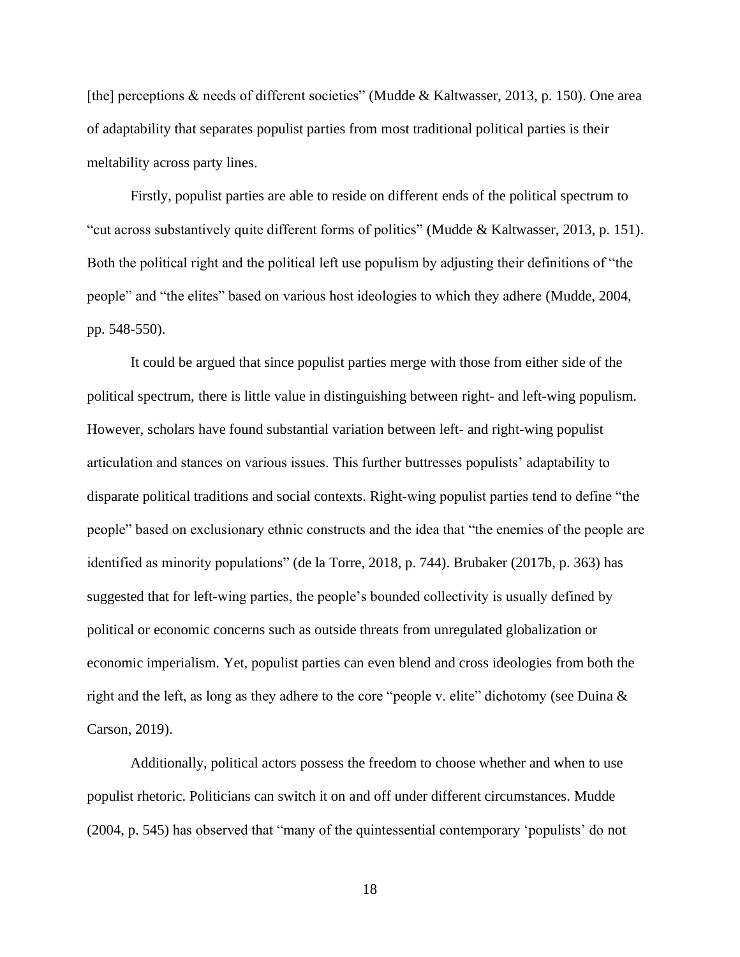[the] perceptions & needs of different societies" (Mudde & Kaltwasser, 2013, p. 150). One area of adaptability that separates populist parties from most traditional political parties is their meltability across party lines.

Firstly, populist parties are able to reside on different ends of the political spectrum to "cut across substantively quite different forms of politics" (Mudde & Kaltwasser, 2013, p. 151). Both the political right and the political left use populism by adjusting their definitions of "the people" and "the elites" based on various host ideologies to which they adhere (Mudde, 2004, pp. 548-550).

It could be argued that since populist parties merge with those from either side of the political spectrum, there is little value in distinguishing between right- and left-wing populism. However, scholars have found substantial variation between left- and right-wing populist articulation and stances on various issues. This further buttresses populists' adaptability to disparate political traditions and social contexts. Right-wing populist parties tend to define "the people" based on exclusionary ethnic constructs and the idea that "the enemies of the people are identified as minority populations" (de la Torre, 2018, p. 744). Brubaker (2017b, p. 363) has suggested that for left-wing parties, the people's bounded collectivity is usually defined by political or economic concerns such as outside threats from unregulated globalization or economic imperialism. Yet, populist parties can even blend and cross ideologies from both the right and the left, as long as they adhere to the core "people v. elite" dichotomy (see Duina & Carson, 2019).

Additionally, political actors possess the freedom to choose whether and when to use populist rhetoric. Politicians can switch it on and off under different circumstances. Mudde (2004, p. 545) has observed that "many of the quintessential contemporary 'populists' do not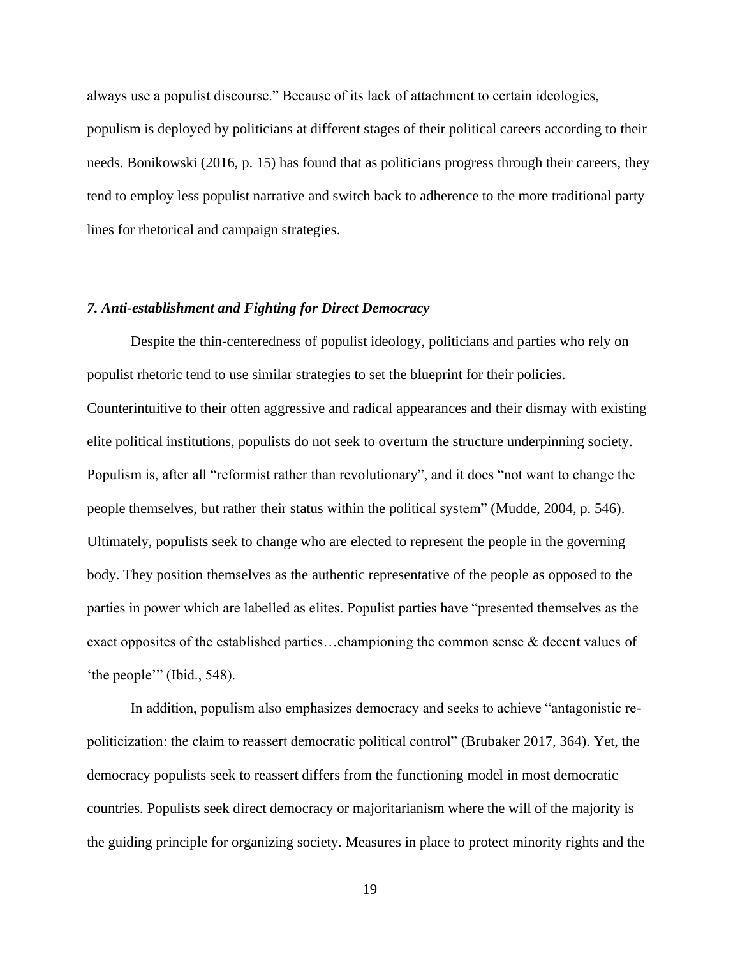always use a populist discourse." Because of its lack of attachment to certain ideologies, populism is deployed by politicians at different stages of their political careers according to their needs. Bonikowski (2016, p. 15) has found that as politicians progress through their careers, they tend to employ less populist narrative and switch back to adherence to the more traditional party lines for rhetorical and campaign strategies.

#### <span id="page-19-0"></span>*7. Anti-establishment and Fighting for Direct Democracy*

Despite the thin-centeredness of populist ideology, politicians and parties who rely on populist rhetoric tend to use similar strategies to set the blueprint for their policies. Counterintuitive to their often aggressive and radical appearances and their dismay with existing elite political institutions, populists do not seek to overturn the structure underpinning society. Populism is, after all "reformist rather than revolutionary", and it does "not want to change the people themselves, but rather their status within the political system" (Mudde, 2004, p. 546). Ultimately, populists seek to change who are elected to represent the people in the governing body. They position themselves as the authentic representative of the people as opposed to the parties in power which are labelled as elites. Populist parties have "presented themselves as the exact opposites of the established parties…championing the common sense & decent values of 'the people'" (Ibid., 548).

In addition, populism also emphasizes democracy and seeks to achieve "antagonistic repoliticization: the claim to reassert democratic political control" (Brubaker 2017, 364). Yet, the democracy populists seek to reassert differs from the functioning model in most democratic countries. Populists seek direct democracy or majoritarianism where the will of the majority is the guiding principle for organizing society. Measures in place to protect minority rights and the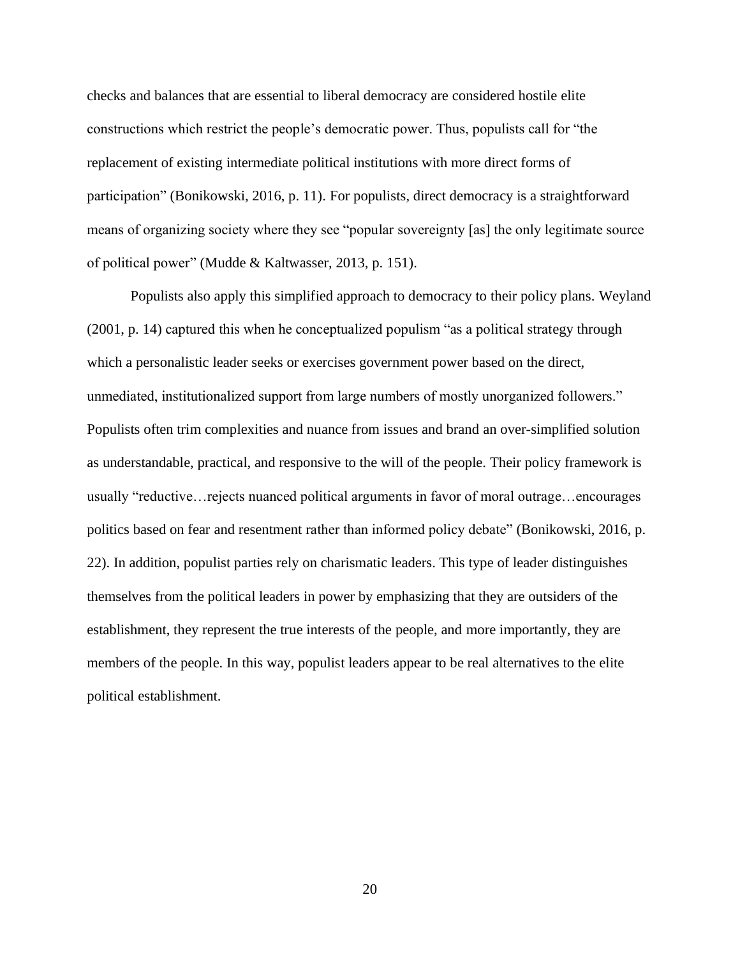checks and balances that are essential to liberal democracy are considered hostile elite constructions which restrict the people's democratic power. Thus, populists call for "the replacement of existing intermediate political institutions with more direct forms of participation" (Bonikowski, 2016, p. 11). For populists, direct democracy is a straightforward means of organizing society where they see "popular sovereignty [as] the only legitimate source of political power" (Mudde & Kaltwasser, 2013, p. 151).

Populists also apply this simplified approach to democracy to their policy plans. Weyland (2001, p. 14) captured this when he conceptualized populism "as a political strategy through which a personalistic leader seeks or exercises government power based on the direct, unmediated, institutionalized support from large numbers of mostly unorganized followers." Populists often trim complexities and nuance from issues and brand an over-simplified solution as understandable, practical, and responsive to the will of the people. Their policy framework is usually "reductive…rejects nuanced political arguments in favor of moral outrage…encourages politics based on fear and resentment rather than informed policy debate" (Bonikowski, 2016, p. 22). In addition, populist parties rely on charismatic leaders. This type of leader distinguishes themselves from the political leaders in power by emphasizing that they are outsiders of the establishment, they represent the true interests of the people, and more importantly, they are members of the people. In this way, populist leaders appear to be real alternatives to the elite political establishment.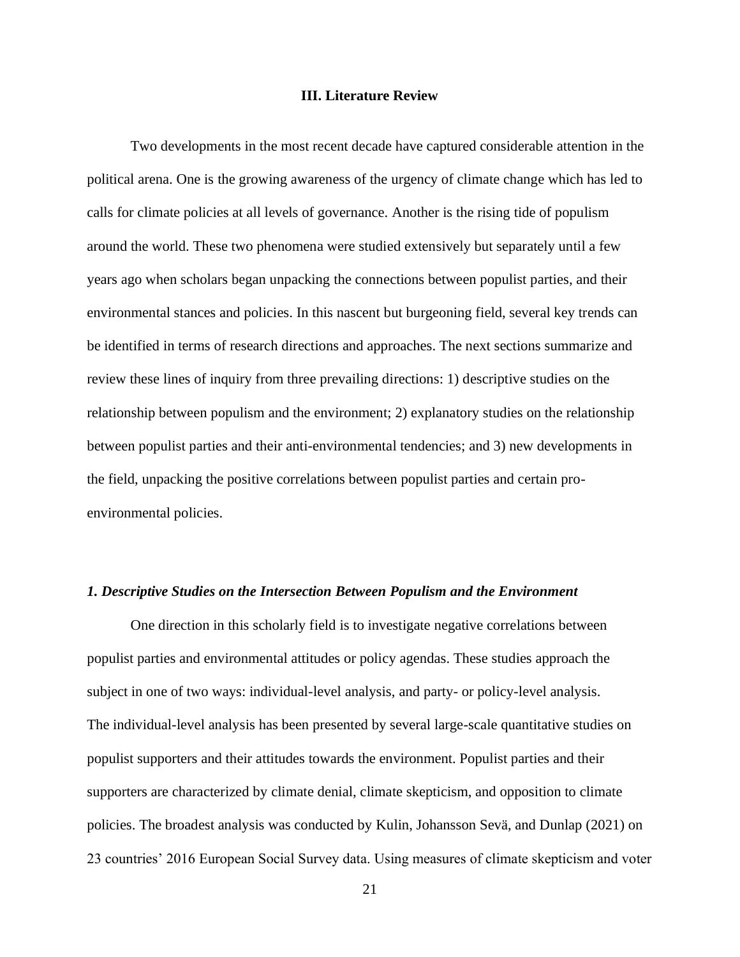#### **III. Literature Review**

<span id="page-21-0"></span>Two developments in the most recent decade have captured considerable attention in the political arena. One is the growing awareness of the urgency of climate change which has led to calls for climate policies at all levels of governance. Another is the rising tide of populism around the world. These two phenomena were studied extensively but separately until a few years ago when scholars began unpacking the connections between populist parties, and their environmental stances and policies. In this nascent but burgeoning field, several key trends can be identified in terms of research directions and approaches. The next sections summarize and review these lines of inquiry from three prevailing directions: 1) descriptive studies on the relationship between populism and the environment; 2) explanatory studies on the relationship between populist parties and their anti-environmental tendencies; and 3) new developments in the field, unpacking the positive correlations between populist parties and certain proenvironmental policies.

#### <span id="page-21-1"></span>*1. Descriptive Studies on the Intersection Between Populism and the Environment*

One direction in this scholarly field is to investigate negative correlations between populist parties and environmental attitudes or policy agendas. These studies approach the subject in one of two ways: individual-level analysis, and party- or policy-level analysis. The individual-level analysis has been presented by several large-scale quantitative studies on populist supporters and their attitudes towards the environment. Populist parties and their supporters are characterized by climate denial, climate skepticism, and opposition to climate policies. The broadest analysis was conducted by Kulin, Johansson Sevä, and Dunlap (2021) on 23 countries' 2016 European Social Survey data. Using measures of climate skepticism and voter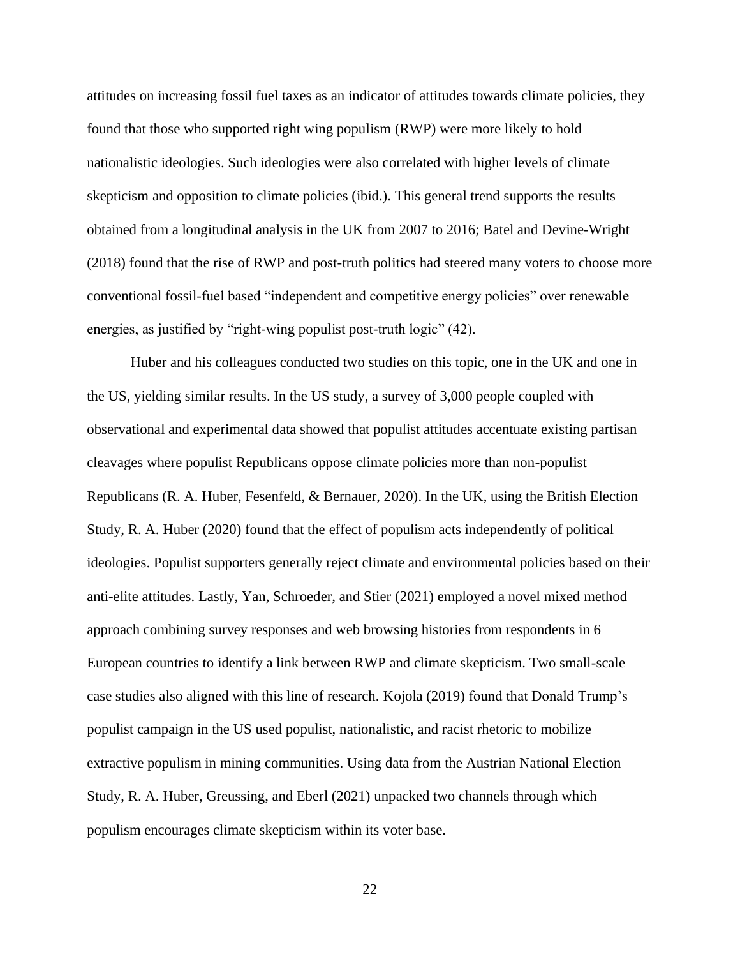attitudes on increasing fossil fuel taxes as an indicator of attitudes towards climate policies, they found that those who supported right wing populism (RWP) were more likely to hold nationalistic ideologies. Such ideologies were also correlated with higher levels of climate skepticism and opposition to climate policies (ibid.). This general trend supports the results obtained from a longitudinal analysis in the UK from 2007 to 2016; Batel and Devine-Wright (2018) found that the rise of RWP and post-truth politics had steered many voters to choose more conventional fossil-fuel based "independent and competitive energy policies" over renewable energies, as justified by "right-wing populist post-truth logic" (42).

Huber and his colleagues conducted two studies on this topic, one in the UK and one in the US, yielding similar results. In the US study, a survey of 3,000 people coupled with observational and experimental data showed that populist attitudes accentuate existing partisan cleavages where populist Republicans oppose climate policies more than non-populist Republicans (R. A. Huber, Fesenfeld, & Bernauer, 2020). In the UK, using the British Election Study, R. A. Huber (2020) found that the effect of populism acts independently of political ideologies. Populist supporters generally reject climate and environmental policies based on their anti-elite attitudes. Lastly, Yan, Schroeder, and Stier (2021) employed a novel mixed method approach combining survey responses and web browsing histories from respondents in 6 European countries to identify a link between RWP and climate skepticism. Two small-scale case studies also aligned with this line of research. Kojola (2019) found that Donald Trump's populist campaign in the US used populist, nationalistic, and racist rhetoric to mobilize extractive populism in mining communities. Using data from the Austrian National Election Study, R. A. Huber, Greussing, and Eberl (2021) unpacked two channels through which populism encourages climate skepticism within its voter base.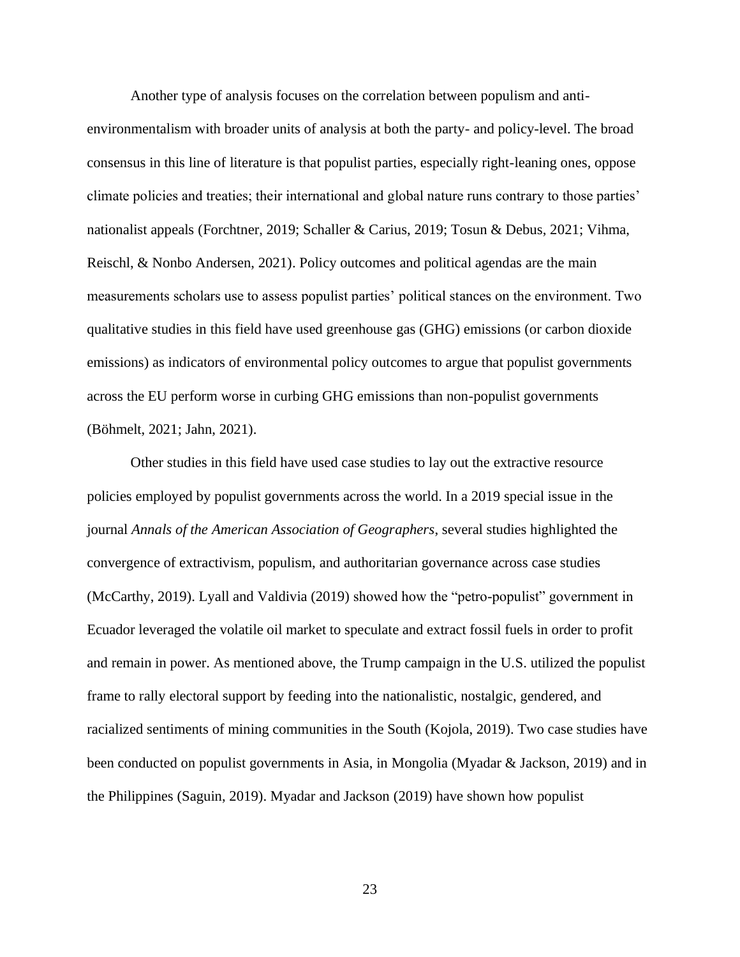Another type of analysis focuses on the correlation between populism and anti-

environmentalism with broader units of analysis at both the party- and policy-level. The broad consensus in this line of literature is that populist parties, especially right-leaning ones, oppose climate policies and treaties; their international and global nature runs contrary to those parties' nationalist appeals (Forchtner, 2019; Schaller & Carius, 2019; Tosun & Debus, 2021; Vihma, Reischl, & Nonbo Andersen, 2021). Policy outcomes and political agendas are the main measurements scholars use to assess populist parties' political stances on the environment. Two qualitative studies in this field have used greenhouse gas (GHG) emissions (or carbon dioxide emissions) as indicators of environmental policy outcomes to argue that populist governments across the EU perform worse in curbing GHG emissions than non-populist governments (Böhmelt, 2021; Jahn, 2021).

Other studies in this field have used case studies to lay out the extractive resource policies employed by populist governments across the world. In a 2019 special issue in the journal *Annals of the American Association of Geographers*, several studies highlighted the convergence of extractivism, populism, and authoritarian governance across case studies (McCarthy, 2019). Lyall and Valdivia (2019) showed how the "petro-populist" government in Ecuador leveraged the volatile oil market to speculate and extract fossil fuels in order to profit and remain in power. As mentioned above, the Trump campaign in the U.S. utilized the populist frame to rally electoral support by feeding into the nationalistic, nostalgic, gendered, and racialized sentiments of mining communities in the South (Kojola, 2019). Two case studies have been conducted on populist governments in Asia, in Mongolia (Myadar & Jackson, 2019) and in the Philippines (Saguin, 2019). Myadar and Jackson (2019) have shown how populist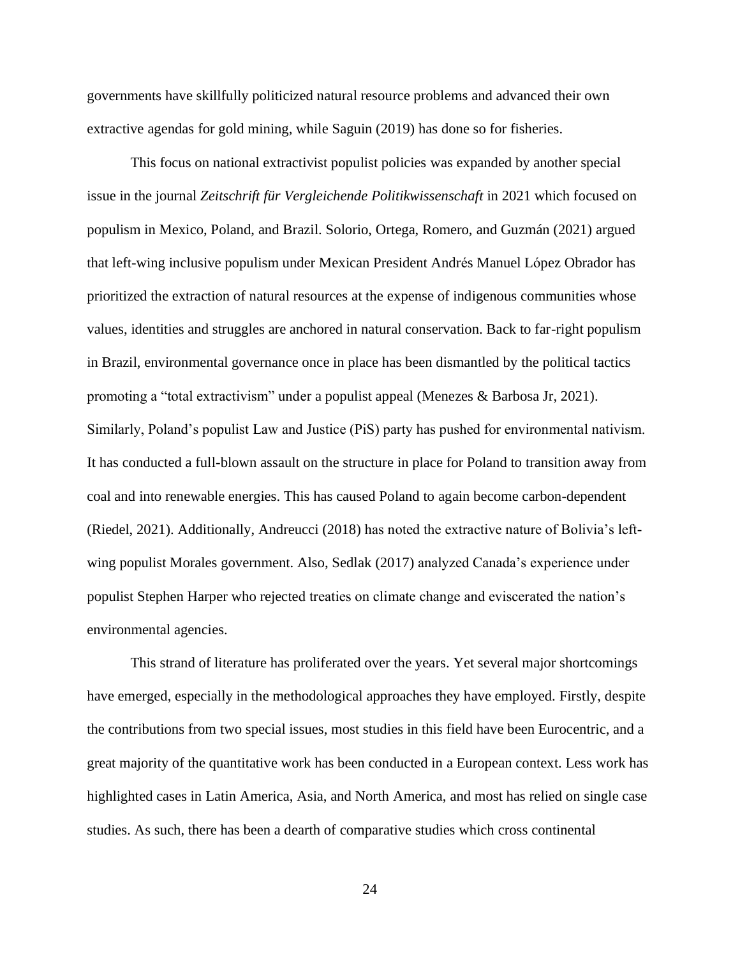governments have skillfully politicized natural resource problems and advanced their own extractive agendas for gold mining, while Saguin (2019) has done so for fisheries.

This focus on national extractivist populist policies was expanded by another special issue in the journal *Zeitschrift für Vergleichende Politikwissenschaft* in 2021 which focused on populism in Mexico, Poland, and Brazil. Solorio, Ortega, Romero, and Guzmán (2021) argued that left-wing inclusive populism under Mexican President Andrés Manuel López Obrador has prioritized the extraction of natural resources at the expense of indigenous communities whose values, identities and struggles are anchored in natural conservation. Back to far-right populism in Brazil, environmental governance once in place has been dismantled by the political tactics promoting a "total extractivism" under a populist appeal (Menezes & Barbosa Jr, 2021). Similarly, Poland's populist Law and Justice (PiS) party has pushed for environmental nativism. It has conducted a full-blown assault on the structure in place for Poland to transition away from coal and into renewable energies. This has caused Poland to again become carbon-dependent (Riedel, 2021). Additionally, Andreucci (2018) has noted the extractive nature of Bolivia's leftwing populist Morales government. Also, Sedlak (2017) analyzed Canada's experience under populist Stephen Harper who rejected treaties on climate change and eviscerated the nation's environmental agencies.

This strand of literature has proliferated over the years. Yet several major shortcomings have emerged, especially in the methodological approaches they have employed. Firstly, despite the contributions from two special issues, most studies in this field have been Eurocentric, and a great majority of the quantitative work has been conducted in a European context. Less work has highlighted cases in Latin America, Asia, and North America, and most has relied on single case studies. As such, there has been a dearth of comparative studies which cross continental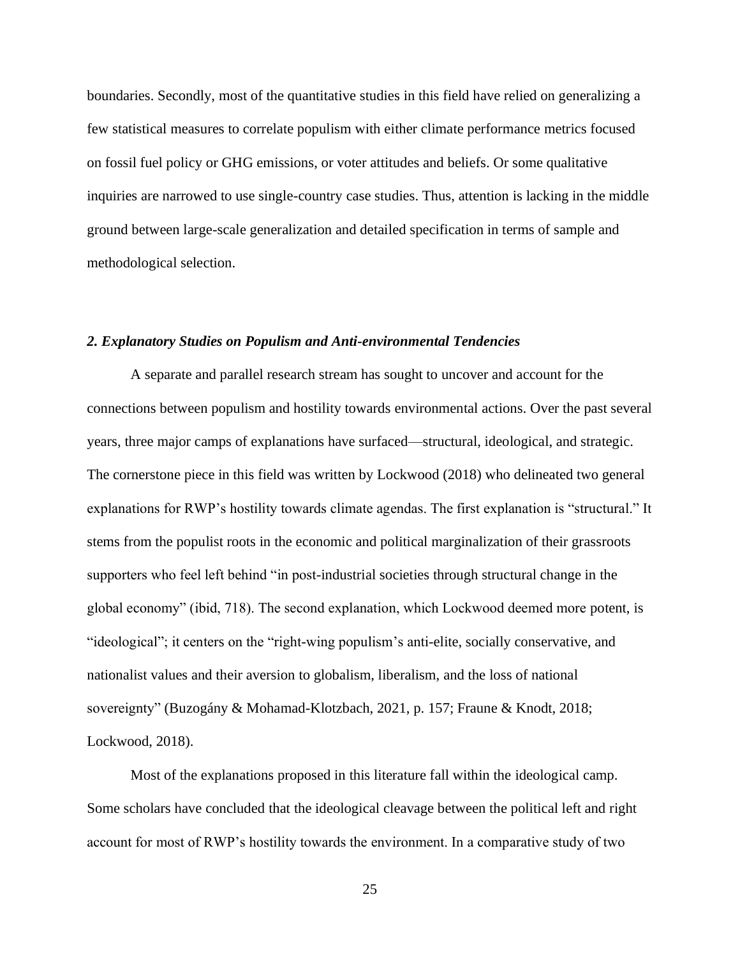boundaries. Secondly, most of the quantitative studies in this field have relied on generalizing a few statistical measures to correlate populism with either climate performance metrics focused on fossil fuel policy or GHG emissions, or voter attitudes and beliefs. Or some qualitative inquiries are narrowed to use single-country case studies. Thus, attention is lacking in the middle ground between large-scale generalization and detailed specification in terms of sample and methodological selection.

#### <span id="page-25-0"></span>*2. Explanatory Studies on Populism and Anti-environmental Tendencies*

A separate and parallel research stream has sought to uncover and account for the connections between populism and hostility towards environmental actions. Over the past several years, three major camps of explanations have surfaced—structural, ideological, and strategic. The cornerstone piece in this field was written by Lockwood (2018) who delineated two general explanations for RWP's hostility towards climate agendas. The first explanation is "structural." It stems from the populist roots in the economic and political marginalization of their grassroots supporters who feel left behind "in post-industrial societies through structural change in the global economy" (ibid, 718). The second explanation, which Lockwood deemed more potent, is "ideological"; it centers on the "right-wing populism's anti-elite, socially conservative, and nationalist values and their aversion to globalism, liberalism, and the loss of national sovereignty" (Buzogány & Mohamad-Klotzbach, 2021, p. 157; Fraune & Knodt, 2018; Lockwood, 2018).

Most of the explanations proposed in this literature fall within the ideological camp. Some scholars have concluded that the ideological cleavage between the political left and right account for most of RWP's hostility towards the environment. In a comparative study of two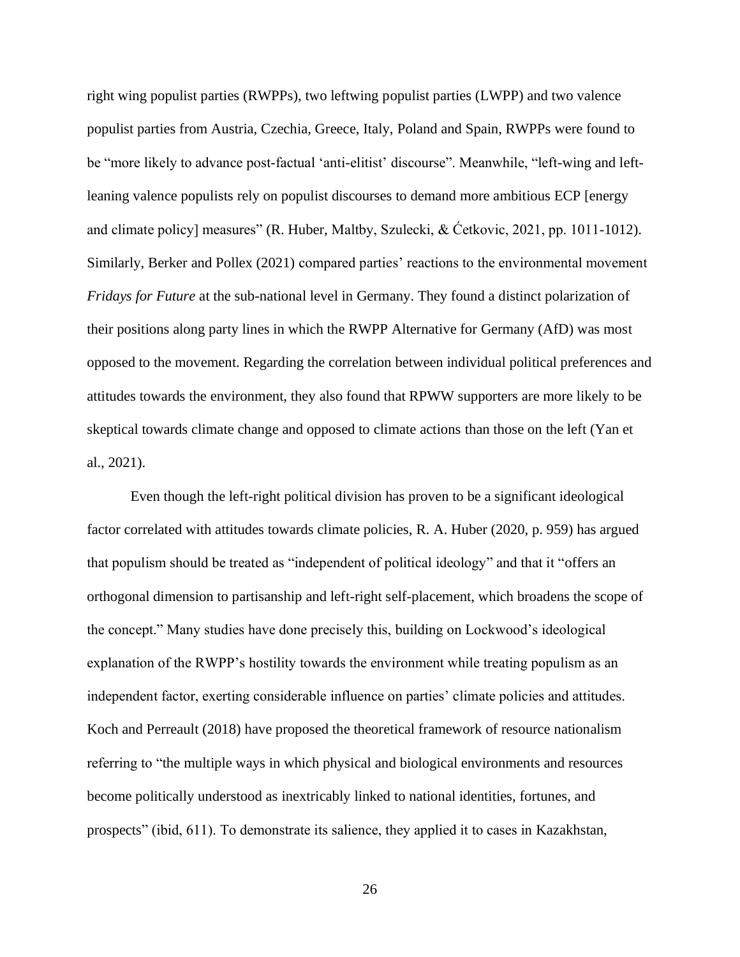right wing populist parties (RWPPs), two leftwing populist parties (LWPP) and two valence populist parties from Austria, Czechia, Greece, Italy, Poland and Spain, RWPPs were found to be "more likely to advance post-factual 'anti-elitist' discourse". Meanwhile, "left-wing and leftleaning valence populists rely on populist discourses to demand more ambitious ECP [energy and climate policy] measures" (R. Huber, Maltby, Szulecki, & Ćetkovic, 2021, pp. 1011-1012). Similarly, Berker and Pollex (2021) compared parties' reactions to the environmental movement *Fridays for Future* at the sub-national level in Germany. They found a distinct polarization of their positions along party lines in which the RWPP Alternative for Germany (AfD) was most opposed to the movement. Regarding the correlation between individual political preferences and attitudes towards the environment, they also found that RPWW supporters are more likely to be skeptical towards climate change and opposed to climate actions than those on the left (Yan et al., 2021).

Even though the left-right political division has proven to be a significant ideological factor correlated with attitudes towards climate policies, R. A. Huber (2020, p. 959) has argued that populism should be treated as "independent of political ideology" and that it "offers an orthogonal dimension to partisanship and left-right self-placement, which broadens the scope of the concept." Many studies have done precisely this, building on Lockwood's ideological explanation of the RWPP's hostility towards the environment while treating populism as an independent factor, exerting considerable influence on parties' climate policies and attitudes. Koch and Perreault (2018) have proposed the theoretical framework of resource nationalism referring to "the multiple ways in which physical and biological environments and resources become politically understood as inextricably linked to national identities, fortunes, and prospects" (ibid, 611). To demonstrate its salience, they applied it to cases in Kazakhstan,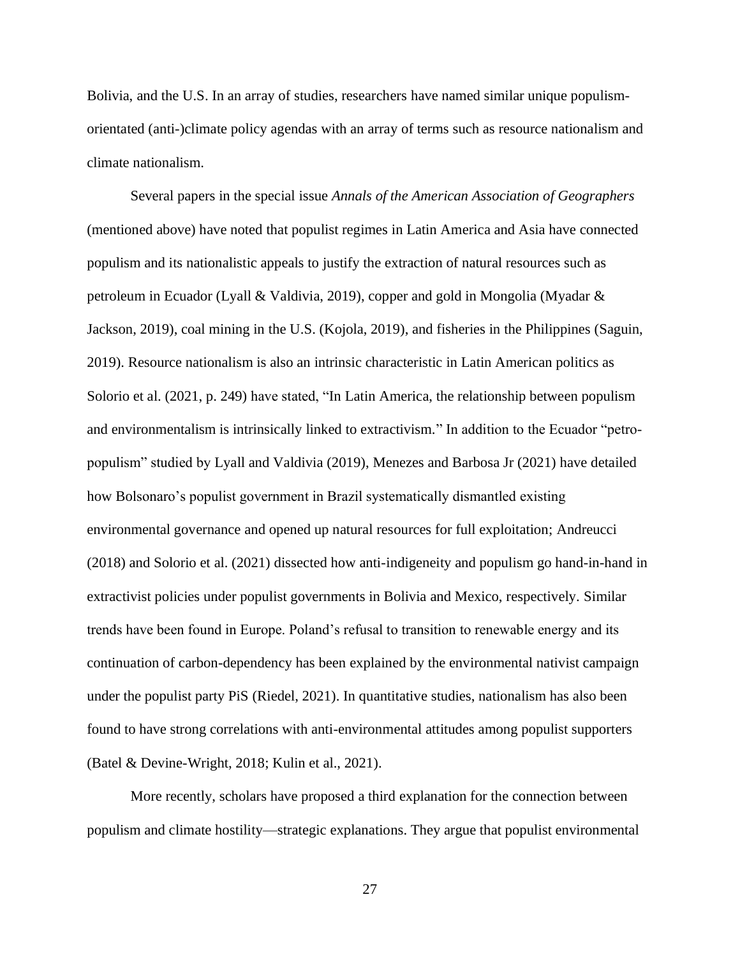Bolivia, and the U.S. In an array of studies, researchers have named similar unique populismorientated (anti-)climate policy agendas with an array of terms such as resource nationalism and climate nationalism.

Several papers in the special issue *Annals of the American Association of Geographers*  (mentioned above) have noted that populist regimes in Latin America and Asia have connected populism and its nationalistic appeals to justify the extraction of natural resources such as petroleum in Ecuador (Lyall & Valdivia, 2019), copper and gold in Mongolia (Myadar & Jackson, 2019), coal mining in the U.S. (Kojola, 2019), and fisheries in the Philippines (Saguin, 2019). Resource nationalism is also an intrinsic characteristic in Latin American politics as Solorio et al. (2021, p. 249) have stated, "In Latin America, the relationship between populism and environmentalism is intrinsically linked to extractivism." In addition to the Ecuador "petropopulism" studied by Lyall and Valdivia (2019), Menezes and Barbosa Jr (2021) have detailed how Bolsonaro's populist government in Brazil systematically dismantled existing environmental governance and opened up natural resources for full exploitation; Andreucci (2018) and Solorio et al. (2021) dissected how anti-indigeneity and populism go hand-in-hand in extractivist policies under populist governments in Bolivia and Mexico, respectively. Similar trends have been found in Europe. Poland's refusal to transition to renewable energy and its continuation of carbon-dependency has been explained by the environmental nativist campaign under the populist party PiS (Riedel, 2021). In quantitative studies, nationalism has also been found to have strong correlations with anti-environmental attitudes among populist supporters (Batel & Devine-Wright, 2018; Kulin et al., 2021).

More recently, scholars have proposed a third explanation for the connection between populism and climate hostility—strategic explanations. They argue that populist environmental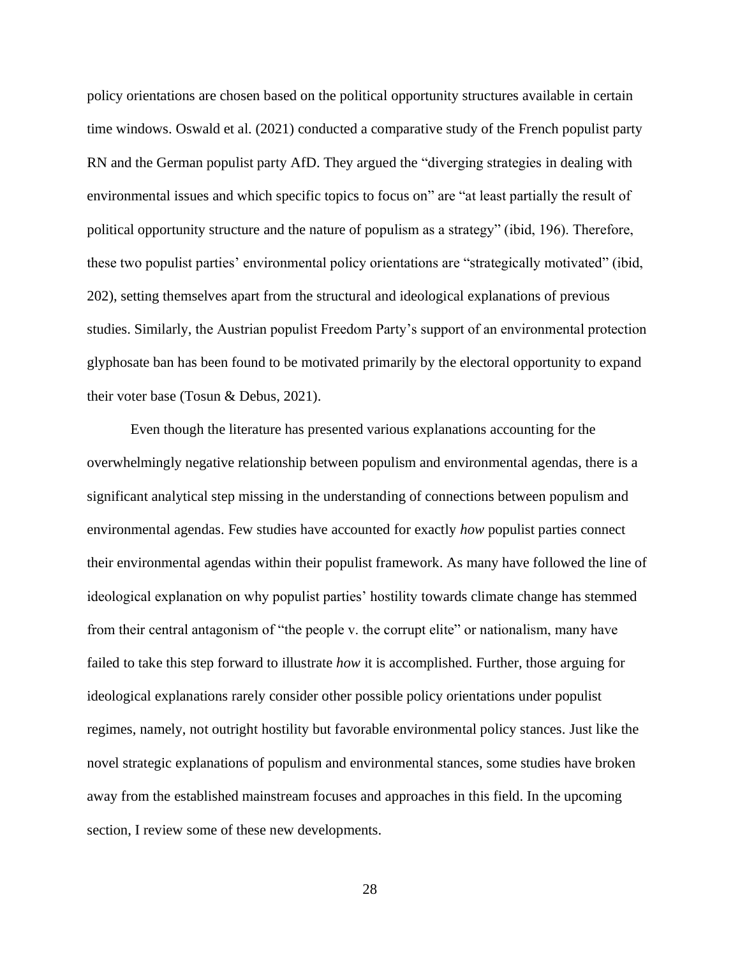policy orientations are chosen based on the political opportunity structures available in certain time windows. Oswald et al. (2021) conducted a comparative study of the French populist party RN and the German populist party AfD. They argued the "diverging strategies in dealing with environmental issues and which specific topics to focus on" are "at least partially the result of political opportunity structure and the nature of populism as a strategy" (ibid, 196). Therefore, these two populist parties' environmental policy orientations are "strategically motivated" (ibid, 202), setting themselves apart from the structural and ideological explanations of previous studies. Similarly, the Austrian populist Freedom Party's support of an environmental protection glyphosate ban has been found to be motivated primarily by the electoral opportunity to expand their voter base (Tosun & Debus, 2021).

Even though the literature has presented various explanations accounting for the overwhelmingly negative relationship between populism and environmental agendas, there is a significant analytical step missing in the understanding of connections between populism and environmental agendas. Few studies have accounted for exactly *how* populist parties connect their environmental agendas within their populist framework. As many have followed the line of ideological explanation on why populist parties' hostility towards climate change has stemmed from their central antagonism of "the people v. the corrupt elite" or nationalism, many have failed to take this step forward to illustrate *how* it is accomplished. Further, those arguing for ideological explanations rarely consider other possible policy orientations under populist regimes, namely, not outright hostility but favorable environmental policy stances. Just like the novel strategic explanations of populism and environmental stances, some studies have broken away from the established mainstream focuses and approaches in this field. In the upcoming section, I review some of these new developments.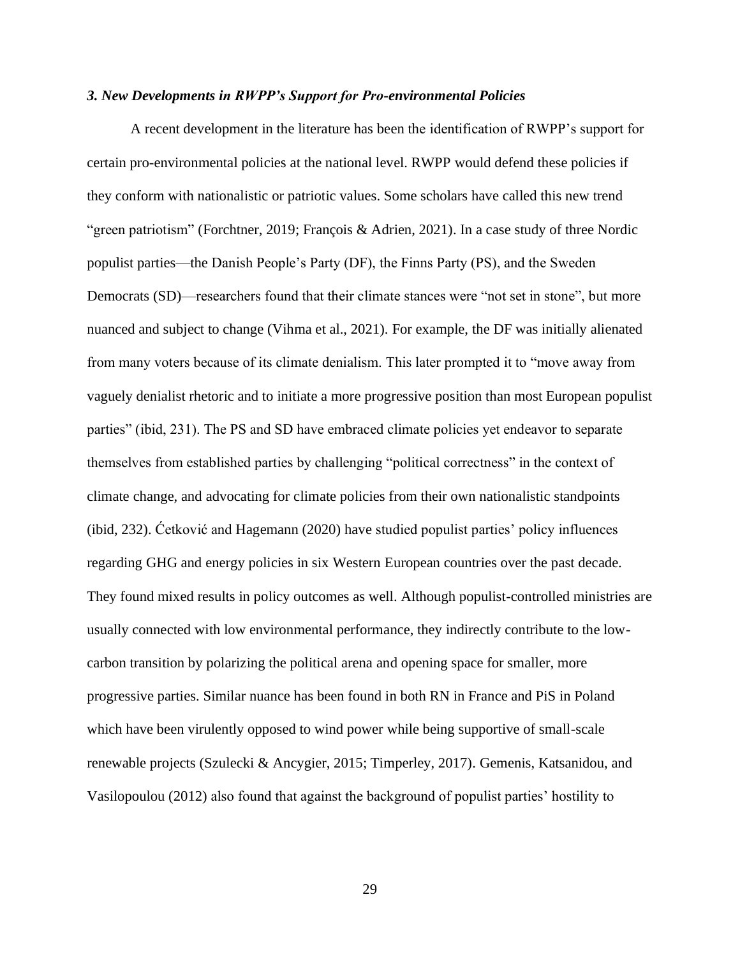#### <span id="page-29-0"></span>*3. New Developments in RWPP's Support for Pro-environmental Policies*

A recent development in the literature has been the identification of RWPP's support for certain pro-environmental policies at the national level. RWPP would defend these policies if they conform with nationalistic or patriotic values. Some scholars have called this new trend "green patriotism" (Forchtner, 2019; François & Adrien, 2021). In a case study of three Nordic populist parties—the Danish People's Party (DF), the Finns Party (PS), and the Sweden Democrats (SD)—researchers found that their climate stances were "not set in stone", but more nuanced and subject to change (Vihma et al., 2021). For example, the DF was initially alienated from many voters because of its climate denialism. This later prompted it to "move away from vaguely denialist rhetoric and to initiate a more progressive position than most European populist parties" (ibid, 231). The PS and SD have embraced climate policies yet endeavor to separate themselves from established parties by challenging "political correctness" in the context of climate change, and advocating for climate policies from their own nationalistic standpoints (ibid, 232). Ćetković and Hagemann (2020) have studied populist parties' policy influences regarding GHG and energy policies in six Western European countries over the past decade. They found mixed results in policy outcomes as well. Although populist-controlled ministries are usually connected with low environmental performance, they indirectly contribute to the lowcarbon transition by polarizing the political arena and opening space for smaller, more progressive parties. Similar nuance has been found in both RN in France and PiS in Poland which have been virulently opposed to wind power while being supportive of small-scale renewable projects (Szulecki & Ancygier, 2015; Timperley, 2017). Gemenis, Katsanidou, and Vasilopoulou (2012) also found that against the background of populist parties' hostility to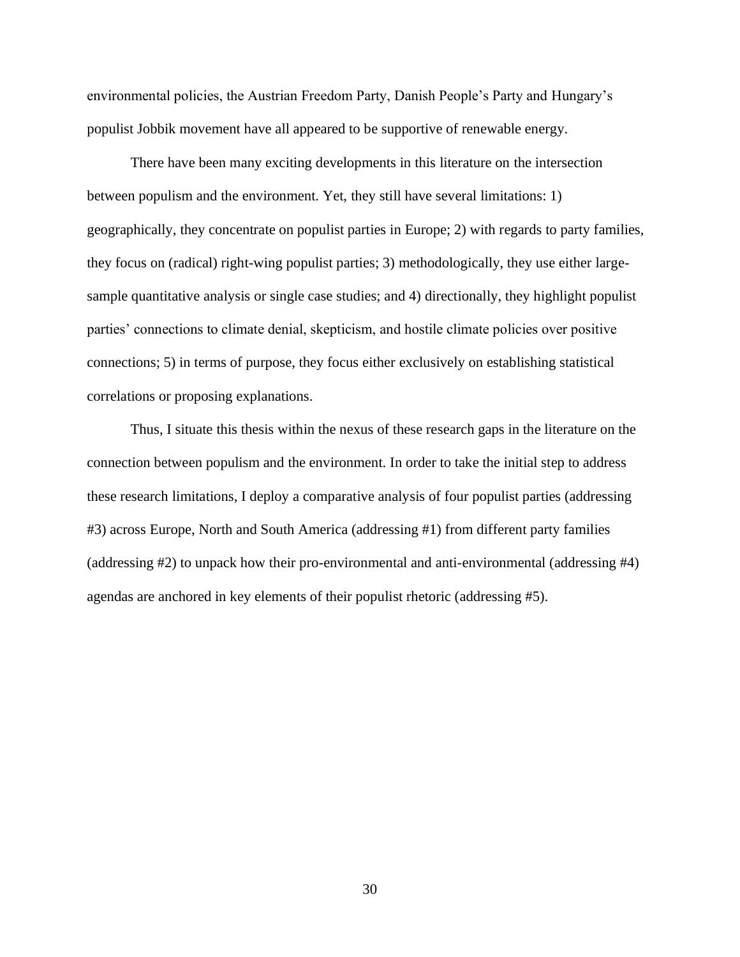environmental policies, the Austrian Freedom Party, Danish People's Party and Hungary's populist Jobbik movement have all appeared to be supportive of renewable energy.

There have been many exciting developments in this literature on the intersection between populism and the environment. Yet, they still have several limitations: 1) geographically, they concentrate on populist parties in Europe; 2) with regards to party families, they focus on (radical) right-wing populist parties; 3) methodologically, they use either largesample quantitative analysis or single case studies; and 4) directionally, they highlight populist parties' connections to climate denial, skepticism, and hostile climate policies over positive connections; 5) in terms of purpose, they focus either exclusively on establishing statistical correlations or proposing explanations.

Thus, I situate this thesis within the nexus of these research gaps in the literature on the connection between populism and the environment. In order to take the initial step to address these research limitations, I deploy a comparative analysis of four populist parties (addressing #3) across Europe, North and South America (addressing #1) from different party families (addressing #2) to unpack how their pro-environmental and anti-environmental (addressing #4) agendas are anchored in key elements of their populist rhetoric (addressing #5).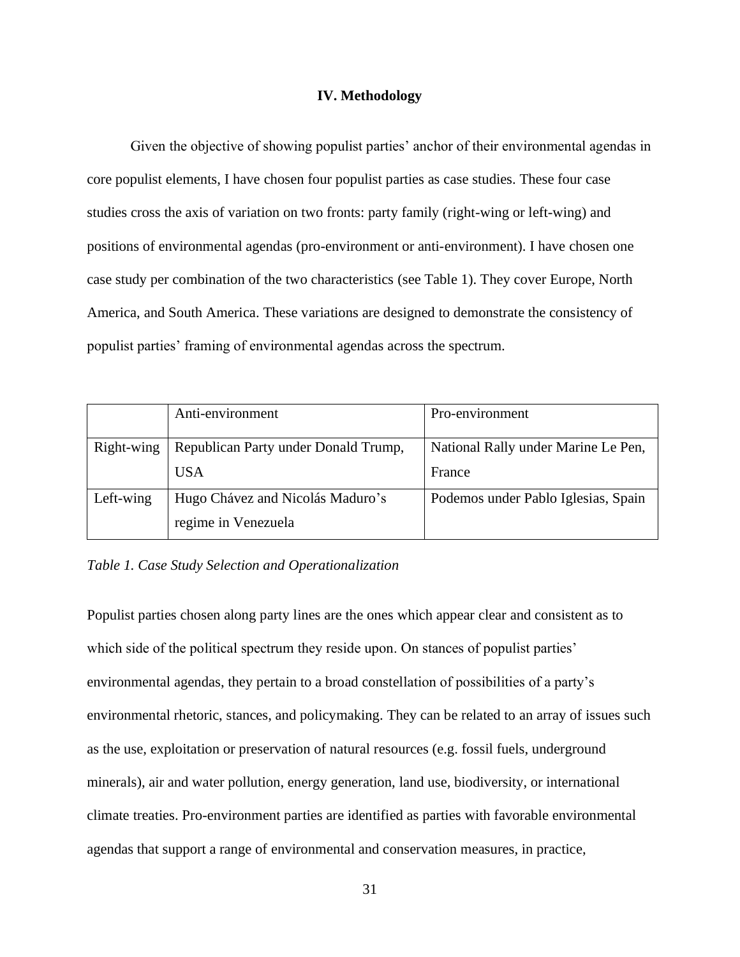#### **IV. Methodology**

<span id="page-31-0"></span>Given the objective of showing populist parties' anchor of their environmental agendas in core populist elements, I have chosen four populist parties as case studies. These four case studies cross the axis of variation on two fronts: party family (right-wing or left-wing) and positions of environmental agendas (pro-environment or anti-environment). I have chosen one case study per combination of the two characteristics (see Table 1). They cover Europe, North America, and South America. These variations are designed to demonstrate the consistency of populist parties' framing of environmental agendas across the spectrum.

|            | Anti-environment                                        | Pro-environment                               |
|------------|---------------------------------------------------------|-----------------------------------------------|
| Right-wing | Republican Party under Donald Trump,<br><b>USA</b>      | National Rally under Marine Le Pen,<br>France |
| Left-wing  | Hugo Chávez and Nicolás Maduro's<br>regime in Venezuela | Podemos under Pablo Iglesias, Spain           |

#### *Table 1. Case Study Selection and Operationalization*

Populist parties chosen along party lines are the ones which appear clear and consistent as to which side of the political spectrum they reside upon. On stances of populist parties' environmental agendas, they pertain to a broad constellation of possibilities of a party's environmental rhetoric, stances, and policymaking. They can be related to an array of issues such as the use, exploitation or preservation of natural resources (e.g. fossil fuels, underground minerals), air and water pollution, energy generation, land use, biodiversity, or international climate treaties. Pro-environment parties are identified as parties with favorable environmental agendas that support a range of environmental and conservation measures, in practice,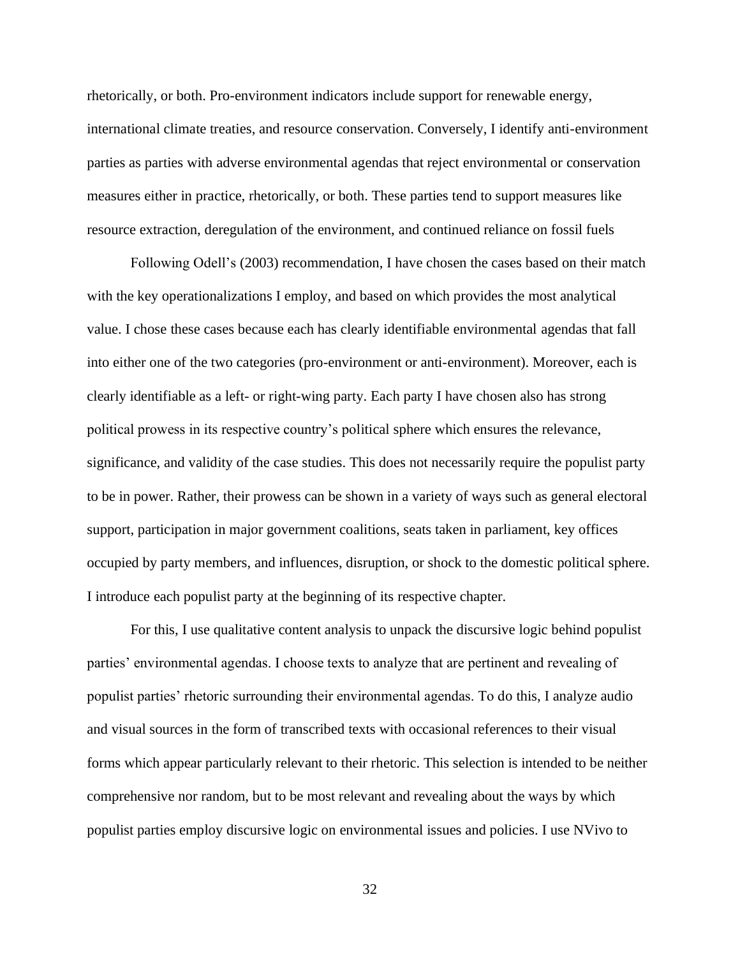rhetorically, or both. Pro-environment indicators include support for renewable energy, international climate treaties, and resource conservation. Conversely, I identify anti-environment parties as parties with adverse environmental agendas that reject environmental or conservation measures either in practice, rhetorically, or both. These parties tend to support measures like resource extraction, deregulation of the environment, and continued reliance on fossil fuels

Following Odell's (2003) recommendation, I have chosen the cases based on their match with the key operationalizations I employ, and based on which provides the most analytical value. I chose these cases because each has clearly identifiable environmental agendas that fall into either one of the two categories (pro-environment or anti-environment). Moreover, each is clearly identifiable as a left- or right-wing party. Each party I have chosen also has strong political prowess in its respective country's political sphere which ensures the relevance, significance, and validity of the case studies. This does not necessarily require the populist party to be in power. Rather, their prowess can be shown in a variety of ways such as general electoral support, participation in major government coalitions, seats taken in parliament, key offices occupied by party members, and influences, disruption, or shock to the domestic political sphere. I introduce each populist party at the beginning of its respective chapter.

For this, I use qualitative content analysis to unpack the discursive logic behind populist parties' environmental agendas. I choose texts to analyze that are pertinent and revealing of populist parties' rhetoric surrounding their environmental agendas. To do this, I analyze audio and visual sources in the form of transcribed texts with occasional references to their visual forms which appear particularly relevant to their rhetoric. This selection is intended to be neither comprehensive nor random, but to be most relevant and revealing about the ways by which populist parties employ discursive logic on environmental issues and policies. I use NVivo to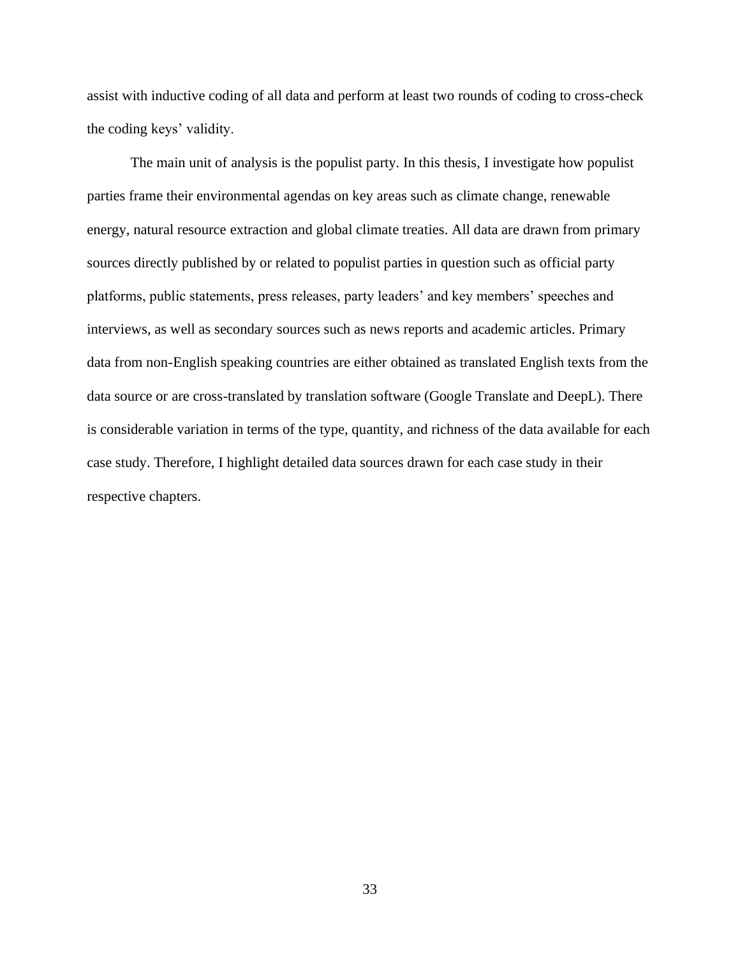assist with inductive coding of all data and perform at least two rounds of coding to cross-check the coding keys' validity.

The main unit of analysis is the populist party. In this thesis, I investigate how populist parties frame their environmental agendas on key areas such as climate change, renewable energy, natural resource extraction and global climate treaties. All data are drawn from primary sources directly published by or related to populist parties in question such as official party platforms, public statements, press releases, party leaders' and key members' speeches and interviews, as well as secondary sources such as news reports and academic articles. Primary data from non-English speaking countries are either obtained as translated English texts from the data source or are cross-translated by translation software (Google Translate and DeepL). There is considerable variation in terms of the type, quantity, and richness of the data available for each case study. Therefore, I highlight detailed data sources drawn for each case study in their respective chapters.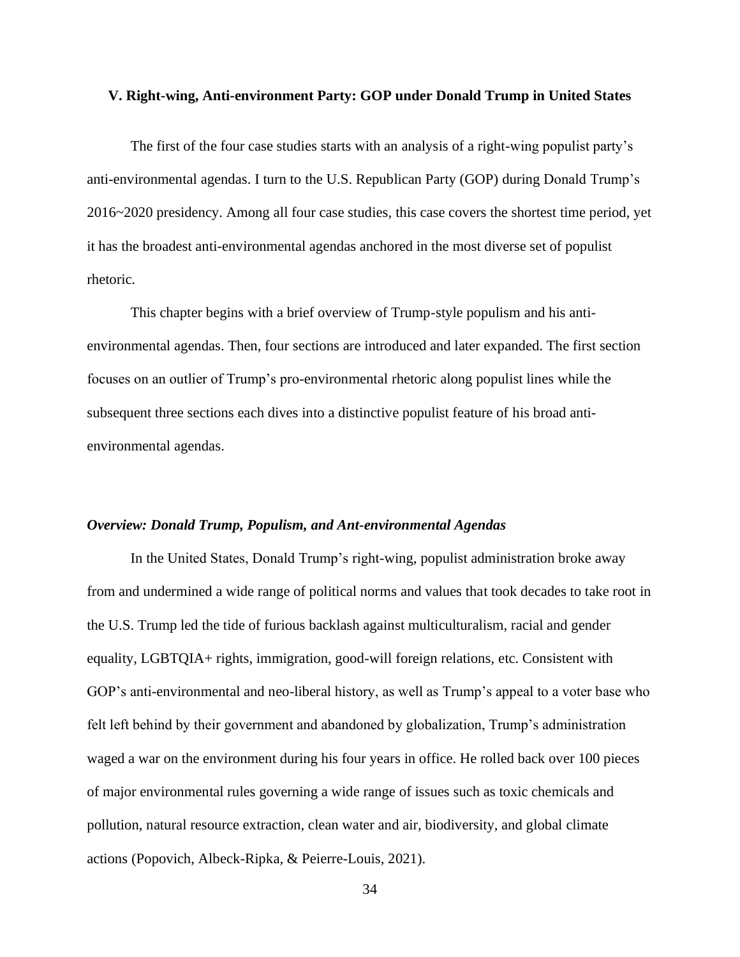#### <span id="page-34-0"></span>**V. Right-wing, Anti-environment Party: GOP under Donald Trump in United States**

The first of the four case studies starts with an analysis of a right-wing populist party's anti-environmental agendas. I turn to the U.S. Republican Party (GOP) during Donald Trump's 2016~2020 presidency. Among all four case studies, this case covers the shortest time period, yet it has the broadest anti-environmental agendas anchored in the most diverse set of populist rhetoric.

This chapter begins with a brief overview of Trump-style populism and his antienvironmental agendas. Then, four sections are introduced and later expanded. The first section focuses on an outlier of Trump's pro-environmental rhetoric along populist lines while the subsequent three sections each dives into a distinctive populist feature of his broad antienvironmental agendas.

#### <span id="page-34-1"></span>*Overview: Donald Trump, Populism, and Ant-environmental Agendas*

In the United States, Donald Trump's right-wing, populist administration broke away from and undermined a wide range of political norms and values that took decades to take root in the U.S. Trump led the tide of furious backlash against multiculturalism, racial and gender equality, LGBTQIA+ rights, immigration, good-will foreign relations, etc. Consistent with GOP's anti-environmental and neo-liberal history, as well as Trump's appeal to a voter base who felt left behind by their government and abandoned by globalization, Trump's administration waged a war on the environment during his four years in office. He rolled back over 100 pieces of major environmental rules governing a wide range of issues such as toxic chemicals and pollution, natural resource extraction, clean water and air, biodiversity, and global climate actions (Popovich, Albeck-Ripka, & Peierre-Louis, 2021).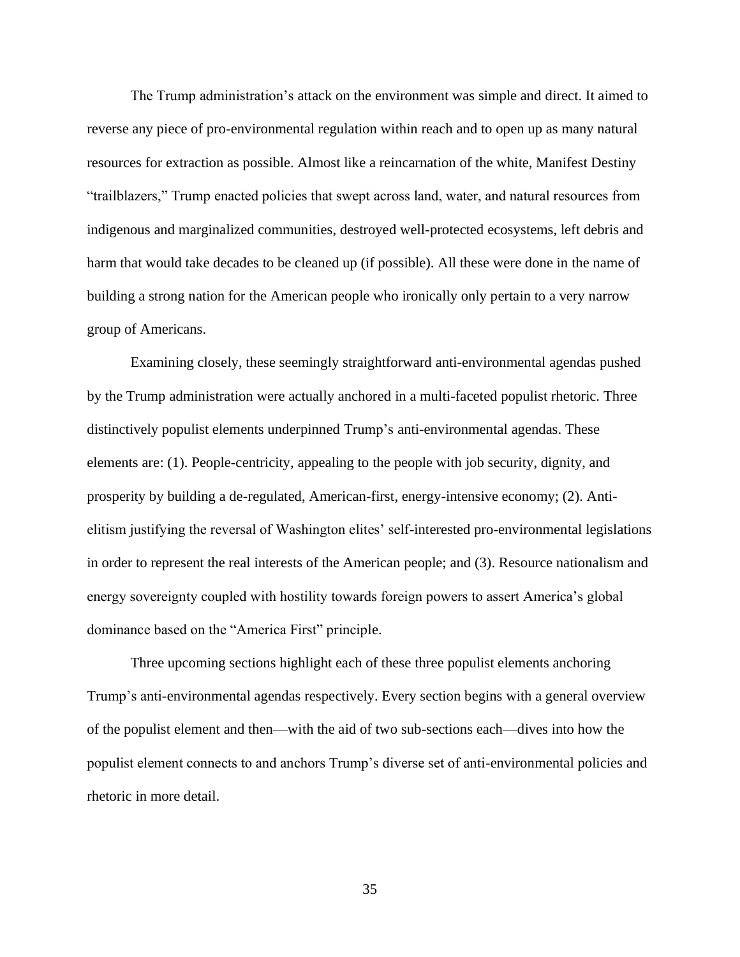The Trump administration's attack on the environment was simple and direct. It aimed to reverse any piece of pro-environmental regulation within reach and to open up as many natural resources for extraction as possible. Almost like a reincarnation of the white, Manifest Destiny "trailblazers," Trump enacted policies that swept across land, water, and natural resources from indigenous and marginalized communities, destroyed well-protected ecosystems, left debris and harm that would take decades to be cleaned up (if possible). All these were done in the name of building a strong nation for the American people who ironically only pertain to a very narrow group of Americans.

Examining closely, these seemingly straightforward anti-environmental agendas pushed by the Trump administration were actually anchored in a multi-faceted populist rhetoric. Three distinctively populist elements underpinned Trump's anti-environmental agendas. These elements are: (1). People-centricity, appealing to the people with job security, dignity, and prosperity by building a de-regulated, American-first, energy-intensive economy; (2). Antielitism justifying the reversal of Washington elites' self-interested pro-environmental legislations in order to represent the real interests of the American people; and (3). Resource nationalism and energy sovereignty coupled with hostility towards foreign powers to assert America's global dominance based on the "America First" principle.

Three upcoming sections highlight each of these three populist elements anchoring Trump's anti-environmental agendas respectively. Every section begins with a general overview of the populist element and then—with the aid of two sub-sections each—dives into how the populist element connects to and anchors Trump's diverse set of anti-environmental policies and rhetoric in more detail.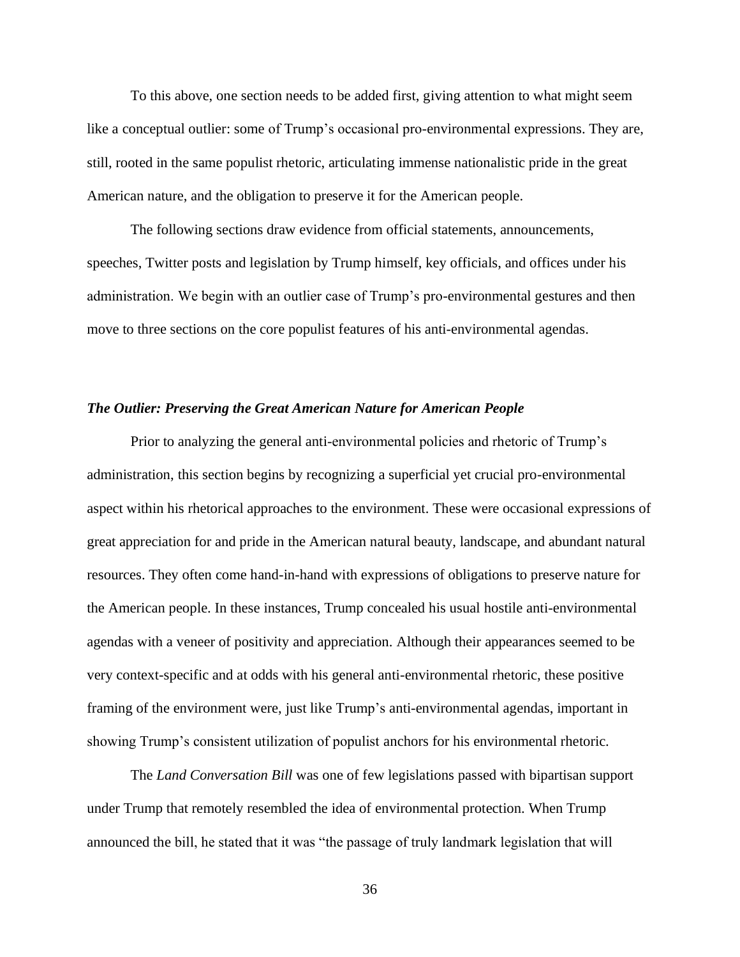To this above, one section needs to be added first, giving attention to what might seem like a conceptual outlier: some of Trump's occasional pro-environmental expressions. They are, still, rooted in the same populist rhetoric, articulating immense nationalistic pride in the great American nature, and the obligation to preserve it for the American people.

The following sections draw evidence from official statements, announcements, speeches, Twitter posts and legislation by Trump himself, key officials, and offices under his administration. We begin with an outlier case of Trump's pro-environmental gestures and then move to three sections on the core populist features of his anti-environmental agendas.

## *The Outlier: Preserving the Great American Nature for American People*

Prior to analyzing the general anti-environmental policies and rhetoric of Trump's administration, this section begins by recognizing a superficial yet crucial pro-environmental aspect within his rhetorical approaches to the environment. These were occasional expressions of great appreciation for and pride in the American natural beauty, landscape, and abundant natural resources. They often come hand-in-hand with expressions of obligations to preserve nature for the American people. In these instances, Trump concealed his usual hostile anti-environmental agendas with a veneer of positivity and appreciation. Although their appearances seemed to be very context-specific and at odds with his general anti-environmental rhetoric, these positive framing of the environment were, just like Trump's anti-environmental agendas, important in showing Trump's consistent utilization of populist anchors for his environmental rhetoric.

The *Land Conversation Bill* was one of few legislations passed with bipartisan support under Trump that remotely resembled the idea of environmental protection. When Trump announced the bill, he stated that it was "the passage of truly landmark legislation that will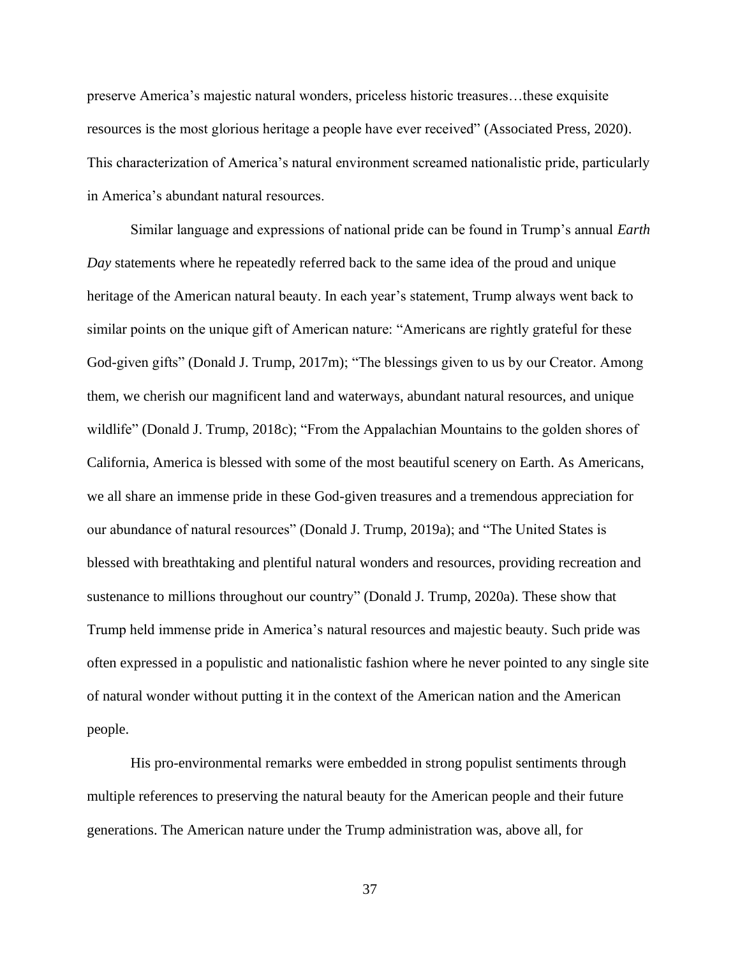preserve America's majestic natural wonders, priceless historic treasures…these exquisite resources is the most glorious heritage a people have ever received" (Associated Press, 2020). This characterization of America's natural environment screamed nationalistic pride, particularly in America's abundant natural resources.

Similar language and expressions of national pride can be found in Trump's annual *Earth Day* statements where he repeatedly referred back to the same idea of the proud and unique heritage of the American natural beauty. In each year's statement, Trump always went back to similar points on the unique gift of American nature: "Americans are rightly grateful for these God-given gifts" (Donald J. Trump, 2017m); "The blessings given to us by our Creator. Among them, we cherish our magnificent land and waterways, abundant natural resources, and unique wildlife" (Donald J. Trump, 2018c); "From the Appalachian Mountains to the golden shores of California, America is blessed with some of the most beautiful scenery on Earth. As Americans, we all share an immense pride in these God-given treasures and a tremendous appreciation for our abundance of natural resources" (Donald J. Trump, 2019a); and "The United States is blessed with breathtaking and plentiful natural wonders and resources, providing recreation and sustenance to millions throughout our country" (Donald J. Trump, 2020a). These show that Trump held immense pride in America's natural resources and majestic beauty. Such pride was often expressed in a populistic and nationalistic fashion where he never pointed to any single site of natural wonder without putting it in the context of the American nation and the American people.

His pro-environmental remarks were embedded in strong populist sentiments through multiple references to preserving the natural beauty for the American people and their future generations. The American nature under the Trump administration was, above all, for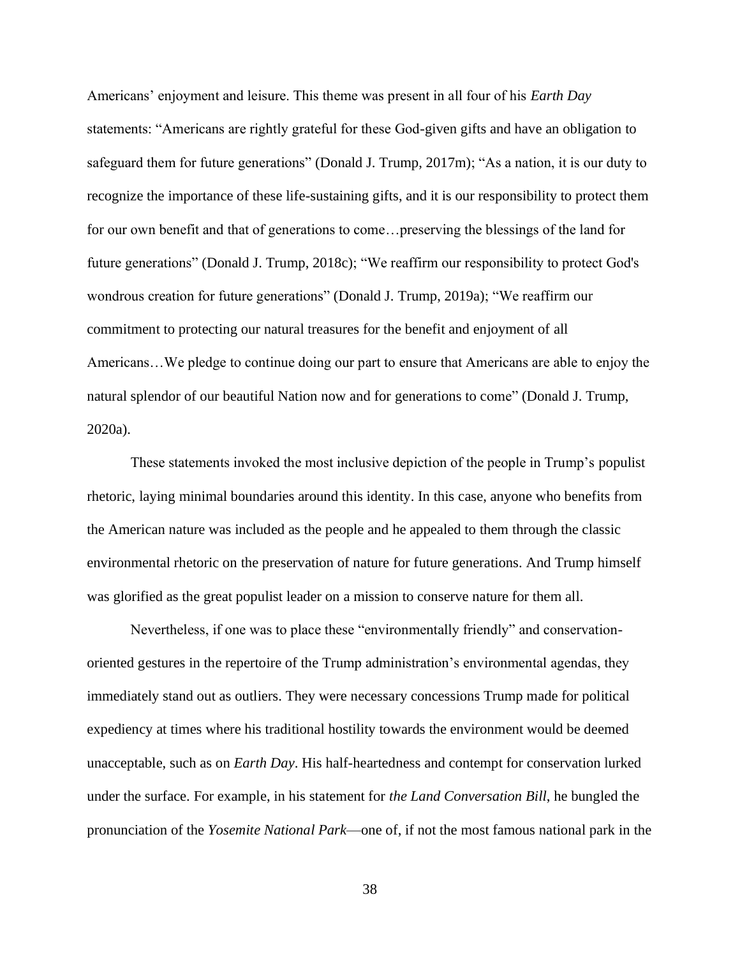Americans' enjoyment and leisure. This theme was present in all four of his *Earth Day* statements: "Americans are rightly grateful for these God-given gifts and have an obligation to safeguard them for future generations" (Donald J. Trump, 2017m); "As a nation, it is our duty to recognize the importance of these life-sustaining gifts, and it is our responsibility to protect them for our own benefit and that of generations to come…preserving the blessings of the land for future generations" (Donald J. Trump, 2018c); "We reaffirm our responsibility to protect God's wondrous creation for future generations" (Donald J. Trump, 2019a); "We reaffirm our commitment to protecting our natural treasures for the benefit and enjoyment of all Americans…We pledge to continue doing our part to ensure that Americans are able to enjoy the natural splendor of our beautiful Nation now and for generations to come" (Donald J. Trump, 2020a).

These statements invoked the most inclusive depiction of the people in Trump's populist rhetoric, laying minimal boundaries around this identity. In this case, anyone who benefits from the American nature was included as the people and he appealed to them through the classic environmental rhetoric on the preservation of nature for future generations. And Trump himself was glorified as the great populist leader on a mission to conserve nature for them all.

Nevertheless, if one was to place these "environmentally friendly" and conservationoriented gestures in the repertoire of the Trump administration's environmental agendas, they immediately stand out as outliers. They were necessary concessions Trump made for political expediency at times where his traditional hostility towards the environment would be deemed unacceptable, such as on *Earth Day*. His half-heartedness and contempt for conservation lurked under the surface. For example, in his statement for *the Land Conversation Bill*, he bungled the pronunciation of the *Yosemite National Park*—one of, if not the most famous national park in the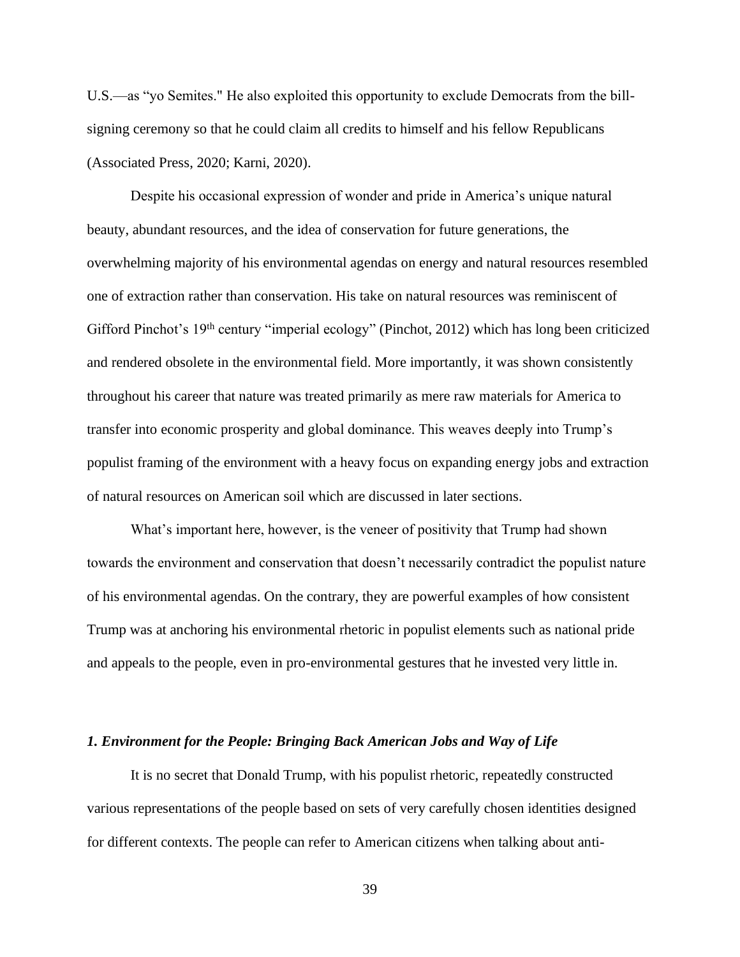U.S.—as "yo Semites." He also exploited this opportunity to exclude Democrats from the billsigning ceremony so that he could claim all credits to himself and his fellow Republicans (Associated Press, 2020; Karni, 2020).

Despite his occasional expression of wonder and pride in America's unique natural beauty, abundant resources, and the idea of conservation for future generations, the overwhelming majority of his environmental agendas on energy and natural resources resembled one of extraction rather than conservation. His take on natural resources was reminiscent of Gifford Pinchot's 19<sup>th</sup> century "imperial ecology" (Pinchot, 2012) which has long been criticized and rendered obsolete in the environmental field. More importantly, it was shown consistently throughout his career that nature was treated primarily as mere raw materials for America to transfer into economic prosperity and global dominance. This weaves deeply into Trump's populist framing of the environment with a heavy focus on expanding energy jobs and extraction of natural resources on American soil which are discussed in later sections.

What's important here, however, is the veneer of positivity that Trump had shown towards the environment and conservation that doesn't necessarily contradict the populist nature of his environmental agendas. On the contrary, they are powerful examples of how consistent Trump was at anchoring his environmental rhetoric in populist elements such as national pride and appeals to the people, even in pro-environmental gestures that he invested very little in.

#### *1. Environment for the People: Bringing Back American Jobs and Way of Life*

It is no secret that Donald Trump, with his populist rhetoric, repeatedly constructed various representations of the people based on sets of very carefully chosen identities designed for different contexts. The people can refer to American citizens when talking about anti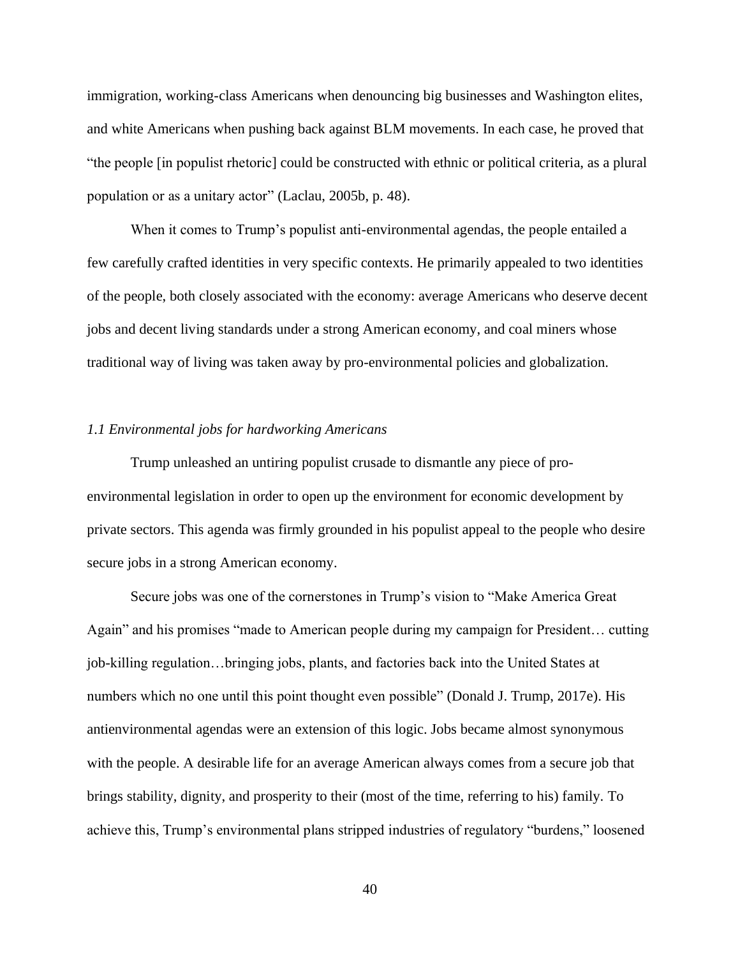immigration, working-class Americans when denouncing big businesses and Washington elites, and white Americans when pushing back against BLM movements. In each case, he proved that "the people [in populist rhetoric] could be constructed with ethnic or political criteria, as a plural population or as a unitary actor" (Laclau, 2005b, p. 48).

When it comes to Trump's populist anti-environmental agendas, the people entailed a few carefully crafted identities in very specific contexts. He primarily appealed to two identities of the people, both closely associated with the economy: average Americans who deserve decent jobs and decent living standards under a strong American economy, and coal miners whose traditional way of living was taken away by pro-environmental policies and globalization.

#### *1.1 Environmental jobs for hardworking Americans*

Trump unleashed an untiring populist crusade to dismantle any piece of proenvironmental legislation in order to open up the environment for economic development by private sectors. This agenda was firmly grounded in his populist appeal to the people who desire secure jobs in a strong American economy.

Secure jobs was one of the cornerstones in Trump's vision to "Make America Great Again" and his promises "made to American people during my campaign for President… cutting job-killing regulation…bringing jobs, plants, and factories back into the United States at numbers which no one until this point thought even possible" (Donald J. Trump, 2017e). His antienvironmental agendas were an extension of this logic. Jobs became almost synonymous with the people. A desirable life for an average American always comes from a secure job that brings stability, dignity, and prosperity to their (most of the time, referring to his) family. To achieve this, Trump's environmental plans stripped industries of regulatory "burdens," loosened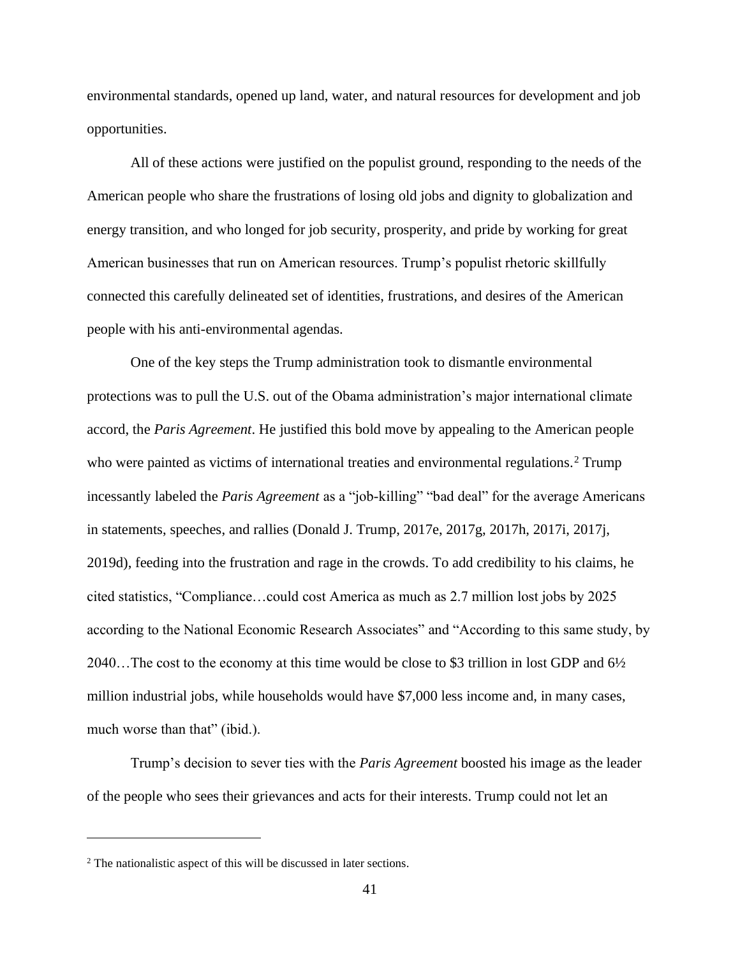environmental standards, opened up land, water, and natural resources for development and job opportunities.

All of these actions were justified on the populist ground, responding to the needs of the American people who share the frustrations of losing old jobs and dignity to globalization and energy transition, and who longed for job security, prosperity, and pride by working for great American businesses that run on American resources. Trump's populist rhetoric skillfully connected this carefully delineated set of identities, frustrations, and desires of the American people with his anti-environmental agendas.

One of the key steps the Trump administration took to dismantle environmental protections was to pull the U.S. out of the Obama administration's major international climate accord, the *Paris Agreement*. He justified this bold move by appealing to the American people who were painted as victims of international treaties and environmental regulations.<sup>2</sup> Trump incessantly labeled the *Paris Agreement* as a "job-killing" "bad deal" for the average Americans in statements, speeches, and rallies (Donald J. Trump, 2017e, 2017g, 2017h, 2017i, 2017j, 2019d), feeding into the frustration and rage in the crowds. To add credibility to his claims, he cited statistics, "Compliance…could cost America as much as 2.7 million lost jobs by 2025 according to the National Economic Research Associates" and "According to this same study, by 2040...The cost to the economy at this time would be close to \$3 trillion in lost GDP and  $6\frac{1}{2}$ million industrial jobs, while households would have \$7,000 less income and, in many cases, much worse than that" (ibid.).

Trump's decision to sever ties with the *Paris Agreement* boosted his image as the leader of the people who sees their grievances and acts for their interests. Trump could not let an

<sup>2</sup> The nationalistic aspect of this will be discussed in later sections.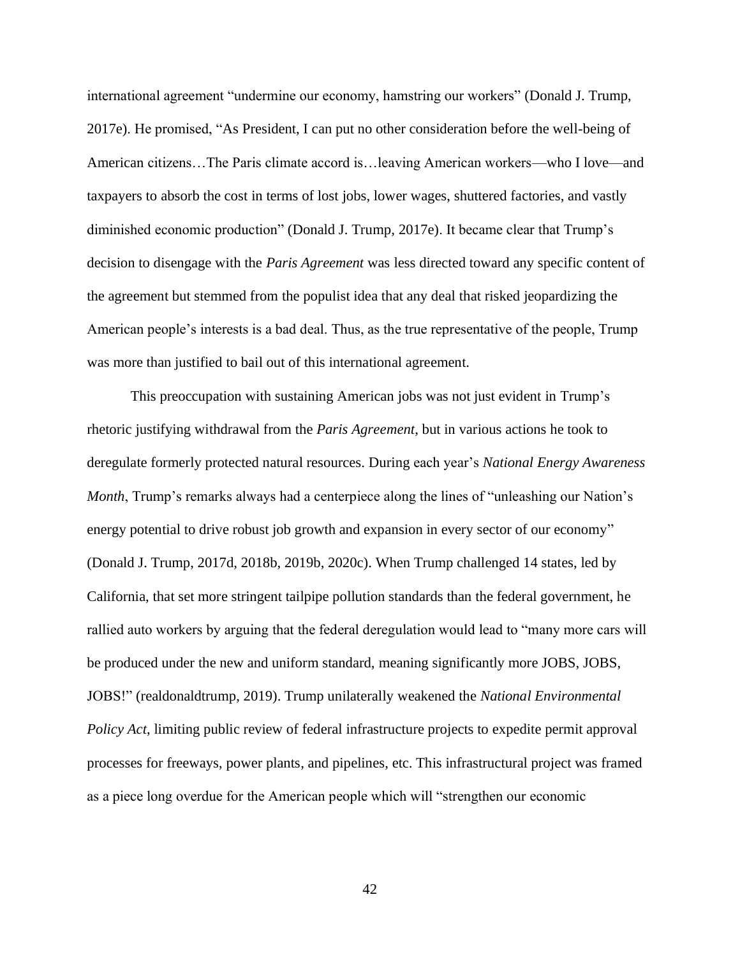international agreement "undermine our economy, hamstring our workers" (Donald J. Trump, 2017e). He promised, "As President, I can put no other consideration before the well-being of American citizens…The Paris climate accord is…leaving American workers—who I love—and taxpayers to absorb the cost in terms of lost jobs, lower wages, shuttered factories, and vastly diminished economic production" (Donald J. Trump, 2017e). It became clear that Trump's decision to disengage with the *Paris Agreement* was less directed toward any specific content of the agreement but stemmed from the populist idea that any deal that risked jeopardizing the American people's interests is a bad deal. Thus, as the true representative of the people, Trump was more than justified to bail out of this international agreement.

This preoccupation with sustaining American jobs was not just evident in Trump's rhetoric justifying withdrawal from the *Paris Agreement*, but in various actions he took to deregulate formerly protected natural resources. During each year's *National Energy Awareness Month*, Trump's remarks always had a centerpiece along the lines of "unleashing our Nation's energy potential to drive robust job growth and expansion in every sector of our economy" (Donald J. Trump, 2017d, 2018b, 2019b, 2020c). When Trump challenged 14 states, led by California, that set more stringent tailpipe pollution standards than the federal government, he rallied auto workers by arguing that the federal deregulation would lead to "many more cars will be produced under the new and uniform standard, meaning significantly more JOBS, JOBS, JOBS!" (realdonaldtrump, 2019). Trump unilaterally weakened the *National Environmental Policy Act*, limiting public review of federal infrastructure projects to expedite permit approval processes for freeways, power plants, and pipelines, etc. This infrastructural project was framed as a piece long overdue for the American people which will "strengthen our economic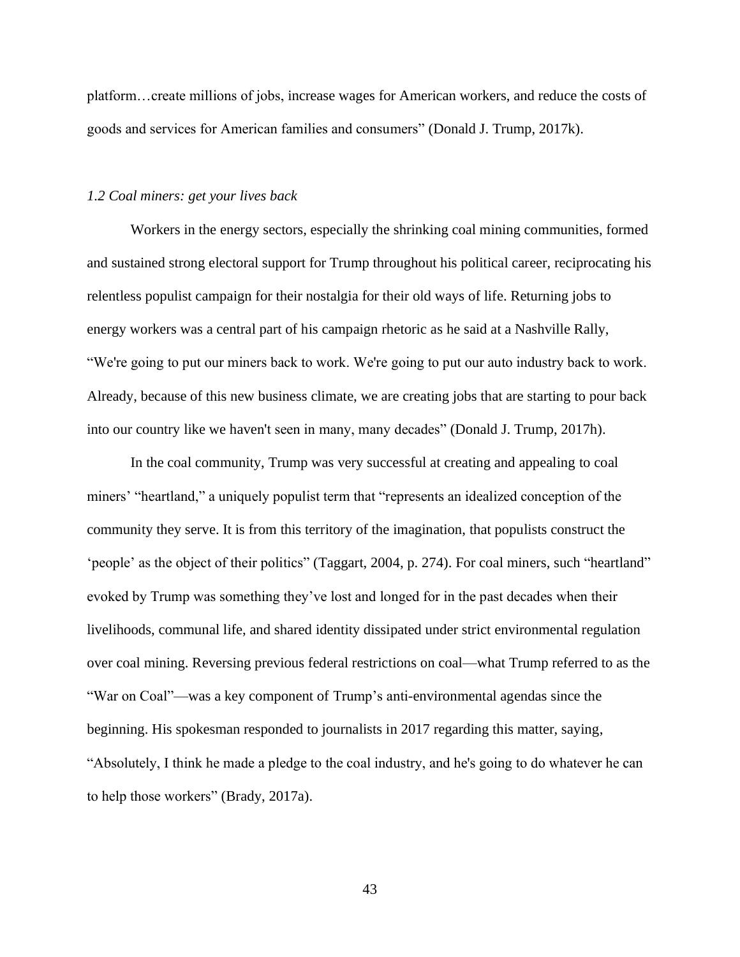platform…create millions of jobs, increase wages for American workers, and reduce the costs of goods and services for American families and consumers" (Donald J. Trump, 2017k).

## *1.2 Coal miners: get your lives back*

Workers in the energy sectors, especially the shrinking coal mining communities, formed and sustained strong electoral support for Trump throughout his political career, reciprocating his relentless populist campaign for their nostalgia for their old ways of life. Returning jobs to energy workers was a central part of his campaign rhetoric as he said at a Nashville Rally, "We're going to put our miners back to work. We're going to put our auto industry back to work. Already, because of this new business climate, we are creating jobs that are starting to pour back into our country like we haven't seen in many, many decades" (Donald J. Trump, 2017h).

In the coal community, Trump was very successful at creating and appealing to coal miners' "heartland," a uniquely populist term that "represents an idealized conception of the community they serve. It is from this territory of the imagination, that populists construct the 'people' as the object of their politics" (Taggart, 2004, p. 274). For coal miners, such "heartland" evoked by Trump was something they've lost and longed for in the past decades when their livelihoods, communal life, and shared identity dissipated under strict environmental regulation over coal mining. Reversing previous federal restrictions on coal—what Trump referred to as the "War on Coal"—was a key component of Trump's anti-environmental agendas since the beginning. His spokesman responded to journalists in 2017 regarding this matter, saying, "Absolutely, I think he made a pledge to the coal industry, and he's going to do whatever he can to help those workers" (Brady, 2017a).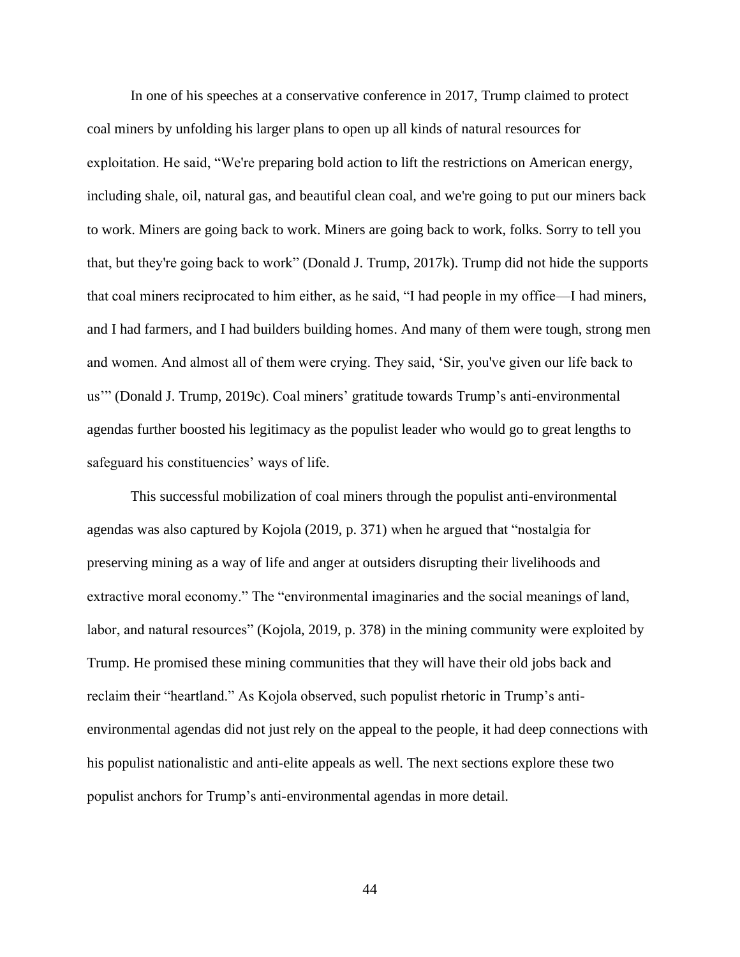In one of his speeches at a conservative conference in 2017, Trump claimed to protect coal miners by unfolding his larger plans to open up all kinds of natural resources for exploitation. He said, "We're preparing bold action to lift the restrictions on American energy, including shale, oil, natural gas, and beautiful clean coal, and we're going to put our miners back to work. Miners are going back to work. Miners are going back to work, folks. Sorry to tell you that, but they're going back to work" (Donald J. Trump, 2017k). Trump did not hide the supports that coal miners reciprocated to him either, as he said, "I had people in my office—I had miners, and I had farmers, and I had builders building homes. And many of them were tough, strong men and women. And almost all of them were crying. They said, 'Sir, you've given our life back to us'" (Donald J. Trump, 2019c). Coal miners' gratitude towards Trump's anti-environmental agendas further boosted his legitimacy as the populist leader who would go to great lengths to safeguard his constituencies' ways of life.

This successful mobilization of coal miners through the populist anti-environmental agendas was also captured by Kojola (2019, p. 371) when he argued that "nostalgia for preserving mining as a way of life and anger at outsiders disrupting their livelihoods and extractive moral economy." The "environmental imaginaries and the social meanings of land, labor, and natural resources" (Kojola, 2019, p. 378) in the mining community were exploited by Trump. He promised these mining communities that they will have their old jobs back and reclaim their "heartland." As Kojola observed, such populist rhetoric in Trump's antienvironmental agendas did not just rely on the appeal to the people, it had deep connections with his populist nationalistic and anti-elite appeals as well. The next sections explore these two populist anchors for Trump's anti-environmental agendas in more detail.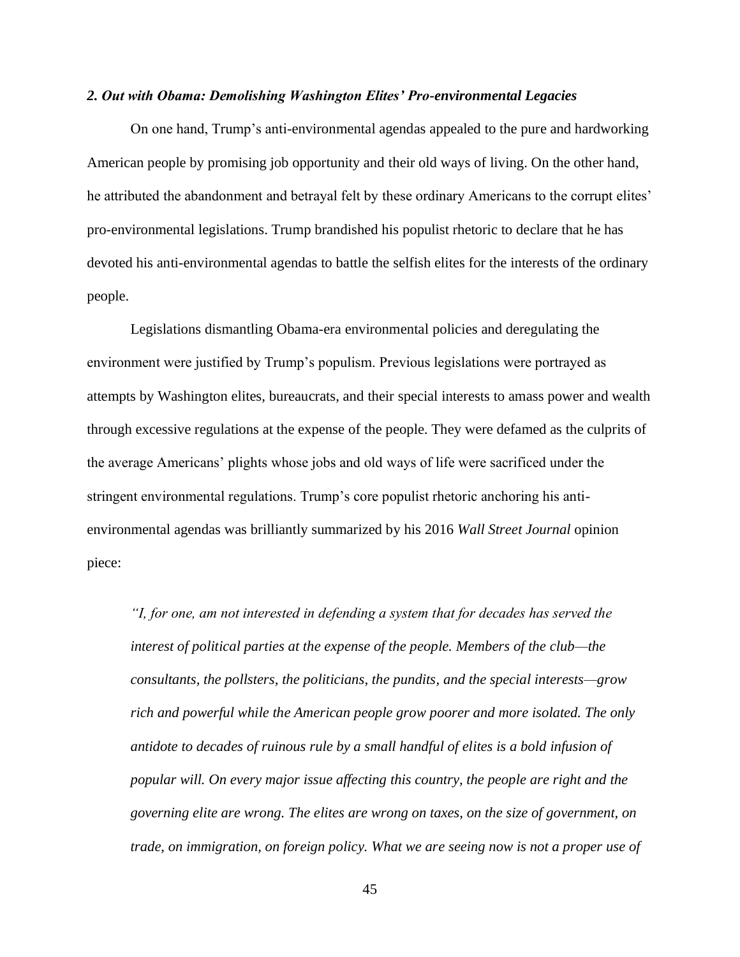## *2. Out with Obama: Demolishing Washington Elites' Pro-environmental Legacies*

On one hand, Trump's anti-environmental agendas appealed to the pure and hardworking American people by promising job opportunity and their old ways of living. On the other hand, he attributed the abandonment and betrayal felt by these ordinary Americans to the corrupt elites' pro-environmental legislations. Trump brandished his populist rhetoric to declare that he has devoted his anti-environmental agendas to battle the selfish elites for the interests of the ordinary people.

Legislations dismantling Obama-era environmental policies and deregulating the environment were justified by Trump's populism. Previous legislations were portrayed as attempts by Washington elites, bureaucrats, and their special interests to amass power and wealth through excessive regulations at the expense of the people. They were defamed as the culprits of the average Americans' plights whose jobs and old ways of life were sacrificed under the stringent environmental regulations. Trump's core populist rhetoric anchoring his antienvironmental agendas was brilliantly summarized by his 2016 *Wall Street Journal* opinion piece:

*"I, for one, am not interested in defending a system that for decades has served the interest of political parties at the expense of the people. Members of the club—the consultants, the pollsters, the politicians, the pundits, and the special interests—grow rich and powerful while the American people grow poorer and more isolated. The only antidote to decades of ruinous rule by a small handful of elites is a bold infusion of popular will. On every major issue affecting this country, the people are right and the governing elite are wrong. The elites are wrong on taxes, on the size of government, on trade, on immigration, on foreign policy. What we are seeing now is not a proper use of*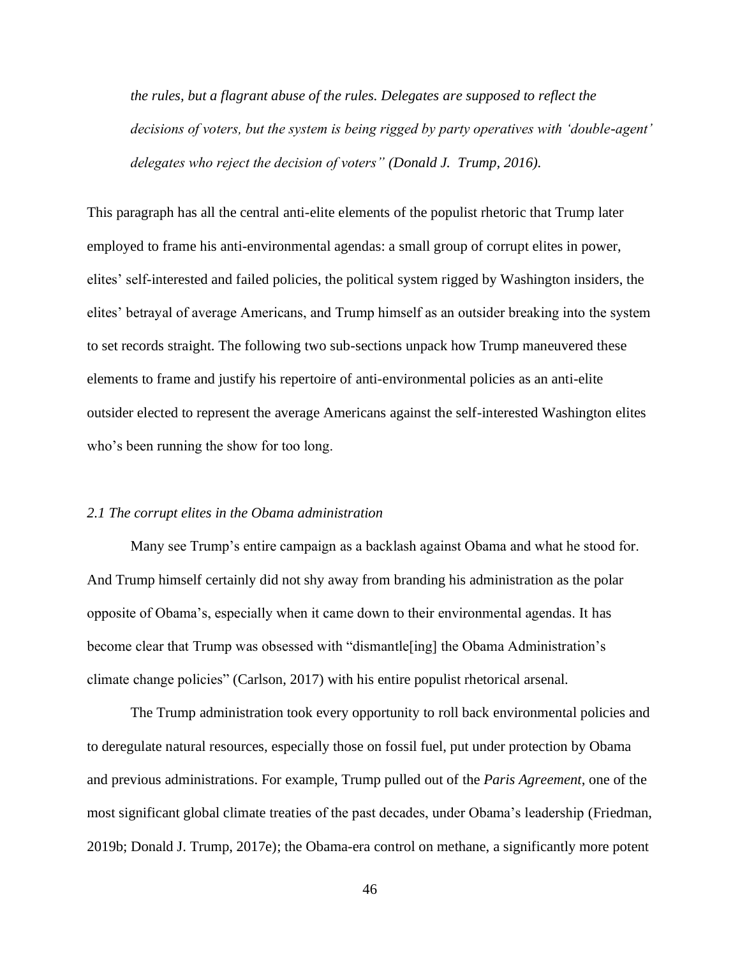*the rules, but a flagrant abuse of the rules. Delegates are supposed to reflect the decisions of voters, but the system is being rigged by party operatives with 'double-agent' delegates who reject the decision of voters" (Donald J. Trump, 2016).*

This paragraph has all the central anti-elite elements of the populist rhetoric that Trump later employed to frame his anti-environmental agendas: a small group of corrupt elites in power, elites' self-interested and failed policies, the political system rigged by Washington insiders, the elites' betrayal of average Americans, and Trump himself as an outsider breaking into the system to set records straight. The following two sub-sections unpack how Trump maneuvered these elements to frame and justify his repertoire of anti-environmental policies as an anti-elite outsider elected to represent the average Americans against the self-interested Washington elites who's been running the show for too long.

## *2.1 The corrupt elites in the Obama administration*

Many see Trump's entire campaign as a backlash against Obama and what he stood for. And Trump himself certainly did not shy away from branding his administration as the polar opposite of Obama's, especially when it came down to their environmental agendas. It has become clear that Trump was obsessed with "dismantle[ing] the Obama Administration's climate change policies" (Carlson, 2017) with his entire populist rhetorical arsenal.

The Trump administration took every opportunity to roll back environmental policies and to deregulate natural resources, especially those on fossil fuel, put under protection by Obama and previous administrations. For example, Trump pulled out of the *Paris Agreement*, one of the most significant global climate treaties of the past decades, under Obama's leadership (Friedman, 2019b; Donald J. Trump, 2017e); the Obama-era control on methane, a significantly more potent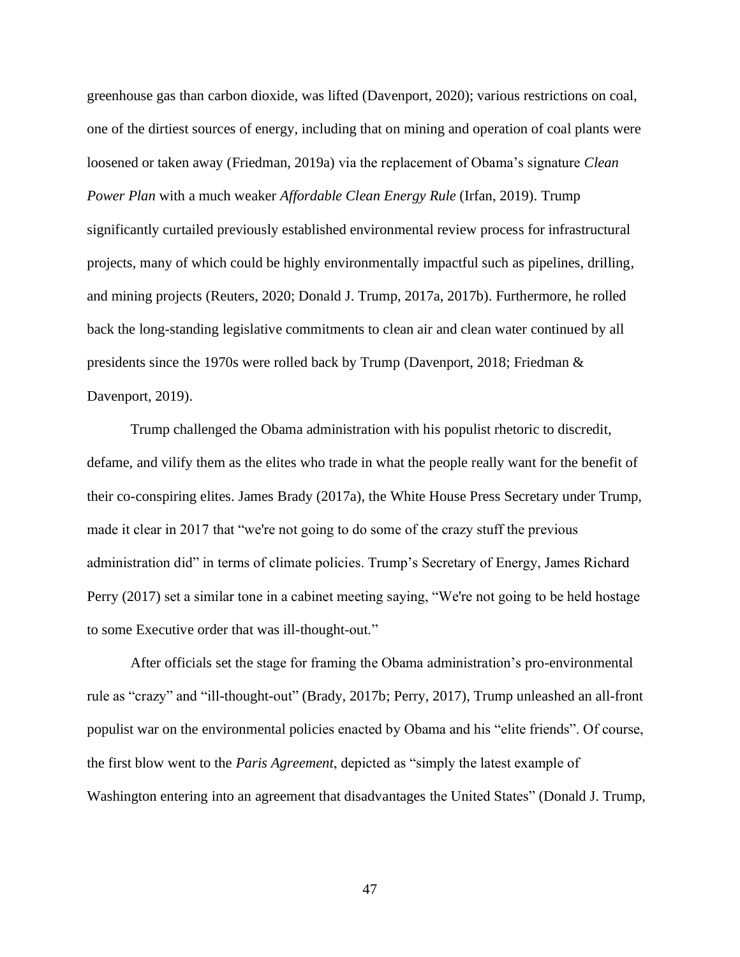greenhouse gas than carbon dioxide, was lifted (Davenport, 2020); various restrictions on coal, one of the dirtiest sources of energy, including that on mining and operation of coal plants were loosened or taken away (Friedman, 2019a) via the replacement of Obama's signature *Clean Power Plan* with a much weaker *Affordable Clean Energy Rule* (Irfan, 2019). Trump significantly curtailed previously established environmental review process for infrastructural projects, many of which could be highly environmentally impactful such as pipelines, drilling, and mining projects (Reuters, 2020; Donald J. Trump, 2017a, 2017b). Furthermore, he rolled back the long-standing legislative commitments to clean air and clean water continued by all presidents since the 1970s were rolled back by Trump (Davenport, 2018; Friedman & Davenport, 2019).

Trump challenged the Obama administration with his populist rhetoric to discredit, defame, and vilify them as the elites who trade in what the people really want for the benefit of their co-conspiring elites. James Brady (2017a), the White House Press Secretary under Trump, made it clear in 2017 that "we're not going to do some of the crazy stuff the previous administration did" in terms of climate policies. Trump's Secretary of Energy, James Richard Perry (2017) set a similar tone in a cabinet meeting saying, "We're not going to be held hostage to some Executive order that was ill-thought-out."

After officials set the stage for framing the Obama administration's pro-environmental rule as "crazy" and "ill-thought-out" (Brady, 2017b; Perry, 2017), Trump unleashed an all-front populist war on the environmental policies enacted by Obama and his "elite friends". Of course, the first blow went to the *Paris Agreement*, depicted as "simply the latest example of Washington entering into an agreement that disadvantages the United States" (Donald J. Trump,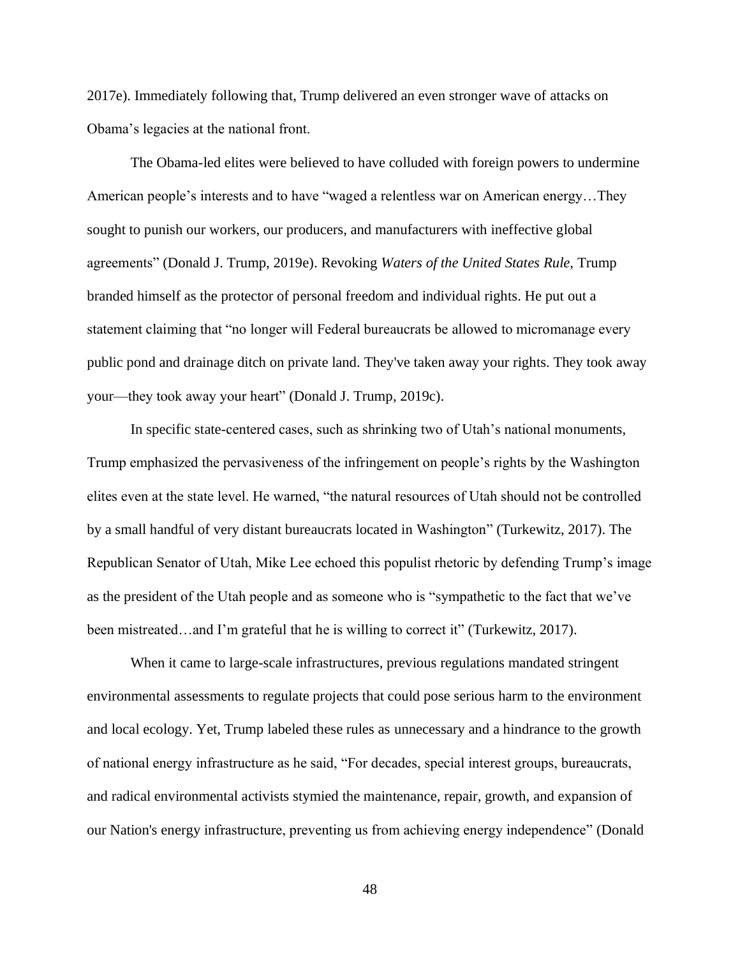2017e). Immediately following that, Trump delivered an even stronger wave of attacks on Obama's legacies at the national front.

The Obama-led elites were believed to have colluded with foreign powers to undermine American people's interests and to have "waged a relentless war on American energy…They sought to punish our workers, our producers, and manufacturers with ineffective global agreements" (Donald J. Trump, 2019e). Revoking *Waters of the United States Rule*, Trump branded himself as the protector of personal freedom and individual rights. He put out a statement claiming that "no longer will Federal bureaucrats be allowed to micromanage every public pond and drainage ditch on private land. They've taken away your rights. They took away your—they took away your heart" (Donald J. Trump, 2019c).

In specific state-centered cases, such as shrinking two of Utah's national monuments, Trump emphasized the pervasiveness of the infringement on people's rights by the Washington elites even at the state level. He warned, "the natural resources of Utah should not be controlled by a small handful of very distant bureaucrats located in Washington" (Turkewitz, 2017). The Republican Senator of Utah, Mike Lee echoed this populist rhetoric by defending Trump's image as the president of the Utah people and as someone who is "sympathetic to the fact that we've been mistreated…and I'm grateful that he is willing to correct it" (Turkewitz, 2017).

When it came to large-scale infrastructures, previous regulations mandated stringent environmental assessments to regulate projects that could pose serious harm to the environment and local ecology. Yet, Trump labeled these rules as unnecessary and a hindrance to the growth of national energy infrastructure as he said, "For decades, special interest groups, bureaucrats, and radical environmental activists stymied the maintenance, repair, growth, and expansion of our Nation's energy infrastructure, preventing us from achieving energy independence" (Donald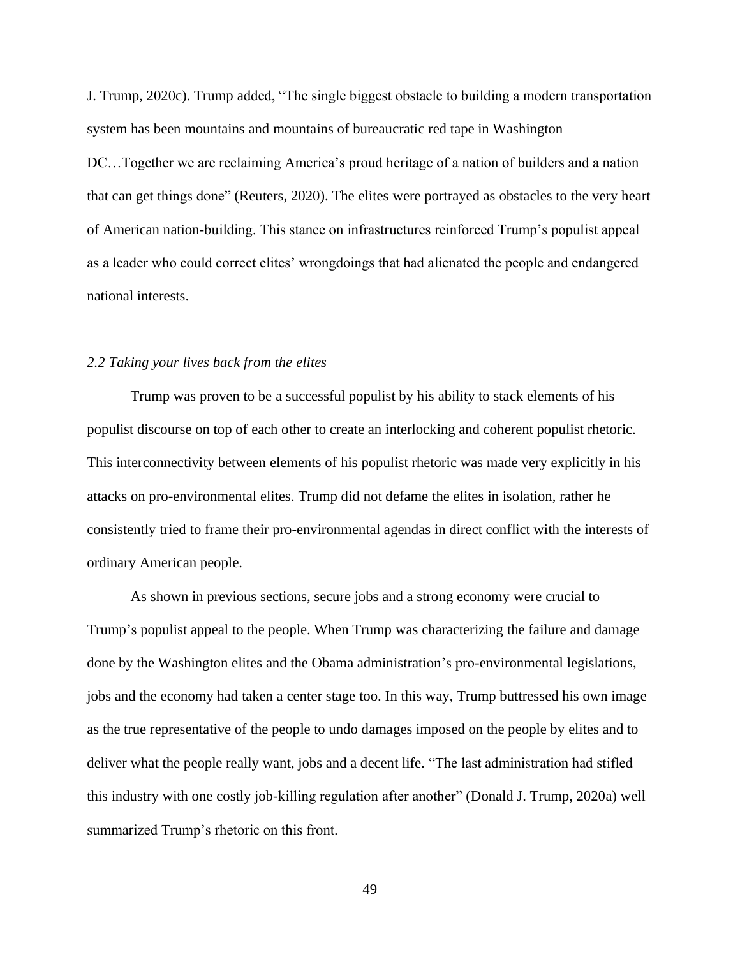J. Trump, 2020c). Trump added, "The single biggest obstacle to building a modern transportation system has been mountains and mountains of bureaucratic red tape in Washington DC…Together we are reclaiming America's proud heritage of a nation of builders and a nation that can get things done" (Reuters, 2020). The elites were portrayed as obstacles to the very heart of American nation-building. This stance on infrastructures reinforced Trump's populist appeal as a leader who could correct elites' wrongdoings that had alienated the people and endangered national interests.

## *2.2 Taking your lives back from the elites*

Trump was proven to be a successful populist by his ability to stack elements of his populist discourse on top of each other to create an interlocking and coherent populist rhetoric. This interconnectivity between elements of his populist rhetoric was made very explicitly in his attacks on pro-environmental elites. Trump did not defame the elites in isolation, rather he consistently tried to frame their pro-environmental agendas in direct conflict with the interests of ordinary American people.

As shown in previous sections, secure jobs and a strong economy were crucial to Trump's populist appeal to the people. When Trump was characterizing the failure and damage done by the Washington elites and the Obama administration's pro-environmental legislations, jobs and the economy had taken a center stage too. In this way, Trump buttressed his own image as the true representative of the people to undo damages imposed on the people by elites and to deliver what the people really want, jobs and a decent life. "The last administration had stifled this industry with one costly job-killing regulation after another" (Donald J. Trump, 2020a) well summarized Trump's rhetoric on this front.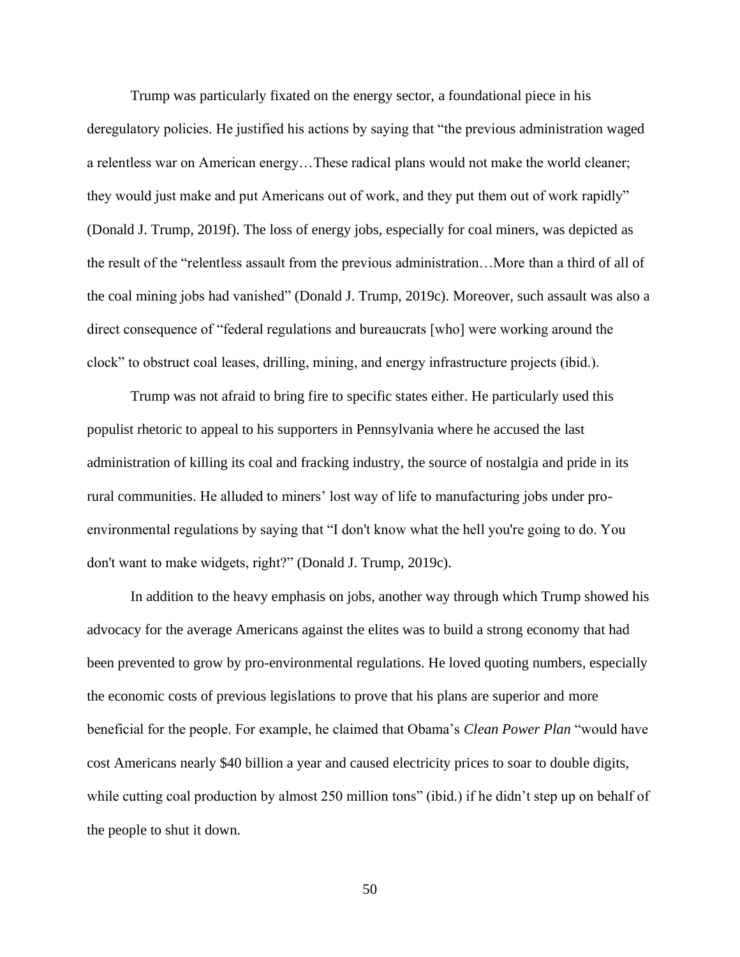Trump was particularly fixated on the energy sector, a foundational piece in his deregulatory policies. He justified his actions by saying that "the previous administration waged a relentless war on American energy…These radical plans would not make the world cleaner; they would just make and put Americans out of work, and they put them out of work rapidly" (Donald J. Trump, 2019f). The loss of energy jobs, especially for coal miners, was depicted as the result of the "relentless assault from the previous administration…More than a third of all of the coal mining jobs had vanished" (Donald J. Trump, 2019c). Moreover, such assault was also a direct consequence of "federal regulations and bureaucrats [who] were working around the clock" to obstruct coal leases, drilling, mining, and energy infrastructure projects (ibid.).

Trump was not afraid to bring fire to specific states either. He particularly used this populist rhetoric to appeal to his supporters in Pennsylvania where he accused the last administration of killing its coal and fracking industry, the source of nostalgia and pride in its rural communities. He alluded to miners' lost way of life to manufacturing jobs under proenvironmental regulations by saying that "I don't know what the hell you're going to do. You don't want to make widgets, right?" (Donald J. Trump, 2019c).

In addition to the heavy emphasis on jobs, another way through which Trump showed his advocacy for the average Americans against the elites was to build a strong economy that had been prevented to grow by pro-environmental regulations. He loved quoting numbers, especially the economic costs of previous legislations to prove that his plans are superior and more beneficial for the people. For example, he claimed that Obama's *Clean Power Plan* "would have cost Americans nearly \$40 billion a year and caused electricity prices to soar to double digits, while cutting coal production by almost 250 million tons" (ibid.) if he didn't step up on behalf of the people to shut it down.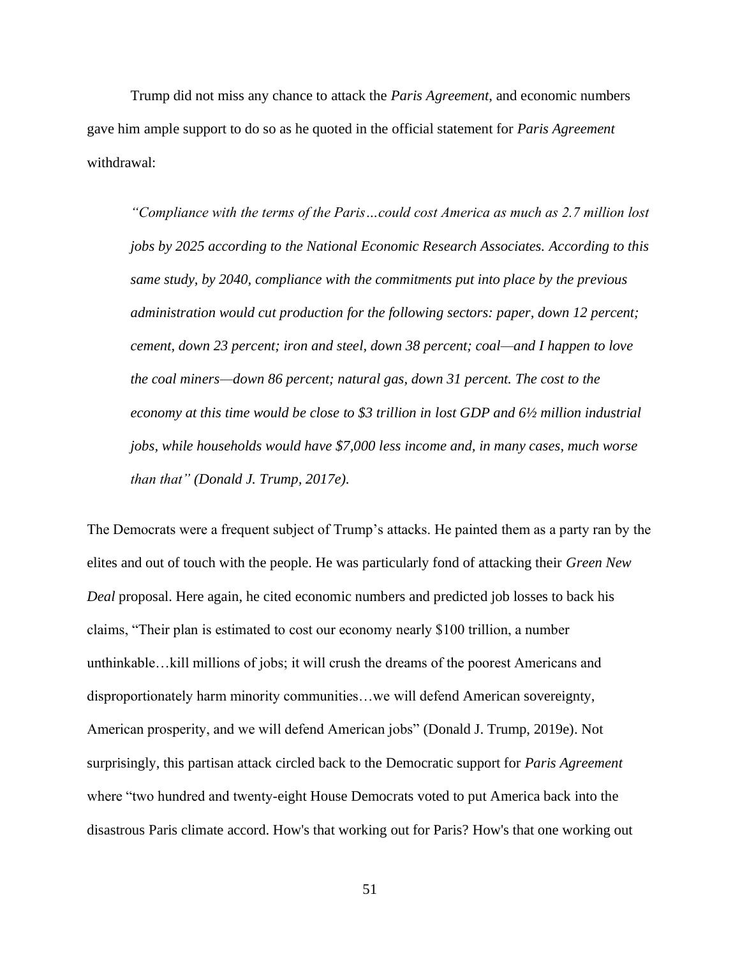Trump did not miss any chance to attack the *Paris Agreement*, and economic numbers gave him ample support to do so as he quoted in the official statement for *Paris Agreement* withdrawal:

*"Compliance with the terms of the Paris…could cost America as much as 2.7 million lost jobs by 2025 according to the National Economic Research Associates. According to this same study, by 2040, compliance with the commitments put into place by the previous administration would cut production for the following sectors: paper, down 12 percent; cement, down 23 percent; iron and steel, down 38 percent; coal—and I happen to love the coal miners—down 86 percent; natural gas, down 31 percent. The cost to the economy at this time would be close to \$3 trillion in lost GDP and 6½ million industrial jobs, while households would have \$7,000 less income and, in many cases, much worse than that" (Donald J. Trump, 2017e).*

The Democrats were a frequent subject of Trump's attacks. He painted them as a party ran by the elites and out of touch with the people. He was particularly fond of attacking their *Green New Deal* proposal. Here again, he cited economic numbers and predicted job losses to back his claims, "Their plan is estimated to cost our economy nearly \$100 trillion, a number unthinkable…kill millions of jobs; it will crush the dreams of the poorest Americans and disproportionately harm minority communities…we will defend American sovereignty, American prosperity, and we will defend American jobs" (Donald J. Trump, 2019e). Not surprisingly, this partisan attack circled back to the Democratic support for *Paris Agreement* where "two hundred and twenty-eight House Democrats voted to put America back into the disastrous Paris climate accord. How's that working out for Paris? How's that one working out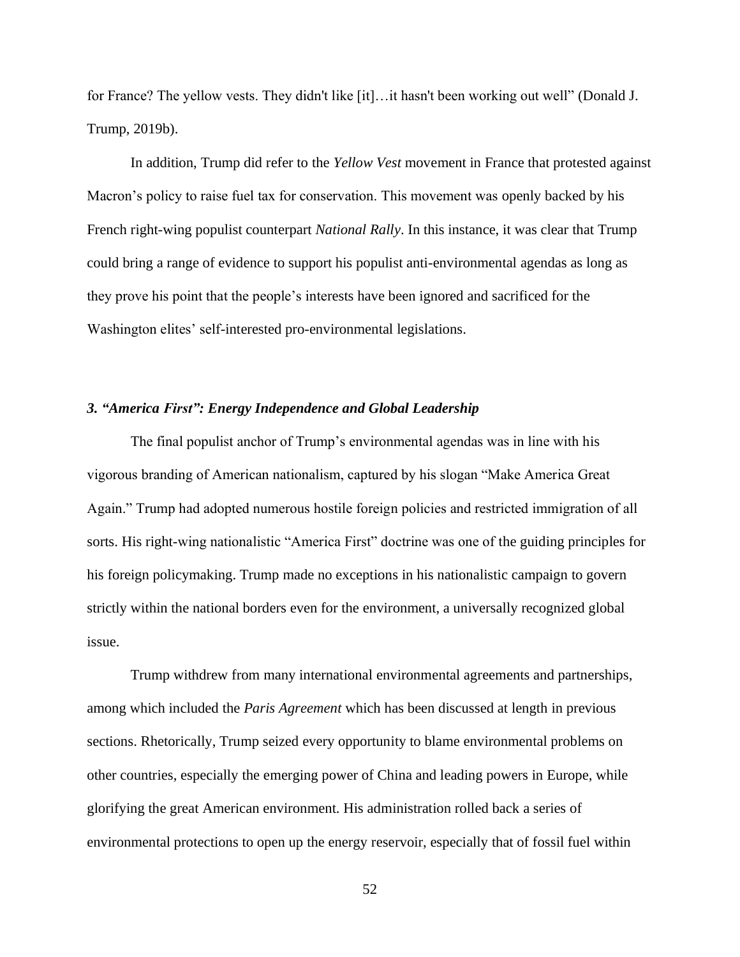for France? The yellow vests. They didn't like [it]…it hasn't been working out well" (Donald J. Trump, 2019b).

In addition, Trump did refer to the *Yellow Vest* movement in France that protested against Macron's policy to raise fuel tax for conservation. This movement was openly backed by his French right-wing populist counterpart *National Rally*. In this instance, it was clear that Trump could bring a range of evidence to support his populist anti-environmental agendas as long as they prove his point that the people's interests have been ignored and sacrificed for the Washington elites' self-interested pro-environmental legislations.

## *3. "America First": Energy Independence and Global Leadership*

The final populist anchor of Trump's environmental agendas was in line with his vigorous branding of American nationalism, captured by his slogan "Make America Great Again." Trump had adopted numerous hostile foreign policies and restricted immigration of all sorts. His right-wing nationalistic "America First" doctrine was one of the guiding principles for his foreign policymaking. Trump made no exceptions in his nationalistic campaign to govern strictly within the national borders even for the environment, a universally recognized global issue.

Trump withdrew from many international environmental agreements and partnerships, among which included the *Paris Agreement* which has been discussed at length in previous sections. Rhetorically, Trump seized every opportunity to blame environmental problems on other countries, especially the emerging power of China and leading powers in Europe, while glorifying the great American environment. His administration rolled back a series of environmental protections to open up the energy reservoir, especially that of fossil fuel within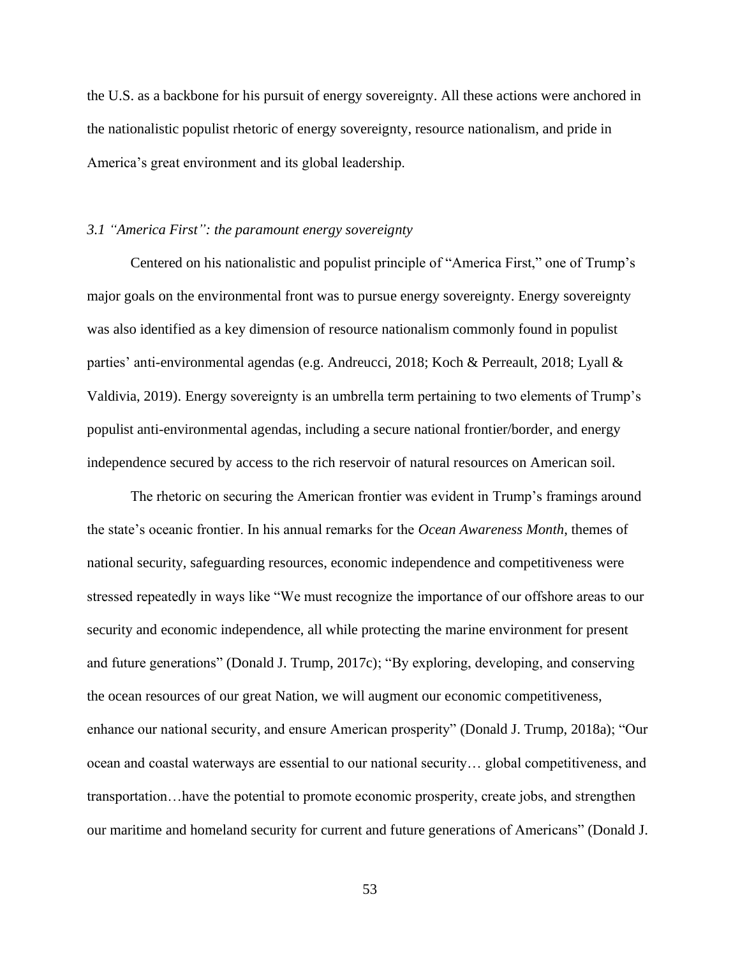the U.S. as a backbone for his pursuit of energy sovereignty. All these actions were anchored in the nationalistic populist rhetoric of energy sovereignty, resource nationalism, and pride in America's great environment and its global leadership.

#### *3.1 "America First": the paramount energy sovereignty*

Centered on his nationalistic and populist principle of "America First," one of Trump's major goals on the environmental front was to pursue energy sovereignty. Energy sovereignty was also identified as a key dimension of resource nationalism commonly found in populist parties' anti-environmental agendas (e.g. Andreucci, 2018; Koch & Perreault, 2018; Lyall & Valdivia, 2019). Energy sovereignty is an umbrella term pertaining to two elements of Trump's populist anti-environmental agendas, including a secure national frontier/border, and energy independence secured by access to the rich reservoir of natural resources on American soil.

The rhetoric on securing the American frontier was evident in Trump's framings around the state's oceanic frontier. In his annual remarks for the *Ocean Awareness Month*, themes of national security, safeguarding resources, economic independence and competitiveness were stressed repeatedly in ways like "We must recognize the importance of our offshore areas to our security and economic independence, all while protecting the marine environment for present and future generations" (Donald J. Trump, 2017c); "By exploring, developing, and conserving the ocean resources of our great Nation, we will augment our economic competitiveness, enhance our national security, and ensure American prosperity" (Donald J. Trump, 2018a); "Our ocean and coastal waterways are essential to our national security… global competitiveness, and transportation…have the potential to promote economic prosperity, create jobs, and strengthen our maritime and homeland security for current and future generations of Americans" (Donald J.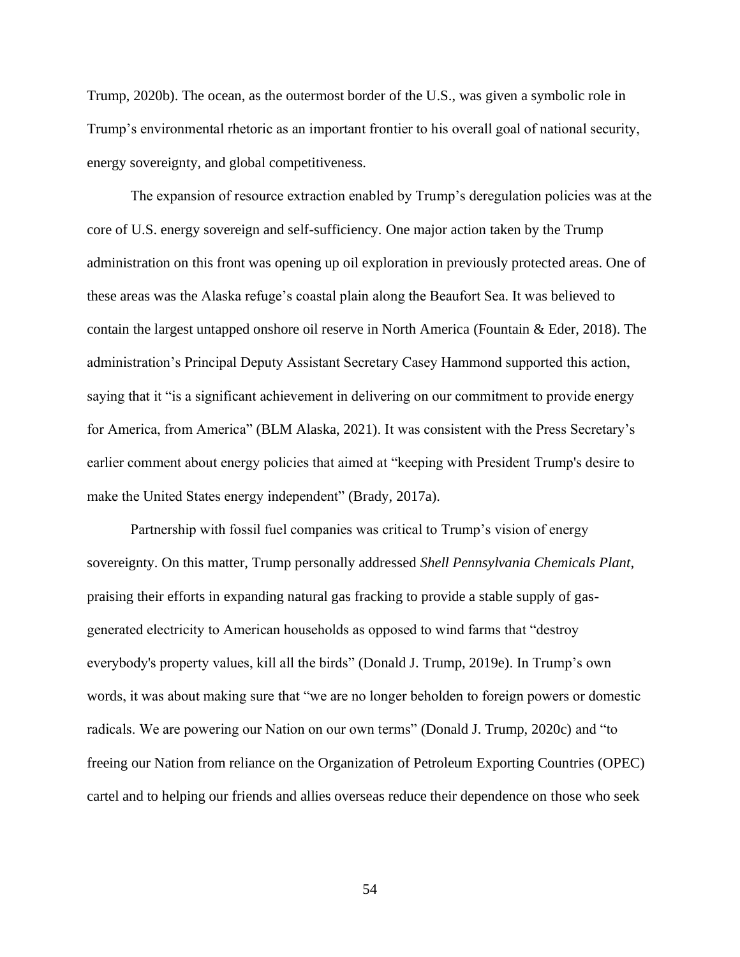Trump, 2020b). The ocean, as the outermost border of the U.S., was given a symbolic role in Trump's environmental rhetoric as an important frontier to his overall goal of national security, energy sovereignty, and global competitiveness.

The expansion of resource extraction enabled by Trump's deregulation policies was at the core of U.S. energy sovereign and self-sufficiency. One major action taken by the Trump administration on this front was opening up oil exploration in previously protected areas. One of these areas was the Alaska refuge's coastal plain along the Beaufort Sea. It was believed to contain the largest untapped onshore oil reserve in North America (Fountain & Eder, 2018). The administration's Principal Deputy Assistant Secretary Casey Hammond supported this action, saying that it "is a significant achievement in delivering on our commitment to provide energy for America, from America" (BLM Alaska, 2021). It was consistent with the Press Secretary's earlier comment about energy policies that aimed at "keeping with President Trump's desire to make the United States energy independent" (Brady, 2017a).

Partnership with fossil fuel companies was critical to Trump's vision of energy sovereignty. On this matter, Trump personally addressed *Shell Pennsylvania Chemicals Plant*, praising their efforts in expanding natural gas fracking to provide a stable supply of gasgenerated electricity to American households as opposed to wind farms that "destroy everybody's property values, kill all the birds" (Donald J. Trump, 2019e). In Trump's own words, it was about making sure that "we are no longer beholden to foreign powers or domestic radicals. We are powering our Nation on our own terms" (Donald J. Trump, 2020c) and "to freeing our Nation from reliance on the Organization of Petroleum Exporting Countries (OPEC) cartel and to helping our friends and allies overseas reduce their dependence on those who seek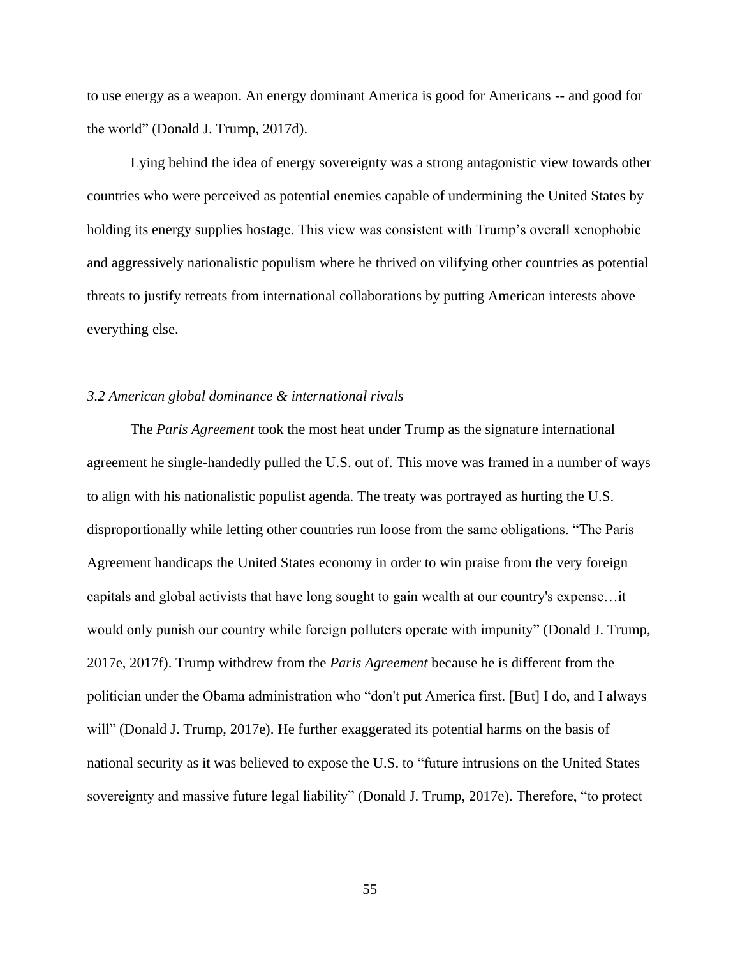to use energy as a weapon. An energy dominant America is good for Americans -- and good for the world" (Donald J. Trump, 2017d).

Lying behind the idea of energy sovereignty was a strong antagonistic view towards other countries who were perceived as potential enemies capable of undermining the United States by holding its energy supplies hostage. This view was consistent with Trump's overall xenophobic and aggressively nationalistic populism where he thrived on vilifying other countries as potential threats to justify retreats from international collaborations by putting American interests above everything else.

## *3.2 American global dominance & international rivals*

The *Paris Agreement* took the most heat under Trump as the signature international agreement he single-handedly pulled the U.S. out of. This move was framed in a number of ways to align with his nationalistic populist agenda. The treaty was portrayed as hurting the U.S. disproportionally while letting other countries run loose from the same obligations. "The Paris Agreement handicaps the United States economy in order to win praise from the very foreign capitals and global activists that have long sought to gain wealth at our country's expense…it would only punish our country while foreign polluters operate with impunity" (Donald J. Trump, 2017e, 2017f). Trump withdrew from the *Paris Agreement* because he is different from the politician under the Obama administration who "don't put America first. [But] I do, and I always will" (Donald J. Trump, 2017e). He further exaggerated its potential harms on the basis of national security as it was believed to expose the U.S. to "future intrusions on the United States sovereignty and massive future legal liability" (Donald J. Trump, 2017e). Therefore, "to protect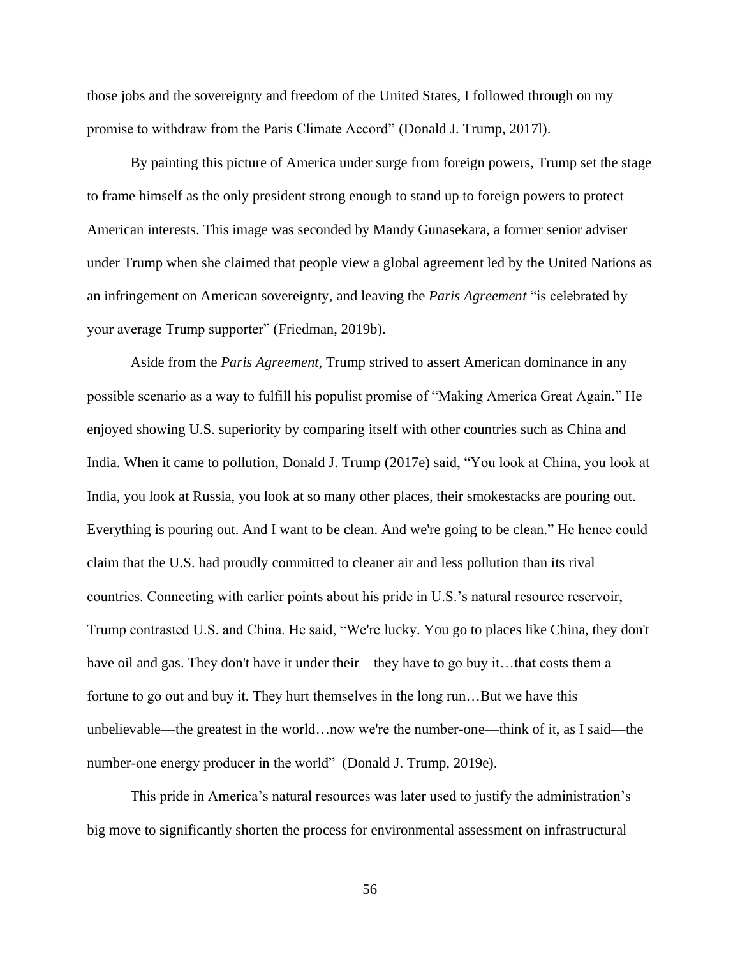those jobs and the sovereignty and freedom of the United States, I followed through on my promise to withdraw from the Paris Climate Accord" (Donald J. Trump, 2017l).

By painting this picture of America under surge from foreign powers, Trump set the stage to frame himself as the only president strong enough to stand up to foreign powers to protect American interests. This image was seconded by Mandy Gunasekara, a former senior adviser under Trump when she claimed that people view a global agreement led by the United Nations as an infringement on American sovereignty, and leaving the *Paris Agreement* "is celebrated by your average Trump supporter" (Friedman, 2019b).

Aside from the *Paris Agreement*, Trump strived to assert American dominance in any possible scenario as a way to fulfill his populist promise of "Making America Great Again." He enjoyed showing U.S. superiority by comparing itself with other countries such as China and India. When it came to pollution, Donald J. Trump (2017e) said, "You look at China, you look at India, you look at Russia, you look at so many other places, their smokestacks are pouring out. Everything is pouring out. And I want to be clean. And we're going to be clean." He hence could claim that the U.S. had proudly committed to cleaner air and less pollution than its rival countries. Connecting with earlier points about his pride in U.S.'s natural resource reservoir, Trump contrasted U.S. and China. He said, "We're lucky. You go to places like China, they don't have oil and gas. They don't have it under their—they have to go buy it…that costs them a fortune to go out and buy it. They hurt themselves in the long run…But we have this unbelievable—the greatest in the world…now we're the number-one—think of it, as I said—the number-one energy producer in the world" (Donald J. Trump, 2019e).

This pride in America's natural resources was later used to justify the administration's big move to significantly shorten the process for environmental assessment on infrastructural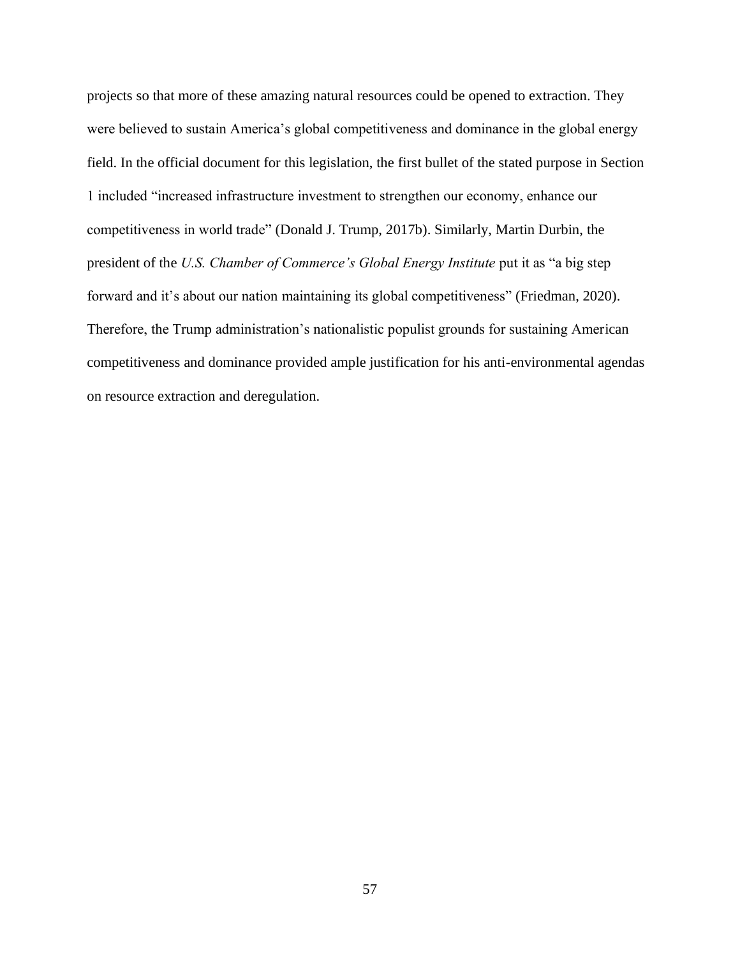projects so that more of these amazing natural resources could be opened to extraction. They were believed to sustain America's global competitiveness and dominance in the global energy field. In the official document for this legislation, the first bullet of the stated purpose in Section 1 included "increased infrastructure investment to strengthen our economy, enhance our competitiveness in world trade" (Donald J. Trump, 2017b). Similarly, Martin Durbin, the president of the *U.S. Chamber of Commerce's Global Energy Institute* put it as "a big step forward and it's about our nation maintaining its global competitiveness" (Friedman, 2020). Therefore, the Trump administration's nationalistic populist grounds for sustaining American competitiveness and dominance provided ample justification for his anti-environmental agendas on resource extraction and deregulation.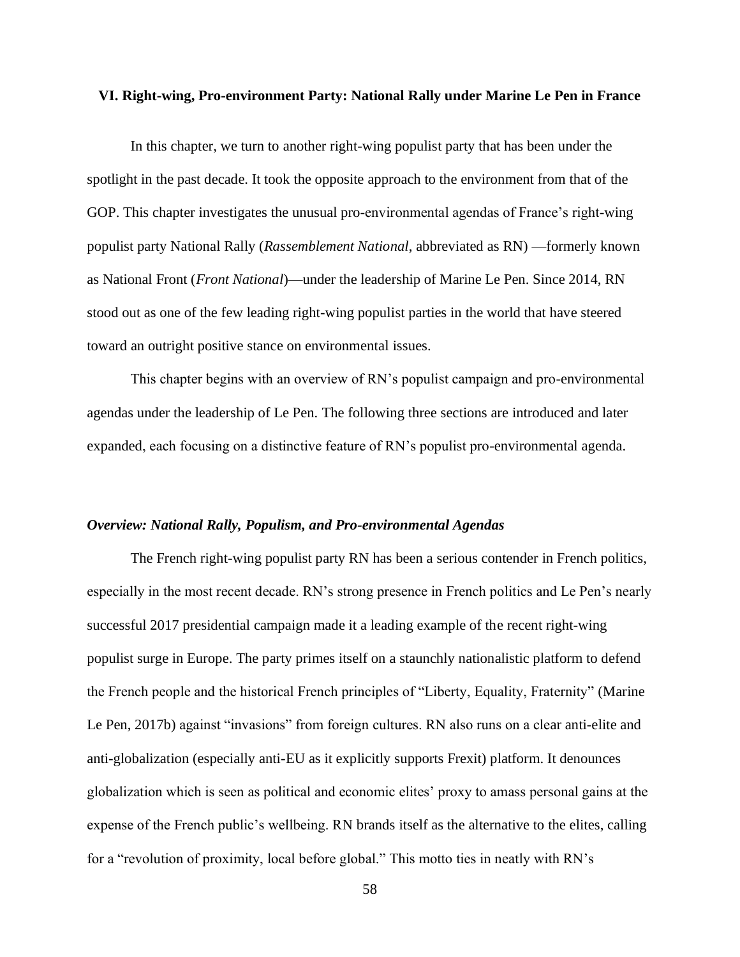## **VI. Right-wing, Pro-environment Party: National Rally under Marine Le Pen in France**

In this chapter, we turn to another right-wing populist party that has been under the spotlight in the past decade. It took the opposite approach to the environment from that of the GOP. This chapter investigates the unusual pro-environmental agendas of France's right-wing populist party National Rally (*Rassemblement National*, abbreviated as RN) —formerly known as National Front (*Front National*)—under the leadership of Marine Le Pen. Since 2014, RN stood out as one of the few leading right-wing populist parties in the world that have steered toward an outright positive stance on environmental issues.

This chapter begins with an overview of RN's populist campaign and pro-environmental agendas under the leadership of Le Pen. The following three sections are introduced and later expanded, each focusing on a distinctive feature of RN's populist pro-environmental agenda.

## *Overview: National Rally, Populism, and Pro-environmental Agendas*

The French right-wing populist party RN has been a serious contender in French politics, especially in the most recent decade. RN's strong presence in French politics and Le Pen's nearly successful 2017 presidential campaign made it a leading example of the recent right-wing populist surge in Europe. The party primes itself on a staunchly nationalistic platform to defend the French people and the historical French principles of "Liberty, Equality, Fraternity" (Marine Le Pen, 2017b) against "invasions" from foreign cultures. RN also runs on a clear anti-elite and anti-globalization (especially anti-EU as it explicitly supports Frexit) platform. It denounces globalization which is seen as political and economic elites' proxy to amass personal gains at the expense of the French public's wellbeing. RN brands itself as the alternative to the elites, calling for a "revolution of proximity, local before global." This motto ties in neatly with RN's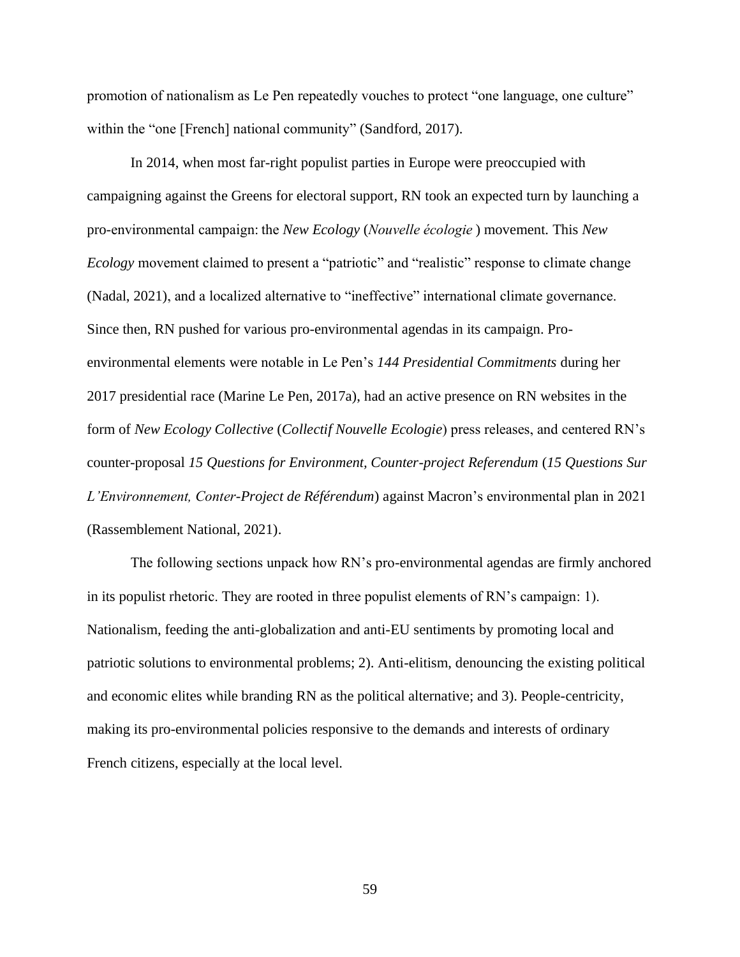promotion of nationalism as Le Pen repeatedly vouches to protect "one language, one culture" within the "one [French] national community" (Sandford, 2017).

In 2014, when most far-right populist parties in Europe were preoccupied with campaigning against the Greens for electoral support, RN took an expected turn by launching a pro-environmental campaign: the *New Ecology* (*Nouvelle écologie*) movement. This *New Ecology* movement claimed to present a "patriotic" and "realistic" response to climate change (Nadal, 2021), and a localized alternative to "ineffective" international climate governance. Since then, RN pushed for various pro-environmental agendas in its campaign. Proenvironmental elements were notable in Le Pen's *144 Presidential Commitments* during her 2017 presidential race (Marine Le Pen, 2017a), had an active presence on RN websites in the form of *New Ecology Collective* (*Collectif Nouvelle Ecologie*) press releases, and centered RN's counter-proposal *15 Questions for Environment, Counter-project Referendum* (*15 Questions Sur L'Environnement, Conter-Project de Référendum*) against Macron's environmental plan in 2021 (Rassemblement National, 2021).

The following sections unpack how RN's pro-environmental agendas are firmly anchored in its populist rhetoric. They are rooted in three populist elements of RN's campaign: 1). Nationalism, feeding the anti-globalization and anti-EU sentiments by promoting local and patriotic solutions to environmental problems; 2). Anti-elitism, denouncing the existing political and economic elites while branding RN as the political alternative; and 3). People-centricity, making its pro-environmental policies responsive to the demands and interests of ordinary French citizens, especially at the local level.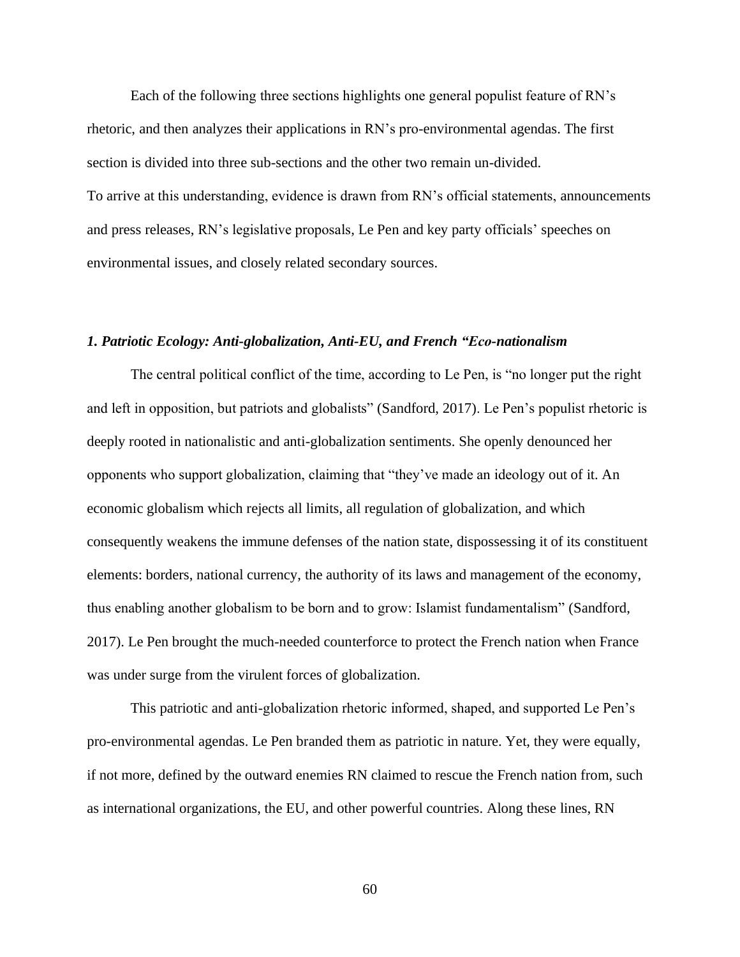Each of the following three sections highlights one general populist feature of RN's rhetoric, and then analyzes their applications in RN's pro-environmental agendas. The first section is divided into three sub-sections and the other two remain un-divided. To arrive at this understanding, evidence is drawn from RN's official statements, announcements and press releases, RN's legislative proposals, Le Pen and key party officials' speeches on environmental issues, and closely related secondary sources.

## *1. Patriotic Ecology: Anti-globalization, Anti-EU, and French "Eco-nationalism*

The central political conflict of the time, according to Le Pen, is "no longer put the right and left in opposition, but patriots and globalists" (Sandford, 2017). Le Pen's populist rhetoric is deeply rooted in nationalistic and anti-globalization sentiments. She openly denounced her opponents who support globalization, claiming that "they've made an ideology out of it. An economic globalism which rejects all limits, all regulation of globalization, and which consequently weakens the immune defenses of the nation state, dispossessing it of its constituent elements: borders, national currency, the authority of its laws and management of the economy, thus enabling another globalism to be born and to grow: Islamist fundamentalism" (Sandford, 2017). Le Pen brought the much-needed counterforce to protect the French nation when France was under surge from the virulent forces of globalization.

This patriotic and anti-globalization rhetoric informed, shaped, and supported Le Pen's pro-environmental agendas. Le Pen branded them as patriotic in nature. Yet, they were equally, if not more, defined by the outward enemies RN claimed to rescue the French nation from, such as international organizations, the EU, and other powerful countries. Along these lines, RN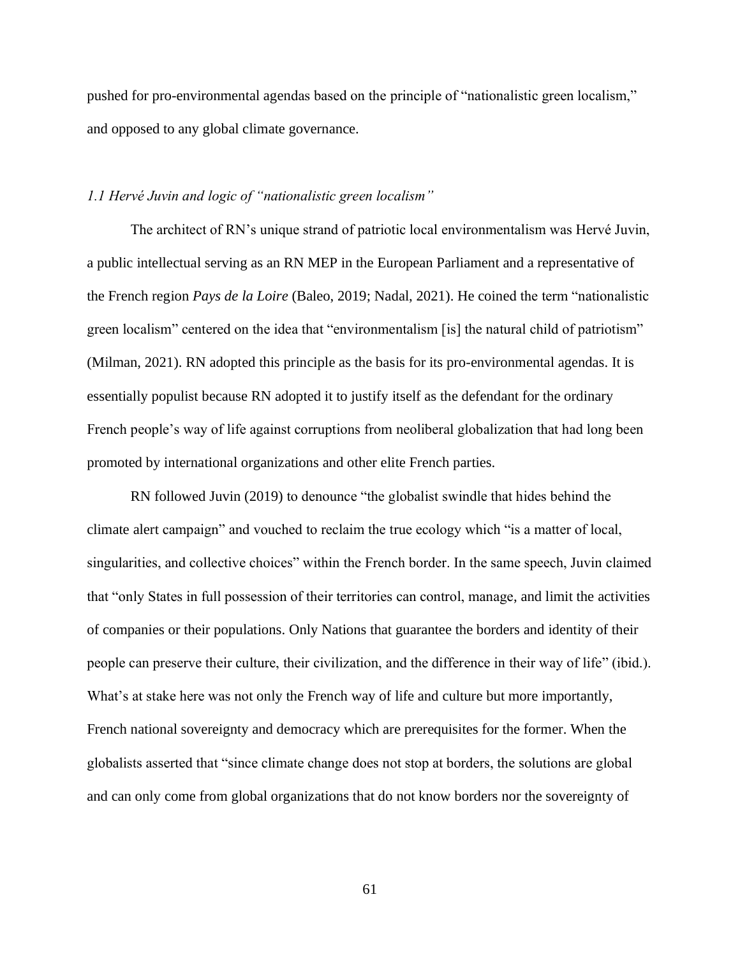pushed for pro-environmental agendas based on the principle of "nationalistic green localism," and opposed to any global climate governance.

## *1.1 Hervé Juvin and logic of "nationalistic green localism"*

The architect of RN's unique strand of patriotic local environmentalism was Hervé Juvin, a public intellectual serving as an RN MEP in the European Parliament and a representative of the French region *Pays de la Loire* (Baleo, 2019; Nadal, 2021). He coined the term "nationalistic green localism" centered on the idea that "environmentalism [is] the natural child of patriotism" (Milman, 2021). RN adopted this principle as the basis for its pro-environmental agendas. It is essentially populist because RN adopted it to justify itself as the defendant for the ordinary French people's way of life against corruptions from neoliberal globalization that had long been promoted by international organizations and other elite French parties.

RN followed Juvin (2019) to denounce "the globalist swindle that hides behind the climate alert campaign" and vouched to reclaim the true ecology which "is a matter of local, singularities, and collective choices" within the French border. In the same speech, Juvin claimed that "only States in full possession of their territories can control, manage, and limit the activities of companies or their populations. Only Nations that guarantee the borders and identity of their people can preserve their culture, their civilization, and the difference in their way of life" (ibid.). What's at stake here was not only the French way of life and culture but more importantly, French national sovereignty and democracy which are prerequisites for the former. When the globalists asserted that "since climate change does not stop at borders, the solutions are global and can only come from global organizations that do not know borders nor the sovereignty of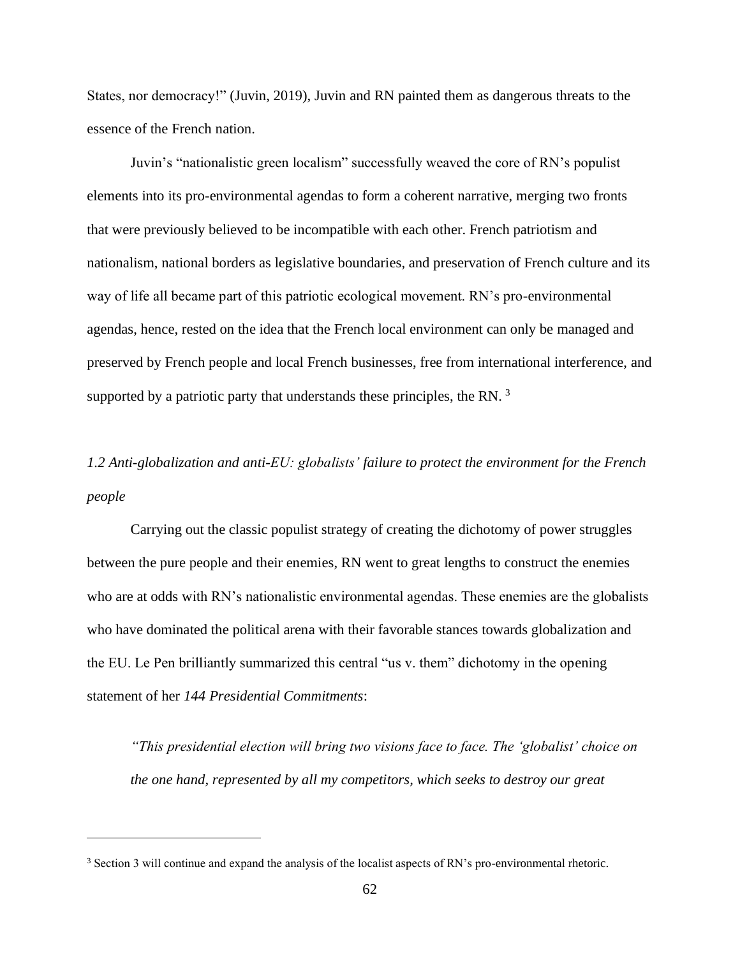States, nor democracy!" (Juvin, 2019), Juvin and RN painted them as dangerous threats to the essence of the French nation.

Juvin's "nationalistic green localism" successfully weaved the core of RN's populist elements into its pro-environmental agendas to form a coherent narrative, merging two fronts that were previously believed to be incompatible with each other. French patriotism and nationalism, national borders as legislative boundaries, and preservation of French culture and its way of life all became part of this patriotic ecological movement. RN's pro-environmental agendas, hence, rested on the idea that the French local environment can only be managed and preserved by French people and local French businesses, free from international interference, and supported by a patriotic party that understands these principles, the RN.  $3$ 

*1.2 Anti-globalization and anti-EU: globalists' failure to protect the environment for the French people*

Carrying out the classic populist strategy of creating the dichotomy of power struggles between the pure people and their enemies, RN went to great lengths to construct the enemies who are at odds with RN's nationalistic environmental agendas. These enemies are the globalists who have dominated the political arena with their favorable stances towards globalization and the EU. Le Pen brilliantly summarized this central "us v. them" dichotomy in the opening statement of her *144 Presidential Commitments*:

*"This presidential election will bring two visions face to face. The 'globalist' choice on the one hand, represented by all my competitors, which seeks to destroy our great* 

<sup>3</sup> Section 3 will continue and expand the analysis of the localist aspects of RN's pro-environmental rhetoric.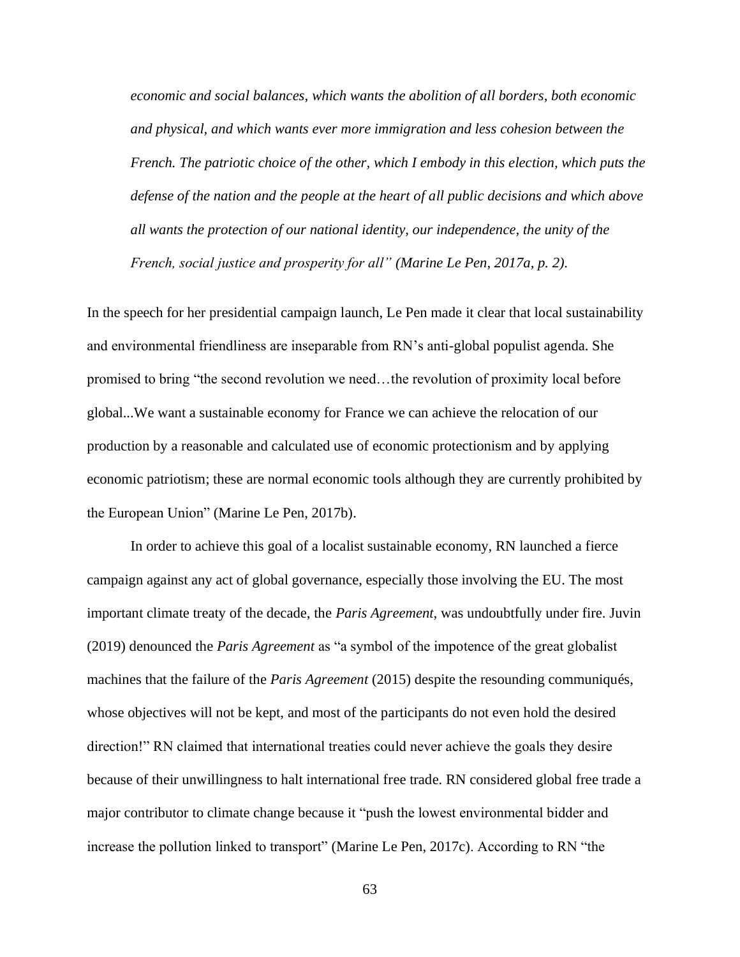*economic and social balances, which wants the abolition of all borders, both economic and physical, and which wants ever more immigration and less cohesion between the French. The patriotic choice of the other, which I embody in this election, which puts the defense of the nation and the people at the heart of all public decisions and which above all wants the protection of our national identity, our independence, the unity of the French, social justice and prosperity for all" (Marine Le Pen, 2017a, p. 2).*

In the speech for her presidential campaign launch, Le Pen made it clear that local sustainability and environmental friendliness are inseparable from RN's anti-global populist agenda. She promised to bring "the second revolution we need…the revolution of proximity local before global...We want a sustainable economy for France we can achieve the relocation of our production by a reasonable and calculated use of economic protectionism and by applying economic patriotism; these are normal economic tools although they are currently prohibited by the European Union" (Marine Le Pen, 2017b).

In order to achieve this goal of a localist sustainable economy, RN launched a fierce campaign against any act of global governance, especially those involving the EU. The most important climate treaty of the decade, the *Paris Agreement*, was undoubtfully under fire. Juvin (2019) denounced the *Paris Agreement* as "a symbol of the impotence of the great globalist machines that the failure of the *Paris Agreement* (2015) despite the resounding communiqués, whose objectives will not be kept, and most of the participants do not even hold the desired direction!" RN claimed that international treaties could never achieve the goals they desire because of their unwillingness to halt international free trade. RN considered global free trade a major contributor to climate change because it "push the lowest environmental bidder and increase the pollution linked to transport" (Marine Le Pen, 2017c). According to RN "the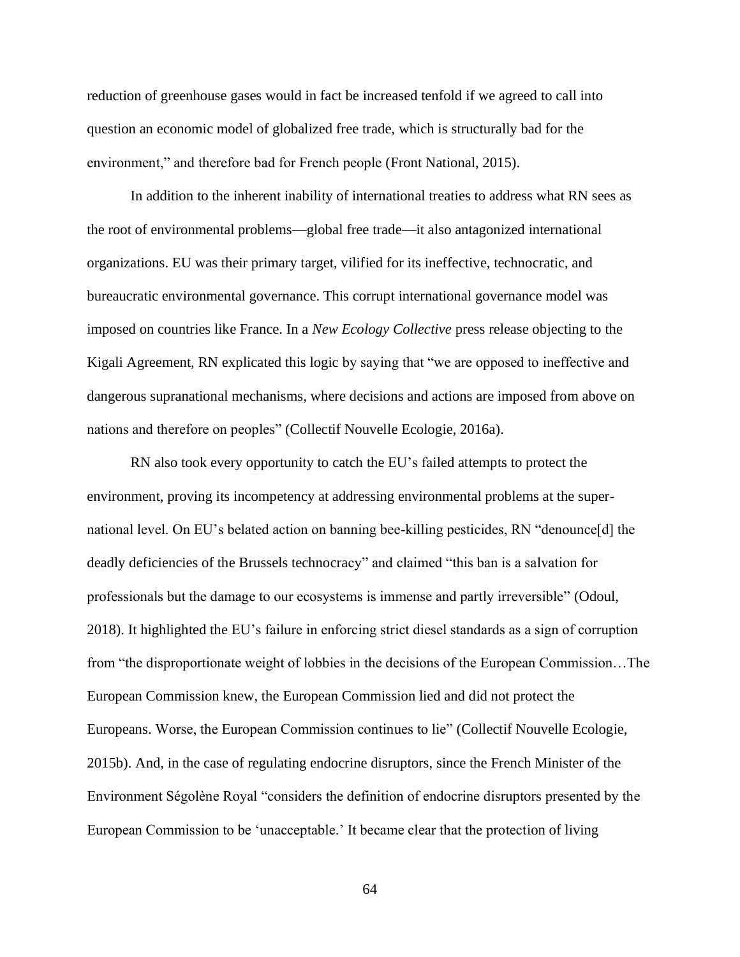reduction of greenhouse gases would in fact be increased tenfold if we agreed to call into question an economic model of globalized free trade, which is structurally bad for the environment," and therefore bad for French people (Front National, 2015).

In addition to the inherent inability of international treaties to address what RN sees as the root of environmental problems—global free trade—it also antagonized international organizations. EU was their primary target, vilified for its ineffective, technocratic, and bureaucratic environmental governance. This corrupt international governance model was imposed on countries like France. In a *New Ecology Collective* press release objecting to the Kigali Agreement, RN explicated this logic by saying that "we are opposed to ineffective and dangerous supranational mechanisms, where decisions and actions are imposed from above on nations and therefore on peoples" (Collectif Nouvelle Ecologie, 2016a).

RN also took every opportunity to catch the EU's failed attempts to protect the environment, proving its incompetency at addressing environmental problems at the supernational level. On EU's belated action on banning bee-killing pesticides, RN "denounce[d] the deadly deficiencies of the Brussels technocracy" and claimed "this ban is a salvation for professionals but the damage to our ecosystems is immense and partly irreversible" (Odoul, 2018). It highlighted the EU's failure in enforcing strict diesel standards as a sign of corruption from "the disproportionate weight of lobbies in the decisions of the European Commission…The European Commission knew, the European Commission lied and did not protect the Europeans. Worse, the European Commission continues to lie" (Collectif Nouvelle Ecologie, 2015b). And, in the case of regulating endocrine disruptors, since the French Minister of the Environment Ségolène Royal "considers the definition of endocrine disruptors presented by the European Commission to be 'unacceptable.' It became clear that the protection of living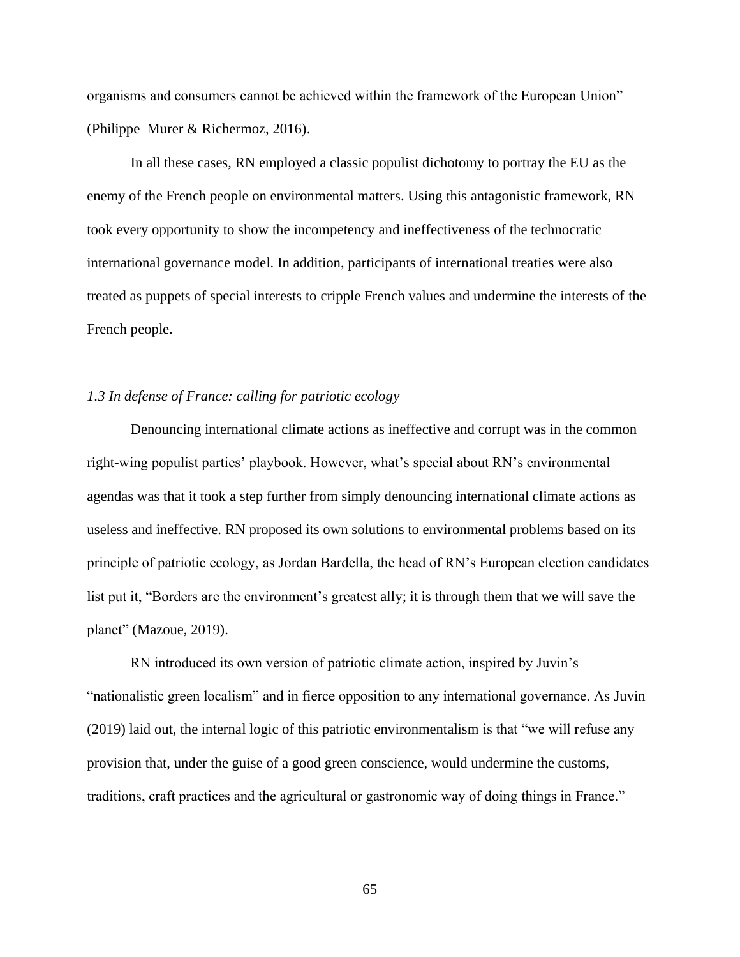organisms and consumers cannot be achieved within the framework of the European Union" (Philippe Murer & Richermoz, 2016).

In all these cases, RN employed a classic populist dichotomy to portray the EU as the enemy of the French people on environmental matters. Using this antagonistic framework, RN took every opportunity to show the incompetency and ineffectiveness of the technocratic international governance model. In addition, participants of international treaties were also treated as puppets of special interests to cripple French values and undermine the interests of the French people.

# *1.3 In defense of France: calling for patriotic ecology*

Denouncing international climate actions as ineffective and corrupt was in the common right-wing populist parties' playbook. However, what's special about RN's environmental agendas was that it took a step further from simply denouncing international climate actions as useless and ineffective. RN proposed its own solutions to environmental problems based on its principle of patriotic ecology, as Jordan Bardella, the head of RN's European election candidates list put it, "Borders are the environment's greatest ally; it is through them that we will save the planet" (Mazoue, 2019).

RN introduced its own version of patriotic climate action, inspired by Juvin's "nationalistic green localism" and in fierce opposition to any international governance. As Juvin (2019) laid out, the internal logic of this patriotic environmentalism is that "we will refuse any provision that, under the guise of a good green conscience, would undermine the customs, traditions, craft practices and the agricultural or gastronomic way of doing things in France."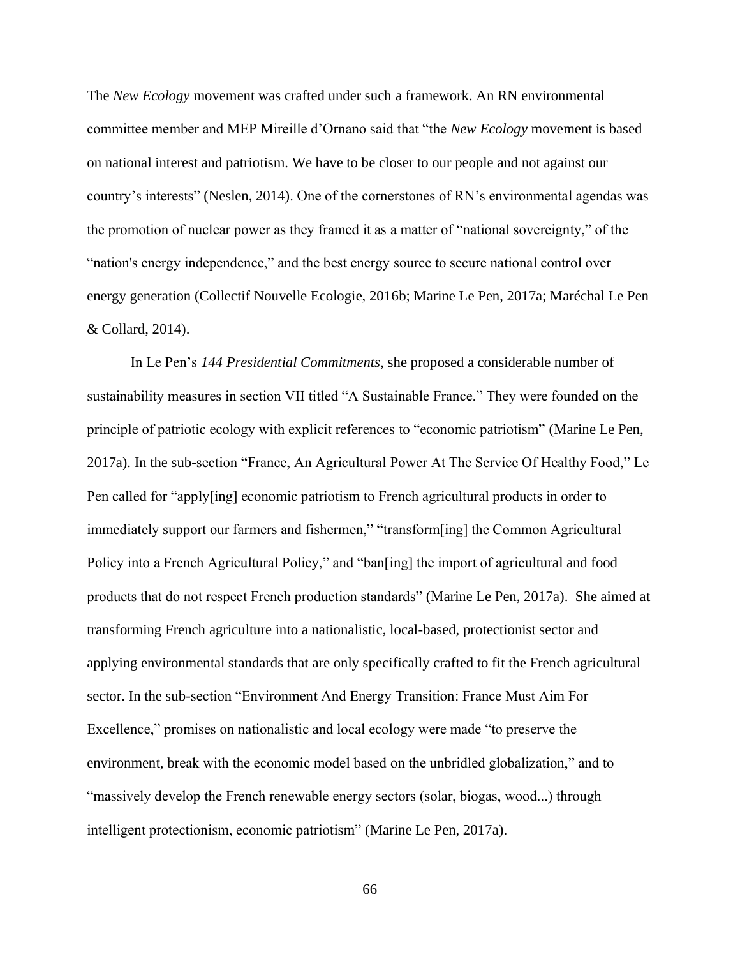The *New Ecology* movement was crafted under such a framework. An RN environmental committee member and MEP Mireille d'Ornano said that "the *New Ecology* movement is based on national interest and patriotism. We have to be closer to our people and not against our country's interests" (Neslen, 2014). One of the cornerstones of RN's environmental agendas was the promotion of nuclear power as they framed it as a matter of "national sovereignty," of the "nation's energy independence," and the best energy source to secure national control over energy generation (Collectif Nouvelle Ecologie, 2016b; Marine Le Pen, 2017a; Maréchal Le Pen & Collard, 2014).

In Le Pen's *144 Presidential Commitments*, she proposed a considerable number of sustainability measures in section VII titled "A Sustainable France." They were founded on the principle of patriotic ecology with explicit references to "economic patriotism" (Marine Le Pen, 2017a). In the sub-section "France, An Agricultural Power At The Service Of Healthy Food," Le Pen called for "apply[ing] economic patriotism to French agricultural products in order to immediately support our farmers and fishermen," "transform[ing] the Common Agricultural Policy into a French Agricultural Policy," and "ban[ing] the import of agricultural and food products that do not respect French production standards" (Marine Le Pen, 2017a). She aimed at transforming French agriculture into a nationalistic, local-based, protectionist sector and applying environmental standards that are only specifically crafted to fit the French agricultural sector. In the sub-section "Environment And Energy Transition: France Must Aim For Excellence," promises on nationalistic and local ecology were made "to preserve the environment, break with the economic model based on the unbridled globalization," and to "massively develop the French renewable energy sectors (solar, biogas, wood...) through intelligent protectionism, economic patriotism" (Marine Le Pen, 2017a).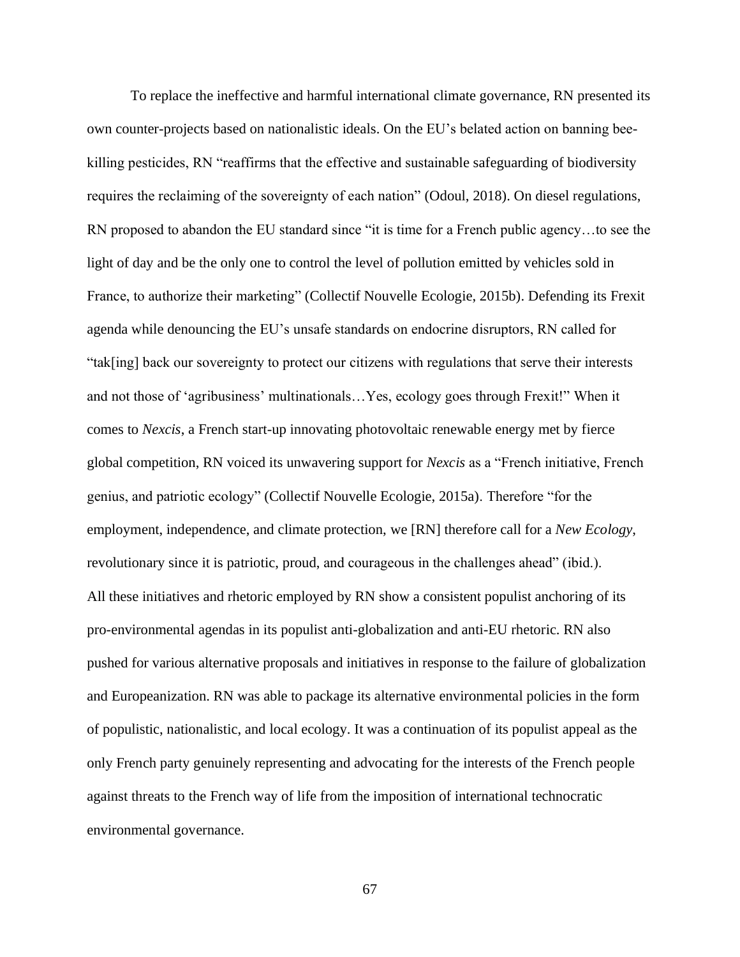To replace the ineffective and harmful international climate governance, RN presented its own counter-projects based on nationalistic ideals. On the EU's belated action on banning beekilling pesticides, RN "reaffirms that the effective and sustainable safeguarding of biodiversity requires the reclaiming of the sovereignty of each nation" (Odoul, 2018). On diesel regulations, RN proposed to abandon the EU standard since "it is time for a French public agency…to see the light of day and be the only one to control the level of pollution emitted by vehicles sold in France, to authorize their marketing" (Collectif Nouvelle Ecologie, 2015b). Defending its Frexit agenda while denouncing the EU's unsafe standards on endocrine disruptors, RN called for "tak[ing] back our sovereignty to protect our citizens with regulations that serve their interests and not those of 'agribusiness' multinationals…Yes, ecology goes through Frexit!" When it comes to *Nexcis*, a French start-up innovating photovoltaic renewable energy met by fierce global competition, RN voiced its unwavering support for *Nexcis* as a "French initiative, French genius, and patriotic ecology" (Collectif Nouvelle Ecologie, 2015a). Therefore "for the employment, independence, and climate protection, we [RN] therefore call for a *New Ecology*, revolutionary since it is patriotic, proud, and courageous in the challenges ahead" (ibid.). All these initiatives and rhetoric employed by RN show a consistent populist anchoring of its pro-environmental agendas in its populist anti-globalization and anti-EU rhetoric. RN also pushed for various alternative proposals and initiatives in response to the failure of globalization and Europeanization. RN was able to package its alternative environmental policies in the form of populistic, nationalistic, and local ecology. It was a continuation of its populist appeal as the only French party genuinely representing and advocating for the interests of the French people against threats to the French way of life from the imposition of international technocratic environmental governance.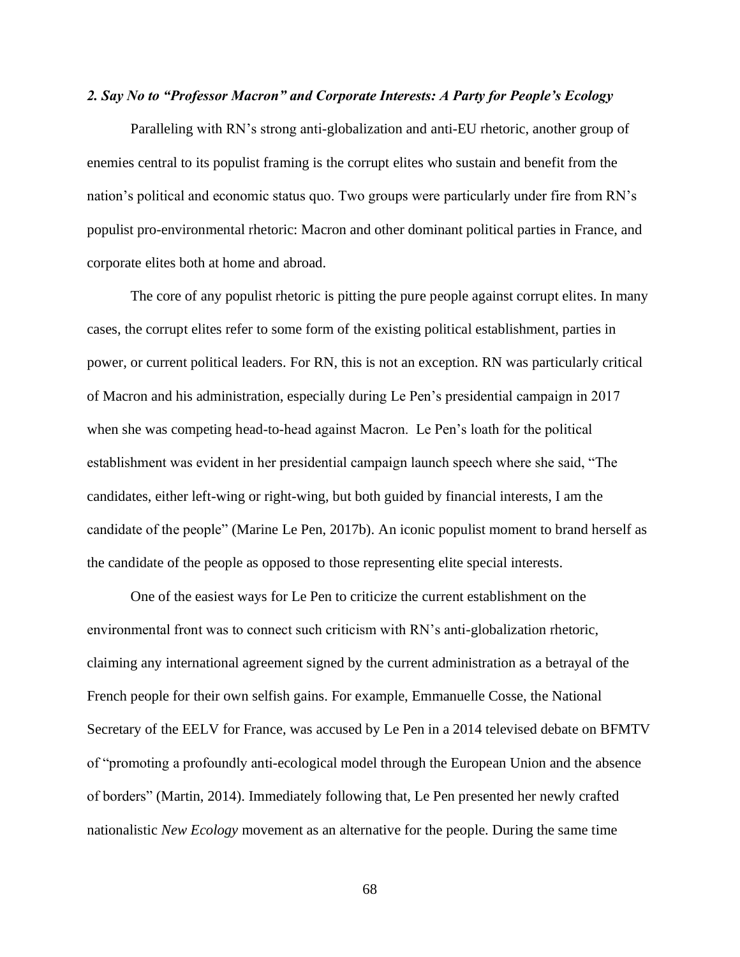## *2. Say No to "Professor Macron" and Corporate Interests: A Party for People's Ecology*

Paralleling with RN's strong anti-globalization and anti-EU rhetoric, another group of enemies central to its populist framing is the corrupt elites who sustain and benefit from the nation's political and economic status quo. Two groups were particularly under fire from RN's populist pro-environmental rhetoric: Macron and other dominant political parties in France, and corporate elites both at home and abroad.

The core of any populist rhetoric is pitting the pure people against corrupt elites. In many cases, the corrupt elites refer to some form of the existing political establishment, parties in power, or current political leaders. For RN, this is not an exception. RN was particularly critical of Macron and his administration, especially during Le Pen's presidential campaign in 2017 when she was competing head-to-head against Macron. Le Pen's loath for the political establishment was evident in her presidential campaign launch speech where she said, "The candidates, either left-wing or right-wing, but both guided by financial interests, I am the candidate of the people" (Marine Le Pen, 2017b). An iconic populist moment to brand herself as the candidate of the people as opposed to those representing elite special interests.

One of the easiest ways for Le Pen to criticize the current establishment on the environmental front was to connect such criticism with RN's anti-globalization rhetoric, claiming any international agreement signed by the current administration as a betrayal of the French people for their own selfish gains. For example, Emmanuelle Cosse, the National Secretary of the EELV for France, was accused by Le Pen in a 2014 televised debate on BFMTV of "promoting a profoundly anti-ecological model through the European Union and the absence of borders" (Martin, 2014). Immediately following that, Le Pen presented her newly crafted nationalistic *New Ecology* movement as an alternative for the people. During the same time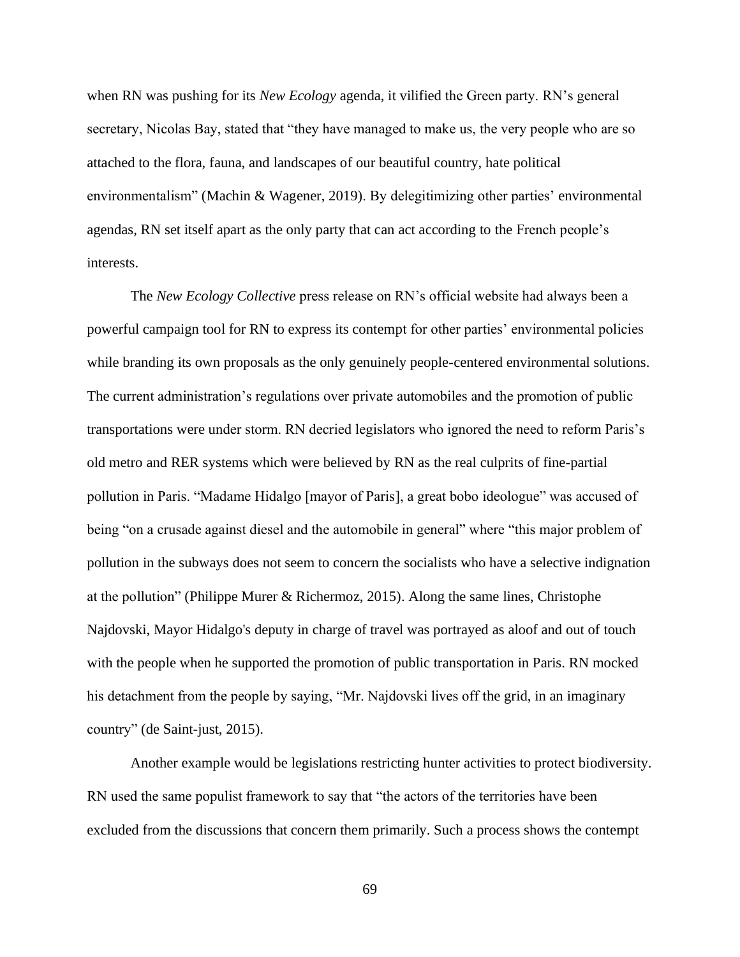when RN was pushing for its *New Ecology* agenda, it vilified the Green party. RN's general secretary, Nicolas Bay, stated that "they have managed to make us, the very people who are so attached to the flora, fauna, and landscapes of our beautiful country, hate political environmentalism" (Machin & Wagener, 2019). By delegitimizing other parties' environmental agendas, RN set itself apart as the only party that can act according to the French people's interests.

The *New Ecology Collective* press release on RN's official website had always been a powerful campaign tool for RN to express its contempt for other parties' environmental policies while branding its own proposals as the only genuinely people-centered environmental solutions. The current administration's regulations over private automobiles and the promotion of public transportations were under storm. RN decried legislators who ignored the need to reform Paris's old metro and RER systems which were believed by RN as the real culprits of fine-partial pollution in Paris. "Madame Hidalgo [mayor of Paris], a great bobo ideologue" was accused of being "on a crusade against diesel and the automobile in general" where "this major problem of pollution in the subways does not seem to concern the socialists who have a selective indignation at the pollution" (Philippe Murer & Richermoz, 2015). Along the same lines, Christophe Najdovski, Mayor Hidalgo's deputy in charge of travel was portrayed as aloof and out of touch with the people when he supported the promotion of public transportation in Paris. RN mocked his detachment from the people by saying, "Mr. Najdovski lives off the grid, in an imaginary country" (de Saint-just, 2015).

Another example would be legislations restricting hunter activities to protect biodiversity. RN used the same populist framework to say that "the actors of the territories have been excluded from the discussions that concern them primarily. Such a process shows the contempt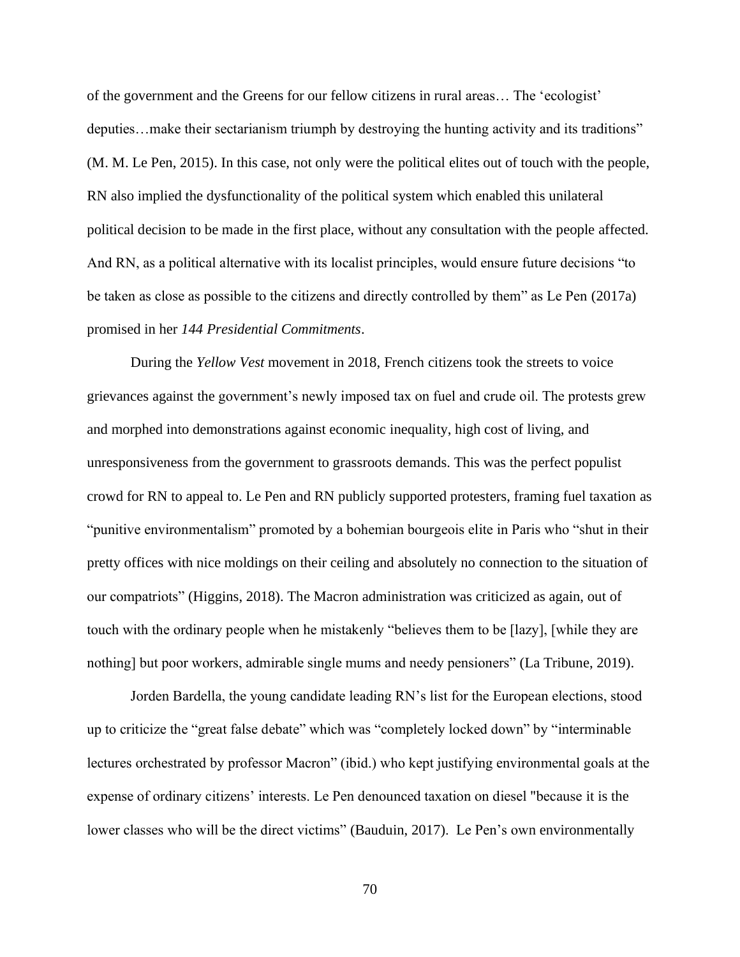of the government and the Greens for our fellow citizens in rural areas… The 'ecologist' deputies…make their sectarianism triumph by destroying the hunting activity and its traditions" (M. M. Le Pen, 2015). In this case, not only were the political elites out of touch with the people, RN also implied the dysfunctionality of the political system which enabled this unilateral political decision to be made in the first place, without any consultation with the people affected. And RN, as a political alternative with its localist principles, would ensure future decisions "to be taken as close as possible to the citizens and directly controlled by them" as Le Pen (2017a) promised in her *144 Presidential Commitments*.

During the *Yellow Vest* movement in 2018, French citizens took the streets to voice grievances against the government's newly imposed tax on fuel and crude oil. The protests grew and morphed into demonstrations against economic inequality, high cost of living, and unresponsiveness from the government to grassroots demands. This was the perfect populist crowd for RN to appeal to. Le Pen and RN publicly supported protesters, framing fuel taxation as "punitive environmentalism" promoted by a bohemian bourgeois elite in Paris who "shut in their pretty offices with nice moldings on their ceiling and absolutely no connection to the situation of our compatriots" (Higgins, 2018). The Macron administration was criticized as again, out of touch with the ordinary people when he mistakenly "believes them to be [lazy], [while they are nothing] but poor workers, admirable single mums and needy pensioners" (La Tribune, 2019).

Jorden Bardella, the young candidate leading RN's list for the European elections, stood up to criticize the "great false debate" which was "completely locked down" by "interminable lectures orchestrated by professor Macron" (ibid.) who kept justifying environmental goals at the expense of ordinary citizens' interests. Le Pen denounced taxation on diesel "because it is the lower classes who will be the direct victims" (Bauduin, 2017). Le Pen's own environmentally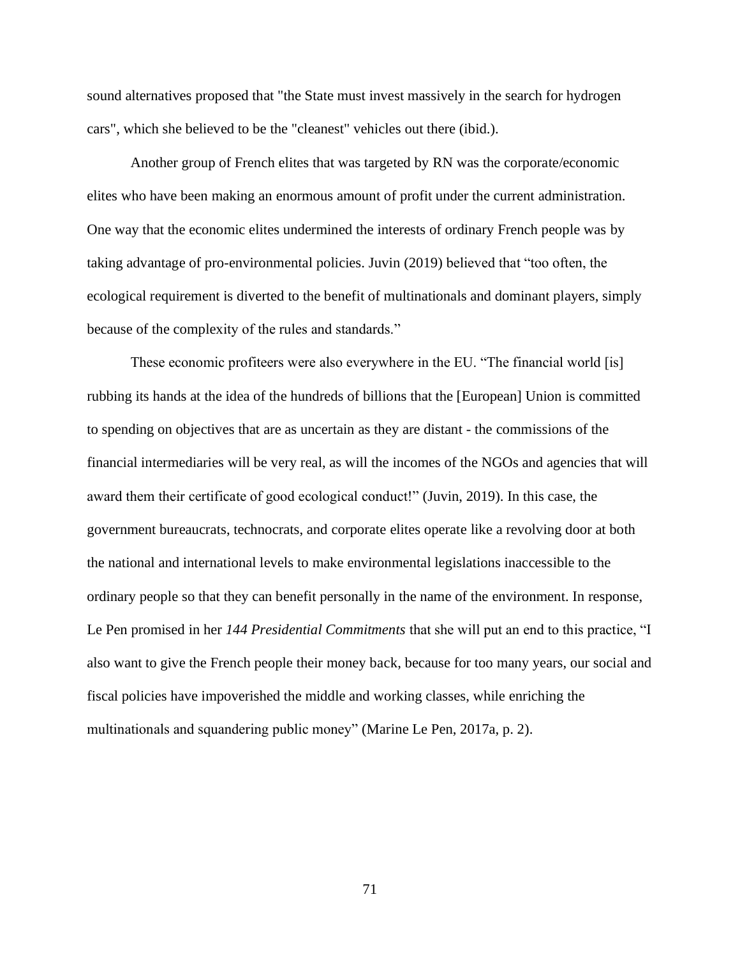sound alternatives proposed that "the State must invest massively in the search for hydrogen cars", which she believed to be the "cleanest" vehicles out there (ibid.).

Another group of French elites that was targeted by RN was the corporate/economic elites who have been making an enormous amount of profit under the current administration. One way that the economic elites undermined the interests of ordinary French people was by taking advantage of pro-environmental policies. Juvin (2019) believed that "too often, the ecological requirement is diverted to the benefit of multinationals and dominant players, simply because of the complexity of the rules and standards."

These economic profiteers were also everywhere in the EU. "The financial world [is] rubbing its hands at the idea of the hundreds of billions that the [European] Union is committed to spending on objectives that are as uncertain as they are distant - the commissions of the financial intermediaries will be very real, as will the incomes of the NGOs and agencies that will award them their certificate of good ecological conduct!" (Juvin, 2019). In this case, the government bureaucrats, technocrats, and corporate elites operate like a revolving door at both the national and international levels to make environmental legislations inaccessible to the ordinary people so that they can benefit personally in the name of the environment. In response, Le Pen promised in her *144 Presidential Commitments* that she will put an end to this practice, "I also want to give the French people their money back, because for too many years, our social and fiscal policies have impoverished the middle and working classes, while enriching the multinationals and squandering public money" (Marine Le Pen, 2017a, p. 2).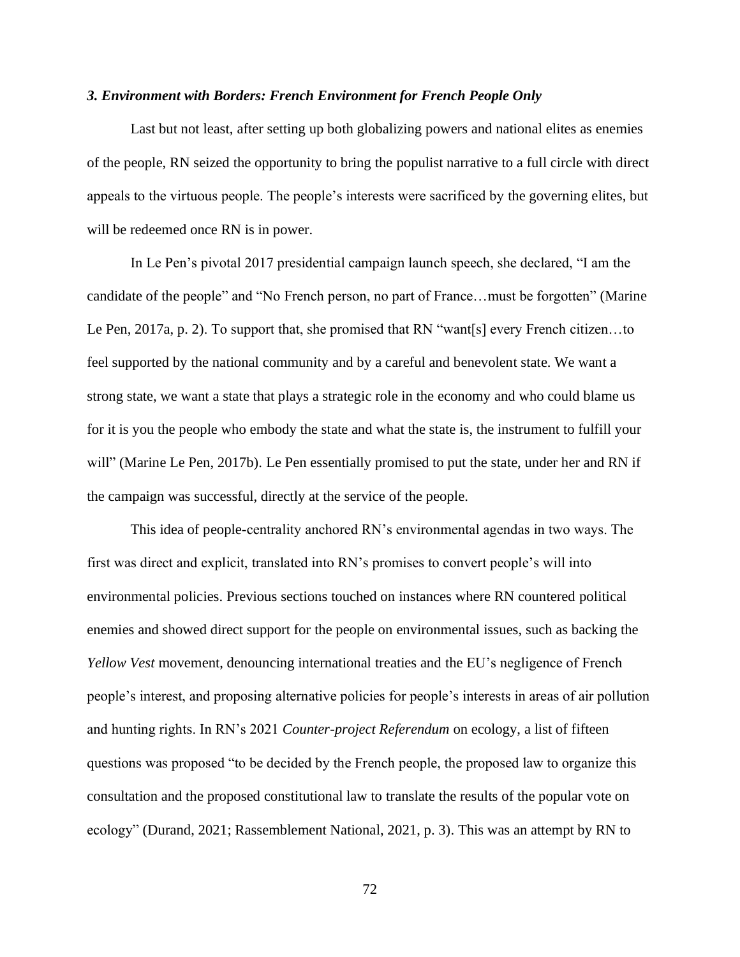# *3. Environment with Borders: French Environment for French People Only*

Last but not least, after setting up both globalizing powers and national elites as enemies of the people, RN seized the opportunity to bring the populist narrative to a full circle with direct appeals to the virtuous people. The people's interests were sacrificed by the governing elites, but will be redeemed once RN is in power.

In Le Pen's pivotal 2017 presidential campaign launch speech, she declared, "I am the candidate of the people" and "No French person, no part of France…must be forgotten" (Marine Le Pen, 2017a, p. 2). To support that, she promised that RN "want[s] every French citizen…to feel supported by the national community and by a careful and benevolent state. We want a strong state, we want a state that plays a strategic role in the economy and who could blame us for it is you the people who embody the state and what the state is, the instrument to fulfill your will" (Marine Le Pen, 2017b). Le Pen essentially promised to put the state, under her and RN if the campaign was successful, directly at the service of the people.

This idea of people-centrality anchored RN's environmental agendas in two ways. The first was direct and explicit, translated into RN's promises to convert people's will into environmental policies. Previous sections touched on instances where RN countered political enemies and showed direct support for the people on environmental issues, such as backing the *Yellow Vest* movement, denouncing international treaties and the EU's negligence of French people's interest, and proposing alternative policies for people's interests in areas of air pollution and hunting rights. In RN's 2021 *Counter-project Referendum* on ecology, a list of fifteen questions was proposed "to be decided by the French people, the proposed law to organize this consultation and the proposed constitutional law to translate the results of the popular vote on ecology" (Durand, 2021; Rassemblement National, 2021, p. 3). This was an attempt by RN to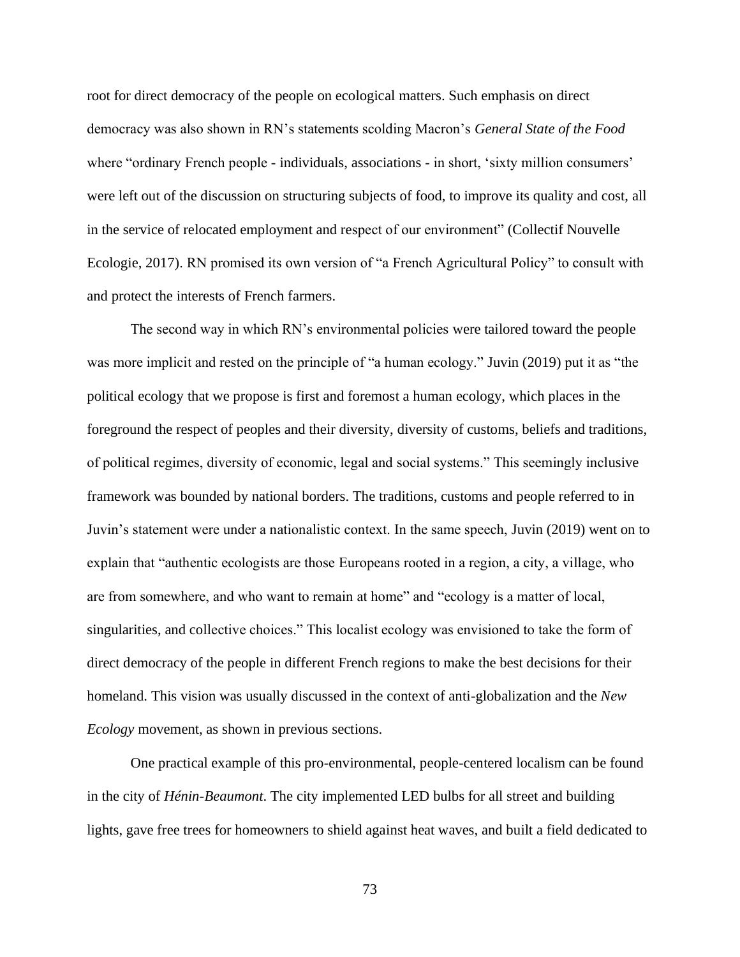root for direct democracy of the people on ecological matters. Such emphasis on direct democracy was also shown in RN's statements scolding Macron's *General State of the Food* where "ordinary French people - individuals, associations - in short, 'sixty million consumers' were left out of the discussion on structuring subjects of food, to improve its quality and cost, all in the service of relocated employment and respect of our environment" (Collectif Nouvelle Ecologie, 2017). RN promised its own version of "a French Agricultural Policy" to consult with and protect the interests of French farmers.

The second way in which RN's environmental policies were tailored toward the people was more implicit and rested on the principle of "a human ecology." Juvin (2019) put it as "the political ecology that we propose is first and foremost a human ecology, which places in the foreground the respect of peoples and their diversity, diversity of customs, beliefs and traditions, of political regimes, diversity of economic, legal and social systems." This seemingly inclusive framework was bounded by national borders. The traditions, customs and people referred to in Juvin's statement were under a nationalistic context. In the same speech, Juvin (2019) went on to explain that "authentic ecologists are those Europeans rooted in a region, a city, a village, who are from somewhere, and who want to remain at home" and "ecology is a matter of local, singularities, and collective choices." This localist ecology was envisioned to take the form of direct democracy of the people in different French regions to make the best decisions for their homeland. This vision was usually discussed in the context of anti-globalization and the *New Ecology* movement, as shown in previous sections.

One practical example of this pro-environmental, people-centered localism can be found in the city of *Hénin-Beaumont*. The city implemented LED bulbs for all street and building lights, gave free trees for homeowners to shield against heat waves, and built a field dedicated to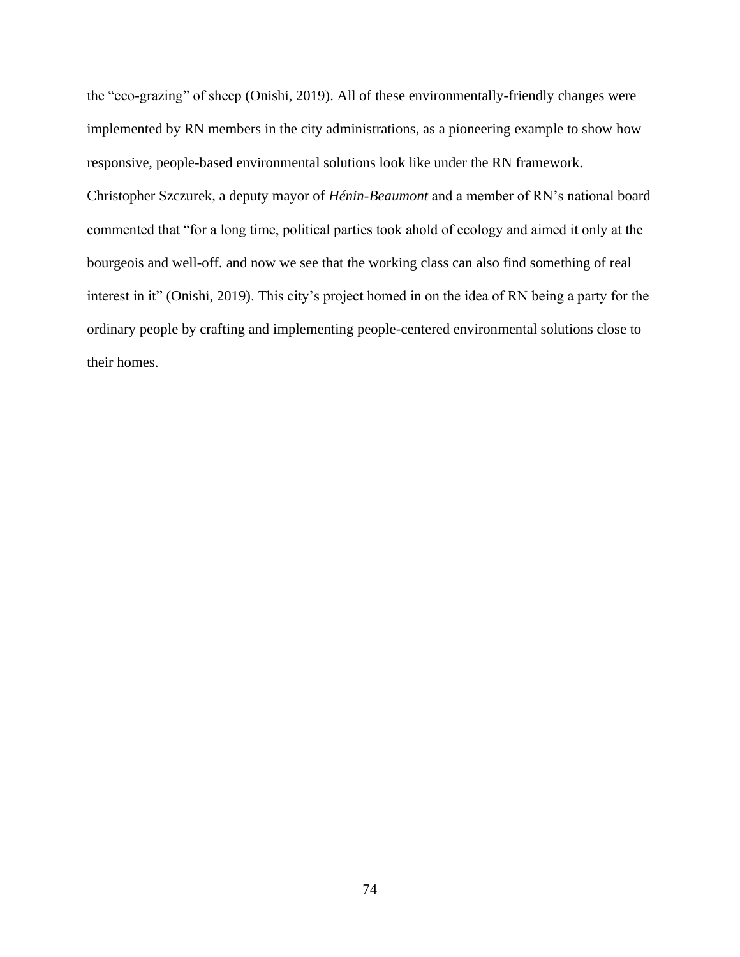the "eco-grazing" of sheep (Onishi, 2019). All of these environmentally-friendly changes were implemented by RN members in the city administrations, as a pioneering example to show how responsive, people-based environmental solutions look like under the RN framework. Christopher Szczurek, a deputy mayor of *Hénin-Beaumont* and a member of RN's national board commented that "for a long time, political parties took ahold of ecology and aimed it only at the bourgeois and well-off. and now we see that the working class can also find something of real interest in it" (Onishi, 2019). This city's project homed in on the idea of RN being a party for the ordinary people by crafting and implementing people-centered environmental solutions close to their homes.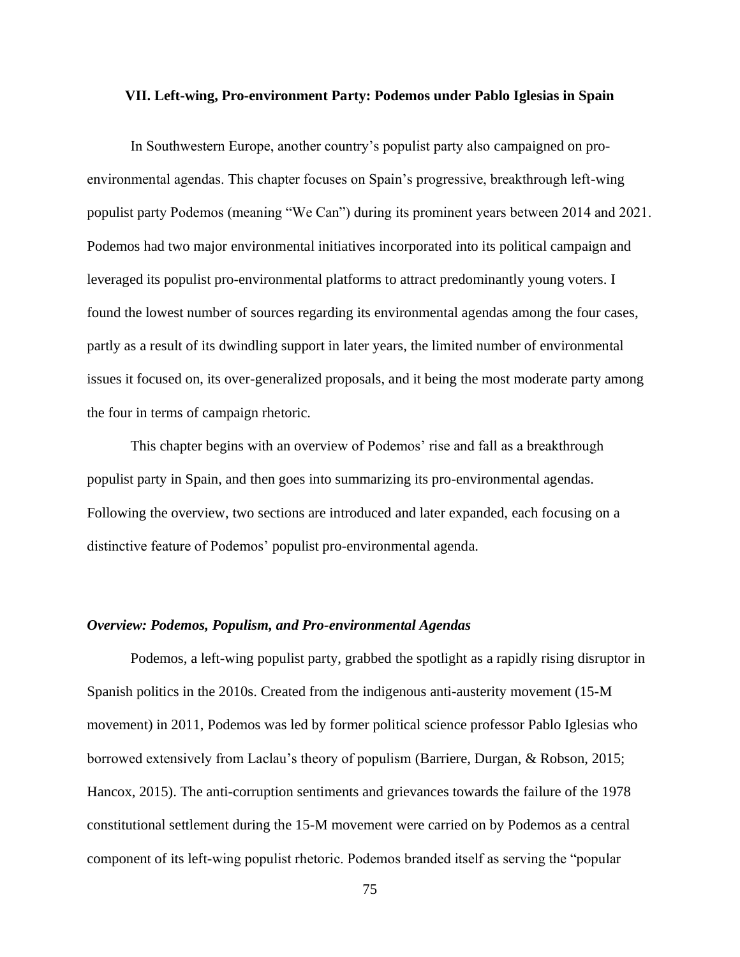#### **VII. Left-wing, Pro-environment Party: Podemos under Pablo Iglesias in Spain**

In Southwestern Europe, another country's populist party also campaigned on proenvironmental agendas. This chapter focuses on Spain's progressive, breakthrough left-wing populist party Podemos (meaning "We Can") during its prominent years between 2014 and 2021. Podemos had two major environmental initiatives incorporated into its political campaign and leveraged its populist pro-environmental platforms to attract predominantly young voters. I found the lowest number of sources regarding its environmental agendas among the four cases, partly as a result of its dwindling support in later years, the limited number of environmental issues it focused on, its over-generalized proposals, and it being the most moderate party among the four in terms of campaign rhetoric.

This chapter begins with an overview of Podemos' rise and fall as a breakthrough populist party in Spain, and then goes into summarizing its pro-environmental agendas. Following the overview, two sections are introduced and later expanded, each focusing on a distinctive feature of Podemos' populist pro-environmental agenda.

## *Overview: Podemos, Populism, and Pro-environmental Agendas*

Podemos, a left-wing populist party, grabbed the spotlight as a rapidly rising disruptor in Spanish politics in the 2010s. Created from the indigenous anti-austerity movement (15-M movement) in 2011, Podemos was led by former political science professor Pablo Iglesias who borrowed extensively from Laclau's theory of populism (Barriere, Durgan, & Robson, 2015; Hancox, 2015). The anti-corruption sentiments and grievances towards the failure of the 1978 constitutional settlement during the 15-M movement were carried on by Podemos as a central component of its left-wing populist rhetoric. Podemos branded itself as serving the "popular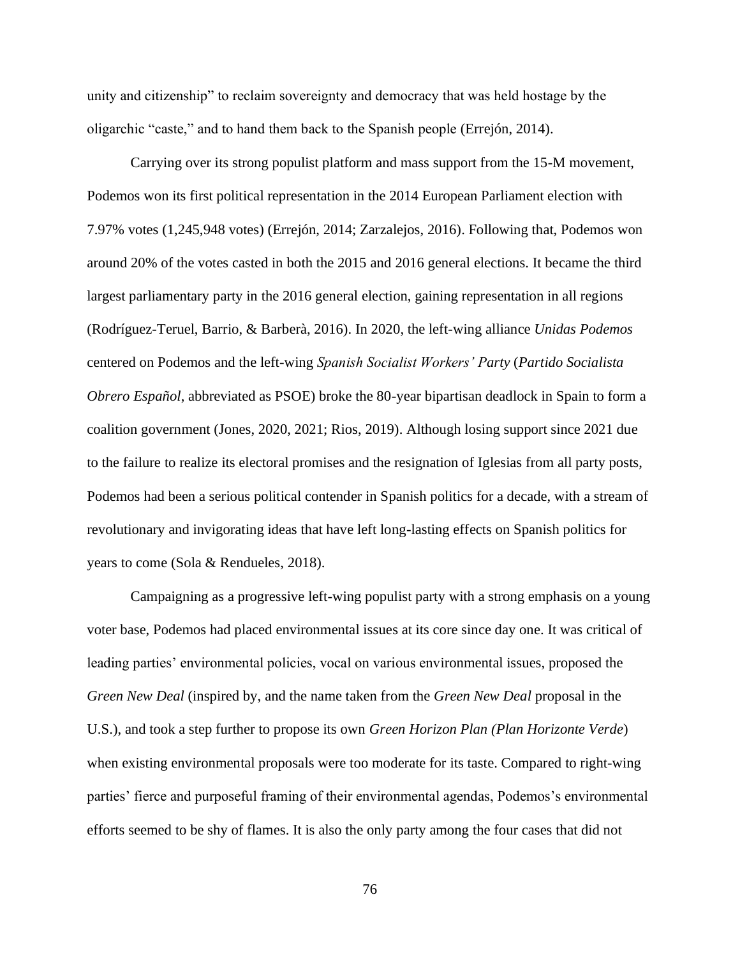unity and citizenship" to reclaim sovereignty and democracy that was held hostage by the oligarchic "caste," and to hand them back to the Spanish people (Errejón, 2014).

Carrying over its strong populist platform and mass support from the 15-M movement, Podemos won its first political representation in the 2014 European Parliament election with 7.97% votes (1,245,948 votes) (Errejón, 2014; Zarzalejos, 2016). Following that, Podemos won around 20% of the votes casted in both the 2015 and 2016 general elections. It became the third largest parliamentary party in the 2016 general election, gaining representation in all regions (Rodríguez-Teruel, Barrio, & Barberà, 2016). In 2020, the left-wing alliance *Unidas Podemos* centered on Podemos and the left-wing *Spanish Socialist Workers' Party* (*Partido Socialista Obrero Español*, abbreviated as PSOE) broke the 80-year bipartisan deadlock in Spain to form a coalition government (Jones, 2020, 2021; Rios, 2019). Although losing support since 2021 due to the failure to realize its electoral promises and the resignation of Iglesias from all party posts, Podemos had been a serious political contender in Spanish politics for a decade, with a stream of revolutionary and invigorating ideas that have left long-lasting effects on Spanish politics for years to come (Sola & Rendueles, 2018).

Campaigning as a progressive left-wing populist party with a strong emphasis on a young voter base, Podemos had placed environmental issues at its core since day one. It was critical of leading parties' environmental policies, vocal on various environmental issues, proposed the *Green New Deal* (inspired by, and the name taken from the *Green New Deal* proposal in the U.S.), and took a step further to propose its own *Green Horizon Plan (Plan Horizonte Verde*) when existing environmental proposals were too moderate for its taste. Compared to right-wing parties' fierce and purposeful framing of their environmental agendas, Podemos's environmental efforts seemed to be shy of flames. It is also the only party among the four cases that did not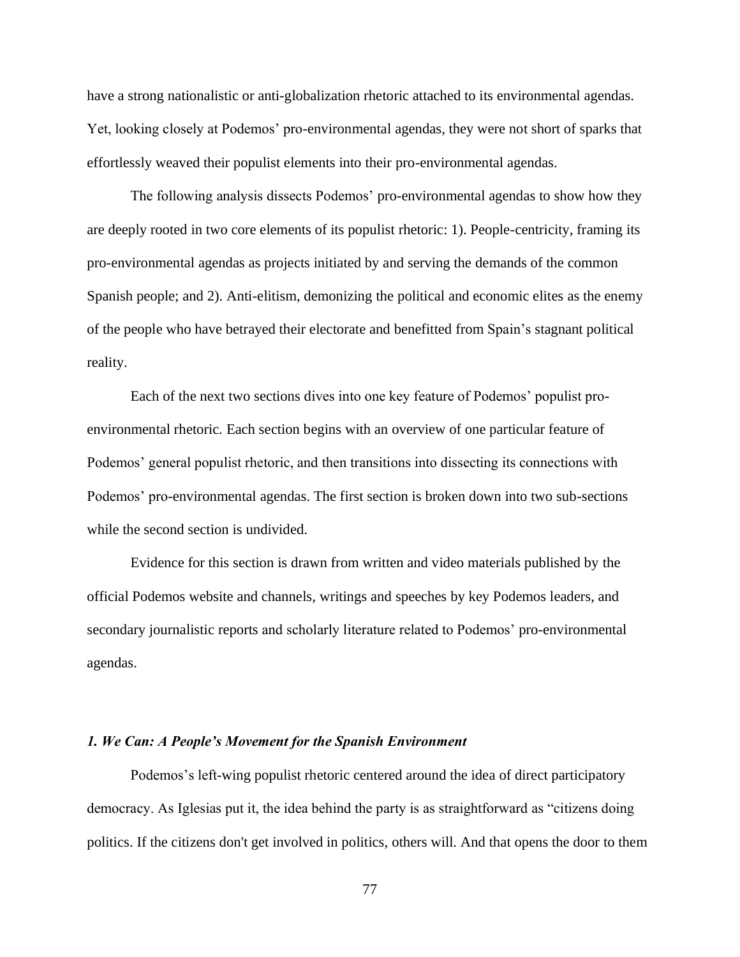have a strong nationalistic or anti-globalization rhetoric attached to its environmental agendas. Yet, looking closely at Podemos' pro-environmental agendas, they were not short of sparks that effortlessly weaved their populist elements into their pro-environmental agendas.

The following analysis dissects Podemos' pro-environmental agendas to show how they are deeply rooted in two core elements of its populist rhetoric: 1). People-centricity, framing its pro-environmental agendas as projects initiated by and serving the demands of the common Spanish people; and 2). Anti-elitism, demonizing the political and economic elites as the enemy of the people who have betrayed their electorate and benefitted from Spain's stagnant political reality.

Each of the next two sections dives into one key feature of Podemos' populist proenvironmental rhetoric. Each section begins with an overview of one particular feature of Podemos' general populist rhetoric, and then transitions into dissecting its connections with Podemos' pro-environmental agendas. The first section is broken down into two sub-sections while the second section is undivided.

Evidence for this section is drawn from written and video materials published by the official Podemos website and channels, writings and speeches by key Podemos leaders, and secondary journalistic reports and scholarly literature related to Podemos' pro-environmental agendas.

#### *1. We Can: A People's Movement for the Spanish Environment*

Podemos's left-wing populist rhetoric centered around the idea of direct participatory democracy. As Iglesias put it, the idea behind the party is as straightforward as "citizens doing politics. If the citizens don't get involved in politics, others will. And that opens the door to them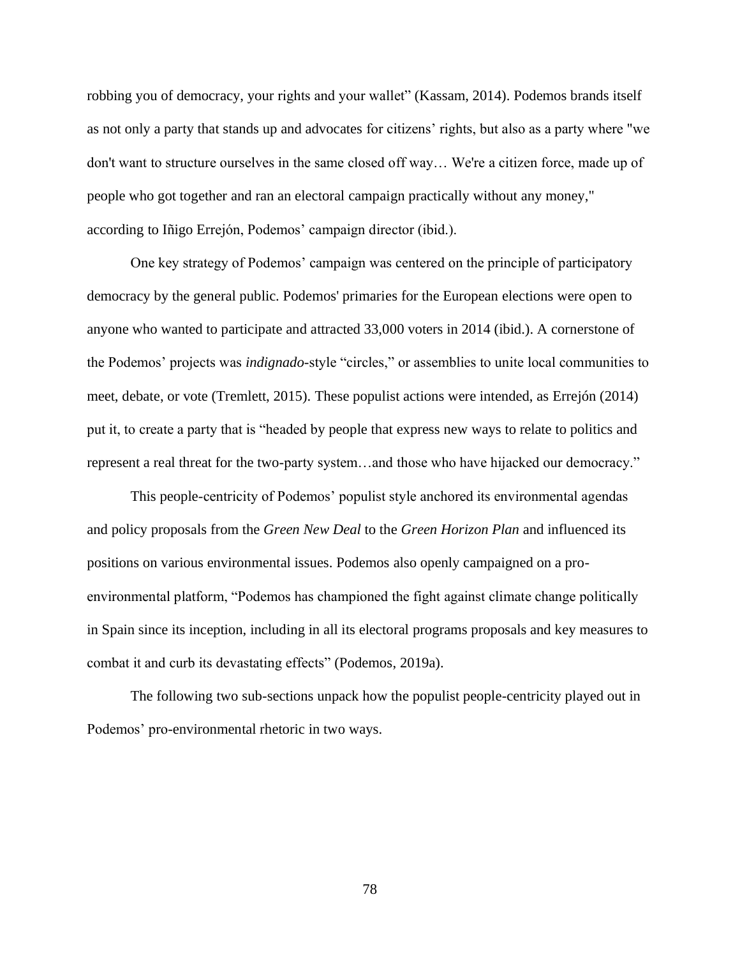robbing you of democracy, your rights and your wallet" (Kassam, 2014). Podemos brands itself as not only a party that stands up and advocates for citizens' rights, but also as a party where "we don't want to structure ourselves in the same closed off way… We're a citizen force, made up of people who got together and ran an electoral campaign practically without any money," according to Iñigo Errejón, Podemos' campaign director (ibid.).

One key strategy of Podemos' campaign was centered on the principle of participatory democracy by the general public. Podemos' primaries for the European elections were open to anyone who wanted to participate and attracted 33,000 voters in 2014 (ibid.). A cornerstone of the Podemos' projects was *indignado*-style "circles," or assemblies to unite local communities to meet, debate, or vote (Tremlett, 2015). These populist actions were intended, as Errejón (2014) put it, to create a party that is "headed by people that express new ways to relate to politics and represent a real threat for the two-party system…and those who have hijacked our democracy."

This people-centricity of Podemos' populist style anchored its environmental agendas and policy proposals from the *Green New Deal* to the *Green Horizon Plan* and influenced its positions on various environmental issues. Podemos also openly campaigned on a proenvironmental platform, "Podemos has championed the fight against climate change politically in Spain since its inception, including in all its electoral programs proposals and key measures to combat it and curb its devastating effects" (Podemos, 2019a).

The following two sub-sections unpack how the populist people-centricity played out in Podemos' pro-environmental rhetoric in two ways.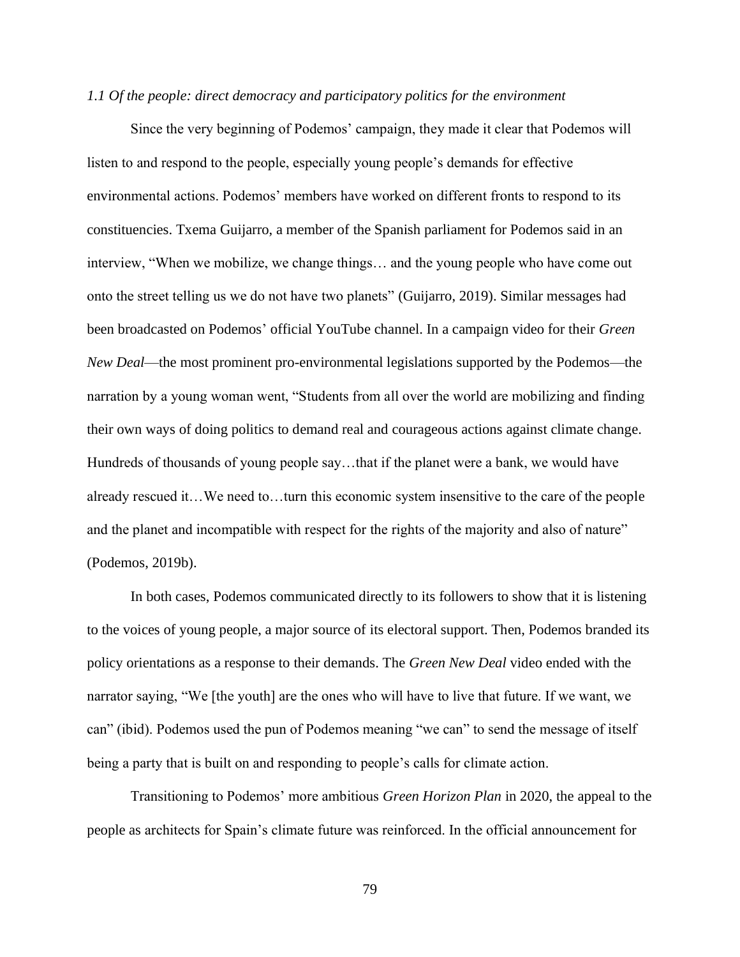#### *1.1 Of the people: direct democracy and participatory politics for the environment*

Since the very beginning of Podemos' campaign, they made it clear that Podemos will listen to and respond to the people, especially young people's demands for effective environmental actions. Podemos' members have worked on different fronts to respond to its constituencies. Txema Guijarro, a member of the Spanish parliament for Podemos said in an interview, "When we mobilize, we change things… and the young people who have come out onto the street telling us we do not have two planets" (Guijarro, 2019). Similar messages had been broadcasted on Podemos' official YouTube channel. In a campaign video for their *Green New Deal*—the most prominent pro-environmental legislations supported by the Podemos—the narration by a young woman went, "Students from all over the world are mobilizing and finding their own ways of doing politics to demand real and courageous actions against climate change. Hundreds of thousands of young people say…that if the planet were a bank, we would have already rescued it…We need to…turn this economic system insensitive to the care of the people and the planet and incompatible with respect for the rights of the majority and also of nature" (Podemos, 2019b).

In both cases, Podemos communicated directly to its followers to show that it is listening to the voices of young people, a major source of its electoral support. Then, Podemos branded its policy orientations as a response to their demands. The *Green New Deal* video ended with the narrator saying, "We [the youth] are the ones who will have to live that future. If we want, we can" (ibid). Podemos used the pun of Podemos meaning "we can" to send the message of itself being a party that is built on and responding to people's calls for climate action.

Transitioning to Podemos' more ambitious *Green Horizon Plan* in 2020, the appeal to the people as architects for Spain's climate future was reinforced. In the official announcement for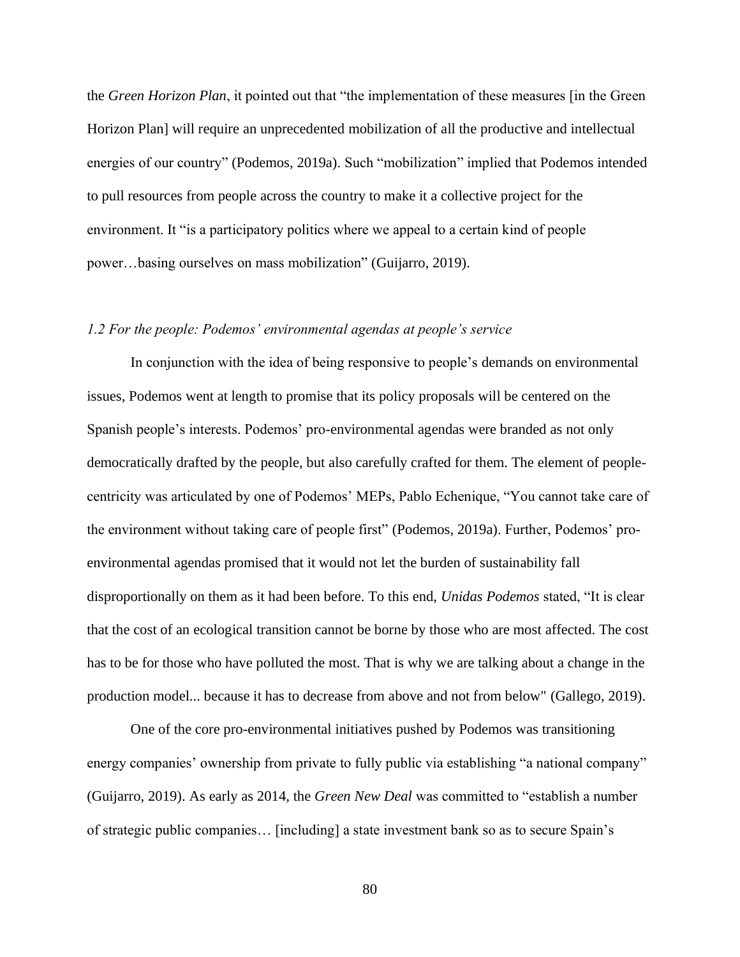the *Green Horizon Plan*, it pointed out that "the implementation of these measures [in the Green Horizon Plan] will require an unprecedented mobilization of all the productive and intellectual energies of our country" (Podemos, 2019a). Such "mobilization" implied that Podemos intended to pull resources from people across the country to make it a collective project for the environment. It "is a participatory politics where we appeal to a certain kind of people power…basing ourselves on mass mobilization" (Guijarro, 2019).

# *1.2 For the people: Podemos' environmental agendas at people's service*

In conjunction with the idea of being responsive to people's demands on environmental issues, Podemos went at length to promise that its policy proposals will be centered on the Spanish people's interests. Podemos' pro-environmental agendas were branded as not only democratically drafted by the people, but also carefully crafted for them. The element of peoplecentricity was articulated by one of Podemos' MEPs, Pablo Echenique, "You cannot take care of the environment without taking care of people first" (Podemos, 2019a). Further, Podemos' proenvironmental agendas promised that it would not let the burden of sustainability fall disproportionally on them as it had been before. To this end, *Unidas Podemos* stated, "It is clear that the cost of an ecological transition cannot be borne by those who are most affected. The cost has to be for those who have polluted the most. That is why we are talking about a change in the production model... because it has to decrease from above and not from below" (Gallego, 2019).

One of the core pro-environmental initiatives pushed by Podemos was transitioning energy companies' ownership from private to fully public via establishing "a national company" (Guijarro, 2019). As early as 2014, the *Green New Deal* was committed to "establish a number of strategic public companies… [including] a state investment bank so as to secure Spain's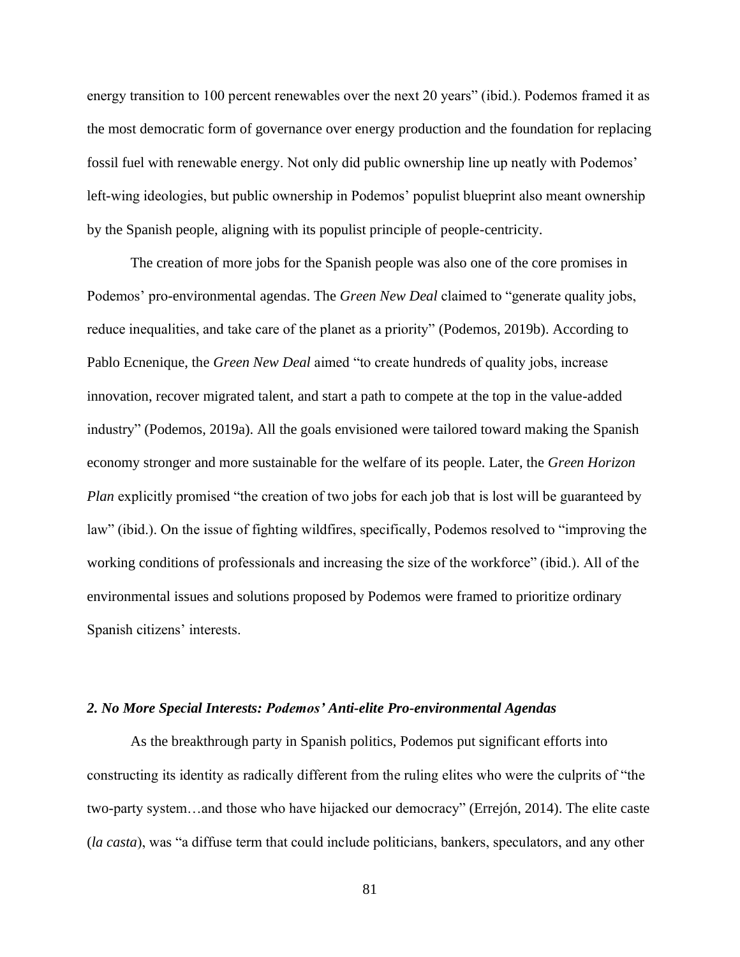energy transition to 100 percent renewables over the next 20 years" (ibid.). Podemos framed it as the most democratic form of governance over energy production and the foundation for replacing fossil fuel with renewable energy. Not only did public ownership line up neatly with Podemos' left-wing ideologies, but public ownership in Podemos' populist blueprint also meant ownership by the Spanish people, aligning with its populist principle of people-centricity.

The creation of more jobs for the Spanish people was also one of the core promises in Podemos' pro-environmental agendas. The *Green New Deal* claimed to "generate quality jobs, reduce inequalities, and take care of the planet as a priority" (Podemos, 2019b). According to Pablo Ecnenique, the *Green New Deal* aimed "to create hundreds of quality jobs, increase innovation, recover migrated talent, and start a path to compete at the top in the value-added industry" (Podemos, 2019a). All the goals envisioned were tailored toward making the Spanish economy stronger and more sustainable for the welfare of its people. Later, the *Green Horizon Plan* explicitly promised "the creation of two jobs for each job that is lost will be guaranteed by law" (ibid.). On the issue of fighting wildfires, specifically, Podemos resolved to "improving the working conditions of professionals and increasing the size of the workforce" (ibid.). All of the environmental issues and solutions proposed by Podemos were framed to prioritize ordinary Spanish citizens' interests.

#### *2. No More Special Interests: Podemos' Anti-elite Pro-environmental Agendas*

As the breakthrough party in Spanish politics, Podemos put significant efforts into constructing its identity as radically different from the ruling elites who were the culprits of "the two-party system…and those who have hijacked our democracy" (Errejón, 2014). The elite caste (*la casta*), was "a diffuse term that could include politicians, bankers, speculators, and any other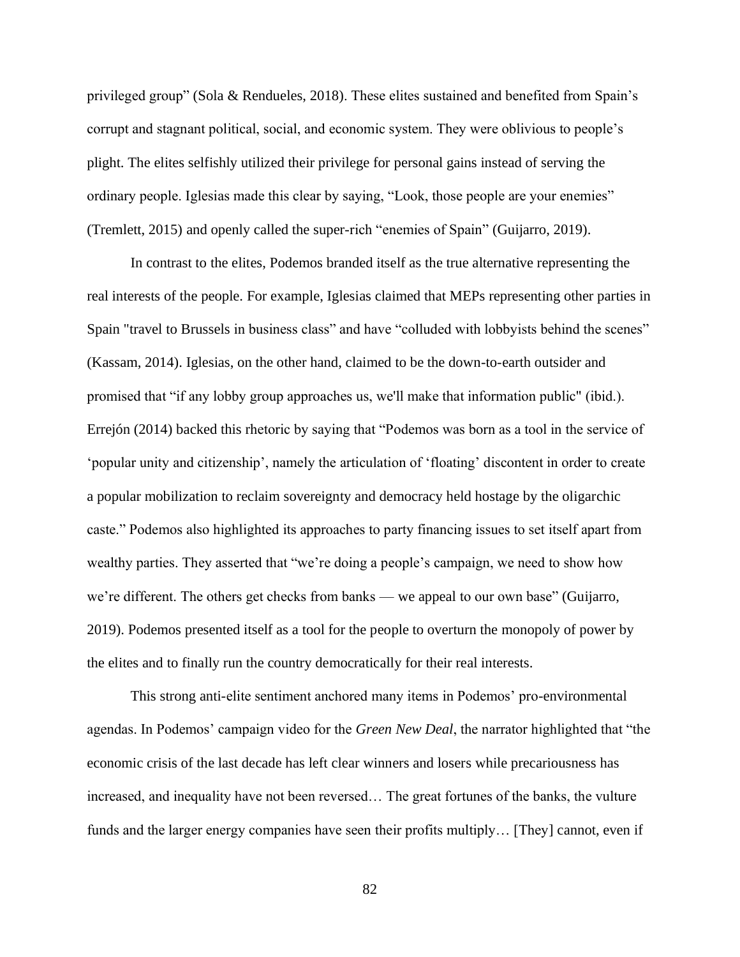privileged group" (Sola & Rendueles, 2018). These elites sustained and benefited from Spain's corrupt and stagnant political, social, and economic system. They were oblivious to people's plight. The elites selfishly utilized their privilege for personal gains instead of serving the ordinary people. Iglesias made this clear by saying, "Look, those people are your enemies" (Tremlett, 2015) and openly called the super-rich "enemies of Spain" (Guijarro, 2019).

In contrast to the elites, Podemos branded itself as the true alternative representing the real interests of the people. For example, Iglesias claimed that MEPs representing other parties in Spain "travel to Brussels in business class" and have "colluded with lobbyists behind the scenes" (Kassam, 2014). Iglesias, on the other hand, claimed to be the down-to-earth outsider and promised that "if any lobby group approaches us, we'll make that information public" (ibid.). Errejón (2014) backed this rhetoric by saying that "Podemos was born as a tool in the service of 'popular unity and citizenship', namely the articulation of 'floating' discontent in order to create a popular mobilization to reclaim sovereignty and democracy held hostage by the oligarchic caste." Podemos also highlighted its approaches to party financing issues to set itself apart from wealthy parties. They asserted that "we're doing a people's campaign, we need to show how we're different. The others get checks from banks — we appeal to our own base" (Guijarro, 2019). Podemos presented itself as a tool for the people to overturn the monopoly of power by the elites and to finally run the country democratically for their real interests.

This strong anti-elite sentiment anchored many items in Podemos' pro-environmental agendas. In Podemos' campaign video for the *Green New Deal*, the narrator highlighted that "the economic crisis of the last decade has left clear winners and losers while precariousness has increased, and inequality have not been reversed… The great fortunes of the banks, the vulture funds and the larger energy companies have seen their profits multiply… [They] cannot, even if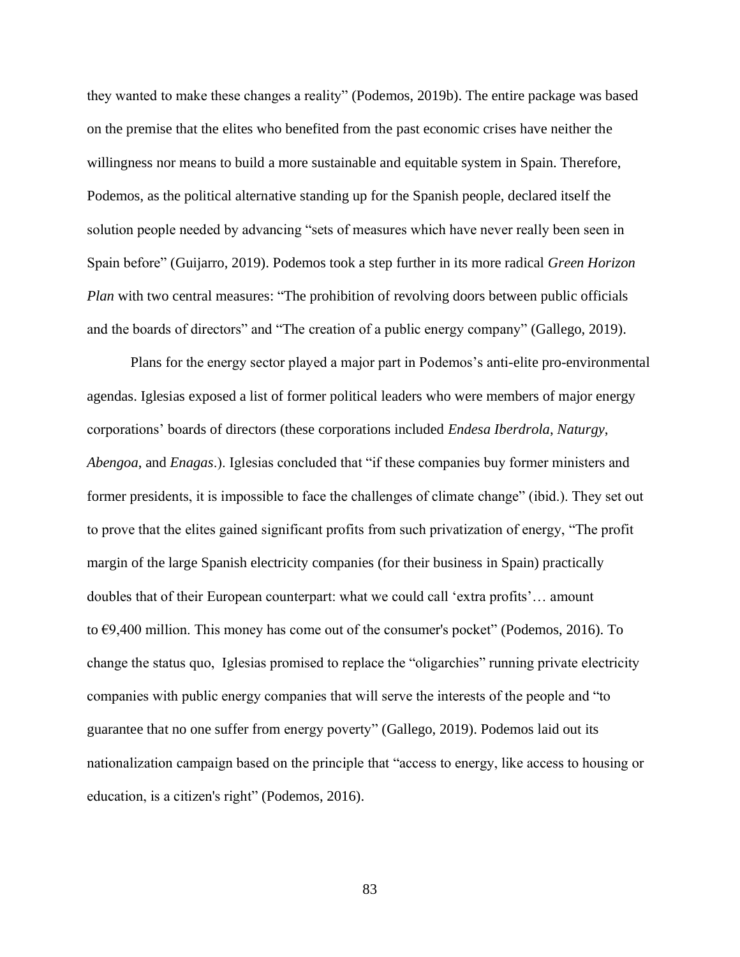they wanted to make these changes a reality" (Podemos, 2019b). The entire package was based on the premise that the elites who benefited from the past economic crises have neither the willingness nor means to build a more sustainable and equitable system in Spain. Therefore, Podemos, as the political alternative standing up for the Spanish people, declared itself the solution people needed by advancing "sets of measures which have never really been seen in Spain before" (Guijarro, 2019). Podemos took a step further in its more radical *Green Horizon Plan* with two central measures: "The prohibition of revolving doors between public officials and the boards of directors" and "The creation of a public energy company" (Gallego, 2019).

Plans for the energy sector played a major part in Podemos's anti-elite pro-environmental agendas. Iglesias exposed a list of former political leaders who were members of major energy corporations' boards of directors (these corporations included *Endesa Iberdrola*, *Naturgy*, *Abengoa*, and *Enagas*.). Iglesias concluded that "if these companies buy former ministers and former presidents, it is impossible to face the challenges of climate change" (ibid.). They set out to prove that the elites gained significant profits from such privatization of energy, "The profit margin of the large Spanish electricity companies (for their business in Spain) practically doubles that of their European counterpart: what we could call 'extra profits'… amount to €9,400 million. This money has come out of the consumer's pocket" (Podemos, 2016). To change the status quo, Iglesias promised to replace the "oligarchies" running private electricity companies with public energy companies that will serve the interests of the people and "to guarantee that no one suffer from energy poverty" (Gallego, 2019). Podemos laid out its nationalization campaign based on the principle that "access to energy, like access to housing or education, is a citizen's right" (Podemos, 2016).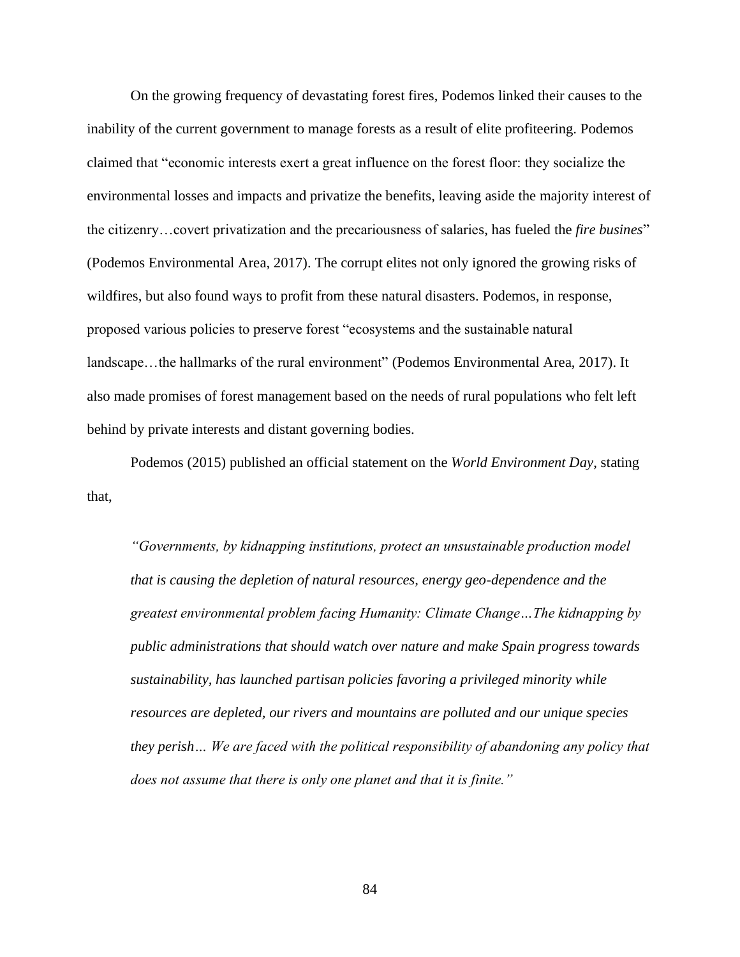On the growing frequency of devastating forest fires, Podemos linked their causes to the inability of the current government to manage forests as a result of elite profiteering. Podemos claimed that "economic interests exert a great influence on the forest floor: they socialize the environmental losses and impacts and privatize the benefits, leaving aside the majority interest of the citizenry…covert privatization and the precariousness of salaries, has fueled the *fire busines*" (Podemos Environmental Area, 2017). The corrupt elites not only ignored the growing risks of wildfires, but also found ways to profit from these natural disasters. Podemos, in response, proposed various policies to preserve forest "ecosystems and the sustainable natural landscape...the hallmarks of the rural environment" (Podemos Environmental Area, 2017). It also made promises of forest management based on the needs of rural populations who felt left behind by private interests and distant governing bodies.

Podemos (2015) published an official statement on the *World Environment Day*, stating that,

*"Governments, by kidnapping institutions, protect an unsustainable production model that is causing the depletion of natural resources, energy geo-dependence and the greatest environmental problem facing Humanity: Climate Change…The kidnapping by public administrations that should watch over nature and make Spain progress towards sustainability, has launched partisan policies favoring a privileged minority while resources are depleted, our rivers and mountains are polluted and our unique species they perish… We are faced with the political responsibility of abandoning any policy that does not assume that there is only one planet and that it is finite."*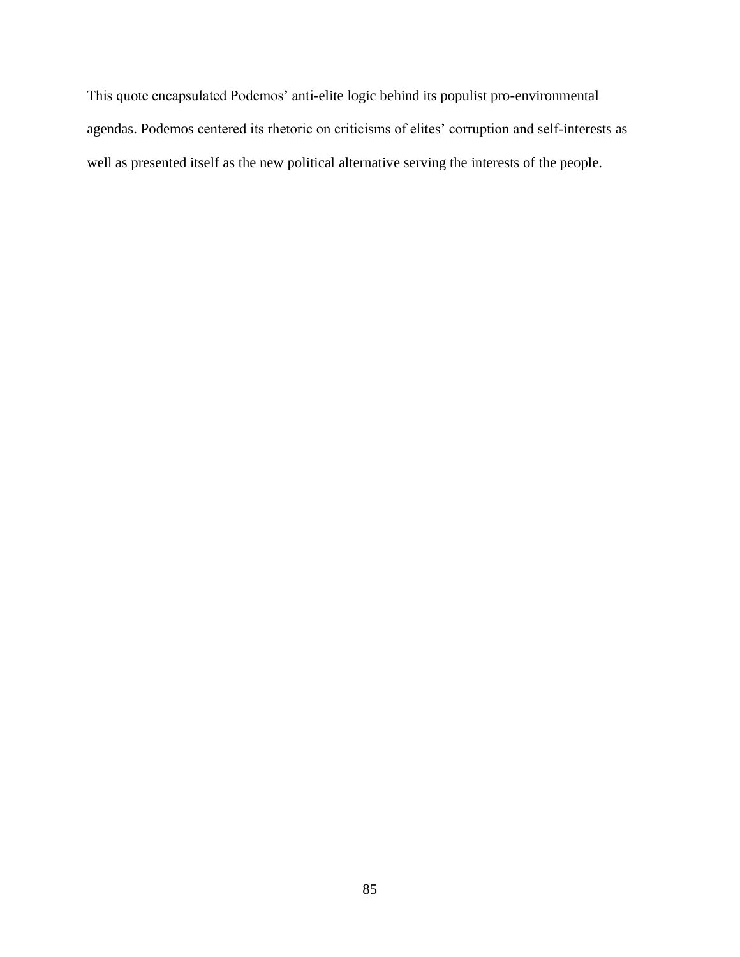This quote encapsulated Podemos' anti-elite logic behind its populist pro-environmental agendas. Podemos centered its rhetoric on criticisms of elites' corruption and self-interests as well as presented itself as the new political alternative serving the interests of the people.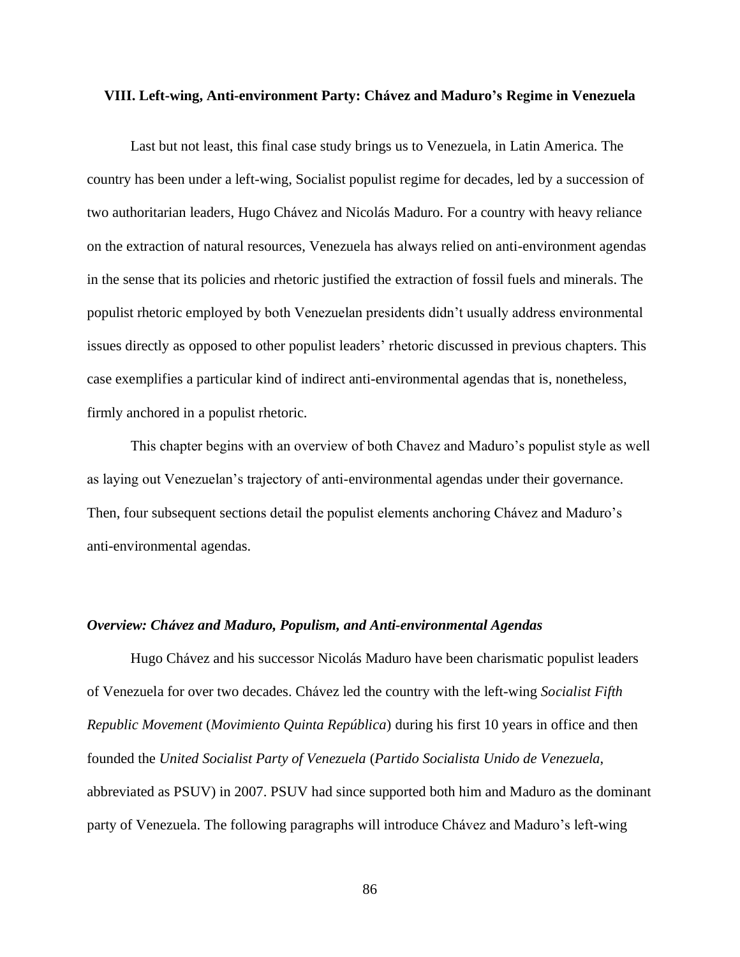### **VIII. Left-wing, Anti-environment Party: Chávez and Maduro's Regime in Venezuela**

Last but not least, this final case study brings us to Venezuela, in Latin America. The country has been under a left-wing, Socialist populist regime for decades, led by a succession of two authoritarian leaders, Hugo Chávez and Nicolás Maduro. For a country with heavy reliance on the extraction of natural resources, Venezuela has always relied on anti-environment agendas in the sense that its policies and rhetoric justified the extraction of fossil fuels and minerals. The populist rhetoric employed by both Venezuelan presidents didn't usually address environmental issues directly as opposed to other populist leaders' rhetoric discussed in previous chapters. This case exemplifies a particular kind of indirect anti-environmental agendas that is, nonetheless, firmly anchored in a populist rhetoric.

This chapter begins with an overview of both Chavez and Maduro's populist style as well as laying out Venezuelan's trajectory of anti-environmental agendas under their governance. Then, four subsequent sections detail the populist elements anchoring Chávez and Maduro's anti-environmental agendas.

## *Overview: Chávez and Maduro, Populism, and Anti-environmental Agendas*

Hugo Chávez and his successor Nicolás Maduro have been charismatic populist leaders of Venezuela for over two decades. Chávez led the country with the left-wing *Socialist Fifth Republic Movement* (*Movimiento Quinta República*) during his first 10 years in office and then founded the *United Socialist Party of Venezuela* (*Partido Socialista Unido de Venezuela*, abbreviated as PSUV) in 2007. PSUV had since supported both him and Maduro as the dominant party of Venezuela. The following paragraphs will introduce Chávez and Maduro's left-wing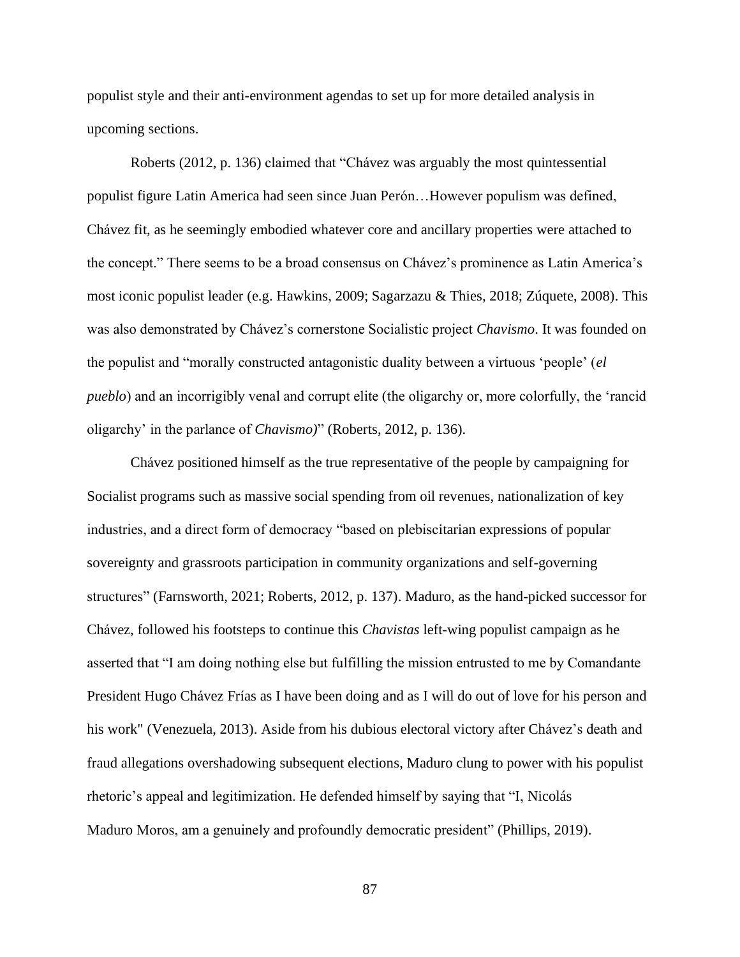populist style and their anti-environment agendas to set up for more detailed analysis in upcoming sections.

Roberts (2012, p. 136) claimed that "Chávez was arguably the most quintessential populist figure Latin America had seen since Juan Perón…However populism was defined, Chávez fit, as he seemingly embodied whatever core and ancillary properties were attached to the concept." There seems to be a broad consensus on Chávez's prominence as Latin America's most iconic populist leader (e.g. Hawkins, 2009; Sagarzazu & Thies, 2018; Zúquete, 2008). This was also demonstrated by Chávez's cornerstone Socialistic project *Chavismo*. It was founded on the populist and "morally constructed antagonistic duality between a virtuous 'people' (*el pueblo*) and an incorrigibly venal and corrupt elite (the oligarchy or, more colorfully, the 'rancid oligarchy' in the parlance of *Chavismo)*" (Roberts, 2012, p. 136).

Chávez positioned himself as the true representative of the people by campaigning for Socialist programs such as massive social spending from oil revenues, nationalization of key industries, and a direct form of democracy "based on plebiscitarian expressions of popular sovereignty and grassroots participation in community organizations and self-governing structures" (Farnsworth, 2021; Roberts, 2012, p. 137). Maduro, as the hand-picked successor for Chávez, followed his footsteps to continue this *Chavistas* left-wing populist campaign as he asserted that "I am doing nothing else but fulfilling the mission entrusted to me by Comandante President Hugo Chávez Frías as I have been doing and as I will do out of love for his person and his work" (Venezuela, 2013). Aside from his dubious electoral victory after Chávez's death and fraud allegations overshadowing subsequent elections, Maduro clung to power with his populist rhetoric's appeal and legitimization. He defended himself by saying that "I, Nicolás Maduro Moros, am a genuinely and profoundly democratic president" (Phillips, 2019).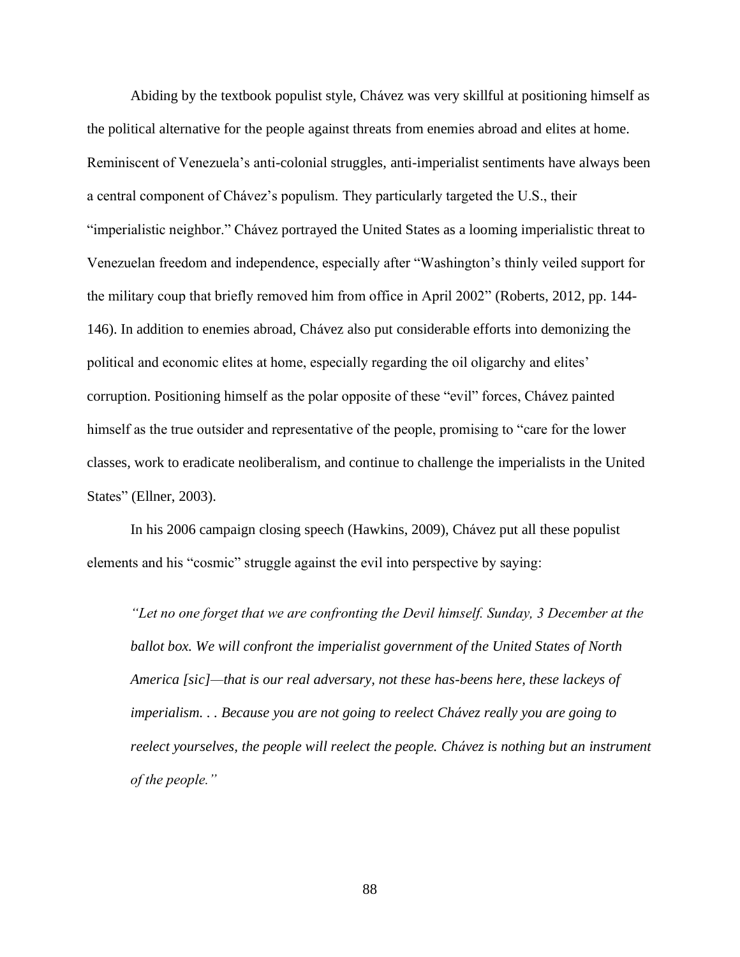Abiding by the textbook populist style, Chávez was very skillful at positioning himself as the political alternative for the people against threats from enemies abroad and elites at home. Reminiscent of Venezuela's anti-colonial struggles, anti-imperialist sentiments have always been a central component of Chávez's populism. They particularly targeted the U.S., their "imperialistic neighbor." Chávez portrayed the United States as a looming imperialistic threat to Venezuelan freedom and independence, especially after "Washington's thinly veiled support for the military coup that briefly removed him from office in April 2002" (Roberts, 2012, pp. 144- 146). In addition to enemies abroad, Chávez also put considerable efforts into demonizing the political and economic elites at home, especially regarding the oil oligarchy and elites' corruption. Positioning himself as the polar opposite of these "evil" forces, Chávez painted himself as the true outsider and representative of the people, promising to "care for the lower classes, work to eradicate neoliberalism, and continue to challenge the imperialists in the United States" (Ellner, 2003).

In his 2006 campaign closing speech (Hawkins, 2009), Chávez put all these populist elements and his "cosmic" struggle against the evil into perspective by saying:

*"Let no one forget that we are confronting the Devil himself. Sunday, 3 December at the ballot box. We will confront the imperialist government of the United States of North America [sic]—that is our real adversary, not these has-beens here, these lackeys of imperialism. . . Because you are not going to reelect Chávez really you are going to reelect yourselves, the people will reelect the people. Chávez is nothing but an instrument of the people."*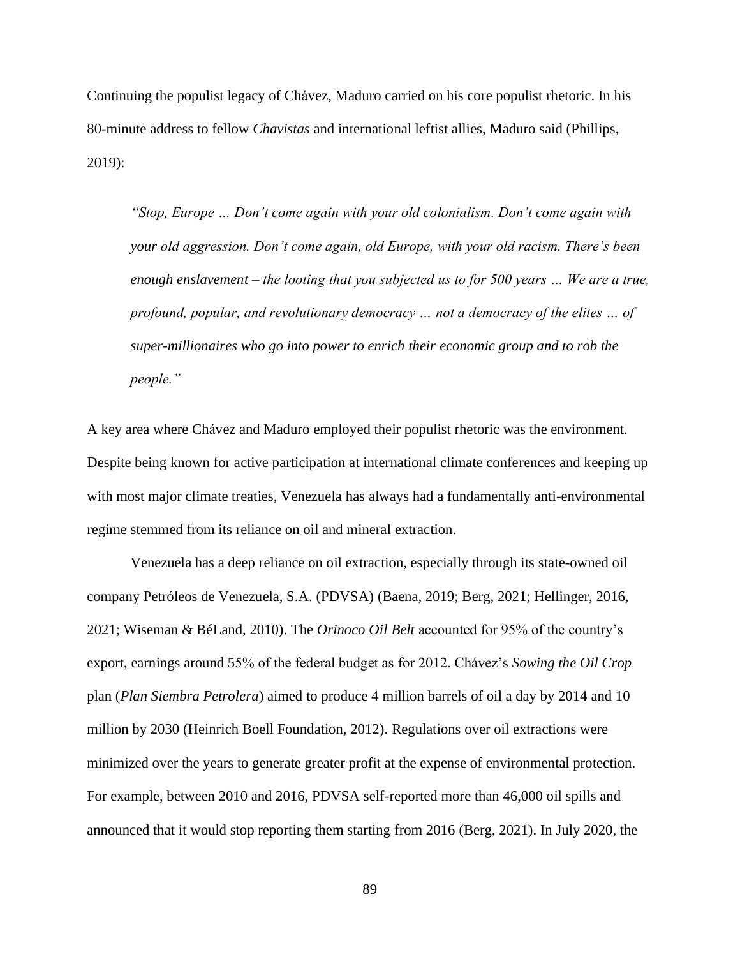Continuing the populist legacy of Chávez, Maduro carried on his core populist rhetoric. In his 80-minute address to fellow *Chavistas* and international leftist allies, Maduro said (Phillips, 2019):

*"Stop, Europe … Don't come again with your old colonialism. Don't come again with your old aggression. Don't come again, old Europe, with your old racism. There's been enough enslavement – the looting that you subjected us to for 500 years … We are a true, profound, popular, and revolutionary democracy … not a democracy of the elites … of super-millionaires who go into power to enrich their economic group and to rob the people."*

A key area where Chávez and Maduro employed their populist rhetoric was the environment. Despite being known for active participation at international climate conferences and keeping up with most major climate treaties, Venezuela has always had a fundamentally anti-environmental regime stemmed from its reliance on oil and mineral extraction.

Venezuela has a deep reliance on oil extraction, especially through its state-owned oil company Petróleos de Venezuela, S.A. (PDVSA) (Baena, 2019; Berg, 2021; Hellinger, 2016, 2021; Wiseman & BéLand, 2010). The *Orinoco Oil Belt* accounted for 95% of the country's export, earnings around 55% of the federal budget as for 2012. Chávez's *Sowing the Oil Crop* plan (*Plan Siembra Petrolera*) aimed to produce 4 million barrels of oil a day by 2014 and 10 million by 2030 (Heinrich Boell Foundation, 2012). Regulations over oil extractions were minimized over the years to generate greater profit at the expense of environmental protection. For example, between 2010 and 2016, PDVSA self-reported more than 46,000 oil spills and announced that it would stop reporting them starting from 2016 (Berg, 2021). In July 2020, the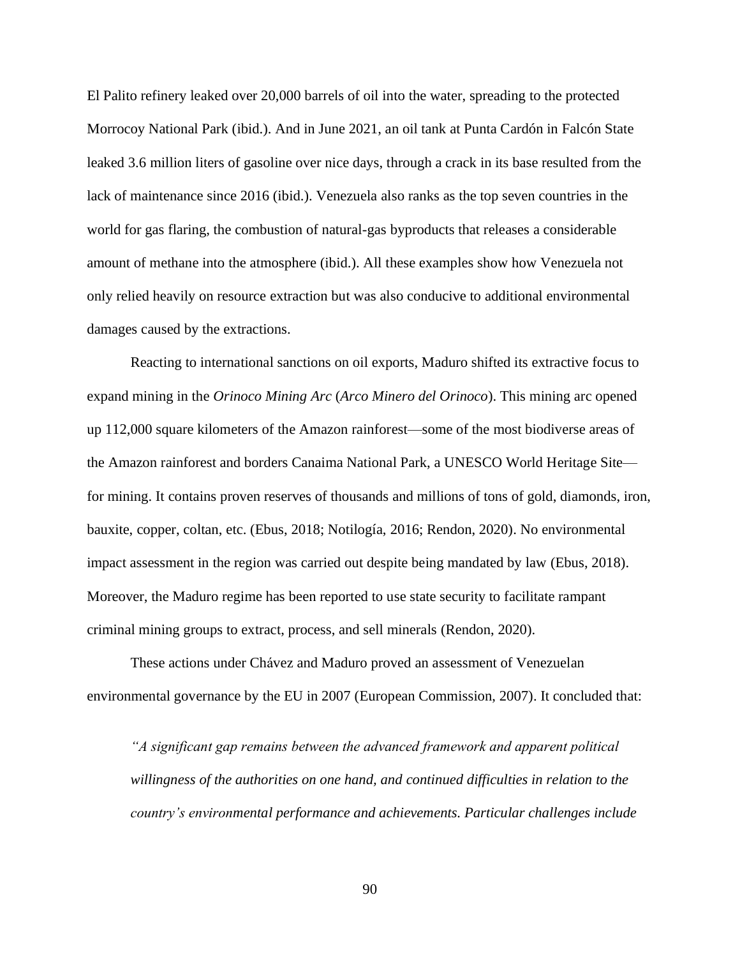El Palito refinery leaked over 20,000 barrels of oil into the water, spreading to the protected Morrocoy National Park (ibid.). And in June 2021, an oil tank at Punta Cardón in Falcón State leaked 3.6 million liters of gasoline over nice days, through a crack in its base resulted from the lack of maintenance since 2016 (ibid.). Venezuela also ranks as the top seven countries in the world for gas flaring, the combustion of natural-gas byproducts that releases a considerable amount of methane into the atmosphere (ibid.). All these examples show how Venezuela not only relied heavily on resource extraction but was also conducive to additional environmental damages caused by the extractions.

Reacting to international sanctions on oil exports, Maduro shifted its extractive focus to expand mining in the *Orinoco Mining Arc* (*Arco Minero del Orinoco*). This mining arc opened up 112,000 square kilometers of the Amazon rainforest—some of the most biodiverse areas of the Amazon rainforest and borders Canaima National Park, a UNESCO World Heritage Site for mining. It contains proven reserves of thousands and millions of tons of gold, diamonds, iron, bauxite, copper, coltan, etc. (Ebus, 2018; Notilogía, 2016; Rendon, 2020). No environmental impact assessment in the region was carried out despite being mandated by law (Ebus, 2018). Moreover, the Maduro regime has been reported to use state security to facilitate rampant criminal mining groups to extract, process, and sell minerals (Rendon, 2020).

These actions under Chávez and Maduro proved an assessment of Venezuelan environmental governance by the EU in 2007 (European Commission, 2007). It concluded that:

*"A significant gap remains between the advanced framework and apparent political willingness of the authorities on one hand, and continued difficulties in relation to the country's environmental performance and achievements. Particular challenges include*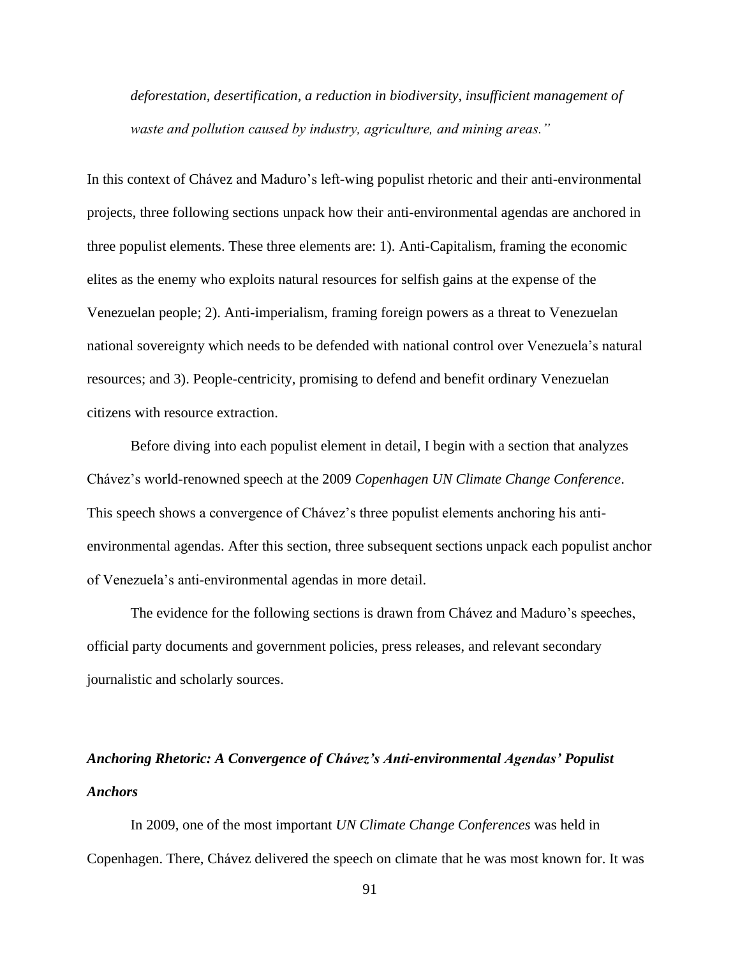*deforestation, desertification, a reduction in biodiversity, insufficient management of waste and pollution caused by industry, agriculture, and mining areas."* 

In this context of Chávez and Maduro's left-wing populist rhetoric and their anti-environmental projects, three following sections unpack how their anti-environmental agendas are anchored in three populist elements. These three elements are: 1). Anti-Capitalism, framing the economic elites as the enemy who exploits natural resources for selfish gains at the expense of the Venezuelan people; 2). Anti-imperialism, framing foreign powers as a threat to Venezuelan national sovereignty which needs to be defended with national control over Venezuela's natural resources; and 3). People-centricity, promising to defend and benefit ordinary Venezuelan citizens with resource extraction.

Before diving into each populist element in detail, I begin with a section that analyzes Chávez's world-renowned speech at the 2009 *Copenhagen UN Climate Change Conference*. This speech shows a convergence of Chávez's three populist elements anchoring his antienvironmental agendas. After this section, three subsequent sections unpack each populist anchor of Venezuela's anti-environmental agendas in more detail.

The evidence for the following sections is drawn from Chávez and Maduro's speeches, official party documents and government policies, press releases, and relevant secondary journalistic and scholarly sources.

# *Anchoring Rhetoric: A Convergence of Chávez's Anti-environmental Agendas' Populist Anchors*

In 2009, one of the most important *UN Climate Change Conferences* was held in Copenhagen. There, Chávez delivered the speech on climate that he was most known for. It was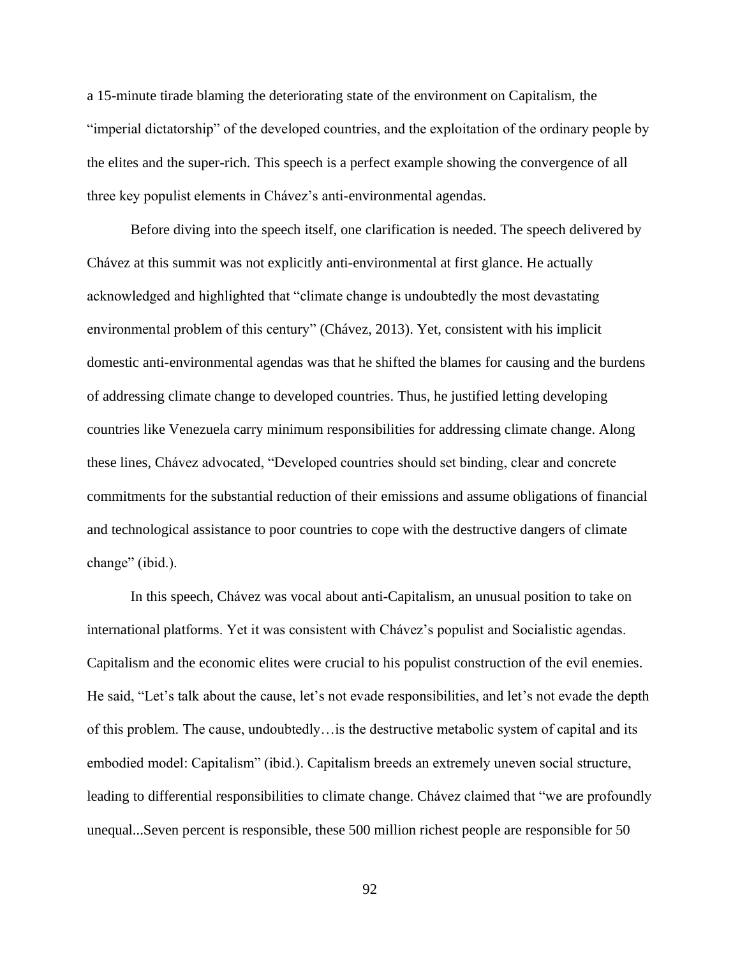a 15-minute tirade blaming the deteriorating state of the environment on Capitalism, the "imperial dictatorship" of the developed countries, and the exploitation of the ordinary people by the elites and the super-rich. This speech is a perfect example showing the convergence of all three key populist elements in Chávez's anti-environmental agendas.

Before diving into the speech itself, one clarification is needed. The speech delivered by Chávez at this summit was not explicitly anti-environmental at first glance. He actually acknowledged and highlighted that "climate change is undoubtedly the most devastating environmental problem of this century" (Chávez, 2013). Yet, consistent with his implicit domestic anti-environmental agendas was that he shifted the blames for causing and the burdens of addressing climate change to developed countries. Thus, he justified letting developing countries like Venezuela carry minimum responsibilities for addressing climate change. Along these lines, Chávez advocated, "Developed countries should set binding, clear and concrete commitments for the substantial reduction of their emissions and assume obligations of financial and technological assistance to poor countries to cope with the destructive dangers of climate change" (ibid.).

In this speech, Chávez was vocal about anti-Capitalism, an unusual position to take on international platforms. Yet it was consistent with Chávez's populist and Socialistic agendas. Capitalism and the economic elites were crucial to his populist construction of the evil enemies. He said, "Let's talk about the cause, let's not evade responsibilities, and let's not evade the depth of this problem. The cause, undoubtedly…is the destructive metabolic system of capital and its embodied model: Capitalism" (ibid.). Capitalism breeds an extremely uneven social structure, leading to differential responsibilities to climate change. Chávez claimed that "we are profoundly unequal...Seven percent is responsible, these 500 million richest people are responsible for 50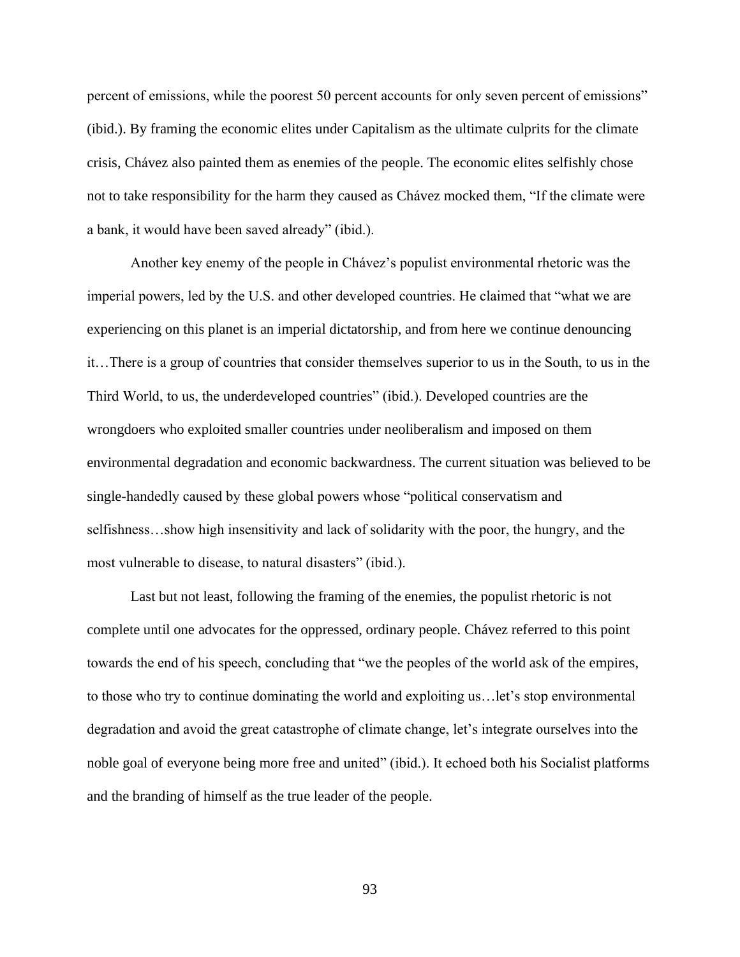percent of emissions, while the poorest 50 percent accounts for only seven percent of emissions" (ibid.). By framing the economic elites under Capitalism as the ultimate culprits for the climate crisis, Chávez also painted them as enemies of the people. The economic elites selfishly chose not to take responsibility for the harm they caused as Chávez mocked them, "If the climate were a bank, it would have been saved already" (ibid.).

Another key enemy of the people in Chávez's populist environmental rhetoric was the imperial powers, led by the U.S. and other developed countries. He claimed that "what we are experiencing on this planet is an imperial dictatorship, and from here we continue denouncing it…There is a group of countries that consider themselves superior to us in the South, to us in the Third World, to us, the underdeveloped countries" (ibid.). Developed countries are the wrongdoers who exploited smaller countries under neoliberalism and imposed on them environmental degradation and economic backwardness. The current situation was believed to be single-handedly caused by these global powers whose "political conservatism and selfishness…show high insensitivity and lack of solidarity with the poor, the hungry, and the most vulnerable to disease, to natural disasters" (ibid.).

Last but not least, following the framing of the enemies, the populist rhetoric is not complete until one advocates for the oppressed, ordinary people. Chávez referred to this point towards the end of his speech, concluding that "we the peoples of the world ask of the empires, to those who try to continue dominating the world and exploiting us…let's stop environmental degradation and avoid the great catastrophe of climate change, let's integrate ourselves into the noble goal of everyone being more free and united" (ibid.). It echoed both his Socialist platforms and the branding of himself as the true leader of the people.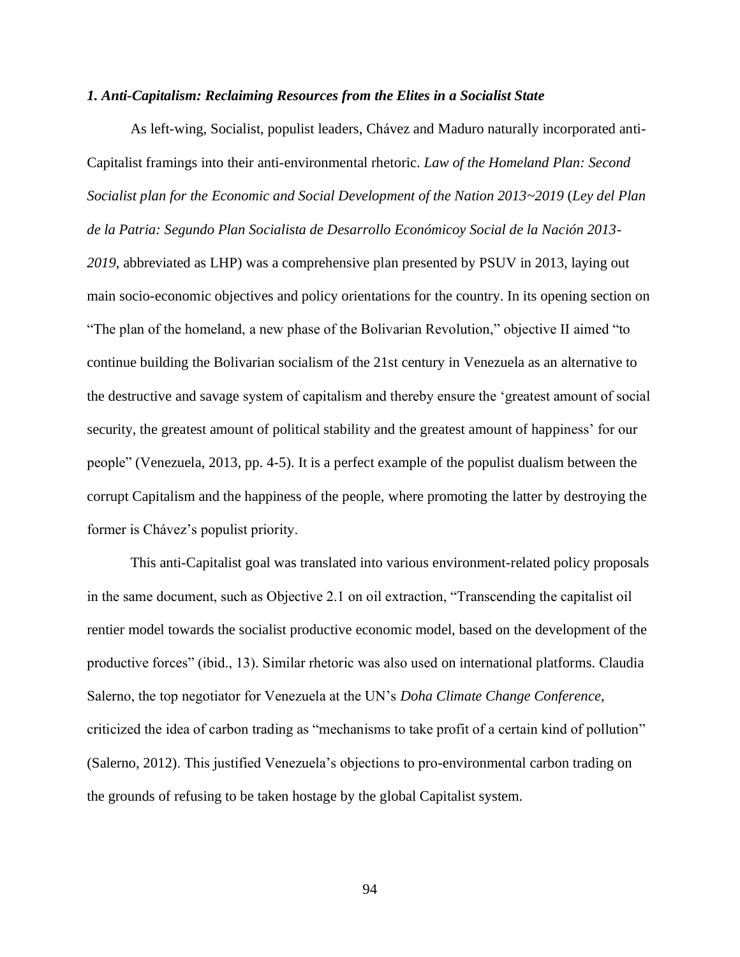#### *1. Anti-Capitalism: Reclaiming Resources from the Elites in a Socialist State*

As left-wing, Socialist, populist leaders, Chávez and Maduro naturally incorporated anti-Capitalist framings into their anti-environmental rhetoric. *Law of the Homeland Plan: Second Socialist plan for the Economic and Social Development of the Nation 2013~2019* (*Ley del Plan de la Patria: Segundo Plan Socialista de Desarrollo Económicoy Social de la Nación 2013- 2019*, abbreviated as LHP) was a comprehensive plan presented by PSUV in 2013, laying out main socio-economic objectives and policy orientations for the country. In its opening section on "The plan of the homeland, a new phase of the Bolivarian Revolution," objective II aimed "to continue building the Bolivarian socialism of the 21st century in Venezuela as an alternative to the destructive and savage system of capitalism and thereby ensure the 'greatest amount of social security, the greatest amount of political stability and the greatest amount of happiness' for our people" (Venezuela, 2013, pp. 4-5). It is a perfect example of the populist dualism between the corrupt Capitalism and the happiness of the people, where promoting the latter by destroying the former is Chávez's populist priority.

This anti-Capitalist goal was translated into various environment-related policy proposals in the same document, such as Objective 2.1 on oil extraction, "Transcending the capitalist oil rentier model towards the socialist productive economic model, based on the development of the productive forces" (ibid., 13). Similar rhetoric was also used on international platforms. Claudia Salerno, the top negotiator for Venezuela at the UN's *Doha Climate Change Conference*, criticized the idea of carbon trading as "mechanisms to take profit of a certain kind of pollution" (Salerno, 2012). This justified Venezuela's objections to pro-environmental carbon trading on the grounds of refusing to be taken hostage by the global Capitalist system.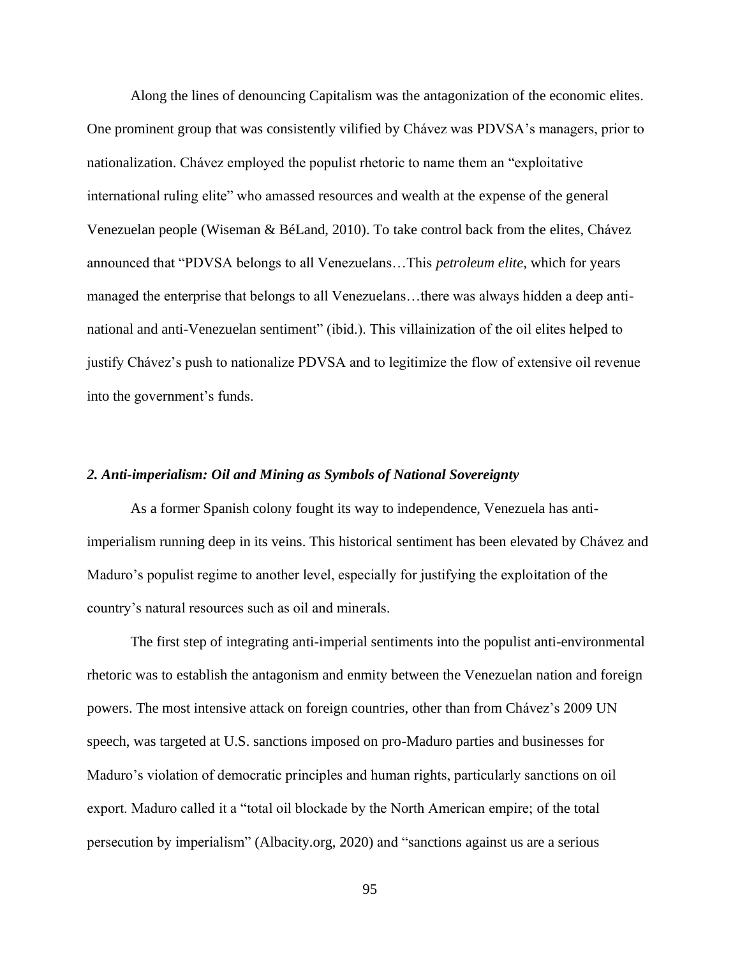Along the lines of denouncing Capitalism was the antagonization of the economic elites. One prominent group that was consistently vilified by Chávez was PDVSA's managers, prior to nationalization. Chávez employed the populist rhetoric to name them an "exploitative international ruling elite" who amassed resources and wealth at the expense of the general Venezuelan people (Wiseman & BéLand, 2010). To take control back from the elites, Chávez announced that "PDVSA belongs to all Venezuelans…This *petroleum elite*, which for years managed the enterprise that belongs to all Venezuelans…there was always hidden a deep antinational and anti-Venezuelan sentiment" (ibid.). This villainization of the oil elites helped to justify Chávez's push to nationalize PDVSA and to legitimize the flow of extensive oil revenue into the government's funds.

# *2. Anti-imperialism: Oil and Mining as Symbols of National Sovereignty*

As a former Spanish colony fought its way to independence, Venezuela has antiimperialism running deep in its veins. This historical sentiment has been elevated by Chávez and Maduro's populist regime to another level, especially for justifying the exploitation of the country's natural resources such as oil and minerals.

The first step of integrating anti-imperial sentiments into the populist anti-environmental rhetoric was to establish the antagonism and enmity between the Venezuelan nation and foreign powers. The most intensive attack on foreign countries, other than from Chávez's 2009 UN speech, was targeted at U.S. sanctions imposed on pro-Maduro parties and businesses for Maduro's violation of democratic principles and human rights, particularly sanctions on oil export. Maduro called it a "total oil blockade by the North American empire; of the total persecution by imperialism" (Albacity.org, 2020) and "sanctions against us are a serious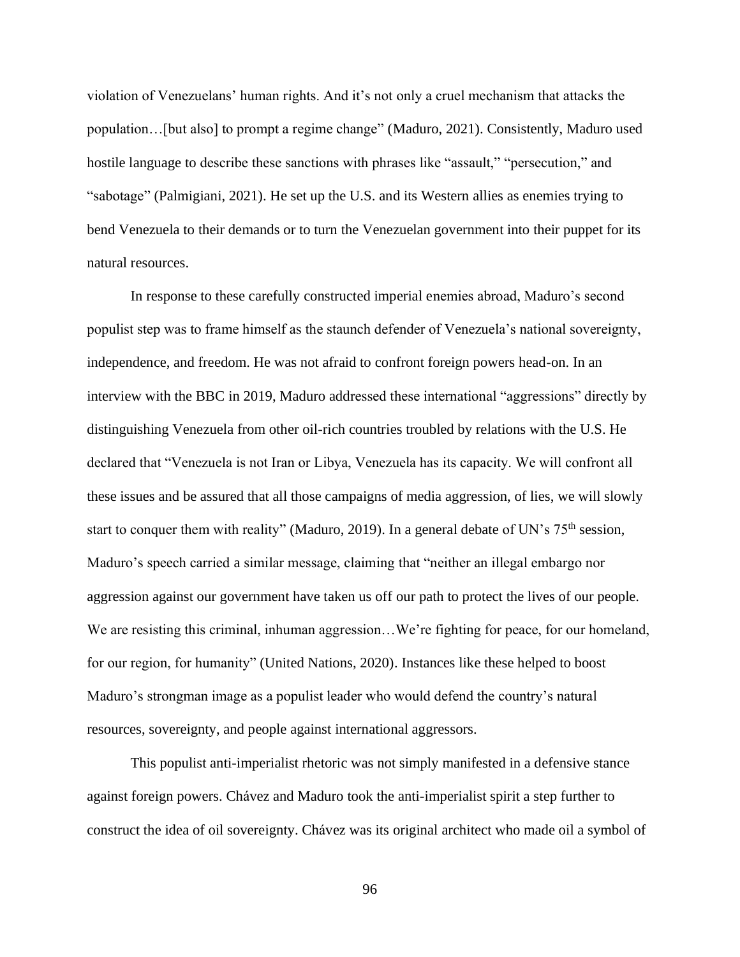violation of Venezuelans' human rights. And it's not only a cruel mechanism that attacks the population…[but also] to prompt a regime change" (Maduro, 2021). Consistently, Maduro used hostile language to describe these sanctions with phrases like "assault," "persecution," and "sabotage" (Palmigiani, 2021). He set up the U.S. and its Western allies as enemies trying to bend Venezuela to their demands or to turn the Venezuelan government into their puppet for its natural resources.

In response to these carefully constructed imperial enemies abroad, Maduro's second populist step was to frame himself as the staunch defender of Venezuela's national sovereignty, independence, and freedom. He was not afraid to confront foreign powers head-on. In an interview with the BBC in 2019, Maduro addressed these international "aggressions" directly by distinguishing Venezuela from other oil-rich countries troubled by relations with the U.S. He declared that "Venezuela is not Iran or Libya, Venezuela has its capacity. We will confront all these issues and be assured that all those campaigns of media aggression, of lies, we will slowly start to conquer them with reality" (Maduro, 2019). In a general debate of UN's 75<sup>th</sup> session, Maduro's speech carried a similar message, claiming that "neither an illegal embargo nor aggression against our government have taken us off our path to protect the lives of our people. We are resisting this criminal, inhuman aggression...We're fighting for peace, for our homeland, for our region, for humanity" (United Nations, 2020). Instances like these helped to boost Maduro's strongman image as a populist leader who would defend the country's natural resources, sovereignty, and people against international aggressors.

This populist anti-imperialist rhetoric was not simply manifested in a defensive stance against foreign powers. Chávez and Maduro took the anti-imperialist spirit a step further to construct the idea of oil sovereignty. Chávez was its original architect who made oil a symbol of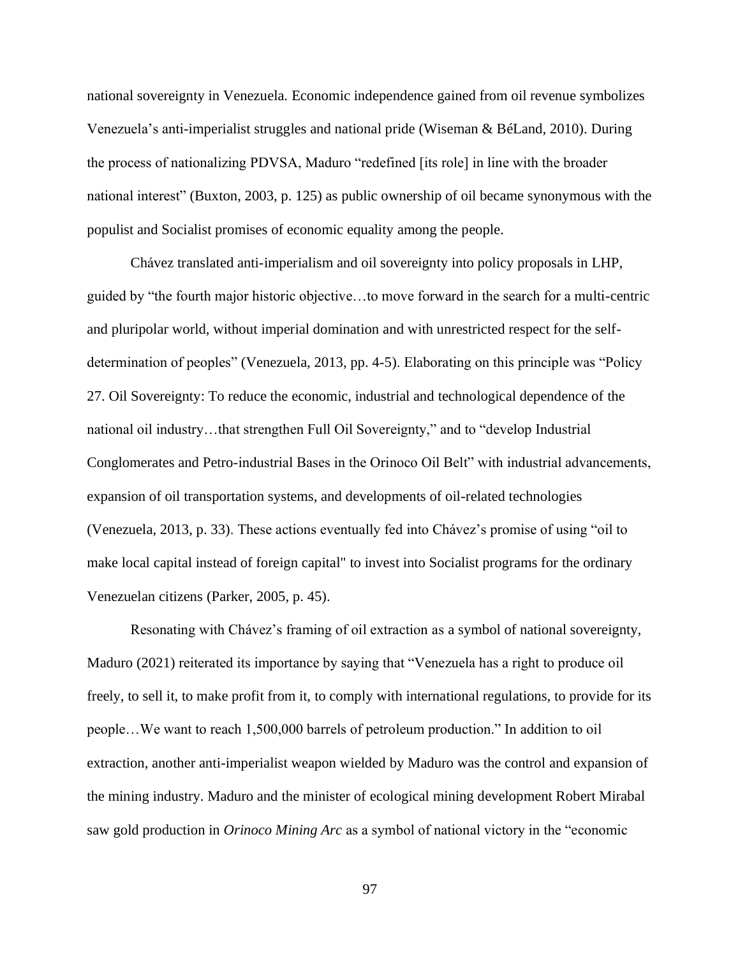national sovereignty in Venezuela. Economic independence gained from oil revenue symbolizes Venezuela's anti-imperialist struggles and national pride (Wiseman & BéLand, 2010). During the process of nationalizing PDVSA, Maduro "redefined [its role] in line with the broader national interest" (Buxton, 2003, p. 125) as public ownership of oil became synonymous with the populist and Socialist promises of economic equality among the people.

Chávez translated anti-imperialism and oil sovereignty into policy proposals in LHP, guided by "the fourth major historic objective…to move forward in the search for a multi-centric and pluripolar world, without imperial domination and with unrestricted respect for the selfdetermination of peoples" (Venezuela, 2013, pp. 4-5). Elaborating on this principle was "Policy 27. Oil Sovereignty: To reduce the economic, industrial and technological dependence of the national oil industry…that strengthen Full Oil Sovereignty," and to "develop Industrial Conglomerates and Petro-industrial Bases in the Orinoco Oil Belt" with industrial advancements, expansion of oil transportation systems, and developments of oil-related technologies (Venezuela, 2013, p. 33). These actions eventually fed into Chávez's promise of using "oil to make local capital instead of foreign capital" to invest into Socialist programs for the ordinary Venezuelan citizens (Parker, 2005, p. 45).

Resonating with Chávez's framing of oil extraction as a symbol of national sovereignty, Maduro (2021) reiterated its importance by saying that "Venezuela has a right to produce oil freely, to sell it, to make profit from it, to comply with international regulations, to provide for its people…We want to reach 1,500,000 barrels of petroleum production." In addition to oil extraction, another anti-imperialist weapon wielded by Maduro was the control and expansion of the mining industry. Maduro and the minister of ecological mining development Robert Mirabal saw gold production in *Orinoco Mining Arc* as a symbol of national victory in the "economic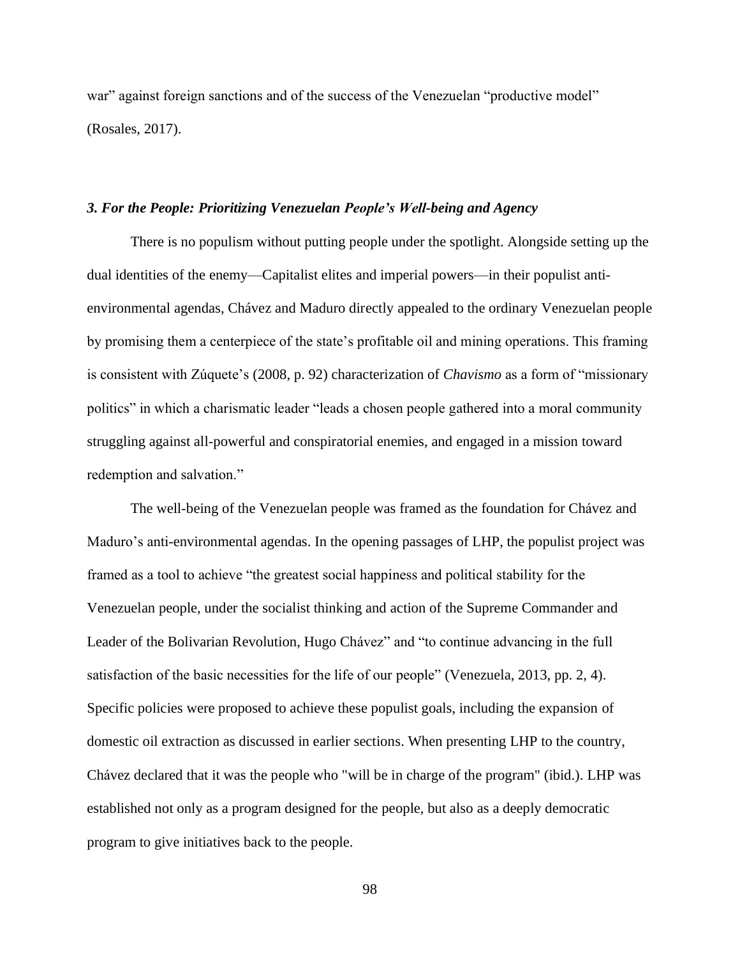war" against foreign sanctions and of the success of the Venezuelan "productive model" (Rosales, 2017).

#### *3. For the People: Prioritizing Venezuelan People's Well-being and Agency*

There is no populism without putting people under the spotlight. Alongside setting up the dual identities of the enemy—Capitalist elites and imperial powers—in their populist antienvironmental agendas, Chávez and Maduro directly appealed to the ordinary Venezuelan people by promising them a centerpiece of the state's profitable oil and mining operations. This framing is consistent with Zúquete's (2008, p. 92) characterization of *Chavismo* as a form of "missionary politics" in which a charismatic leader "leads a chosen people gathered into a moral community struggling against all-powerful and conspiratorial enemies, and engaged in a mission toward redemption and salvation."

The well-being of the Venezuelan people was framed as the foundation for Chávez and Maduro's anti-environmental agendas. In the opening passages of LHP, the populist project was framed as a tool to achieve "the greatest social happiness and political stability for the Venezuelan people, under the socialist thinking and action of the Supreme Commander and Leader of the Bolivarian Revolution, Hugo Chávez" and "to continue advancing in the full satisfaction of the basic necessities for the life of our people" (Venezuela, 2013, pp. 2, 4). Specific policies were proposed to achieve these populist goals, including the expansion of domestic oil extraction as discussed in earlier sections. When presenting LHP to the country, Chávez declared that it was the people who "will be in charge of the program" (ibid.). LHP was established not only as a program designed for the people, but also as a deeply democratic program to give initiatives back to the people.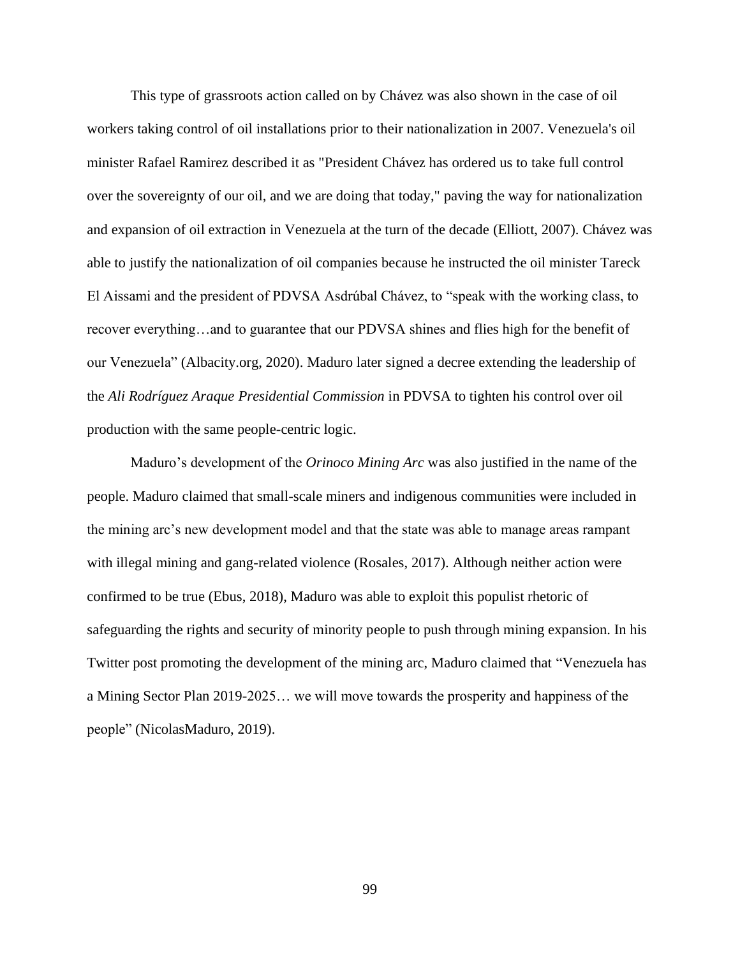This type of grassroots action called on by Chávez was also shown in the case of oil workers taking control of oil installations prior to their nationalization in 2007. Venezuela's oil minister Rafael Ramirez described it as "President Chávez has ordered us to take full control over the sovereignty of our oil, and we are doing that today," paving the way for nationalization and expansion of oil extraction in Venezuela at the turn of the decade (Elliott, 2007). Chávez was able to justify the nationalization of oil companies because he instructed the oil minister Tareck El Aissami and the president of PDVSA Asdrúbal Chávez, to "speak with the working class, to recover everything…and to guarantee that our PDVSA shines and flies high for the benefit of our Venezuela" (Albacity.org, 2020). Maduro later signed a decree extending the leadership of the *Ali Rodríguez Araque Presidential Commission* in PDVSA to tighten his control over oil production with the same people-centric logic.

Maduro's development of the *Orinoco Mining Arc* was also justified in the name of the people. Maduro claimed that small-scale miners and indigenous communities were included in the mining arc's new development model and that the state was able to manage areas rampant with illegal mining and gang-related violence (Rosales, 2017). Although neither action were confirmed to be true (Ebus, 2018), Maduro was able to exploit this populist rhetoric of safeguarding the rights and security of minority people to push through mining expansion. In his Twitter post promoting the development of the mining arc, Maduro claimed that "Venezuela has a Mining Sector Plan 2019-2025… we will move towards the prosperity and happiness of the people" (NicolasMaduro, 2019).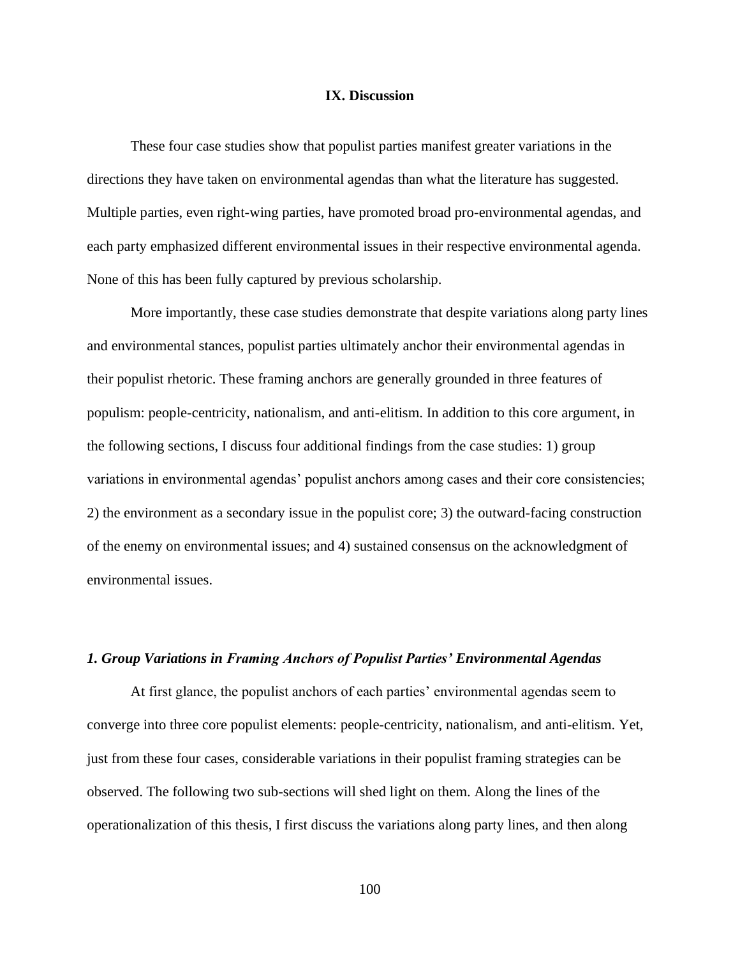## **IX. Discussion**

These four case studies show that populist parties manifest greater variations in the directions they have taken on environmental agendas than what the literature has suggested. Multiple parties, even right-wing parties, have promoted broad pro-environmental agendas, and each party emphasized different environmental issues in their respective environmental agenda. None of this has been fully captured by previous scholarship.

More importantly, these case studies demonstrate that despite variations along party lines and environmental stances, populist parties ultimately anchor their environmental agendas in their populist rhetoric. These framing anchors are generally grounded in three features of populism: people-centricity, nationalism, and anti-elitism. In addition to this core argument, in the following sections, I discuss four additional findings from the case studies: 1) group variations in environmental agendas' populist anchors among cases and their core consistencies; 2) the environment as a secondary issue in the populist core; 3) the outward-facing construction of the enemy on environmental issues; and 4) sustained consensus on the acknowledgment of environmental issues.

## *1. Group Variations in Framing Anchors of Populist Parties' Environmental Agendas*

At first glance, the populist anchors of each parties' environmental agendas seem to converge into three core populist elements: people-centricity, nationalism, and anti-elitism. Yet, just from these four cases, considerable variations in their populist framing strategies can be observed. The following two sub-sections will shed light on them. Along the lines of the operationalization of this thesis, I first discuss the variations along party lines, and then along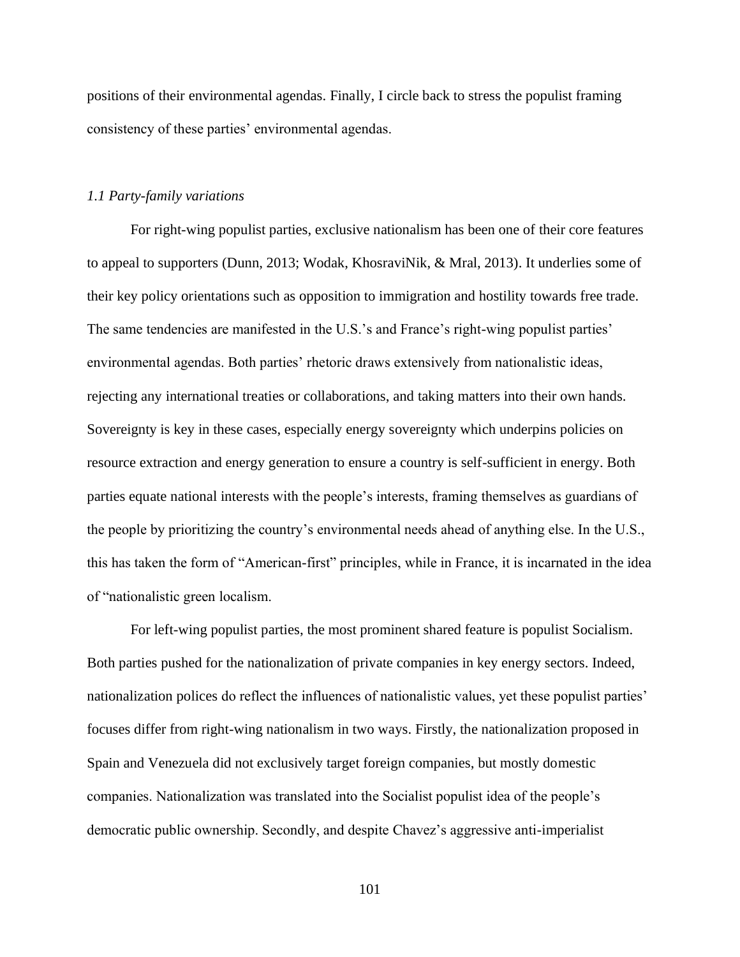positions of their environmental agendas. Finally, I circle back to stress the populist framing consistency of these parties' environmental agendas.

# *1.1 Party-family variations*

For right-wing populist parties, exclusive nationalism has been one of their core features to appeal to supporters (Dunn, 2013; Wodak, KhosraviNik, & Mral, 2013). It underlies some of their key policy orientations such as opposition to immigration and hostility towards free trade. The same tendencies are manifested in the U.S.'s and France's right-wing populist parties' environmental agendas. Both parties' rhetoric draws extensively from nationalistic ideas, rejecting any international treaties or collaborations, and taking matters into their own hands. Sovereignty is key in these cases, especially energy sovereignty which underpins policies on resource extraction and energy generation to ensure a country is self-sufficient in energy. Both parties equate national interests with the people's interests, framing themselves as guardians of the people by prioritizing the country's environmental needs ahead of anything else. In the U.S., this has taken the form of "American-first" principles, while in France, it is incarnated in the idea of "nationalistic green localism.

For left-wing populist parties, the most prominent shared feature is populist Socialism. Both parties pushed for the nationalization of private companies in key energy sectors. Indeed, nationalization polices do reflect the influences of nationalistic values, yet these populist parties' focuses differ from right-wing nationalism in two ways. Firstly, the nationalization proposed in Spain and Venezuela did not exclusively target foreign companies, but mostly domestic companies. Nationalization was translated into the Socialist populist idea of the people's democratic public ownership. Secondly, and despite Chavez's aggressive anti-imperialist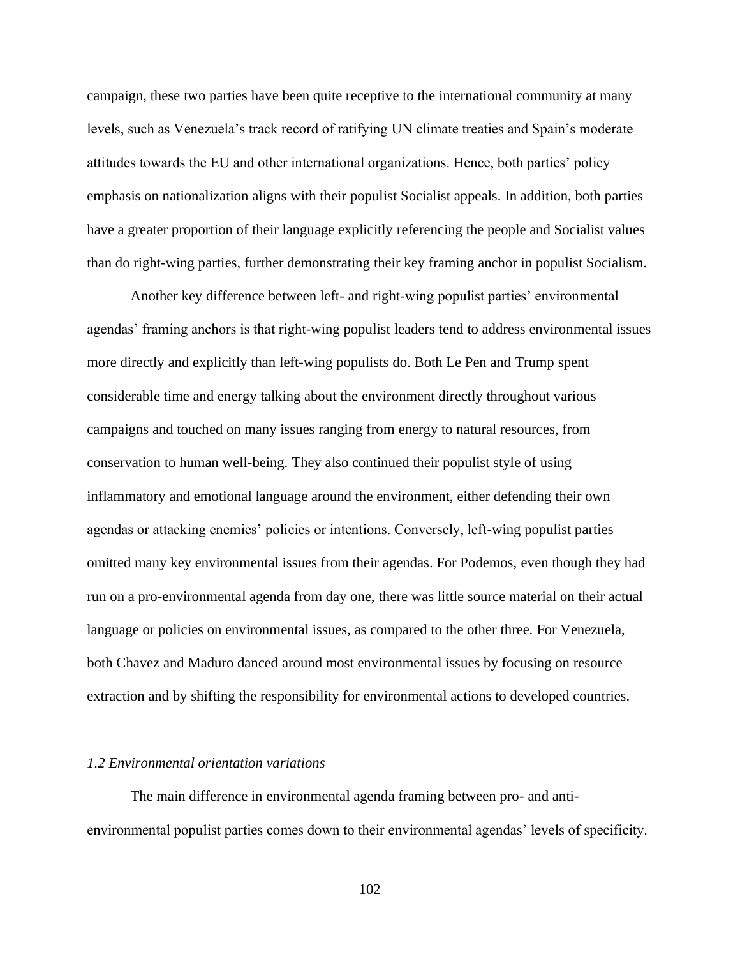campaign, these two parties have been quite receptive to the international community at many levels, such as Venezuela's track record of ratifying UN climate treaties and Spain's moderate attitudes towards the EU and other international organizations. Hence, both parties' policy emphasis on nationalization aligns with their populist Socialist appeals. In addition, both parties have a greater proportion of their language explicitly referencing the people and Socialist values than do right-wing parties, further demonstrating their key framing anchor in populist Socialism.

Another key difference between left- and right-wing populist parties' environmental agendas' framing anchors is that right-wing populist leaders tend to address environmental issues more directly and explicitly than left-wing populists do. Both Le Pen and Trump spent considerable time and energy talking about the environment directly throughout various campaigns and touched on many issues ranging from energy to natural resources, from conservation to human well-being. They also continued their populist style of using inflammatory and emotional language around the environment, either defending their own agendas or attacking enemies' policies or intentions. Conversely, left-wing populist parties omitted many key environmental issues from their agendas. For Podemos, even though they had run on a pro-environmental agenda from day one, there was little source material on their actual language or policies on environmental issues, as compared to the other three. For Venezuela, both Chavez and Maduro danced around most environmental issues by focusing on resource extraction and by shifting the responsibility for environmental actions to developed countries.

### *1.2 Environmental orientation variations*

The main difference in environmental agenda framing between pro- and antienvironmental populist parties comes down to their environmental agendas' levels of specificity.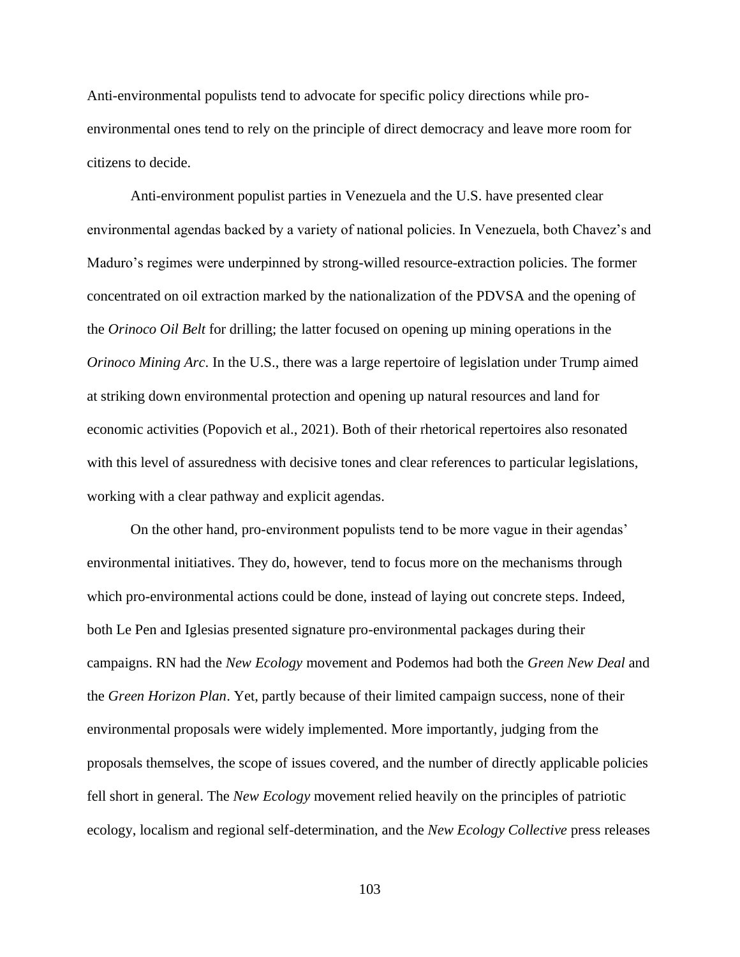Anti-environmental populists tend to advocate for specific policy directions while proenvironmental ones tend to rely on the principle of direct democracy and leave more room for citizens to decide.

Anti-environment populist parties in Venezuela and the U.S. have presented clear environmental agendas backed by a variety of national policies. In Venezuela, both Chavez's and Maduro's regimes were underpinned by strong-willed resource-extraction policies. The former concentrated on oil extraction marked by the nationalization of the PDVSA and the opening of the *Orinoco Oil Belt* for drilling; the latter focused on opening up mining operations in the *Orinoco Mining Arc*. In the U.S., there was a large repertoire of legislation under Trump aimed at striking down environmental protection and opening up natural resources and land for economic activities (Popovich et al., 2021). Both of their rhetorical repertoires also resonated with this level of assuredness with decisive tones and clear references to particular legislations, working with a clear pathway and explicit agendas.

On the other hand, pro-environment populists tend to be more vague in their agendas' environmental initiatives. They do, however, tend to focus more on the mechanisms through which pro-environmental actions could be done, instead of laying out concrete steps. Indeed, both Le Pen and Iglesias presented signature pro-environmental packages during their campaigns. RN had the *New Ecology* movement and Podemos had both the *Green New Deal* and the *Green Horizon Plan*. Yet, partly because of their limited campaign success, none of their environmental proposals were widely implemented. More importantly, judging from the proposals themselves, the scope of issues covered, and the number of directly applicable policies fell short in general. The *New Ecology* movement relied heavily on the principles of patriotic ecology, localism and regional self-determination, and the *New Ecology Collective* press releases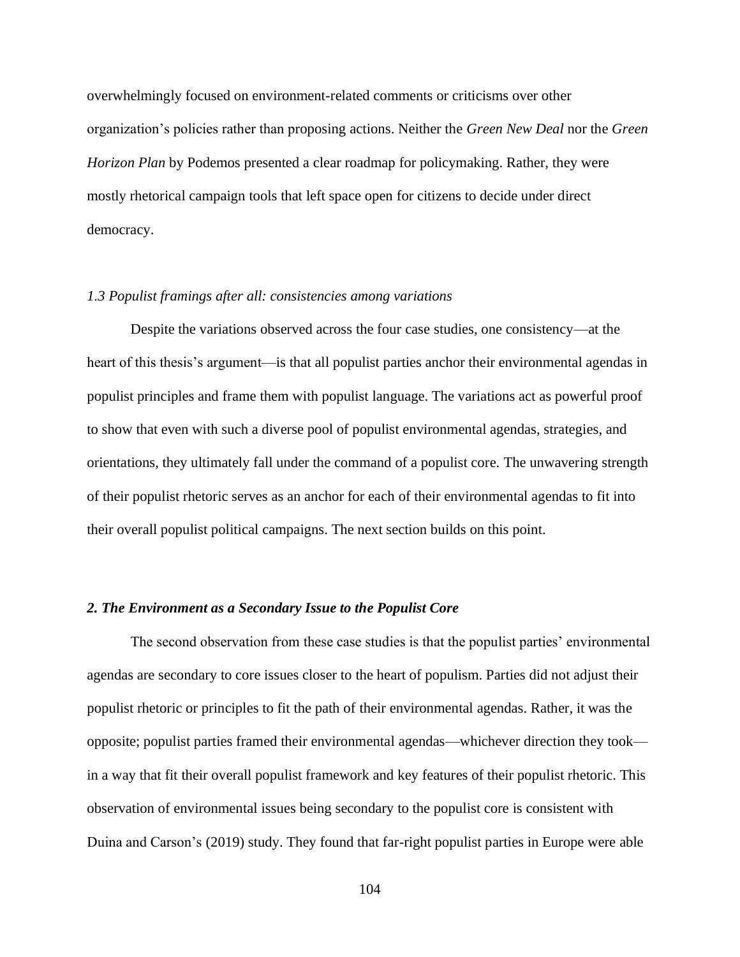overwhelmingly focused on environment-related comments or criticisms over other organization's policies rather than proposing actions. Neither the *Green New Deal* nor the *Green Horizon Plan* by Podemos presented a clear roadmap for policymaking. Rather, they were mostly rhetorical campaign tools that left space open for citizens to decide under direct democracy.

#### *1.3 Populist framings after all: consistencies among variations*

Despite the variations observed across the four case studies, one consistency—at the heart of this thesis's argument—is that all populist parties anchor their environmental agendas in populist principles and frame them with populist language. The variations act as powerful proof to show that even with such a diverse pool of populist environmental agendas, strategies, and orientations, they ultimately fall under the command of a populist core. The unwavering strength of their populist rhetoric serves as an anchor for each of their environmental agendas to fit into their overall populist political campaigns. The next section builds on this point.

#### *2. The Environment as a Secondary Issue to the Populist Core*

The second observation from these case studies is that the populist parties' environmental agendas are secondary to core issues closer to the heart of populism. Parties did not adjust their populist rhetoric or principles to fit the path of their environmental agendas. Rather, it was the opposite; populist parties framed their environmental agendas—whichever direction they took in a way that fit their overall populist framework and key features of their populist rhetoric. This observation of environmental issues being secondary to the populist core is consistent with Duina and Carson's (2019) study. They found that far-right populist parties in Europe were able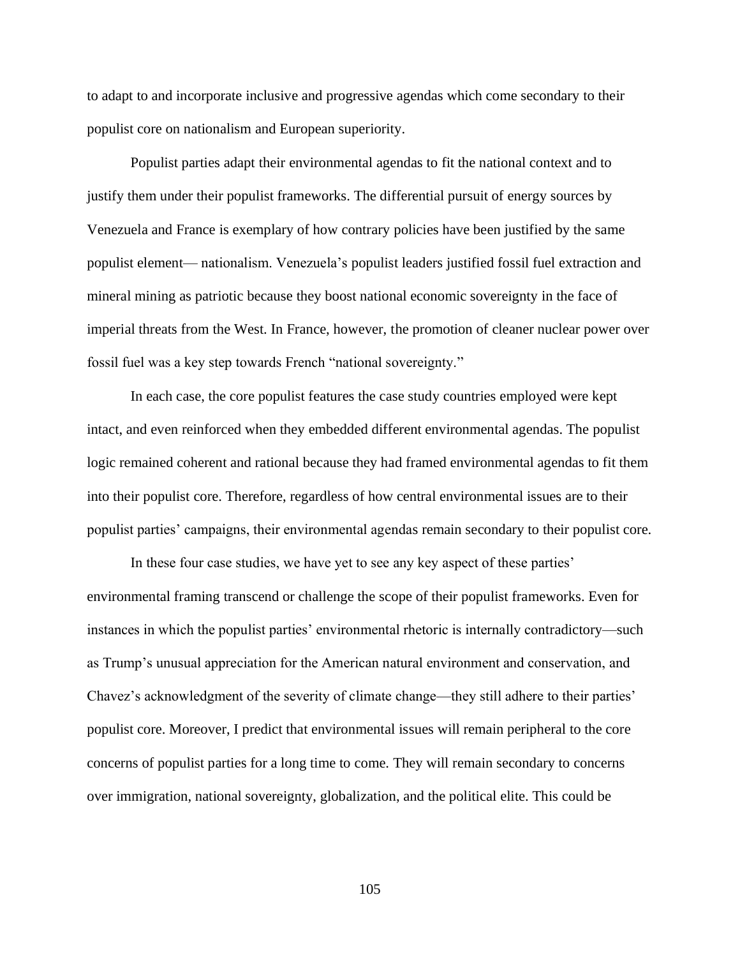to adapt to and incorporate inclusive and progressive agendas which come secondary to their populist core on nationalism and European superiority.

Populist parties adapt their environmental agendas to fit the national context and to justify them under their populist frameworks. The differential pursuit of energy sources by Venezuela and France is exemplary of how contrary policies have been justified by the same populist element— nationalism. Venezuela's populist leaders justified fossil fuel extraction and mineral mining as patriotic because they boost national economic sovereignty in the face of imperial threats from the West. In France, however, the promotion of cleaner nuclear power over fossil fuel was a key step towards French "national sovereignty."

In each case, the core populist features the case study countries employed were kept intact, and even reinforced when they embedded different environmental agendas. The populist logic remained coherent and rational because they had framed environmental agendas to fit them into their populist core. Therefore, regardless of how central environmental issues are to their populist parties' campaigns, their environmental agendas remain secondary to their populist core.

In these four case studies, we have yet to see any key aspect of these parties' environmental framing transcend or challenge the scope of their populist frameworks. Even for instances in which the populist parties' environmental rhetoric is internally contradictory—such as Trump's unusual appreciation for the American natural environment and conservation, and Chavez's acknowledgment of the severity of climate change—they still adhere to their parties' populist core. Moreover, I predict that environmental issues will remain peripheral to the core concerns of populist parties for a long time to come. They will remain secondary to concerns over immigration, national sovereignty, globalization, and the political elite. This could be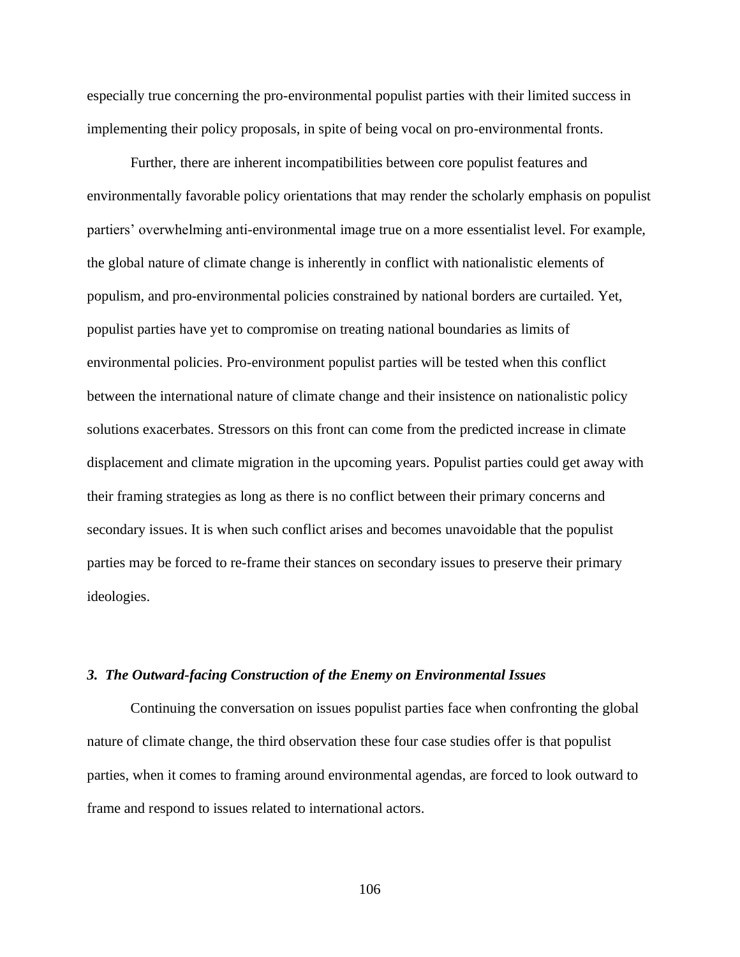especially true concerning the pro-environmental populist parties with their limited success in implementing their policy proposals, in spite of being vocal on pro-environmental fronts.

Further, there are inherent incompatibilities between core populist features and environmentally favorable policy orientations that may render the scholarly emphasis on populist partiers' overwhelming anti-environmental image true on a more essentialist level. For example, the global nature of climate change is inherently in conflict with nationalistic elements of populism, and pro-environmental policies constrained by national borders are curtailed. Yet, populist parties have yet to compromise on treating national boundaries as limits of environmental policies. Pro-environment populist parties will be tested when this conflict between the international nature of climate change and their insistence on nationalistic policy solutions exacerbates. Stressors on this front can come from the predicted increase in climate displacement and climate migration in the upcoming years. Populist parties could get away with their framing strategies as long as there is no conflict between their primary concerns and secondary issues. It is when such conflict arises and becomes unavoidable that the populist parties may be forced to re-frame their stances on secondary issues to preserve their primary ideologies.

#### *3. The Outward-facing Construction of the Enemy on Environmental Issues*

Continuing the conversation on issues populist parties face when confronting the global nature of climate change, the third observation these four case studies offer is that populist parties, when it comes to framing around environmental agendas, are forced to look outward to frame and respond to issues related to international actors.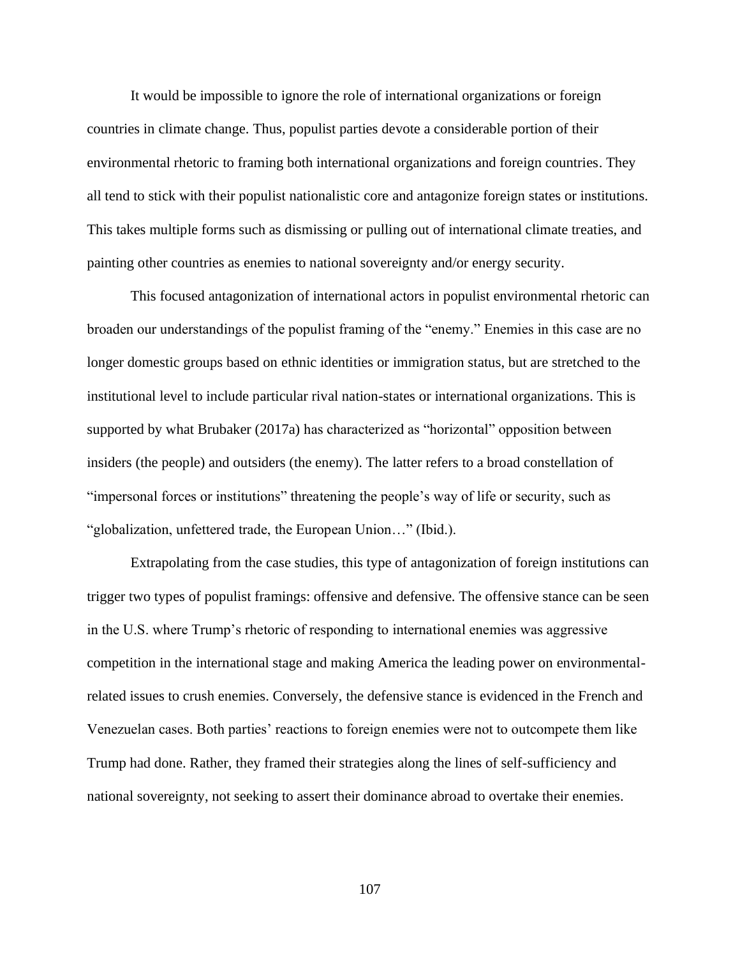It would be impossible to ignore the role of international organizations or foreign countries in climate change. Thus, populist parties devote a considerable portion of their environmental rhetoric to framing both international organizations and foreign countries. They all tend to stick with their populist nationalistic core and antagonize foreign states or institutions. This takes multiple forms such as dismissing or pulling out of international climate treaties, and painting other countries as enemies to national sovereignty and/or energy security.

This focused antagonization of international actors in populist environmental rhetoric can broaden our understandings of the populist framing of the "enemy." Enemies in this case are no longer domestic groups based on ethnic identities or immigration status, but are stretched to the institutional level to include particular rival nation-states or international organizations. This is supported by what Brubaker (2017a) has characterized as "horizontal" opposition between insiders (the people) and outsiders (the enemy). The latter refers to a broad constellation of "impersonal forces or institutions" threatening the people's way of life or security, such as "globalization, unfettered trade, the European Union…" (Ibid.).

Extrapolating from the case studies, this type of antagonization of foreign institutions can trigger two types of populist framings: offensive and defensive. The offensive stance can be seen in the U.S. where Trump's rhetoric of responding to international enemies was aggressive competition in the international stage and making America the leading power on environmentalrelated issues to crush enemies. Conversely, the defensive stance is evidenced in the French and Venezuelan cases. Both parties' reactions to foreign enemies were not to outcompete them like Trump had done. Rather, they framed their strategies along the lines of self-sufficiency and national sovereignty, not seeking to assert their dominance abroad to overtake their enemies.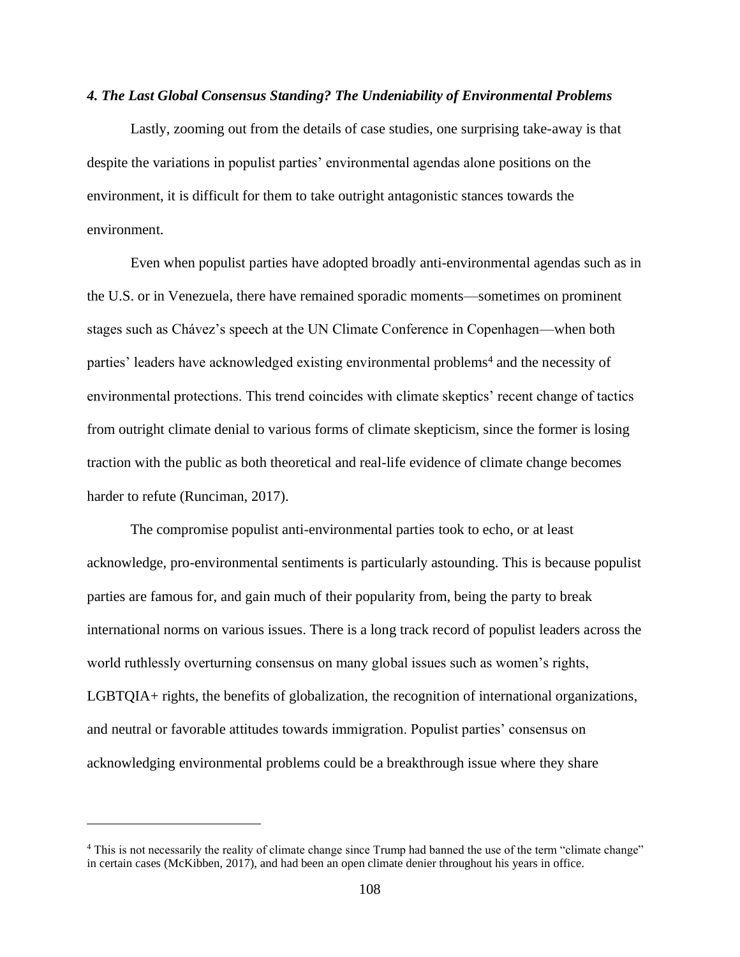## *4. The Last Global Consensus Standing? The Undeniability of Environmental Problems*

Lastly, zooming out from the details of case studies, one surprising take-away is that despite the variations in populist parties' environmental agendas alone positions on the environment, it is difficult for them to take outright antagonistic stances towards the environment.

Even when populist parties have adopted broadly anti-environmental agendas such as in the U.S. or in Venezuela, there have remained sporadic moments—sometimes on prominent stages such as Chávez's speech at the UN Climate Conference in Copenhagen—when both parties' leaders have acknowledged existing environmental problems<sup>4</sup> and the necessity of environmental protections. This trend coincides with climate skeptics' recent change of tactics from outright climate denial to various forms of climate skepticism, since the former is losing traction with the public as both theoretical and real-life evidence of climate change becomes harder to refute (Runciman, 2017).

The compromise populist anti-environmental parties took to echo, or at least acknowledge, pro-environmental sentiments is particularly astounding. This is because populist parties are famous for, and gain much of their popularity from, being the party to break international norms on various issues. There is a long track record of populist leaders across the world ruthlessly overturning consensus on many global issues such as women's rights, LGBTQIA+ rights, the benefits of globalization, the recognition of international organizations, and neutral or favorable attitudes towards immigration. Populist parties' consensus on acknowledging environmental problems could be a breakthrough issue where they share

<sup>&</sup>lt;sup>4</sup> This is not necessarily the reality of climate change since Trump had banned the use of the term "climate change" in certain cases (McKibben, 2017), and had been an open climate denier throughout his years in office.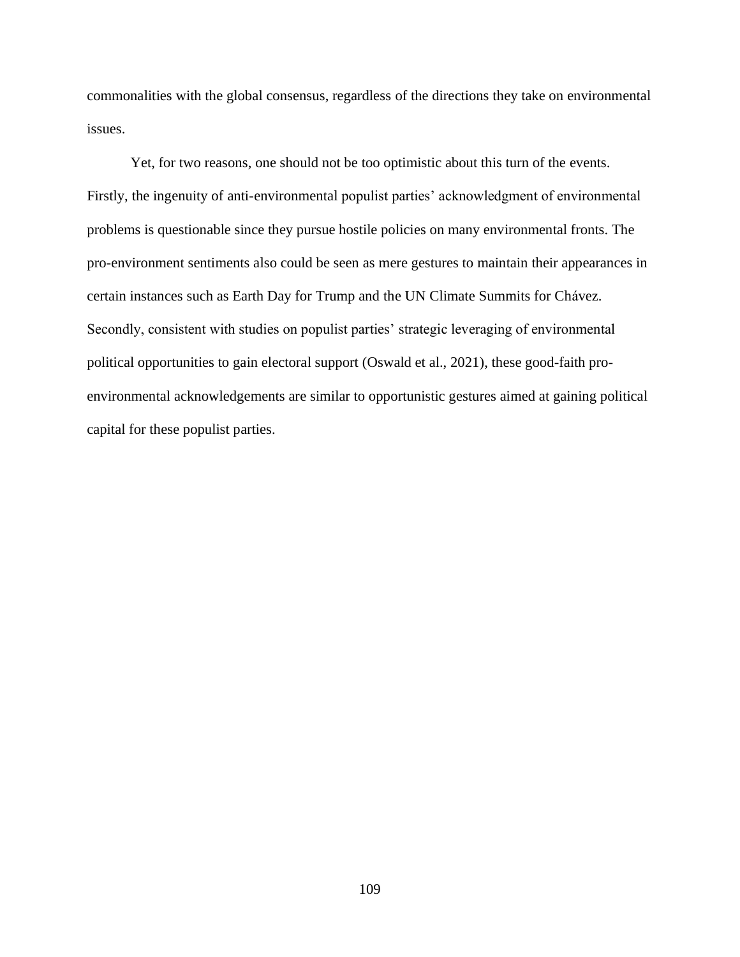commonalities with the global consensus, regardless of the directions they take on environmental issues.

Yet, for two reasons, one should not be too optimistic about this turn of the events. Firstly, the ingenuity of anti-environmental populist parties' acknowledgment of environmental problems is questionable since they pursue hostile policies on many environmental fronts. The pro-environment sentiments also could be seen as mere gestures to maintain their appearances in certain instances such as Earth Day for Trump and the UN Climate Summits for Chávez. Secondly, consistent with studies on populist parties' strategic leveraging of environmental political opportunities to gain electoral support (Oswald et al., 2021), these good-faith proenvironmental acknowledgements are similar to opportunistic gestures aimed at gaining political capital for these populist parties.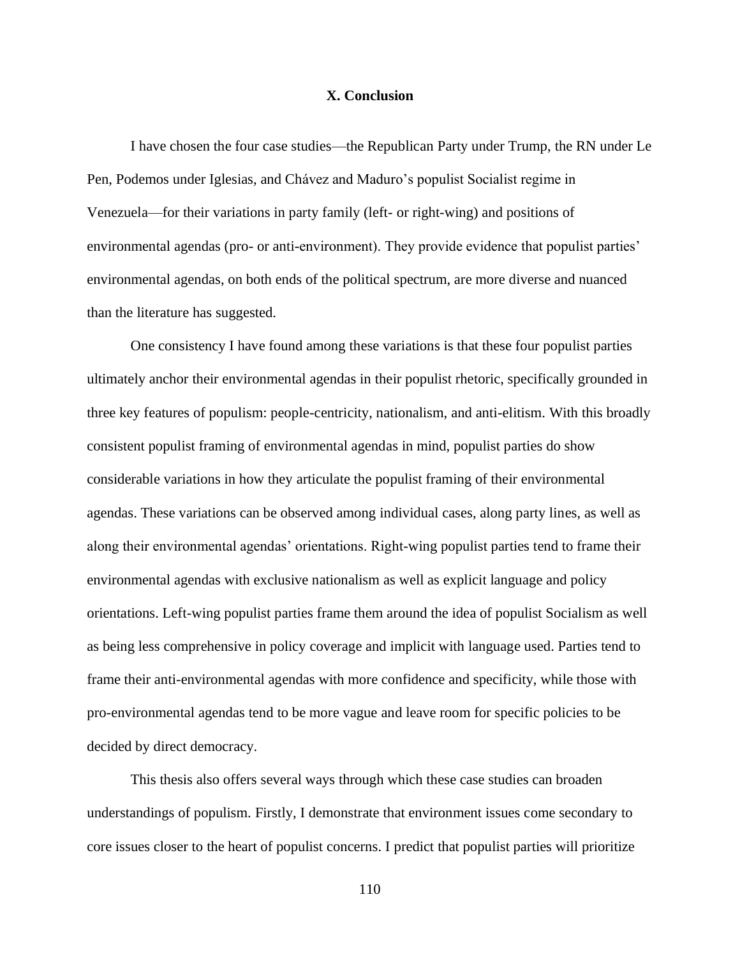## **X. Conclusion**

I have chosen the four case studies—the Republican Party under Trump, the RN under Le Pen, Podemos under Iglesias, and Chávez and Maduro's populist Socialist regime in Venezuela—for their variations in party family (left- or right-wing) and positions of environmental agendas (pro- or anti-environment). They provide evidence that populist parties' environmental agendas, on both ends of the political spectrum, are more diverse and nuanced than the literature has suggested.

One consistency I have found among these variations is that these four populist parties ultimately anchor their environmental agendas in their populist rhetoric, specifically grounded in three key features of populism: people-centricity, nationalism, and anti-elitism. With this broadly consistent populist framing of environmental agendas in mind, populist parties do show considerable variations in how they articulate the populist framing of their environmental agendas. These variations can be observed among individual cases, along party lines, as well as along their environmental agendas' orientations. Right-wing populist parties tend to frame their environmental agendas with exclusive nationalism as well as explicit language and policy orientations. Left-wing populist parties frame them around the idea of populist Socialism as well as being less comprehensive in policy coverage and implicit with language used. Parties tend to frame their anti-environmental agendas with more confidence and specificity, while those with pro-environmental agendas tend to be more vague and leave room for specific policies to be decided by direct democracy.

This thesis also offers several ways through which these case studies can broaden understandings of populism. Firstly, I demonstrate that environment issues come secondary to core issues closer to the heart of populist concerns. I predict that populist parties will prioritize

110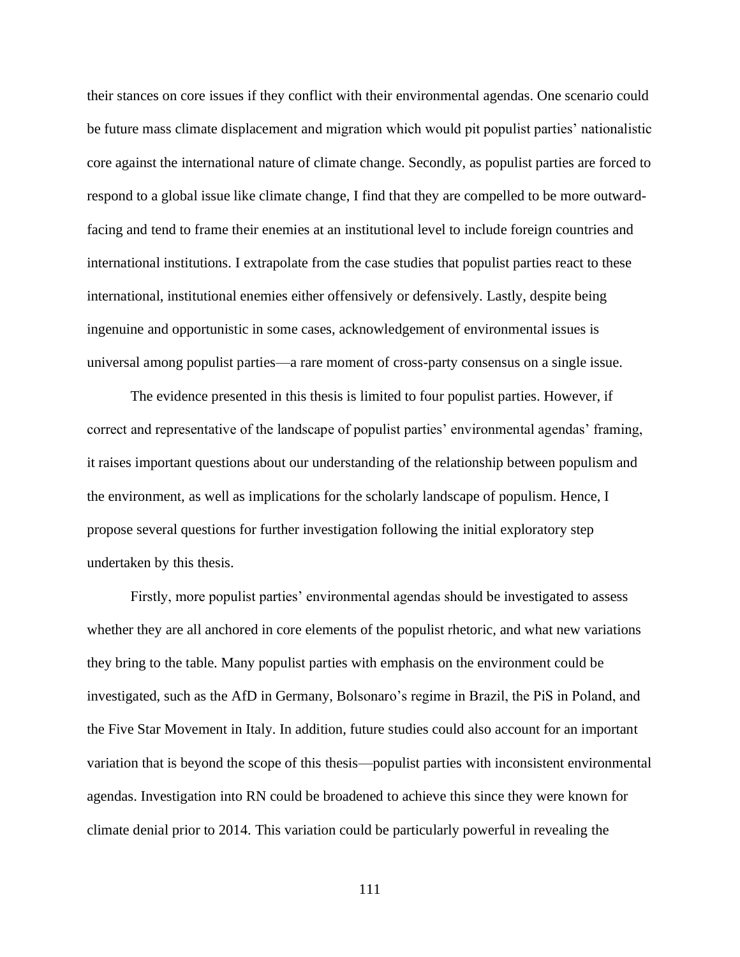their stances on core issues if they conflict with their environmental agendas. One scenario could be future mass climate displacement and migration which would pit populist parties' nationalistic core against the international nature of climate change. Secondly, as populist parties are forced to respond to a global issue like climate change, I find that they are compelled to be more outwardfacing and tend to frame their enemies at an institutional level to include foreign countries and international institutions. I extrapolate from the case studies that populist parties react to these international, institutional enemies either offensively or defensively. Lastly, despite being ingenuine and opportunistic in some cases, acknowledgement of environmental issues is universal among populist parties—a rare moment of cross-party consensus on a single issue.

The evidence presented in this thesis is limited to four populist parties. However, if correct and representative of the landscape of populist parties' environmental agendas' framing, it raises important questions about our understanding of the relationship between populism and the environment, as well as implications for the scholarly landscape of populism. Hence, I propose several questions for further investigation following the initial exploratory step undertaken by this thesis.

Firstly, more populist parties' environmental agendas should be investigated to assess whether they are all anchored in core elements of the populist rhetoric, and what new variations they bring to the table. Many populist parties with emphasis on the environment could be investigated, such as the AfD in Germany, Bolsonaro's regime in Brazil, the PiS in Poland, and the Five Star Movement in Italy. In addition, future studies could also account for an important variation that is beyond the scope of this thesis—populist parties with inconsistent environmental agendas. Investigation into RN could be broadened to achieve this since they were known for climate denial prior to 2014. This variation could be particularly powerful in revealing the

111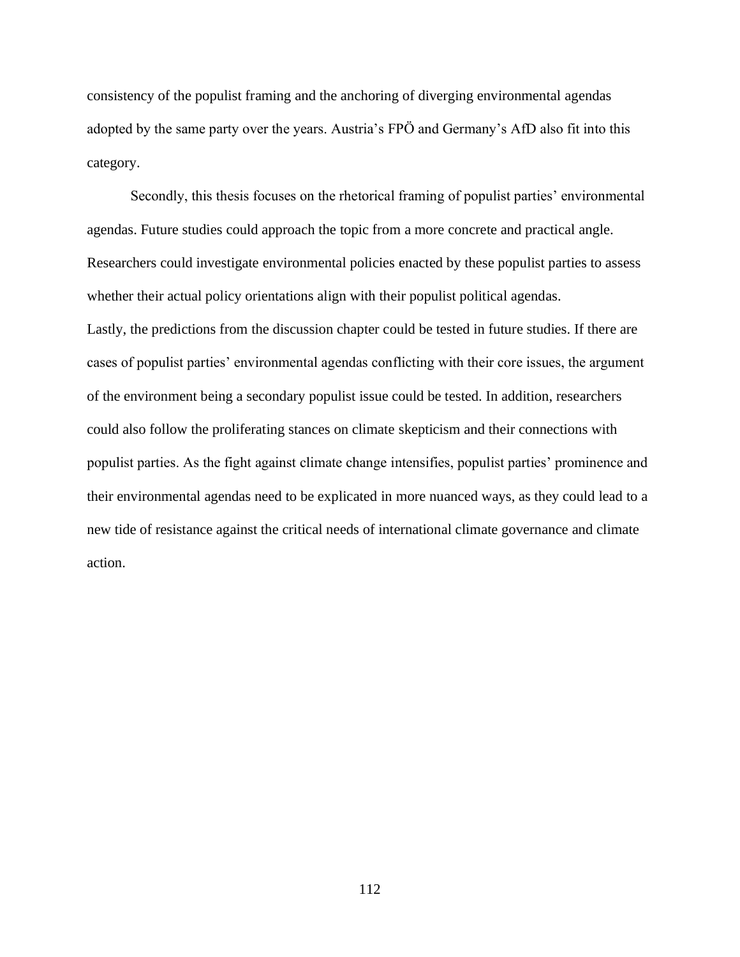consistency of the populist framing and the anchoring of diverging environmental agendas adopted by the same party over the years. Austria's FPÖ and Germany's AfD also fit into this category.

Secondly, this thesis focuses on the rhetorical framing of populist parties' environmental agendas. Future studies could approach the topic from a more concrete and practical angle. Researchers could investigate environmental policies enacted by these populist parties to assess whether their actual policy orientations align with their populist political agendas. Lastly, the predictions from the discussion chapter could be tested in future studies. If there are cases of populist parties' environmental agendas conflicting with their core issues, the argument of the environment being a secondary populist issue could be tested. In addition, researchers could also follow the proliferating stances on climate skepticism and their connections with populist parties. As the fight against climate change intensifies, populist parties' prominence and their environmental agendas need to be explicated in more nuanced ways, as they could lead to a new tide of resistance against the critical needs of international climate governance and climate action.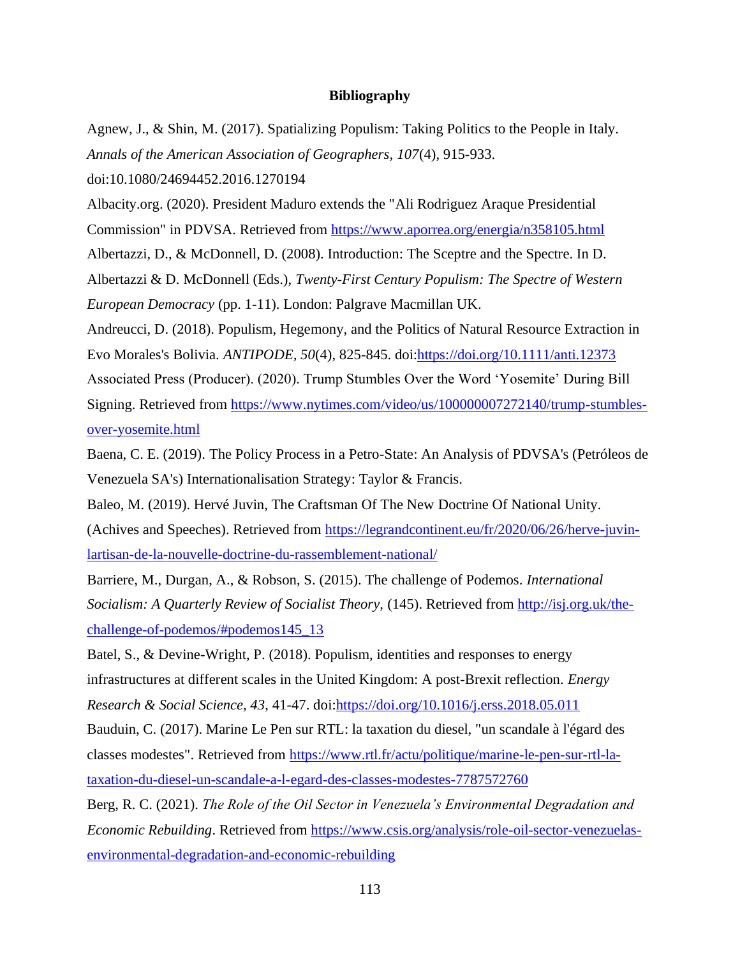## **Bibliography**

Agnew, J., & Shin, M. (2017). Spatializing Populism: Taking Politics to the People in Italy. *Annals of the American Association of Geographers, 107*(4), 915-933.

doi:10.1080/24694452.2016.1270194

Albacity.org. (2020). President Maduro extends the "Ali Rodriguez Araque Presidential Commission" in PDVSA. Retrieved from<https://www.aporrea.org/energia/n358105.html>

Albertazzi, D., & McDonnell, D. (2008). Introduction: The Sceptre and the Spectre. In D.

Albertazzi & D. McDonnell (Eds.), *Twenty-First Century Populism: The Spectre of Western European Democracy* (pp. 1-11). London: Palgrave Macmillan UK.

Andreucci, D. (2018). Populism, Hegemony, and the Politics of Natural Resource Extraction in Evo Morales's Bolivia. *ANTIPODE, 50*(4), 825-845. doi[:https://doi.org/10.1111/anti.12373](https://doi.org/10.1111/anti.12373)

Associated Press (Producer). (2020). Trump Stumbles Over the Word 'Yosemite' During Bill Signing. Retrieved from [https://www.nytimes.com/video/us/100000007272140/trump-stumbles](https://www.nytimes.com/video/us/100000007272140/trump-stumbles-over-yosemite.html)[over-yosemite.html](https://www.nytimes.com/video/us/100000007272140/trump-stumbles-over-yosemite.html)

Baena, C. E. (2019). The Policy Process in a Petro-State: An Analysis of PDVSA's (Petróleos de Venezuela SA's) Internationalisation Strategy: Taylor & Francis.

Baleo, M. (2019). Hervé Juvin, The Craftsman Of The New Doctrine Of National Unity.

(Achives and Speeches). Retrieved from [https://legrandcontinent.eu/fr/2020/06/26/herve-juvin](https://legrandcontinent.eu/fr/2020/06/26/herve-juvin-lartisan-de-la-nouvelle-doctrine-du-rassemblement-national/)[lartisan-de-la-nouvelle-doctrine-du-rassemblement-national/](https://legrandcontinent.eu/fr/2020/06/26/herve-juvin-lartisan-de-la-nouvelle-doctrine-du-rassemblement-national/)

Barriere, M., Durgan, A., & Robson, S. (2015). The challenge of Podemos. *International Socialism: A Quarterly Review of Socialist Theory,* (145). Retrieved from [http://isj.org.uk/the](http://isj.org.uk/the-challenge-of-podemos/#podemos145_13)[challenge-of-podemos/#podemos145\\_13](http://isj.org.uk/the-challenge-of-podemos/#podemos145_13)

Batel, S., & Devine-Wright, P. (2018). Populism, identities and responses to energy infrastructures at different scales in the United Kingdom: A post-Brexit reflection. *Energy* 

*Research & Social Science, 43*, 41-47. doi[:https://doi.org/10.1016/j.erss.2018.05.011](https://doi.org/10.1016/j.erss.2018.05.011)

Bauduin, C. (2017). Marine Le Pen sur RTL: la taxation du diesel, "un scandale à l'égard des classes modestes". Retrieved from [https://www.rtl.fr/actu/politique/marine-le-pen-sur-rtl-la](https://www.rtl.fr/actu/politique/marine-le-pen-sur-rtl-la-taxation-du-diesel-un-scandale-a-l-egard-des-classes-modestes-7787572760)[taxation-du-diesel-un-scandale-a-l-egard-des-classes-modestes-7787572760](https://www.rtl.fr/actu/politique/marine-le-pen-sur-rtl-la-taxation-du-diesel-un-scandale-a-l-egard-des-classes-modestes-7787572760)

Berg, R. C. (2021). *The Role of the Oil Sector in Venezuela's Environmental Degradation and Economic Rebuilding*. Retrieved from [https://www.csis.org/analysis/role-oil-sector-venezuelas](https://www.csis.org/analysis/role-oil-sector-venezuelas-environmental-degradation-and-economic-rebuilding)[environmental-degradation-and-economic-rebuilding](https://www.csis.org/analysis/role-oil-sector-venezuelas-environmental-degradation-and-economic-rebuilding)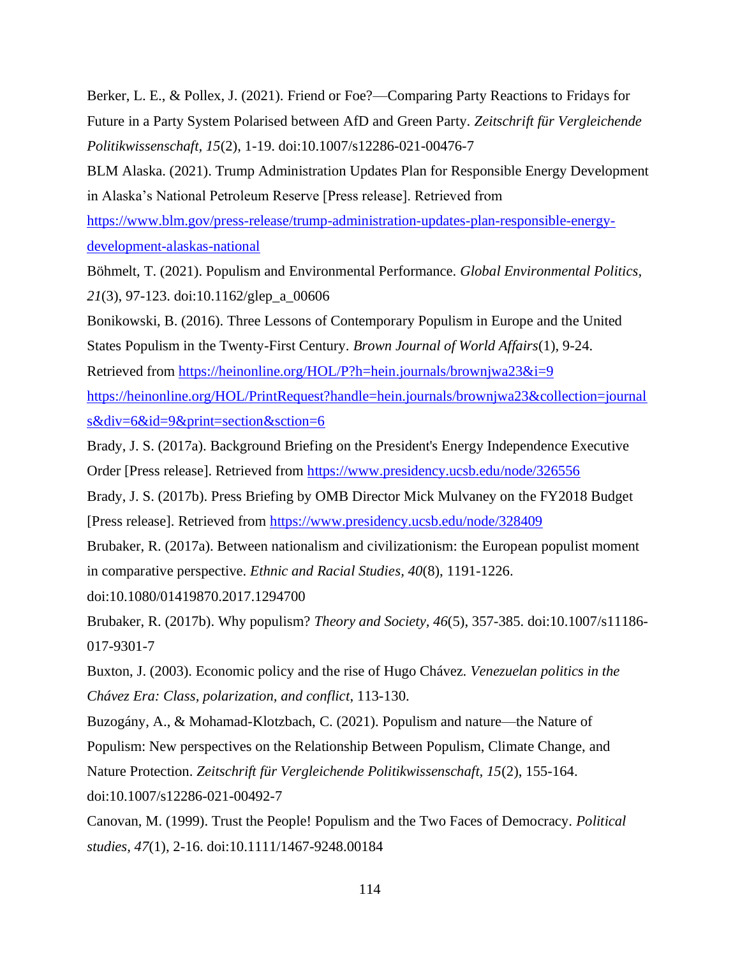Berker, L. E., & Pollex, J. (2021). Friend or Foe?—Comparing Party Reactions to Fridays for Future in a Party System Polarised between AfD and Green Party. *Zeitschrift für Vergleichende Politikwissenschaft, 15*(2), 1-19. doi:10.1007/s12286-021-00476-7

BLM Alaska. (2021). Trump Administration Updates Plan for Responsible Energy Development in Alaska's National Petroleum Reserve [Press release]. Retrieved from

[https://www.blm.gov/press-release/trump-administration-updates-plan-responsible-energy](https://www.blm.gov/press-release/trump-administration-updates-plan-responsible-energy-development-alaskas-national)[development-alaskas-national](https://www.blm.gov/press-release/trump-administration-updates-plan-responsible-energy-development-alaskas-national)

Böhmelt, T. (2021). Populism and Environmental Performance. *Global Environmental Politics, 21*(3), 97-123. doi:10.1162/glep\_a\_00606

Bonikowski, B. (2016). Three Lessons of Contemporary Populism in Europe and the United

States Populism in the Twenty-First Century. *Brown Journal of World Affairs*(1), 9-24.

Retrieved from<https://heinonline.org/HOL/P?h=hein.journals/brownjwa23&i=9>

[https://heinonline.org/HOL/PrintRequest?handle=hein.journals/brownjwa23&collection=journal](https://heinonline.org/HOL/PrintRequest?handle=hein.journals/brownjwa23&collection=journals&div=6&id=9&print=section&sction=6) [s&div=6&id=9&print=section&sction=6](https://heinonline.org/HOL/PrintRequest?handle=hein.journals/brownjwa23&collection=journals&div=6&id=9&print=section&sction=6)

Brady, J. S. (2017a). Background Briefing on the President's Energy Independence Executive Order [Press release]. Retrieved from<https://www.presidency.ucsb.edu/node/326556>

Brady, J. S. (2017b). Press Briefing by OMB Director Mick Mulvaney on the FY2018 Budget [Press release]. Retrieved from<https://www.presidency.ucsb.edu/node/328409>

Brubaker, R. (2017a). Between nationalism and civilizationism: the European populist moment in comparative perspective. *Ethnic and Racial Studies, 40*(8), 1191-1226.

doi:10.1080/01419870.2017.1294700

Brubaker, R. (2017b). Why populism? *Theory and Society, 46*(5), 357-385. doi:10.1007/s11186- 017-9301-7

Buxton, J. (2003). Economic policy and the rise of Hugo Chávez. *Venezuelan politics in the Chávez Era: Class, polarization, and conflict*, 113-130.

Buzogány, A., & Mohamad-Klotzbach, C. (2021). Populism and nature—the Nature of Populism: New perspectives on the Relationship Between Populism, Climate Change, and Nature Protection. *Zeitschrift für Vergleichende Politikwissenschaft, 15*(2), 155-164. doi:10.1007/s12286-021-00492-7

Canovan, M. (1999). Trust the People! Populism and the Two Faces of Democracy. *Political studies, 47*(1), 2-16. doi:10.1111/1467-9248.00184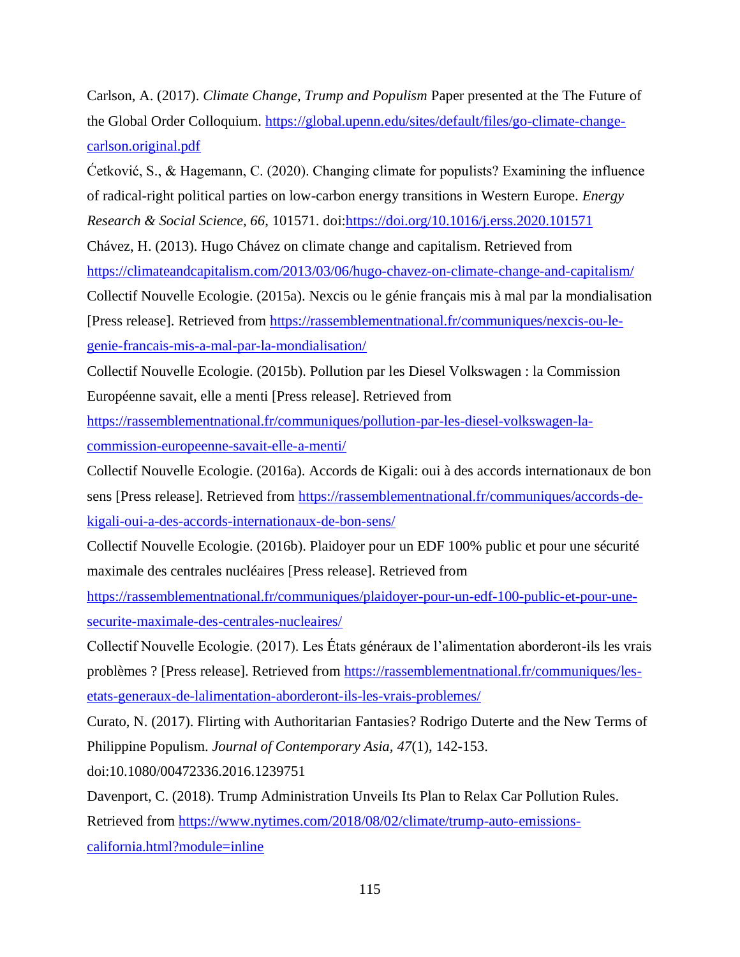Carlson, A. (2017). *Climate Change, Trump and Populism* Paper presented at the The Future of the Global Order Colloquium. [https://global.upenn.edu/sites/default/files/go-climate-change](https://global.upenn.edu/sites/default/files/go-climate-change-carlson.original.pdf)[carlson.original.pdf](https://global.upenn.edu/sites/default/files/go-climate-change-carlson.original.pdf)

Ćetković, S., & Hagemann, C. (2020). Changing climate for populists? Examining the influence of radical-right political parties on low-carbon energy transitions in Western Europe. *Energy Research & Social Science, 66*, 101571. doi[:https://doi.org/10.1016/j.erss.2020.101571](https://doi.org/10.1016/j.erss.2020.101571)

Chávez, H. (2013). Hugo Chávez on climate change and capitalism. Retrieved from <https://climateandcapitalism.com/2013/03/06/hugo-chavez-on-climate-change-and-capitalism/> Collectif Nouvelle Ecologie. (2015a). Nexcis ou le génie français mis à mal par la mondialisation

[Press release]. Retrieved from [https://rassemblementnational.fr/communiques/nexcis-ou-le](https://rassemblementnational.fr/communiques/nexcis-ou-le-genie-francais-mis-a-mal-par-la-mondialisation/)[genie-francais-mis-a-mal-par-la-mondialisation/](https://rassemblementnational.fr/communiques/nexcis-ou-le-genie-francais-mis-a-mal-par-la-mondialisation/)

Collectif Nouvelle Ecologie. (2015b). Pollution par les Diesel Volkswagen : la Commission Européenne savait, elle a menti [Press release]. Retrieved from

[https://rassemblementnational.fr/communiques/pollution-par-les-diesel-volkswagen-la](https://rassemblementnational.fr/communiques/pollution-par-les-diesel-volkswagen-la-commission-europeenne-savait-elle-a-menti/)[commission-europeenne-savait-elle-a-menti/](https://rassemblementnational.fr/communiques/pollution-par-les-diesel-volkswagen-la-commission-europeenne-savait-elle-a-menti/)

Collectif Nouvelle Ecologie. (2016a). Accords de Kigali: oui à des accords internationaux de bon sens [Press release]. Retrieved from [https://rassemblementnational.fr/communiques/accords-de](https://rassemblementnational.fr/communiques/accords-de-kigali-oui-a-des-accords-internationaux-de-bon-sens/)[kigali-oui-a-des-accords-internationaux-de-bon-sens/](https://rassemblementnational.fr/communiques/accords-de-kigali-oui-a-des-accords-internationaux-de-bon-sens/)

Collectif Nouvelle Ecologie. (2016b). Plaidoyer pour un EDF 100% public et pour une sécurité maximale des centrales nucléaires [Press release]. Retrieved from

[https://rassemblementnational.fr/communiques/plaidoyer-pour-un-edf-100-public-et-pour-une](https://rassemblementnational.fr/communiques/plaidoyer-pour-un-edf-100-public-et-pour-une-securite-maximale-des-centrales-nucleaires/)[securite-maximale-des-centrales-nucleaires/](https://rassemblementnational.fr/communiques/plaidoyer-pour-un-edf-100-public-et-pour-une-securite-maximale-des-centrales-nucleaires/)

Collectif Nouvelle Ecologie. (2017). Les États généraux de l'alimentation aborderont-ils les vrais problèmes ? [Press release]. Retrieved from [https://rassemblementnational.fr/communiques/les](https://rassemblementnational.fr/communiques/les-etats-generaux-de-lalimentation-aborderont-ils-les-vrais-problemes/)[etats-generaux-de-lalimentation-aborderont-ils-les-vrais-problemes/](https://rassemblementnational.fr/communiques/les-etats-generaux-de-lalimentation-aborderont-ils-les-vrais-problemes/)

Curato, N. (2017). Flirting with Authoritarian Fantasies? Rodrigo Duterte and the New Terms of Philippine Populism. *Journal of Contemporary Asia, 47*(1), 142-153.

doi:10.1080/00472336.2016.1239751

Davenport, C. (2018). Trump Administration Unveils Its Plan to Relax Car Pollution Rules. Retrieved from [https://www.nytimes.com/2018/08/02/climate/trump-auto-emissions](https://www.nytimes.com/2018/08/02/climate/trump-auto-emissions-california.html?module=inline)[california.html?module=inline](https://www.nytimes.com/2018/08/02/climate/trump-auto-emissions-california.html?module=inline)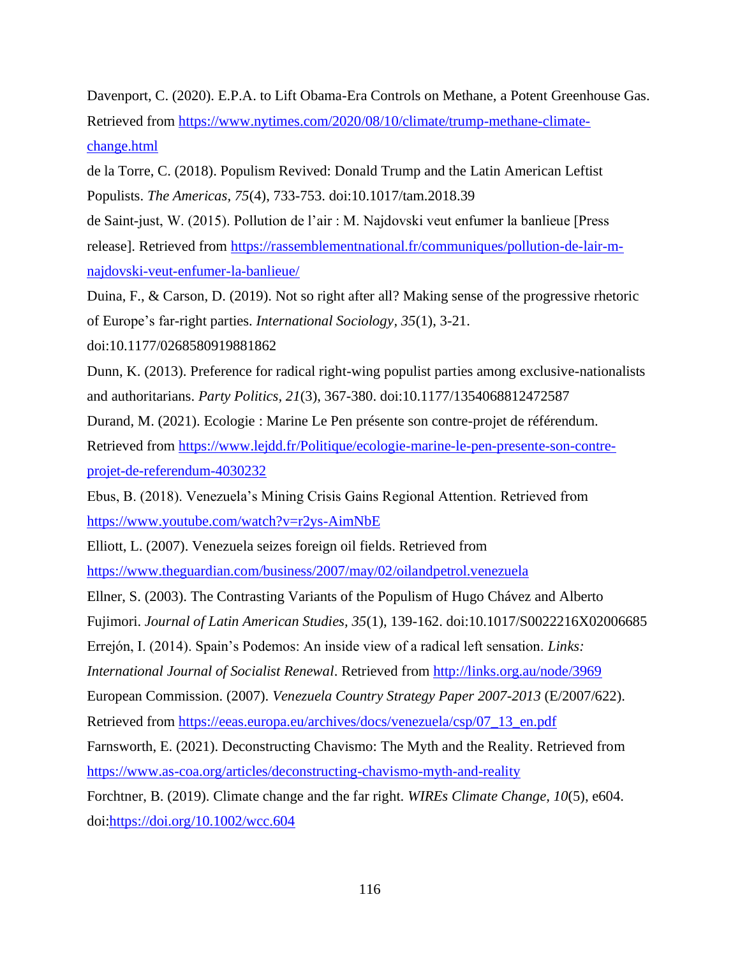Davenport, C. (2020). E.P.A. to Lift Obama-Era Controls on Methane, a Potent Greenhouse Gas. Retrieved from [https://www.nytimes.com/2020/08/10/climate/trump-methane-climate](https://www.nytimes.com/2020/08/10/climate/trump-methane-climate-change.html)[change.html](https://www.nytimes.com/2020/08/10/climate/trump-methane-climate-change.html)

de la Torre, C. (2018). Populism Revived: Donald Trump and the Latin American Leftist Populists. *The Americas, 75*(4), 733-753. doi:10.1017/tam.2018.39

de Saint-just, W. (2015). Pollution de l'air : M. Najdovski veut enfumer la banlieue [Press release]. Retrieved from [https://rassemblementnational.fr/communiques/pollution-de-lair-m](https://rassemblementnational.fr/communiques/pollution-de-lair-m-najdovski-veut-enfumer-la-banlieue/)[najdovski-veut-enfumer-la-banlieue/](https://rassemblementnational.fr/communiques/pollution-de-lair-m-najdovski-veut-enfumer-la-banlieue/)

Duina, F., & Carson, D. (2019). Not so right after all? Making sense of the progressive rhetoric of Europe's far-right parties. *International Sociology, 35*(1), 3-21.

doi:10.1177/0268580919881862

Dunn, K. (2013). Preference for radical right-wing populist parties among exclusive-nationalists and authoritarians. *Party Politics, 21*(3), 367-380. doi:10.1177/1354068812472587

Durand, M. (2021). Ecologie : Marine Le Pen présente son contre-projet de référendum. Retrieved from [https://www.lejdd.fr/Politique/ecologie-marine-le-pen-presente-son-contre](https://www.lejdd.fr/Politique/ecologie-marine-le-pen-presente-son-contre-projet-de-referendum-4030232)[projet-de-referendum-4030232](https://www.lejdd.fr/Politique/ecologie-marine-le-pen-presente-son-contre-projet-de-referendum-4030232)

Ebus, B. (2018). Venezuela's Mining Crisis Gains Regional Attention. Retrieved from <https://www.youtube.com/watch?v=r2ys-AimNbE>

Elliott, L. (2007). Venezuela seizes foreign oil fields. Retrieved from

<https://www.theguardian.com/business/2007/may/02/oilandpetrol.venezuela>

Ellner, S. (2003). The Contrasting Variants of the Populism of Hugo Chávez and Alberto

Fujimori. *Journal of Latin American Studies, 35*(1), 139-162. doi:10.1017/S0022216X02006685

Errejón, I. (2014). Spain's Podemos: An inside view of a radical left sensation. *Links:* 

*International Journal of Socialist Renewal*. Retrieved from<http://links.org.au/node/3969>

European Commission. (2007). *Venezuela Country Strategy Paper 2007-2013* (E/2007/622).

Retrieved from [https://eeas.europa.eu/archives/docs/venezuela/csp/07\\_13\\_en.pdf](https://eeas.europa.eu/archives/docs/venezuela/csp/07_13_en.pdf)

Farnsworth, E. (2021). Deconstructing Chavismo: The Myth and the Reality. Retrieved from <https://www.as-coa.org/articles/deconstructing-chavismo-myth-and-reality>

Forchtner, B. (2019). Climate change and the far right. *WIREs Climate Change, 10*(5), e604. doi[:https://doi.org/10.1002/wcc.604](https://doi.org/10.1002/wcc.604)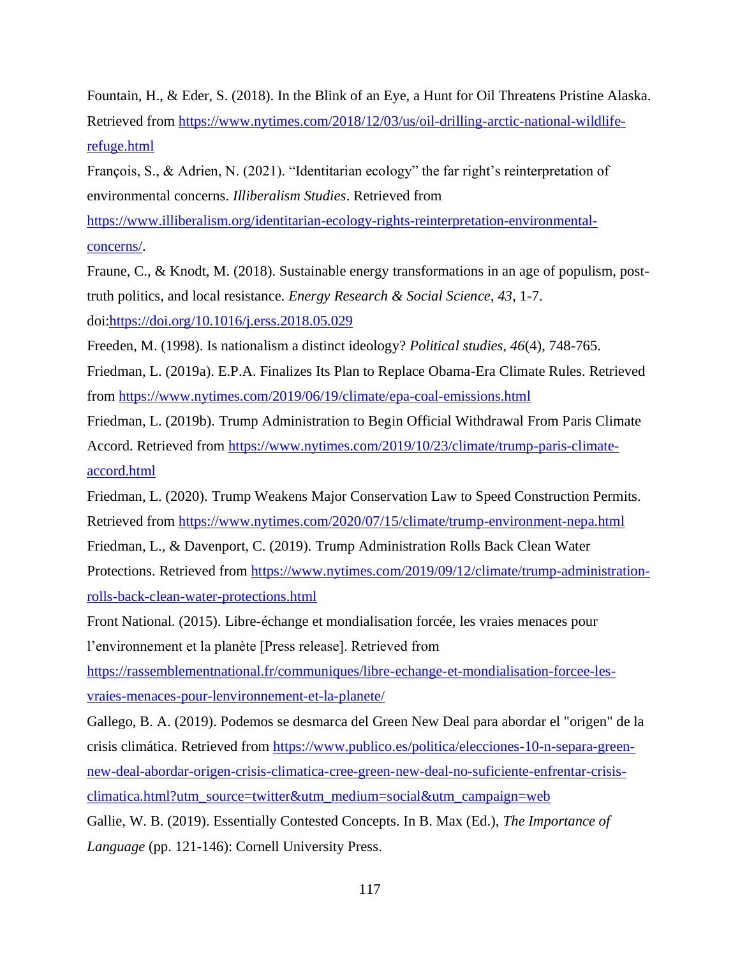Fountain, H., & Eder, S. (2018). In the Blink of an Eye, a Hunt for Oil Threatens Pristine Alaska. Retrieved from [https://www.nytimes.com/2018/12/03/us/oil-drilling-arctic-national-wildlife](https://www.nytimes.com/2018/12/03/us/oil-drilling-arctic-national-wildlife-refuge.html)[refuge.html](https://www.nytimes.com/2018/12/03/us/oil-drilling-arctic-national-wildlife-refuge.html)

François, S., & Adrien, N. (2021). "Identitarian ecology" the far right's reinterpretation of environmental concerns. *Illiberalism Studies*. Retrieved from

[https://www.illiberalism.org/identitarian-ecology-rights-reinterpretation-environmental](https://www.illiberalism.org/identitarian-ecology-rights-reinterpretation-environmental-concerns/)[concerns/.](https://www.illiberalism.org/identitarian-ecology-rights-reinterpretation-environmental-concerns/)

Fraune, C., & Knodt, M. (2018). Sustainable energy transformations in an age of populism, posttruth politics, and local resistance. *Energy Research & Social Science, 43*, 1-7. doi[:https://doi.org/10.1016/j.erss.2018.05.029](https://doi.org/10.1016/j.erss.2018.05.029)

Freeden, M. (1998). Is nationalism a distinct ideology? *Political studies, 46*(4), 748-765.

Friedman, L. (2019a). E.P.A. Finalizes Its Plan to Replace Obama-Era Climate Rules. Retrieved from<https://www.nytimes.com/2019/06/19/climate/epa-coal-emissions.html>

Friedman, L. (2019b). Trump Administration to Begin Official Withdrawal From Paris Climate Accord. Retrieved from [https://www.nytimes.com/2019/10/23/climate/trump-paris-climate](https://www.nytimes.com/2019/10/23/climate/trump-paris-climate-accord.html)[accord.html](https://www.nytimes.com/2019/10/23/climate/trump-paris-climate-accord.html)

Friedman, L. (2020). Trump Weakens Major Conservation Law to Speed Construction Permits. Retrieved from<https://www.nytimes.com/2020/07/15/climate/trump-environment-nepa.html>

Friedman, L., & Davenport, C. (2019). Trump Administration Rolls Back Clean Water

Protections. Retrieved from [https://www.nytimes.com/2019/09/12/climate/trump-administration](https://www.nytimes.com/2019/09/12/climate/trump-administration-rolls-back-clean-water-protections.html)[rolls-back-clean-water-protections.html](https://www.nytimes.com/2019/09/12/climate/trump-administration-rolls-back-clean-water-protections.html)

Front National. (2015). Libre-échange et mondialisation forcée, les vraies menaces pour l'environnement et la planète [Press release]. Retrieved from

[https://rassemblementnational.fr/communiques/libre-echange-et-mondialisation-forcee-les](https://rassemblementnational.fr/communiques/libre-echange-et-mondialisation-forcee-les-vraies-menaces-pour-lenvironnement-et-la-planete/)[vraies-menaces-pour-lenvironnement-et-la-planete/](https://rassemblementnational.fr/communiques/libre-echange-et-mondialisation-forcee-les-vraies-menaces-pour-lenvironnement-et-la-planete/)

Gallego, B. A. (2019). Podemos se desmarca del Green New Deal para abordar el "origen" de la crisis climática. Retrieved from [https://www.publico.es/politica/elecciones-10-n-separa-green](https://www.publico.es/politica/elecciones-10-n-separa-green-new-deal-abordar-origen-crisis-climatica-cree-green-new-deal-no-suficiente-enfrentar-crisis-climatica.html?utm_source=twitter&utm_medium=social&utm_campaign=web)[new-deal-abordar-origen-crisis-climatica-cree-green-new-deal-no-suficiente-enfrentar-crisis](https://www.publico.es/politica/elecciones-10-n-separa-green-new-deal-abordar-origen-crisis-climatica-cree-green-new-deal-no-suficiente-enfrentar-crisis-climatica.html?utm_source=twitter&utm_medium=social&utm_campaign=web)[climatica.html?utm\\_source=twitter&utm\\_medium=social&utm\\_campaign=web](https://www.publico.es/politica/elecciones-10-n-separa-green-new-deal-abordar-origen-crisis-climatica-cree-green-new-deal-no-suficiente-enfrentar-crisis-climatica.html?utm_source=twitter&utm_medium=social&utm_campaign=web)

Gallie, W. B. (2019). Essentially Contested Concepts. In B. Max (Ed.), *The Importance of Language* (pp. 121-146): Cornell University Press.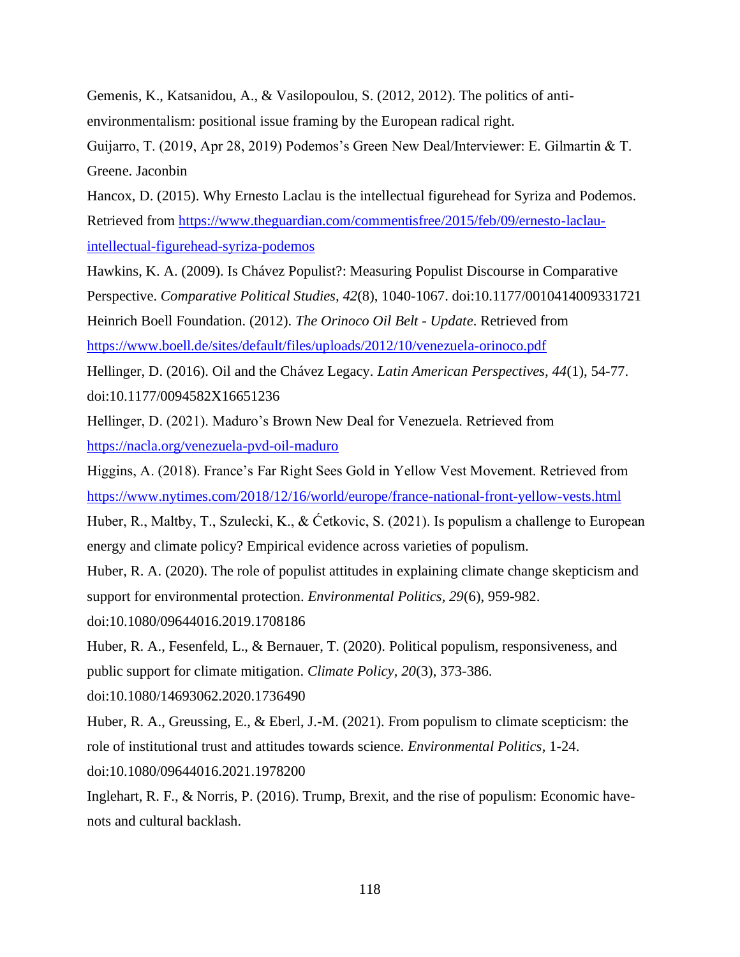Gemenis, K., Katsanidou, A., & Vasilopoulou, S. (2012, 2012). The politics of antienvironmentalism: positional issue framing by the European radical right.

Guijarro, T. (2019, Apr 28, 2019) Podemos's Green New Deal/Interviewer: E. Gilmartin & T. Greene. Jaconbin

Hancox, D. (2015). Why Ernesto Laclau is the intellectual figurehead for Syriza and Podemos. Retrieved from [https://www.theguardian.com/commentisfree/2015/feb/09/ernesto-laclau](https://www.theguardian.com/commentisfree/2015/feb/09/ernesto-laclau-intellectual-figurehead-syriza-podemos)[intellectual-figurehead-syriza-podemos](https://www.theguardian.com/commentisfree/2015/feb/09/ernesto-laclau-intellectual-figurehead-syriza-podemos)

Hawkins, K. A. (2009). Is Chávez Populist?: Measuring Populist Discourse in Comparative Perspective. *Comparative Political Studies, 42*(8), 1040-1067. doi:10.1177/0010414009331721 Heinrich Boell Foundation. (2012). *The Orinoco Oil Belt - Update*. Retrieved from <https://www.boell.de/sites/default/files/uploads/2012/10/venezuela-orinoco.pdf>

Hellinger, D. (2016). Oil and the Chávez Legacy. *Latin American Perspectives, 44*(1), 54-77. doi:10.1177/0094582X16651236

Hellinger, D. (2021). Maduro's Brown New Deal for Venezuela. Retrieved from <https://nacla.org/venezuela-pvd-oil-maduro>

Higgins, A. (2018). France's Far Right Sees Gold in Yellow Vest Movement. Retrieved from <https://www.nytimes.com/2018/12/16/world/europe/france-national-front-yellow-vests.html>

Huber, R., Maltby, T., Szulecki, K., & Ćetkovic, S. (2021). Is populism a challenge to European energy and climate policy? Empirical evidence across varieties of populism.

Huber, R. A. (2020). The role of populist attitudes in explaining climate change skepticism and support for environmental protection. *Environmental Politics, 29*(6), 959-982.

doi:10.1080/09644016.2019.1708186

Huber, R. A., Fesenfeld, L., & Bernauer, T. (2020). Political populism, responsiveness, and public support for climate mitigation. *Climate Policy, 20*(3), 373-386.

doi:10.1080/14693062.2020.1736490

Huber, R. A., Greussing, E., & Eberl, J.-M. (2021). From populism to climate scepticism: the role of institutional trust and attitudes towards science. *Environmental Politics*, 1-24. doi:10.1080/09644016.2021.1978200

Inglehart, R. F., & Norris, P. (2016). Trump, Brexit, and the rise of populism: Economic havenots and cultural backlash.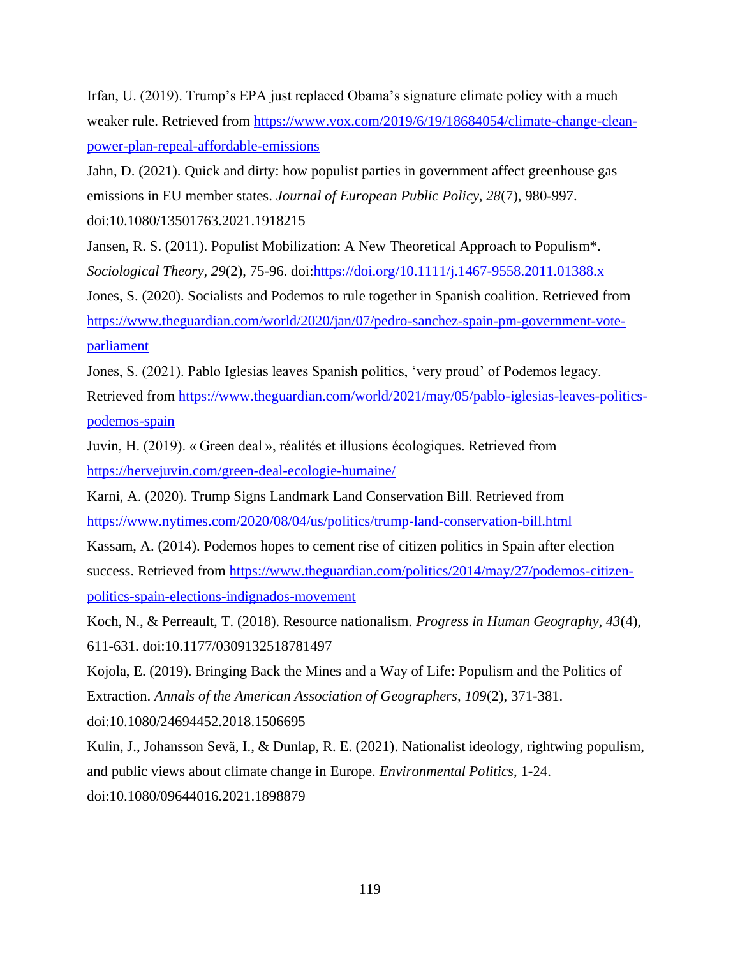Irfan, U. (2019). Trump's EPA just replaced Obama's signature climate policy with a much weaker rule. Retrieved from [https://www.vox.com/2019/6/19/18684054/climate-change-clean](https://www.vox.com/2019/6/19/18684054/climate-change-clean-power-plan-repeal-affordable-emissions)[power-plan-repeal-affordable-emissions](https://www.vox.com/2019/6/19/18684054/climate-change-clean-power-plan-repeal-affordable-emissions)

Jahn, D. (2021). Quick and dirty: how populist parties in government affect greenhouse gas emissions in EU member states. *Journal of European Public Policy, 28*(7), 980-997. doi:10.1080/13501763.2021.1918215

Jansen, R. S. (2011). Populist Mobilization: A New Theoretical Approach to Populism\*. *Sociological Theory, 29*(2), 75-96. doi[:https://doi.org/10.1111/j.1467-9558.2011.01388.x](https://doi.org/10.1111/j.1467-9558.2011.01388.x)

Jones, S. (2020). Socialists and Podemos to rule together in Spanish coalition. Retrieved from [https://www.theguardian.com/world/2020/jan/07/pedro-sanchez-spain-pm-government-vote](https://www.theguardian.com/world/2020/jan/07/pedro-sanchez-spain-pm-government-vote-parliament)[parliament](https://www.theguardian.com/world/2020/jan/07/pedro-sanchez-spain-pm-government-vote-parliament)

Jones, S. (2021). Pablo Iglesias leaves Spanish politics, 'very proud' of Podemos legacy. Retrieved from [https://www.theguardian.com/world/2021/may/05/pablo-iglesias-leaves-politics](https://www.theguardian.com/world/2021/may/05/pablo-iglesias-leaves-politics-podemos-spain)[podemos-spain](https://www.theguardian.com/world/2021/may/05/pablo-iglesias-leaves-politics-podemos-spain)

Juvin, H. (2019). « Green deal », réalités et illusions écologiques. Retrieved from <https://hervejuvin.com/green-deal-ecologie-humaine/>

Karni, A. (2020). Trump Signs Landmark Land Conservation Bill. Retrieved from <https://www.nytimes.com/2020/08/04/us/politics/trump-land-conservation-bill.html>

Kassam, A. (2014). Podemos hopes to cement rise of citizen politics in Spain after election success. Retrieved from [https://www.theguardian.com/politics/2014/may/27/podemos-citizen](https://www.theguardian.com/politics/2014/may/27/podemos-citizen-politics-spain-elections-indignados-movement)[politics-spain-elections-indignados-movement](https://www.theguardian.com/politics/2014/may/27/podemos-citizen-politics-spain-elections-indignados-movement)

Koch, N., & Perreault, T. (2018). Resource nationalism. *Progress in Human Geography, 43*(4), 611-631. doi:10.1177/0309132518781497

Kojola, E. (2019). Bringing Back the Mines and a Way of Life: Populism and the Politics of Extraction. *Annals of the American Association of Geographers, 109*(2), 371-381. doi:10.1080/24694452.2018.1506695

Kulin, J., Johansson Sevä, I., & Dunlap, R. E. (2021). Nationalist ideology, rightwing populism, and public views about climate change in Europe. *Environmental Politics*, 1-24. doi:10.1080/09644016.2021.1898879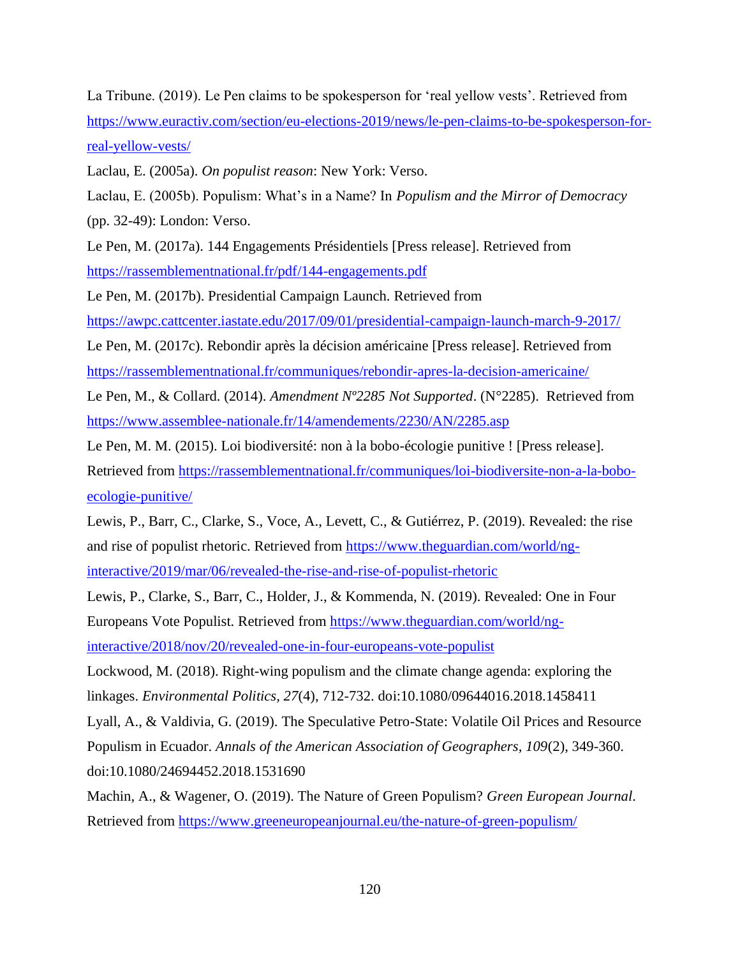La Tribune. (2019). Le Pen claims to be spokesperson for 'real yellow vests'. Retrieved from [https://www.euractiv.com/section/eu-elections-2019/news/le-pen-claims-to-be-spokesperson-for](https://www.euractiv.com/section/eu-elections-2019/news/le-pen-claims-to-be-spokesperson-for-real-yellow-vests/)[real-yellow-vests/](https://www.euractiv.com/section/eu-elections-2019/news/le-pen-claims-to-be-spokesperson-for-real-yellow-vests/)

Laclau, E. (2005a). *On populist reason*: New York: Verso.

Laclau, E. (2005b). Populism: What's in a Name? In *Populism and the Mirror of Democracy* (pp. 32-49): London: Verso.

Le Pen, M. (2017a). 144 Engagements Présidentiels [Press release]. Retrieved from <https://rassemblementnational.fr/pdf/144-engagements.pdf>

Le Pen, M. (2017b). Presidential Campaign Launch. Retrieved from <https://awpc.cattcenter.iastate.edu/2017/09/01/presidential-campaign-launch-march-9-2017/>

Le Pen, M. (2017c). Rebondir après la décision américaine [Press release]. Retrieved from <https://rassemblementnational.fr/communiques/rebondir-apres-la-decision-americaine/>

Le Pen, M., & Collard. (2014). *Amendment Nº2285 Not Supported*. (N°2285). Retrieved from <https://www.assemblee-nationale.fr/14/amendements/2230/AN/2285.asp>

Le Pen, M. M. (2015). Loi biodiversité: non à la bobo-écologie punitive ! [Press release]. Retrieved from [https://rassemblementnational.fr/communiques/loi-biodiversite-non-a-la-bobo](https://rassemblementnational.fr/communiques/loi-biodiversite-non-a-la-bobo-ecologie-punitive/)[ecologie-punitive/](https://rassemblementnational.fr/communiques/loi-biodiversite-non-a-la-bobo-ecologie-punitive/)

Lewis, P., Barr, C., Clarke, S., Voce, A., Levett, C., & Gutiérrez, P. (2019). Revealed: the rise and rise of populist rhetoric. Retrieved from [https://www.theguardian.com/world/ng](https://www.theguardian.com/world/ng-interactive/2019/mar/06/revealed-the-rise-and-rise-of-populist-rhetoric)[interactive/2019/mar/06/revealed-the-rise-and-rise-of-populist-rhetoric](https://www.theguardian.com/world/ng-interactive/2019/mar/06/revealed-the-rise-and-rise-of-populist-rhetoric)

Lewis, P., Clarke, S., Barr, C., Holder, J., & Kommenda, N. (2019). Revealed: One in Four Europeans Vote Populist. Retrieved from [https://www.theguardian.com/world/ng](https://www.theguardian.com/world/ng-interactive/2018/nov/20/revealed-one-in-four-europeans-vote-populist)[interactive/2018/nov/20/revealed-one-in-four-europeans-vote-populist](https://www.theguardian.com/world/ng-interactive/2018/nov/20/revealed-one-in-four-europeans-vote-populist)

Lockwood, M. (2018). Right-wing populism and the climate change agenda: exploring the linkages. *Environmental Politics, 27*(4), 712-732. doi:10.1080/09644016.2018.1458411

Lyall, A., & Valdivia, G. (2019). The Speculative Petro-State: Volatile Oil Prices and Resource Populism in Ecuador. *Annals of the American Association of Geographers, 109*(2), 349-360. doi:10.1080/24694452.2018.1531690

Machin, A., & Wagener, O. (2019). The Nature of Green Populism? *Green European Journal*. Retrieved from<https://www.greeneuropeanjournal.eu/the-nature-of-green-populism/>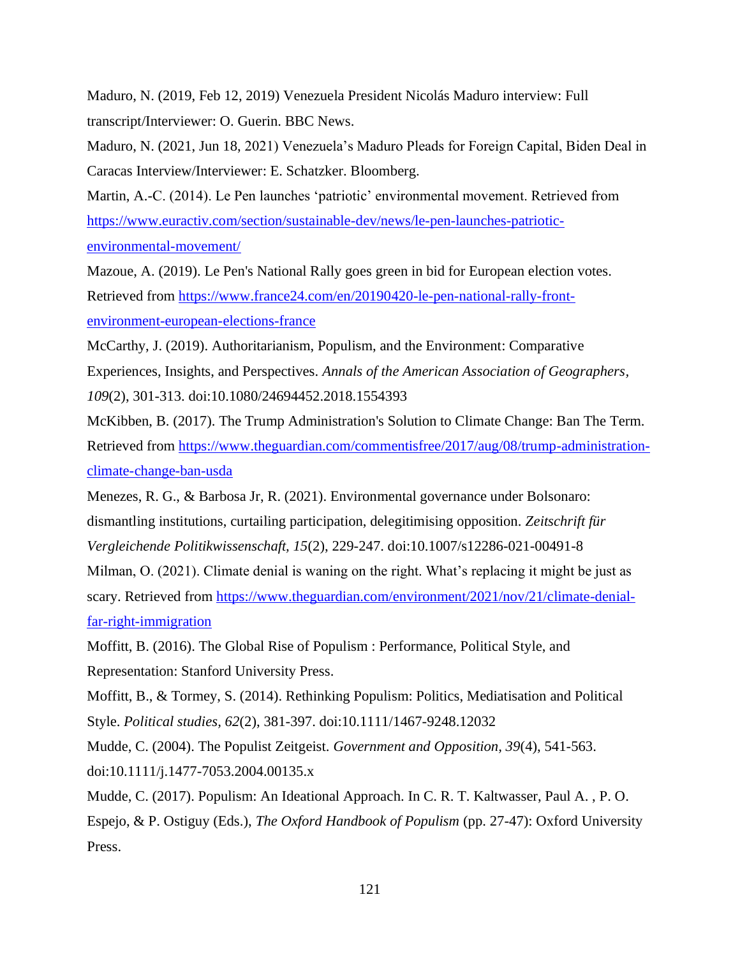Maduro, N. (2019, Feb 12, 2019) Venezuela President Nicolás Maduro interview: Full transcript/Interviewer: O. Guerin. BBC News.

Maduro, N. (2021, Jun 18, 2021) Venezuela's Maduro Pleads for Foreign Capital, Biden Deal in Caracas Interview/Interviewer: E. Schatzker. Bloomberg.

Martin, A.-C. (2014). Le Pen launches 'patriotic' environmental movement. Retrieved from [https://www.euractiv.com/section/sustainable-dev/news/le-pen-launches-patriotic](https://www.euractiv.com/section/sustainable-dev/news/le-pen-launches-patriotic-environmental-movement/)[environmental-movement/](https://www.euractiv.com/section/sustainable-dev/news/le-pen-launches-patriotic-environmental-movement/)

Mazoue, A. (2019). Le Pen's National Rally goes green in bid for European election votes. Retrieved from [https://www.france24.com/en/20190420-le-pen-national-rally-front](https://www.france24.com/en/20190420-le-pen-national-rally-front-environment-european-elections-france)[environment-european-elections-france](https://www.france24.com/en/20190420-le-pen-national-rally-front-environment-european-elections-france)

McCarthy, J. (2019). Authoritarianism, Populism, and the Environment: Comparative

Experiences, Insights, and Perspectives. *Annals of the American Association of Geographers, 109*(2), 301-313. doi:10.1080/24694452.2018.1554393

McKibben, B. (2017). The Trump Administration's Solution to Climate Change: Ban The Term. Retrieved from [https://www.theguardian.com/commentisfree/2017/aug/08/trump-administration](https://www.theguardian.com/commentisfree/2017/aug/08/trump-administration-climate-change-ban-usda)[climate-change-ban-usda](https://www.theguardian.com/commentisfree/2017/aug/08/trump-administration-climate-change-ban-usda)

Menezes, R. G., & Barbosa Jr, R. (2021). Environmental governance under Bolsonaro: dismantling institutions, curtailing participation, delegitimising opposition. *Zeitschrift für* 

*Vergleichende Politikwissenschaft, 15*(2), 229-247. doi:10.1007/s12286-021-00491-8

Milman, O. (2021). Climate denial is waning on the right. What's replacing it might be just as scary. Retrieved from [https://www.theguardian.com/environment/2021/nov/21/climate-denial](https://www.theguardian.com/environment/2021/nov/21/climate-denial-far-right-immigration)[far-right-immigration](https://www.theguardian.com/environment/2021/nov/21/climate-denial-far-right-immigration)

Moffitt, B. (2016). The Global Rise of Populism : Performance, Political Style, and Representation: Stanford University Press.

Moffitt, B., & Tormey, S. (2014). Rethinking Populism: Politics, Mediatisation and Political Style. *Political studies, 62*(2), 381-397. doi:10.1111/1467-9248.12032

Mudde, C. (2004). The Populist Zeitgeist. *Government and Opposition, 39*(4), 541-563. doi:10.1111/j.1477-7053.2004.00135.x

Mudde, C. (2017). Populism: An Ideational Approach. In C. R. T. Kaltwasser, Paul A. , P. O. Espejo, & P. Ostiguy (Eds.), *The Oxford Handbook of Populism* (pp. 27-47): Oxford University Press.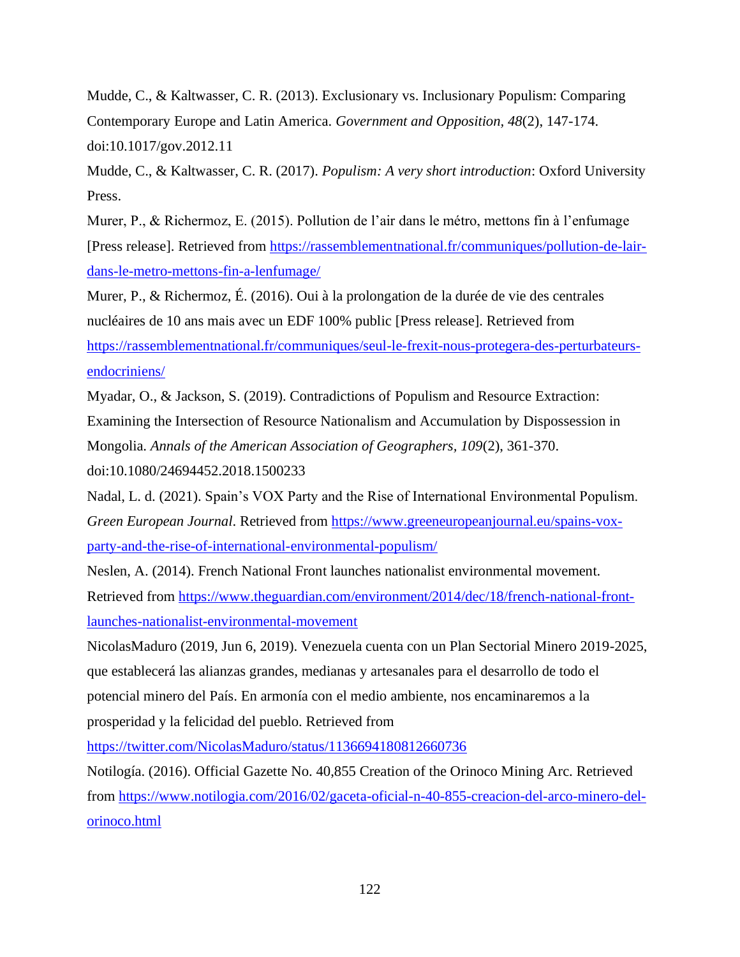Mudde, C., & Kaltwasser, C. R. (2013). Exclusionary vs. Inclusionary Populism: Comparing Contemporary Europe and Latin America. *Government and Opposition, 48*(2), 147-174. doi:10.1017/gov.2012.11

Mudde, C., & Kaltwasser, C. R. (2017). *Populism: A very short introduction*: Oxford University Press.

Murer, P., & Richermoz, E. (2015). Pollution de l'air dans le métro, mettons fin à l'enfumage [Press release]. Retrieved from [https://rassemblementnational.fr/communiques/pollution-de-lair](https://rassemblementnational.fr/communiques/pollution-de-lair-dans-le-metro-mettons-fin-a-lenfumage/)[dans-le-metro-mettons-fin-a-lenfumage/](https://rassemblementnational.fr/communiques/pollution-de-lair-dans-le-metro-mettons-fin-a-lenfumage/)

Murer, P., & Richermoz, É. (2016). Oui à la prolongation de la durée de vie des centrales nucléaires de 10 ans mais avec un EDF 100% public [Press release]. Retrieved from [https://rassemblementnational.fr/communiques/seul-le-frexit-nous-protegera-des-perturbateurs](https://rassemblementnational.fr/communiques/seul-le-frexit-nous-protegera-des-perturbateurs-endocriniens/)[endocriniens/](https://rassemblementnational.fr/communiques/seul-le-frexit-nous-protegera-des-perturbateurs-endocriniens/)

Myadar, O., & Jackson, S. (2019). Contradictions of Populism and Resource Extraction:

Examining the Intersection of Resource Nationalism and Accumulation by Dispossession in Mongolia. *Annals of the American Association of Geographers, 109*(2), 361-370.

doi:10.1080/24694452.2018.1500233

Nadal, L. d. (2021). Spain's VOX Party and the Rise of International Environmental Populism. *Green European Journal*. Retrieved from [https://www.greeneuropeanjournal.eu/spains-vox](https://www.greeneuropeanjournal.eu/spains-vox-party-and-the-rise-of-international-environmental-populism/)[party-and-the-rise-of-international-environmental-populism/](https://www.greeneuropeanjournal.eu/spains-vox-party-and-the-rise-of-international-environmental-populism/)

Neslen, A. (2014). French National Front launches nationalist environmental movement. Retrieved from [https://www.theguardian.com/environment/2014/dec/18/french-national-front](https://www.theguardian.com/environment/2014/dec/18/french-national-front-launches-nationalist-environmental-movement)[launches-nationalist-environmental-movement](https://www.theguardian.com/environment/2014/dec/18/french-national-front-launches-nationalist-environmental-movement)

NicolasMaduro (2019, Jun 6, 2019). Venezuela cuenta con un Plan Sectorial Minero 2019-2025, que establecerá las alianzas grandes, medianas y artesanales para el desarrollo de todo el potencial minero del País. En armonía con el medio ambiente, nos encaminaremos a la prosperidad y la felicidad del pueblo. Retrieved from

<https://twitter.com/NicolasMaduro/status/1136694180812660736>

Notilogía. (2016). Official Gazette No. 40,855 Creation of the Orinoco Mining Arc. Retrieved from [https://www.notilogia.com/2016/02/gaceta-oficial-n-40-855-creacion-del-arco-minero-del](https://www.notilogia.com/2016/02/gaceta-oficial-n-40-855-creacion-del-arco-minero-del-orinoco.html)[orinoco.html](https://www.notilogia.com/2016/02/gaceta-oficial-n-40-855-creacion-del-arco-minero-del-orinoco.html)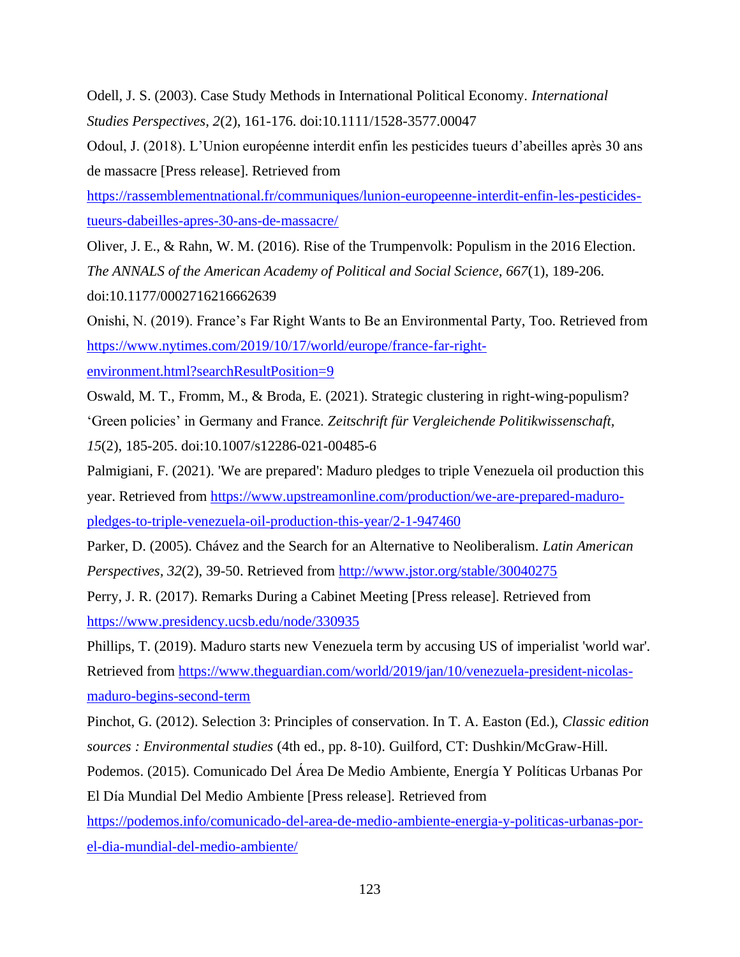Odell, J. S. (2003). Case Study Methods in International Political Economy. *International Studies Perspectives, 2*(2), 161-176. doi:10.1111/1528-3577.00047

Odoul, J. (2018). L'Union européenne interdit enfin les pesticides tueurs d'abeilles après 30 ans de massacre [Press release]. Retrieved from

[https://rassemblementnational.fr/communiques/lunion-europeenne-interdit-enfin-les-pesticides](https://rassemblementnational.fr/communiques/lunion-europeenne-interdit-enfin-les-pesticides-tueurs-dabeilles-apres-30-ans-de-massacre/)[tueurs-dabeilles-apres-30-ans-de-massacre/](https://rassemblementnational.fr/communiques/lunion-europeenne-interdit-enfin-les-pesticides-tueurs-dabeilles-apres-30-ans-de-massacre/)

Oliver, J. E., & Rahn, W. M. (2016). Rise of the Trumpenvolk: Populism in the 2016 Election. *The ANNALS of the American Academy of Political and Social Science, 667*(1), 189-206. doi:10.1177/0002716216662639

Onishi, N. (2019). France's Far Right Wants to Be an Environmental Party, Too. Retrieved from [https://www.nytimes.com/2019/10/17/world/europe/france-far-right-](https://www.nytimes.com/2019/10/17/world/europe/france-far-right-environment.html?searchResultPosition=9)

[environment.html?searchResultPosition=9](https://www.nytimes.com/2019/10/17/world/europe/france-far-right-environment.html?searchResultPosition=9)

Oswald, M. T., Fromm, M., & Broda, E. (2021). Strategic clustering in right-wing-populism?

'Green policies' in Germany and France. *Zeitschrift für Vergleichende Politikwissenschaft,* 

*15*(2), 185-205. doi:10.1007/s12286-021-00485-6

Palmigiani, F. (2021). 'We are prepared': Maduro pledges to triple Venezuela oil production this year. Retrieved from [https://www.upstreamonline.com/production/we-are-prepared-maduro](https://www.upstreamonline.com/production/we-are-prepared-maduro-pledges-to-triple-venezuela-oil-production-this-year/2-1-947460)[pledges-to-triple-venezuela-oil-production-this-year/2-1-947460](https://www.upstreamonline.com/production/we-are-prepared-maduro-pledges-to-triple-venezuela-oil-production-this-year/2-1-947460)

Parker, D. (2005). Chávez and the Search for an Alternative to Neoliberalism. *Latin American Perspectives, 32(2), 39-50. Retrieved from<http://www.jstor.org/stable/30040275>* 

Perry, J. R. (2017). Remarks During a Cabinet Meeting [Press release]. Retrieved from <https://www.presidency.ucsb.edu/node/330935>

Phillips, T. (2019). Maduro starts new Venezuela term by accusing US of imperialist 'world war'.

Retrieved from [https://www.theguardian.com/world/2019/jan/10/venezuela-president-nicolas](https://www.theguardian.com/world/2019/jan/10/venezuela-president-nicolas-maduro-begins-second-term)[maduro-begins-second-term](https://www.theguardian.com/world/2019/jan/10/venezuela-president-nicolas-maduro-begins-second-term)

Pinchot, G. (2012). Selection 3: Principles of conservation. In T. A. Easton (Ed.), *Classic edition sources : Environmental studies* (4th ed., pp. 8-10). Guilford, CT: Dushkin/McGraw-Hill.

Podemos. (2015). Comunicado Del Área De Medio Ambiente, Energía Y Políticas Urbanas Por El Día Mundial Del Medio Ambiente [Press release]. Retrieved from

[https://podemos.info/comunicado-del-area-de-medio-ambiente-energia-y-politicas-urbanas-por](https://podemos.info/comunicado-del-area-de-medio-ambiente-energia-y-politicas-urbanas-por-el-dia-mundial-del-medio-ambiente/)[el-dia-mundial-del-medio-ambiente/](https://podemos.info/comunicado-del-area-de-medio-ambiente-energia-y-politicas-urbanas-por-el-dia-mundial-del-medio-ambiente/)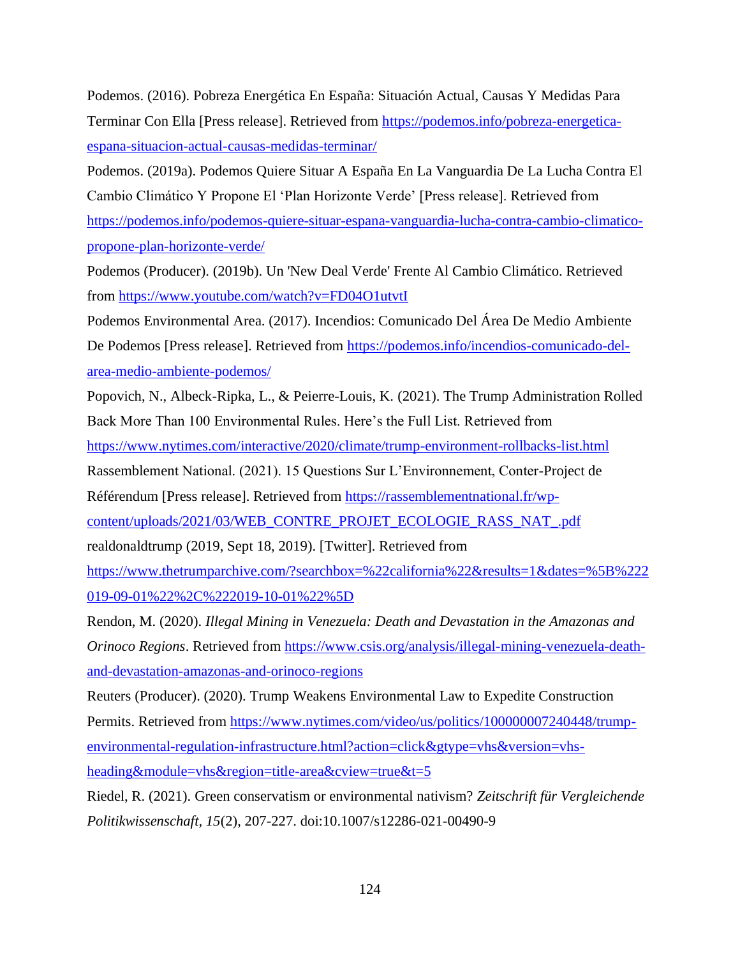Podemos. (2016). Pobreza Energética En España: Situación Actual, Causas Y Medidas Para Terminar Con Ella [Press release]. Retrieved from [https://podemos.info/pobreza-energetica](https://podemos.info/pobreza-energetica-espana-situacion-actual-causas-medidas-terminar/)[espana-situacion-actual-causas-medidas-terminar/](https://podemos.info/pobreza-energetica-espana-situacion-actual-causas-medidas-terminar/)

Podemos. (2019a). Podemos Quiere Situar A España En La Vanguardia De La Lucha Contra El Cambio Climático Y Propone El 'Plan Horizonte Verde' [Press release]. Retrieved from [https://podemos.info/podemos-quiere-situar-espana-vanguardia-lucha-contra-cambio-climatico-](https://podemos.info/podemos-quiere-situar-espana-vanguardia-lucha-contra-cambio-climatico-propone-plan-horizonte-verde/)

[propone-plan-horizonte-verde/](https://podemos.info/podemos-quiere-situar-espana-vanguardia-lucha-contra-cambio-climatico-propone-plan-horizonte-verde/)

Podemos (Producer). (2019b). Un 'New Deal Verde' Frente Al Cambio Climático. Retrieved from<https://www.youtube.com/watch?v=FD04O1utvtI>

Podemos Environmental Area. (2017). Incendios: Comunicado Del Área De Medio Ambiente

De Podemos [Press release]. Retrieved from [https://podemos.info/incendios-comunicado-del](https://podemos.info/incendios-comunicado-del-area-medio-ambiente-podemos/)[area-medio-ambiente-podemos/](https://podemos.info/incendios-comunicado-del-area-medio-ambiente-podemos/)

Popovich, N., Albeck-Ripka, L., & Peierre-Louis, K. (2021). The Trump Administration Rolled Back More Than 100 Environmental Rules. Here's the Full List. Retrieved from

<https://www.nytimes.com/interactive/2020/climate/trump-environment-rollbacks-list.html>

Rassemblement National. (2021). 15 Questions Sur L'Environnement, Conter-Project de

Référendum [Press release]. Retrieved from [https://rassemblementnational.fr/wp-](https://rassemblementnational.fr/wp-content/uploads/2021/03/WEB_CONTRE_PROJET_ECOLOGIE_RASS_NAT_.pdf)

[content/uploads/2021/03/WEB\\_CONTRE\\_PROJET\\_ECOLOGIE\\_RASS\\_NAT\\_.pdf](https://rassemblementnational.fr/wp-content/uploads/2021/03/WEB_CONTRE_PROJET_ECOLOGIE_RASS_NAT_.pdf)

realdonaldtrump (2019, Sept 18, 2019). [Twitter]. Retrieved from

[https://www.thetrumparchive.com/?searchbox=%22california%22&results=1&dates=%5B%222](https://www.thetrumparchive.com/?searchbox=%22california%22&results=1&dates=%5B%222019-09-01%22%2C%222019-10-01%22%5D) [019-09-01%22%2C%222019-10-01%22%5D](https://www.thetrumparchive.com/?searchbox=%22california%22&results=1&dates=%5B%222019-09-01%22%2C%222019-10-01%22%5D)

Rendon, M. (2020). *Illegal Mining in Venezuela: Death and Devastation in the Amazonas and Orinoco Regions*. Retrieved from [https://www.csis.org/analysis/illegal-mining-venezuela-death](https://www.csis.org/analysis/illegal-mining-venezuela-death-and-devastation-amazonas-and-orinoco-regions)[and-devastation-amazonas-and-orinoco-regions](https://www.csis.org/analysis/illegal-mining-venezuela-death-and-devastation-amazonas-and-orinoco-regions)

Reuters (Producer). (2020). Trump Weakens Environmental Law to Expedite Construction Permits. Retrieved from [https://www.nytimes.com/video/us/politics/100000007240448/trump](https://www.nytimes.com/video/us/politics/100000007240448/trump-environmental-regulation-infrastructure.html?action=click>ype=vhs&version=vhs-heading&module=vhs®ion=title-area&cview=true&t=5)[environmental-regulation-infrastructure.html?action=click&gtype=vhs&version=vhs](https://www.nytimes.com/video/us/politics/100000007240448/trump-environmental-regulation-infrastructure.html?action=click>ype=vhs&version=vhs-heading&module=vhs®ion=title-area&cview=true&t=5)[heading&module=vhs&region=title-area&cview=true&t=5](https://www.nytimes.com/video/us/politics/100000007240448/trump-environmental-regulation-infrastructure.html?action=click>ype=vhs&version=vhs-heading&module=vhs®ion=title-area&cview=true&t=5)

Riedel, R. (2021). Green conservatism or environmental nativism? *Zeitschrift für Vergleichende Politikwissenschaft, 15*(2), 207-227. doi:10.1007/s12286-021-00490-9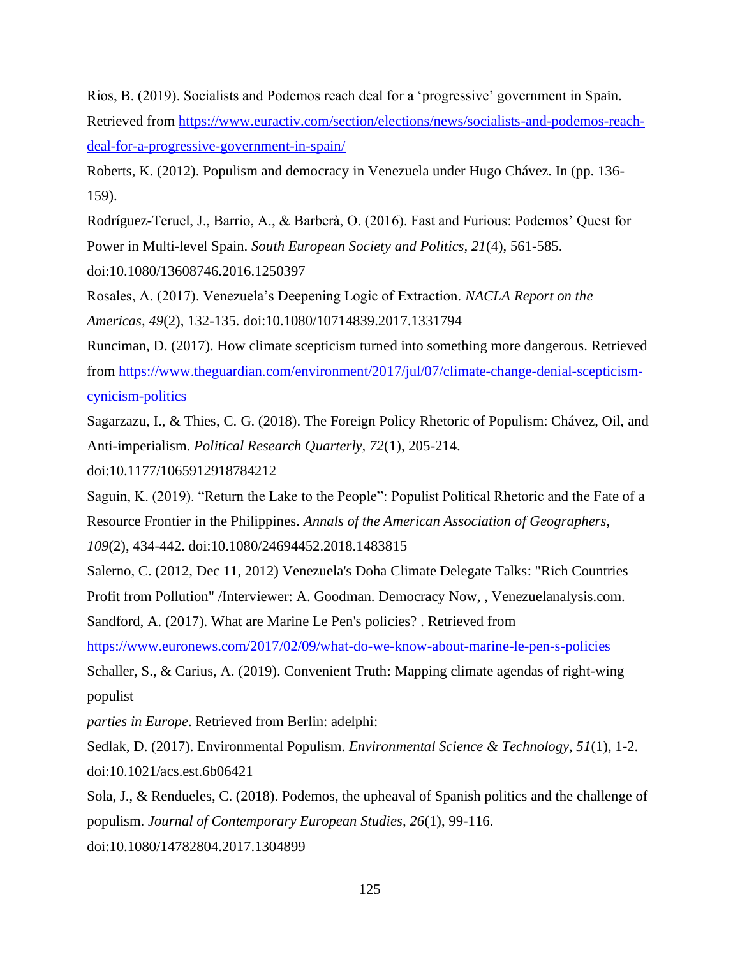Rios, B. (2019). Socialists and Podemos reach deal for a 'progressive' government in Spain. Retrieved from [https://www.euractiv.com/section/elections/news/socialists-and-podemos-reach](https://www.euractiv.com/section/elections/news/socialists-and-podemos-reach-deal-for-a-progressive-government-in-spain/)[deal-for-a-progressive-government-in-spain/](https://www.euractiv.com/section/elections/news/socialists-and-podemos-reach-deal-for-a-progressive-government-in-spain/)

Roberts, K. (2012). Populism and democracy in Venezuela under Hugo Chávez. In (pp. 136- 159).

Rodríguez-Teruel, J., Barrio, A., & Barberà, O. (2016). Fast and Furious: Podemos' Quest for Power in Multi-level Spain. *South European Society and Politics, 21*(4), 561-585. doi:10.1080/13608746.2016.1250397

Rosales, A. (2017). Venezuela's Deepening Logic of Extraction. *NACLA Report on the Americas, 49*(2), 132-135. doi:10.1080/10714839.2017.1331794

Runciman, D. (2017). How climate scepticism turned into something more dangerous. Retrieved from [https://www.theguardian.com/environment/2017/jul/07/climate-change-denial-scepticism](https://www.theguardian.com/environment/2017/jul/07/climate-change-denial-scepticism-cynicism-politics)[cynicism-politics](https://www.theguardian.com/environment/2017/jul/07/climate-change-denial-scepticism-cynicism-politics)

Sagarzazu, I., & Thies, C. G. (2018). The Foreign Policy Rhetoric of Populism: Chávez, Oil, and Anti-imperialism. *Political Research Quarterly, 72*(1), 205-214.

doi:10.1177/1065912918784212

Saguin, K. (2019). "Return the Lake to the People": Populist Political Rhetoric and the Fate of a Resource Frontier in the Philippines. *Annals of the American Association of Geographers,* 

*109*(2), 434-442. doi:10.1080/24694452.2018.1483815

Salerno, C. (2012, Dec 11, 2012) Venezuela's Doha Climate Delegate Talks: "Rich Countries Profit from Pollution" /Interviewer: A. Goodman. Democracy Now, , Venezuelanalysis.com.

Sandford, A. (2017). What are Marine Le Pen's policies? . Retrieved from

<https://www.euronews.com/2017/02/09/what-do-we-know-about-marine-le-pen-s-policies>

Schaller, S., & Carius, A. (2019). Convenient Truth: Mapping climate agendas of right-wing populist

*parties in Europe*. Retrieved from Berlin: adelphi:

Sedlak, D. (2017). Environmental Populism. *Environmental Science & Technology, 51*(1), 1-2. doi:10.1021/acs.est.6b06421

Sola, J., & Rendueles, C. (2018). Podemos, the upheaval of Spanish politics and the challenge of populism. *Journal of Contemporary European Studies, 26*(1), 99-116. doi:10.1080/14782804.2017.1304899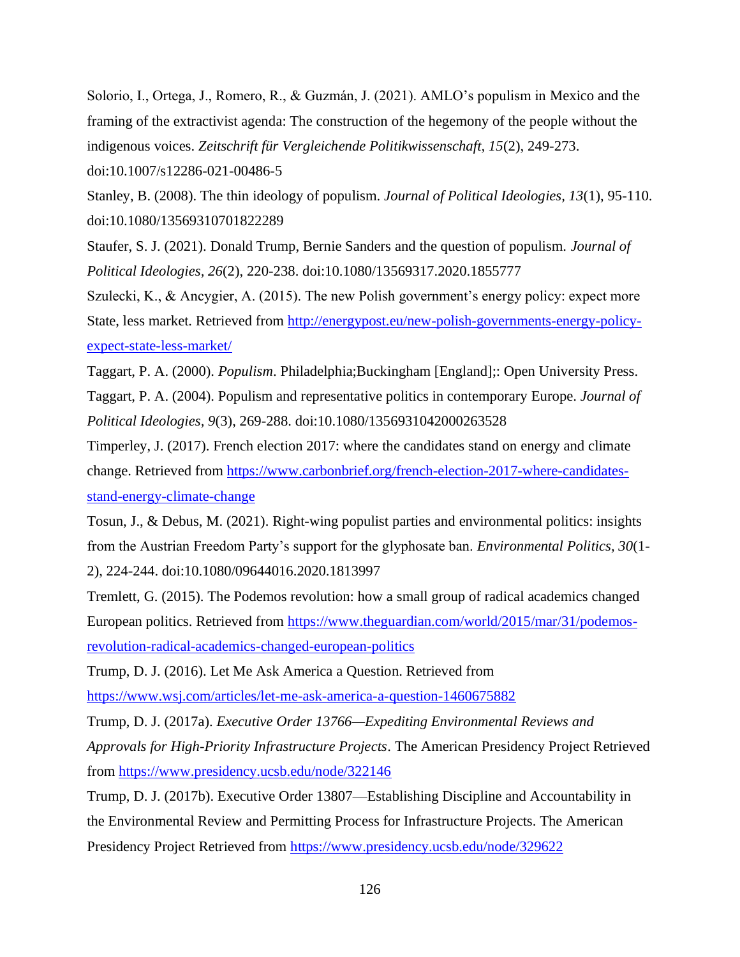Solorio, I., Ortega, J., Romero, R., & Guzmán, J. (2021). AMLO's populism in Mexico and the framing of the extractivist agenda: The construction of the hegemony of the people without the indigenous voices. *Zeitschrift für Vergleichende Politikwissenschaft, 15*(2), 249-273. doi:10.1007/s12286-021-00486-5

Stanley, B. (2008). The thin ideology of populism. *Journal of Political Ideologies, 13*(1), 95-110. doi:10.1080/13569310701822289

Staufer, S. J. (2021). Donald Trump, Bernie Sanders and the question of populism. *Journal of Political Ideologies, 26*(2), 220-238. doi:10.1080/13569317.2020.1855777

Szulecki, K., & Ancygier, A. (2015). The new Polish government's energy policy: expect more State, less market. Retrieved from [http://energypost.eu/new-polish-governments-energy-policy](http://energypost.eu/new-polish-governments-energy-policy-expect-state-less-market/)[expect-state-less-market/](http://energypost.eu/new-polish-governments-energy-policy-expect-state-less-market/)

Taggart, P. A. (2000). *Populism*. Philadelphia;Buckingham [England];: Open University Press. Taggart, P. A. (2004). Populism and representative politics in contemporary Europe. *Journal of Political Ideologies, 9*(3), 269-288. doi:10.1080/1356931042000263528

Timperley, J. (2017). French election 2017: where the candidates stand on energy and climate change. Retrieved from [https://www.carbonbrief.org/french-election-2017-where-candidates](https://www.carbonbrief.org/french-election-2017-where-candidates-stand-energy-climate-change)[stand-energy-climate-change](https://www.carbonbrief.org/french-election-2017-where-candidates-stand-energy-climate-change)

Tosun, J., & Debus, M. (2021). Right-wing populist parties and environmental politics: insights from the Austrian Freedom Party's support for the glyphosate ban. *Environmental Politics, 30*(1- 2), 224-244. doi:10.1080/09644016.2020.1813997

Tremlett, G. (2015). The Podemos revolution: how a small group of radical academics changed European politics. Retrieved from [https://www.theguardian.com/world/2015/mar/31/podemos](https://www.theguardian.com/world/2015/mar/31/podemos-revolution-radical-academics-changed-european-politics)[revolution-radical-academics-changed-european-politics](https://www.theguardian.com/world/2015/mar/31/podemos-revolution-radical-academics-changed-european-politics)

Trump, D. J. (2016). Let Me Ask America a Question. Retrieved from <https://www.wsj.com/articles/let-me-ask-america-a-question-1460675882>

Trump, D. J. (2017a). *Executive Order 13766—Expediting Environmental Reviews and Approvals for High-Priority Infrastructure Projects*. The American Presidency Project Retrieved from<https://www.presidency.ucsb.edu/node/322146>

Trump, D. J. (2017b). Executive Order 13807—Establishing Discipline and Accountability in the Environmental Review and Permitting Process for Infrastructure Projects. The American Presidency Project Retrieved from<https://www.presidency.ucsb.edu/node/329622>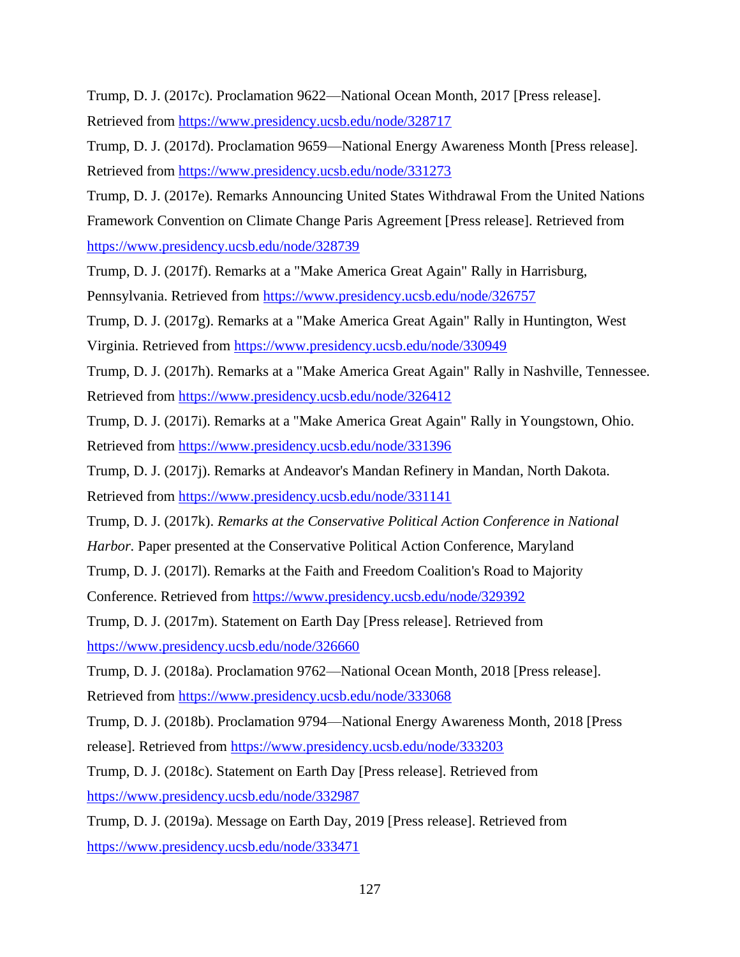Trump, D. J. (2017c). Proclamation 9622—National Ocean Month, 2017 [Press release]. Retrieved from<https://www.presidency.ucsb.edu/node/328717>

Trump, D. J. (2017d). Proclamation 9659—National Energy Awareness Month [Press release]. Retrieved from<https://www.presidency.ucsb.edu/node/331273>

Trump, D. J. (2017e). Remarks Announcing United States Withdrawal From the United Nations Framework Convention on Climate Change Paris Agreement [Press release]. Retrieved from <https://www.presidency.ucsb.edu/node/328739>

Trump, D. J. (2017f). Remarks at a "Make America Great Again" Rally in Harrisburg, Pennsylvania. Retrieved from<https://www.presidency.ucsb.edu/node/326757>

Trump, D. J. (2017g). Remarks at a "Make America Great Again" Rally in Huntington, West Virginia. Retrieved from<https://www.presidency.ucsb.edu/node/330949>

Trump, D. J. (2017h). Remarks at a "Make America Great Again" Rally in Nashville, Tennessee. Retrieved from<https://www.presidency.ucsb.edu/node/326412>

Trump, D. J. (2017i). Remarks at a "Make America Great Again" Rally in Youngstown, Ohio. Retrieved from<https://www.presidency.ucsb.edu/node/331396>

Trump, D. J. (2017j). Remarks at Andeavor's Mandan Refinery in Mandan, North Dakota. Retrieved from<https://www.presidency.ucsb.edu/node/331141>

Trump, D. J. (2017k). *Remarks at the Conservative Political Action Conference in National* 

*Harbor.* Paper presented at the Conservative Political Action Conference, Maryland

Trump, D. J. (2017l). Remarks at the Faith and Freedom Coalition's Road to Majority

Conference. Retrieved from<https://www.presidency.ucsb.edu/node/329392>

Trump, D. J. (2017m). Statement on Earth Day [Press release]. Retrieved from <https://www.presidency.ucsb.edu/node/326660>

Trump, D. J. (2018a). Proclamation 9762—National Ocean Month, 2018 [Press release]. Retrieved from<https://www.presidency.ucsb.edu/node/333068>

Trump, D. J. (2018b). Proclamation 9794—National Energy Awareness Month, 2018 [Press release]. Retrieved from<https://www.presidency.ucsb.edu/node/333203>

Trump, D. J. (2018c). Statement on Earth Day [Press release]. Retrieved from <https://www.presidency.ucsb.edu/node/332987>

Trump, D. J. (2019a). Message on Earth Day, 2019 [Press release]. Retrieved from <https://www.presidency.ucsb.edu/node/333471>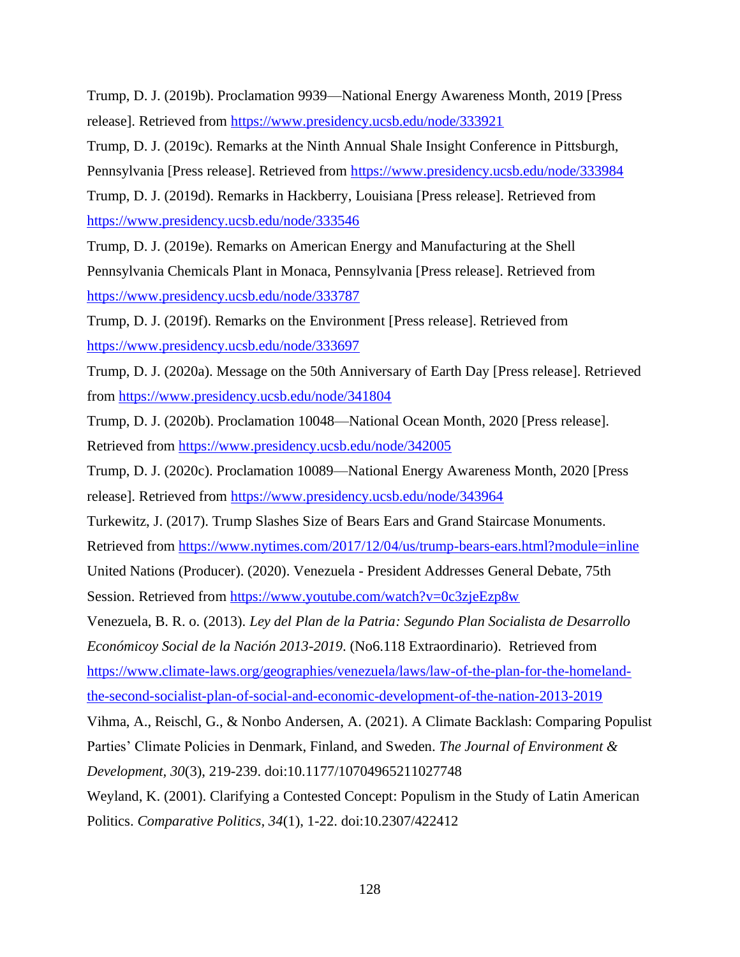Trump, D. J. (2019b). Proclamation 9939—National Energy Awareness Month, 2019 [Press release]. Retrieved from<https://www.presidency.ucsb.edu/node/333921>

Trump, D. J. (2019c). Remarks at the Ninth Annual Shale Insight Conference in Pittsburgh,

Pennsylvania [Press release]. Retrieved from<https://www.presidency.ucsb.edu/node/333984>

Trump, D. J. (2019d). Remarks in Hackberry, Louisiana [Press release]. Retrieved from <https://www.presidency.ucsb.edu/node/333546>

Trump, D. J. (2019e). Remarks on American Energy and Manufacturing at the Shell Pennsylvania Chemicals Plant in Monaca, Pennsylvania [Press release]. Retrieved from <https://www.presidency.ucsb.edu/node/333787>

Trump, D. J. (2019f). Remarks on the Environment [Press release]. Retrieved from <https://www.presidency.ucsb.edu/node/333697>

Trump, D. J. (2020a). Message on the 50th Anniversary of Earth Day [Press release]. Retrieved from<https://www.presidency.ucsb.edu/node/341804>

Trump, D. J. (2020b). Proclamation 10048—National Ocean Month, 2020 [Press release]. Retrieved from<https://www.presidency.ucsb.edu/node/342005>

Trump, D. J. (2020c). Proclamation 10089—National Energy Awareness Month, 2020 [Press release]. Retrieved from<https://www.presidency.ucsb.edu/node/343964>

Turkewitz, J. (2017). Trump Slashes Size of Bears Ears and Grand Staircase Monuments.

Retrieved from<https://www.nytimes.com/2017/12/04/us/trump-bears-ears.html?module=inline>

United Nations (Producer). (2020). Venezuela - President Addresses General Debate, 75th Session. Retrieved from<https://www.youtube.com/watch?v=0c3zjeEzp8w>

Venezuela, B. R. o. (2013). *Ley del Plan de la Patria: Segundo Plan Socialista de Desarrollo* 

*Económicoy Social de la Nación 2013-2019*. (No6.118 Extraordinario). Retrieved from

[https://www.climate-laws.org/geographies/venezuela/laws/law-of-the-plan-for-the-homeland-](https://www.climate-laws.org/geographies/venezuela/laws/law-of-the-plan-for-the-homeland-the-second-socialist-plan-of-social-and-economic-development-of-the-nation-2013-2019)

[the-second-socialist-plan-of-social-and-economic-development-of-the-nation-2013-2019](https://www.climate-laws.org/geographies/venezuela/laws/law-of-the-plan-for-the-homeland-the-second-socialist-plan-of-social-and-economic-development-of-the-nation-2013-2019)

Vihma, A., Reischl, G., & Nonbo Andersen, A. (2021). A Climate Backlash: Comparing Populist

Parties' Climate Policies in Denmark, Finland, and Sweden. *The Journal of Environment & Development, 30*(3), 219-239. doi:10.1177/10704965211027748

Weyland, K. (2001). Clarifying a Contested Concept: Populism in the Study of Latin American Politics. *Comparative Politics, 34*(1), 1-22. doi:10.2307/422412